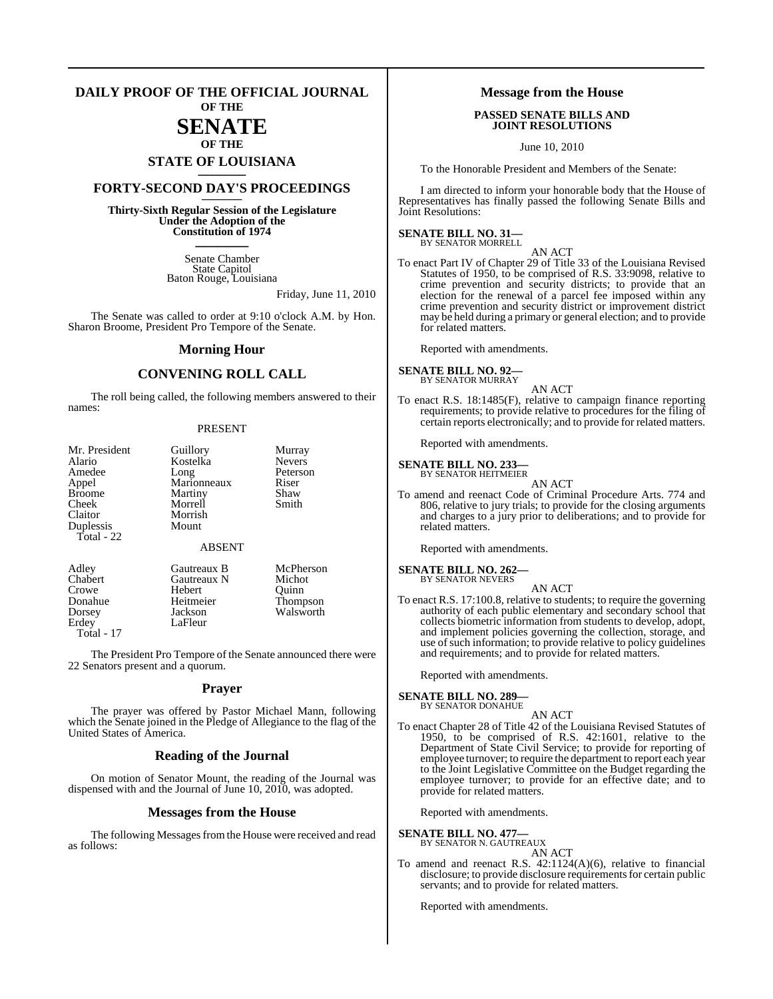#### **DAILY PROOF OF THE OFFICIAL JOURNAL OF THE**

# **SENATE**

## **OF THE STATE OF LOUISIANA \_\_\_\_\_\_\_**

## **FORTY-SECOND DAY'S PROCEEDINGS \_\_\_\_\_\_\_**

**Thirty-Sixth Regular Session of the Legislature Under the Adoption of the Constitution of 1974 \_\_\_\_\_\_\_**

> Senate Chamber State Capitol Baton Rouge, Louisiana

> > Friday, June 11, 2010

The Senate was called to order at 9:10 o'clock A.M. by Hon. Sharon Broome, President Pro Tempore of the Senate.

#### **Morning Hour**

#### **CONVENING ROLL CALL**

The roll being called, the following members answered to their names:

#### PRESENT

| Mr. President | Guillory      | Murray        |
|---------------|---------------|---------------|
| Alario        | Kostelka      | <b>Nevers</b> |
| Amedee        | Long          | Peterson      |
| Appel         | Marionneaux   | Riser         |
| <b>Broome</b> | Martiny       | Shaw          |
| Cheek         | Morrell       | Smith         |
| Claitor       | Morrish       |               |
| Duplessis     | Mount         |               |
| Total - 22    |               |               |
|               | <b>ABSENT</b> |               |
| Adley         | Gautreaux B   | McPherson     |
| Chabert       | Gautreaux N   | Michot        |
| Crowe         | Hebert        | Ouinn         |
| Donahue       | Heitmeier     | Thompson      |
| Dorsey        | Jackson       | Walsworth     |

Dorsey Jackson Walsworth<br>
Erdev LaFleur LaFleur Total - 17 The President Pro Tempore of the Senate announced there were

22 Senators present and a quorum.

#### **Prayer**

The prayer was offered by Pastor Michael Mann, following which the Senate joined in the Pledge of Allegiance to the flag of the United States of America.

#### **Reading of the Journal**

On motion of Senator Mount, the reading of the Journal was dispensed with and the Journal of June 10, 2010, was adopted.

#### **Messages from the House**

The following Messages from the House were received and read as follows:

#### **Message from the House**

#### **PASSED SENATE BILLS AND JOINT RESOLUTIONS**

June 10, 2010

To the Honorable President and Members of the Senate:

I am directed to inform your honorable body that the House of Representatives has finally passed the following Senate Bills and Joint Resolutions:

## **SENATE BILL NO. 31—**

BY SENATOR MORRELL AN ACT

To enact Part IV of Chapter 29 of Title 33 of the Louisiana Revised Statutes of 1950, to be comprised of R.S. 33:9098, relative to crime prevention and security districts; to provide that an election for the renewal of a parcel fee imposed within any crime prevention and security district or improvement district may be held during a primary or general election; and to provide for related matters.

Reported with amendments.

**SENATE BILL NO. 92—** BY SENATOR MURRAY

- AN ACT
- To enact R.S. 18:1485(F), relative to campaign finance reporting requirements; to provide relative to procedures for the filing of certain reports electronically; and to provide for related matters.

Reported with amendments.

## **SENATE BILL NO. 233—** BY SENATOR HEITMEIER

AN ACT

To amend and reenact Code of Criminal Procedure Arts. 774 and 806, relative to jury trials; to provide for the closing arguments and charges to a jury prior to deliberations; and to provide for related matters.

Reported with amendments.

**SENATE BILL NO. 262—** BY SENATOR NEVERS

- AN ACT
- To enact R.S. 17:100.8, relative to students; to require the governing authority of each public elementary and secondary school that collects biometric information from students to develop, adopt, and implement policies governing the collection, storage, and use of such information; to provide relative to policy guidelines and requirements; and to provide for related matters.

Reported with amendments.

#### **SENATE BILL NO. 289—** BY SENATOR DONAHUE

- AN ACT
- To enact Chapter 28 of Title 42 of the Louisiana Revised Statutes of 1950, to be comprised of R.S. 42:1601, relative to the Department of State Civil Service; to provide for reporting of employee turnover; to require the department to report each year to the Joint Legislative Committee on the Budget regarding the employee turnover; to provide for an effective date; and to provide for related matters.

Reported with amendments.

## **SENATE BILL NO. 477—** BY SENATOR N. GAUTREAUX

AN ACT

To amend and reenact R.S.  $42:1124(A)(6)$ , relative to financial disclosure; to provide disclosure requirements for certain public servants; and to provide for related matters.

Reported with amendments.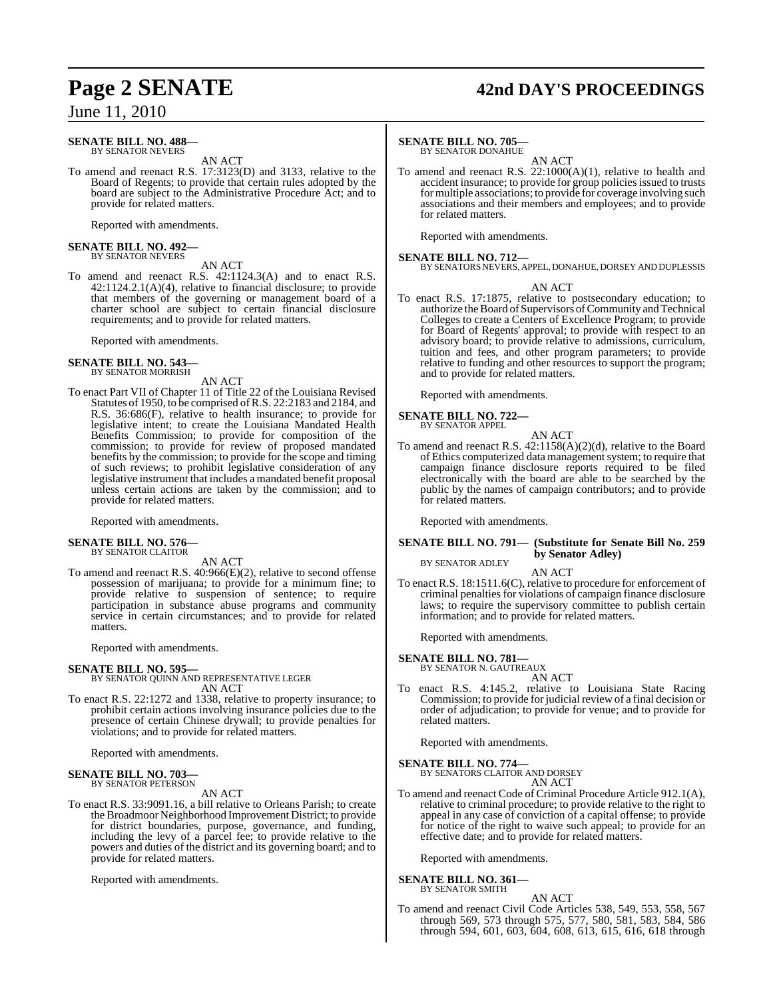#### **SENATE BILL NO. 488—** BY SENATOR NEVERS

AN ACT

To amend and reenact R.S. 17:3123(D) and 3133, relative to the Board of Regents; to provide that certain rules adopted by the board are subject to the Administrative Procedure Act; and to provide for related matters.

Reported with amendments.

# **SENATE BILL NO. 492—** BY SENATOR NEVERS

AN ACT

To amend and reenact R.S. 42:1124.3(A) and to enact R.S. 42:1124.2.1(A)(4), relative to financial disclosure; to provide that members of the governing or management board of a charter school are subject to certain financial disclosure requirements; and to provide for related matters.

Reported with amendments.

#### **SENATE BILL NO. 543** BY SENATOR MORRISH

AN ACT

To enact Part VII of Chapter 11 of Title 22 of the Louisiana Revised Statutes of 1950, to be comprised ofR.S. 22:2183 and 2184, and R.S. 36:686(F), relative to health insurance; to provide for legislative intent; to create the Louisiana Mandated Health Benefits Commission; to provide for composition of the commission; to provide for review of proposed mandated benefits by the commission; to provide for the scope and timing of such reviews; to prohibit legislative consideration of any legislative instrument that includes a mandated benefit proposal unless certain actions are taken by the commission; and to provide for related matters.

Reported with amendments.

**SENATE BILL NO. 576—**

BY SENATOR CLAITOR

AN ACT

To amend and reenact R.S. 40:966(E)(2), relative to second offense possession of marijuana; to provide for a minimum fine; to provide relative to suspension of sentence; to require participation in substance abuse programs and community service in certain circumstances; and to provide for related matters.

Reported with amendments.

#### **SENATE BILL NO. 595—**

BY SENATOR QUINN AND REPRESENTATIVE LEGER AN ACT

To enact R.S. 22:1272 and 1338, relative to property insurance; to prohibit certain actions involving insurance policies due to the presence of certain Chinese drywall; to provide penalties for violations; and to provide for related matters.

Reported with amendments.

#### **SENATE BILL NO. 703—** BY SENATOR PETERSON

AN ACT

To enact R.S. 33:9091.16, a bill relative to Orleans Parish; to create the Broadmoor Neighborhood Improvement District; to provide for district boundaries, purpose, governance, and funding, including the levy of a parcel fee; to provide relative to the powers and duties of the district and its governing board; and to provide for related matters.

Reported with amendments.

# **Page 2 SENATE 42nd DAY'S PROCEEDINGS**

#### **SENATE BILL NO. 705—**

BY SENATOR DONAHUE

AN ACT To amend and reenact R.S. 22:1000(A)(1), relative to health and accident insurance; to provide for group policies issued to trusts formultiple associations; to provide for coverage involving such associations and their members and employees; and to provide for related matters.

Reported with amendments.

**SENATE BILL NO. 712—** BY SENATORSNEVERS, APPEL, DONAHUE, DORSEY AND DUPLESSIS

#### AN ACT

To enact R.S. 17:1875, relative to postsecondary education; to authorize the Board of Supervisors of Community and Technical Colleges to create a Centers of Excellence Program; to provide for Board of Regents' approval; to provide with respect to an advisory board; to provide relative to admissions, curriculum, tuition and fees, and other program parameters; to provide relative to funding and other resources to support the program; and to provide for related matters.

Reported with amendments.

#### **SENATE BILL NO. 722—** BY SENATOR APP

$$
\begin{array}{c}\n\text{PEL} \\
\text{AN ACT}\n\end{array}
$$

To amend and reenact R.S. 42:1158(A)(2)(d), relative to the Board of Ethics computerized data management system; to require that campaign finance disclosure reports required to be filed electronically with the board are able to be searched by the public by the names of campaign contributors; and to provide for related matters.

Reported with amendments.

#### **SENATE BILL NO. 791— (Substitute for Senate Bill No. 259 by Senator Adley)** BY SENATOR ADLEY

AN ACT

To enact R.S. 18:1511.6(C), relative to procedure for enforcement of criminal penalties for violations of campaign finance disclosure laws; to require the supervisory committee to publish certain information; and to provide for related matters.

Reported with amendments.

#### **SENATE BILL NO. 781—**

BY SENATOR N. GAUTREAUX AN ACT

To enact R.S. 4:145.2, relative to Louisiana State Racing Commission; to provide for judicial review of a final decision or order of adjudication; to provide for venue; and to provide for related matters.

Reported with amendments.

## **SENATE BILL NO. 774—** BY SENATORS CLAITOR AND DORSEY

AN ACT

To amend and reenact Code of Criminal Procedure Article 912.1(A), relative to criminal procedure; to provide relative to the right to appeal in any case of conviction of a capital offense; to provide for notice of the right to waive such appeal; to provide for an effective date; and to provide for related matters.

Reported with amendments.

# **SENATE BILL NO. 361—** BY SENATOR SMITH

AN ACT

To amend and reenact Civil Code Articles 538, 549, 553, 558, 567 through 569, 573 through 575, 577, 580, 581, 583, 584, 586 through 594, 601, 603, 604, 608, 613, 615, 616, 618 through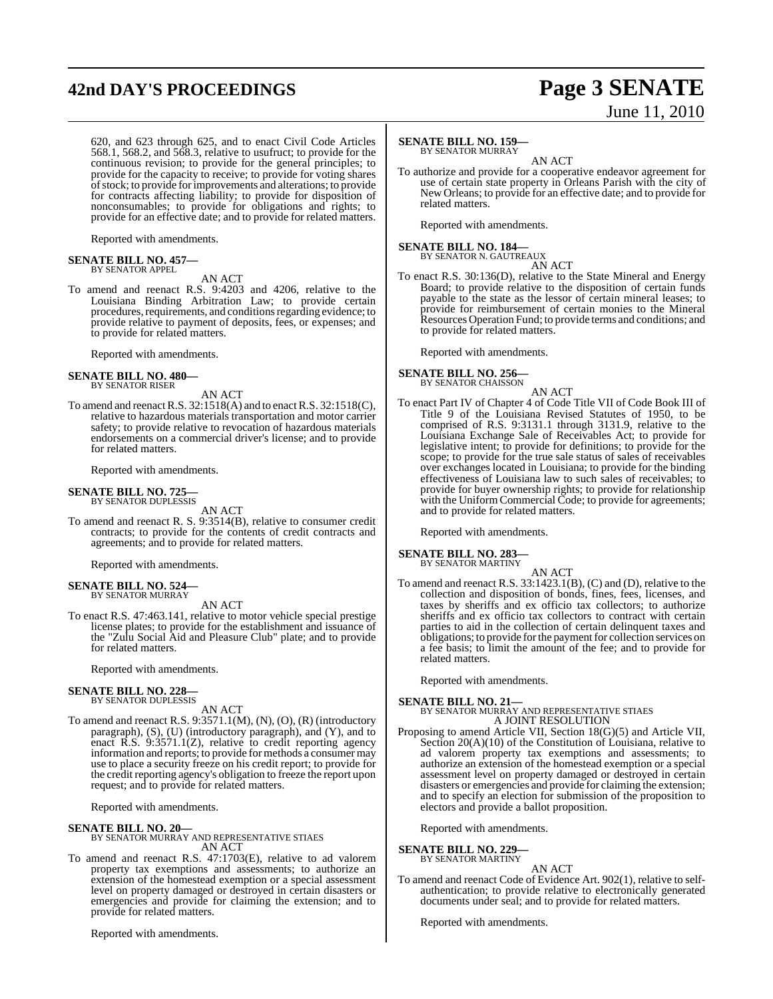# **42nd DAY'S PROCEEDINGS Page 3 SENATE**

620, and 623 through 625, and to enact Civil Code Articles 568.1, 568.2, and 568.3, relative to usufruct; to provide for the continuous revision; to provide for the general principles; to provide for the capacity to receive; to provide for voting shares ofstock; to provide forimprovements and alterations; to provide for contracts affecting liability; to provide for disposition of nonconsumables; to provide for obligations and rights; to provide for an effective date; and to provide for related matters.

Reported with amendments.

## **SENATE BILL NO. 457—** BY SENATOR APPEL

AN ACT

To amend and reenact R.S. 9:4203 and 4206, relative to the Louisiana Binding Arbitration Law; to provide certain procedures, requirements, and conditions regarding evidence; to provide relative to payment of deposits, fees, or expenses; and to provide for related matters.

Reported with amendments.

#### **SENATE BILL NO. 480—** BY SENATOR RISER

- AN ACT
- To amend and reenact R.S. 32:1518(A) and to enact R.S. 32:1518(C), relative to hazardous materials transportation and motor carrier safety; to provide relative to revocation of hazardous materials endorsements on a commercial driver's license; and to provide for related matters.

Reported with amendments.

## **SENATE BILL NO. 725—** BY SENATOR DUPLESSIS

AN ACT

To amend and reenact R. S. 9:3514(B), relative to consumer credit contracts; to provide for the contents of credit contracts and agreements; and to provide for related matters.

Reported with amendments.

#### **SENATE BILL NO. 524** BY SENATOR MURRAY

AN ACT

To enact R.S. 47:463.141, relative to motor vehicle special prestige license plates; to provide for the establishment and issuance of the "Zulu Social Aid and Pleasure Club" plate; and to provide for related matters.

Reported with amendments.

#### **SENATE BILL NO. 228—** BY SENATOR DUPLESSIS

AN ACT

To amend and reenact R.S. 9:3571.1(M), (N), (O), (R) (introductory paragraph), (S), (U) (introductory paragraph), and (Y), and to enact R.S. 9:3571.1(Z), relative to credit reporting agency information and reports; to provide for methods a consumer may use to place a security freeze on his credit report; to provide for the credit reporting agency's obligation to freeze the report upon request; and to provide for related matters.

Reported with amendments.

#### **SENATE BILL NO. 20—**

BY SENATOR MURRAY AND REPRESENTATIVE STIAES AN ACT

To amend and reenact R.S. 47:1703(E), relative to ad valorem property tax exemptions and assessments; to authorize an extension of the homestead exemption or a special assessment level on property damaged or destroyed in certain disasters or emergencies and provide for claiming the extension; and to provide for related matters.

Reported with amendments.

# June 11, 2010

#### **SENATE BILL NO. 159—** BY SENATOR MURRAY

AN ACT

To authorize and provide for a cooperative endeavor agreement for use of certain state property in Orleans Parish with the city of New Orleans; to provide for an effective date; and to provide for related matters.

Reported with amendments.

## **SENATE BILL NO. 184—** BY SENATOR N. GAUTREAUX

To enact R.S. 30:136(D), relative to the State Mineral and Energy Board; to provide relative to the disposition of certain funds payable to the state as the lessor of certain mineral leases; to provide for reimbursement of certain monies to the Mineral Resources Operation Fund; to provide terms and conditions; and to provide for related matters.

Reported with amendments.

## **SENATE BILL NO. 256—**

BY SENATOR CHAISSON AN ACT

To enact Part IV of Chapter 4 of Code Title VII of Code Book III of Title 9 of the Louisiana Revised Statutes of 1950, to be comprised of R.S. 9:3131.1 through 3131.9, relative to the Louisiana Exchange Sale of Receivables Act; to provide for legislative intent; to provide for definitions; to provide for the scope; to provide for the true sale status of sales of receivables over exchanges located in Louisiana; to provide for the binding effectiveness of Louisiana law to such sales of receivables; to provide for buyer ownership rights; to provide for relationship with the Uniform Commercial Code; to provide for agreements; and to provide for related matters.

Reported with amendments.

## **SENATE BILL NO. 283—** BY SENATOR MARTINY

AN ACT To amend and reenact R.S. 33:1423.1(B), (C) and (D), relative to the collection and disposition of bonds, fines, fees, licenses, and taxes by sheriffs and ex officio tax collectors; to authorize sheriffs and ex officio tax collectors to contract with certain parties to aid in the collection of certain delinquent taxes and obligations; to provide for the payment for collection services on a fee basis; to limit the amount of the fee; and to provide for related matters.

Reported with amendments.

**SENATE BILL NO. 21—** BY SENATOR MURRAY AND REPRESENTATIVE STIAES A JOINT RESOLUTION

Proposing to amend Article VII, Section 18(G)(5) and Article VII, Section 20(A)(10) of the Constitution of Louisiana, relative to ad valorem property tax exemptions and assessments; to authorize an extension of the homestead exemption or a special assessment level on property damaged or destroyed in certain disasters or emergencies and provide for claiming the extension; and to specify an election for submission of the proposition to electors and provide a ballot proposition.

Reported with amendments.

### **SENATE BILL NO. 229—**

BY SENATOR MARTINY

AN ACT To amend and reenact Code of Evidence Art. 902(1), relative to selfauthentication; to provide relative to electronically generated documents under seal; and to provide for related matters.

Reported with amendments.

AN ACT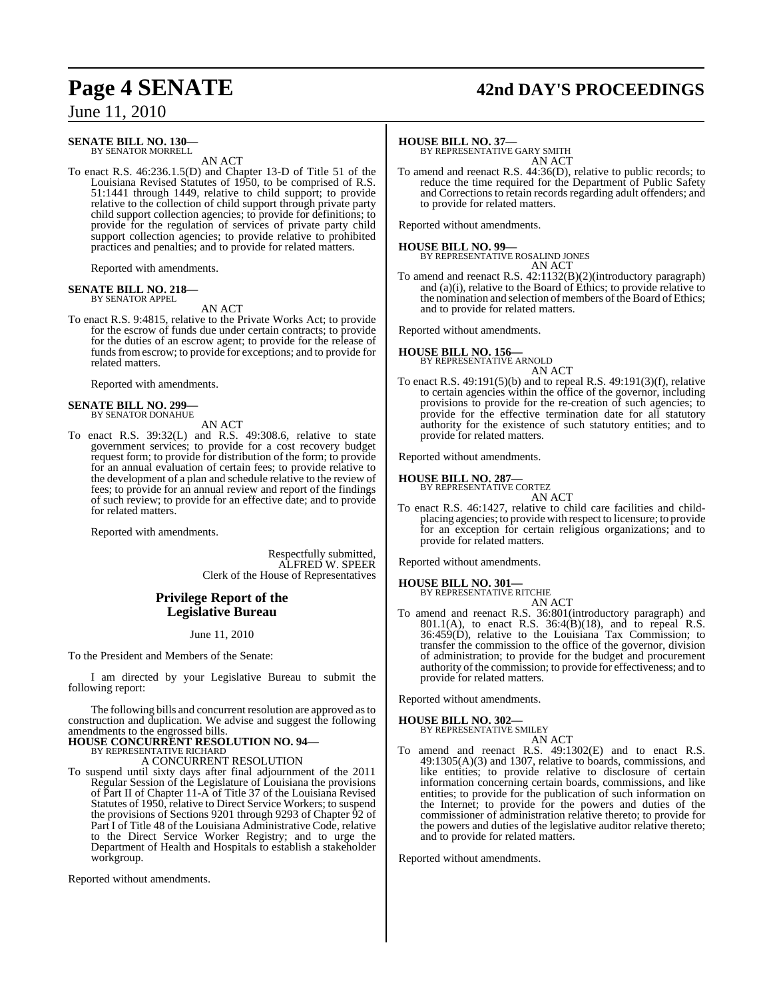#### **SENATE BILL NO. 130—** BY SENATOR MORRELL

AN ACT

To enact R.S. 46:236.1.5(D) and Chapter 13-D of Title 51 of the Louisiana Revised Statutes of 1950, to be comprised of R.S. 51:1441 through 1449, relative to child support; to provide relative to the collection of child support through private party child support collection agencies; to provide for definitions; to provide for the regulation of services of private party child support collection agencies; to provide relative to prohibited practices and penalties; and to provide for related matters.

Reported with amendments.

#### **SENATE BILL NO. 218—** BY SENATOR APPEL

AN ACT

To enact R.S. 9:4815, relative to the Private Works Act; to provide for the escrow of funds due under certain contracts; to provide for the duties of an escrow agent; to provide for the release of funds from escrow; to provide for exceptions; and to provide for related matters.

Reported with amendments.

#### **SENATE BILL NO. 299—** BY SENATOR DONAHUE

AN ACT

To enact R.S. 39:32(L) and R.S. 49:308.6, relative to state government services; to provide for a cost recovery budget request form; to provide for distribution of the form; to provide for an annual evaluation of certain fees; to provide relative to the development of a plan and schedule relative to the review of fees; to provide for an annual review and report of the findings of such review; to provide for an effective date; and to provide for related matters.

Reported with amendments.

Respectfully submitted, ALFRED W. SPEER Clerk of the House of Representatives

#### **Privilege Report of the Legislative Bureau**

June 11, 2010

To the President and Members of the Senate:

I am directed by your Legislative Bureau to submit the following report:

The following bills and concurrent resolution are approved asto construction and duplication. We advise and suggest the following amendments to the engrossed bills.

#### **HOUSE CONCURRENT RESOLUTION NO. 94—** BY REPRESENTATIVE RICHARD

A CONCURRENT RESOLUTION

To suspend until sixty days after final adjournment of the 2011 Regular Session of the Legislature of Louisiana the provisions of Part II of Chapter 11-A of Title 37 of the Louisiana Revised Statutes of 1950, relative to Direct Service Workers; to suspend the provisions of Sections 9201 through 9293 of Chapter 92 of Part I of Title 48 of the Louisiana Administrative Code, relative to the Direct Service Worker Registry; and to urge the Department of Health and Hospitals to establish a stakeholder workgroup.

Reported without amendments.

# **Page 4 SENATE 42nd DAY'S PROCEEDINGS**

#### **HOUSE BILL NO. 37—**

BY REPRESENTATIVE GARY SMITH AN ACT

To amend and reenact R.S. 44:36(D), relative to public records; to reduce the time required for the Department of Public Safety and Corrections to retain records regarding adult offenders; and to provide for related matters.

Reported without amendments.

**HOUSE BILL NO. 99—** BY REPRESENTATIVE ROSALIND JONES AN ACT

To amend and reenact R.S. 42:1132(B)(2)(introductory paragraph) and (a)(i), relative to the Board of Ethics; to provide relative to the nomination and selection of members of the Board of Ethics; and to provide for related matters.

Reported without amendments.

# **HOUSE BILL NO. 156—** BY REPRESENTATIVE ARNOLD

AN ACT

To enact R.S. 49:191(5)(b) and to repeal R.S. 49:191(3)(f), relative to certain agencies within the office of the governor, including provisions to provide for the re-creation of such agencies; to provide for the effective termination date for all statutory authority for the existence of such statutory entities; and to provide for related matters.

Reported without amendments.

#### **HOUSE BILL NO. 287—** BY REPRESENTATIVE CORTEZ

AN ACT

To enact R.S. 46:1427, relative to child care facilities and childplacing agencies; to provide with respect to licensure; to provide for an exception for certain religious organizations; and to provide for related matters.

Reported without amendments.

**HOUSE BILL NO. 301—**

BY REPRESENTATIVE RITCHIE AN ACT

To amend and reenact R.S. 36:801(introductory paragraph) and 801.1(A), to enact R.S.  $36:4(B)(18)$ , and to repeal R.S. 36:459(D), relative to the Louisiana Tax Commission; to transfer the commission to the office of the governor, division of administration; to provide for the budget and procurement authority of the commission; to provide for effectiveness; and to provide for related matters.

Reported without amendments.

## **HOUSE BILL NO. 302—** BY REPRESENTATIVE SMILEY

AN ACT

To amend and reenact R.S. 49:1302(E) and to enact R.S. 49:1305(A)(3) and 1307, relative to boards, commissions, and like entities; to provide relative to disclosure of certain information concerning certain boards, commissions, and like entities; to provide for the publication of such information on the Internet; to provide for the powers and duties of the commissioner of administration relative thereto; to provide for the powers and duties of the legislative auditor relative thereto; and to provide for related matters.

Reported without amendments.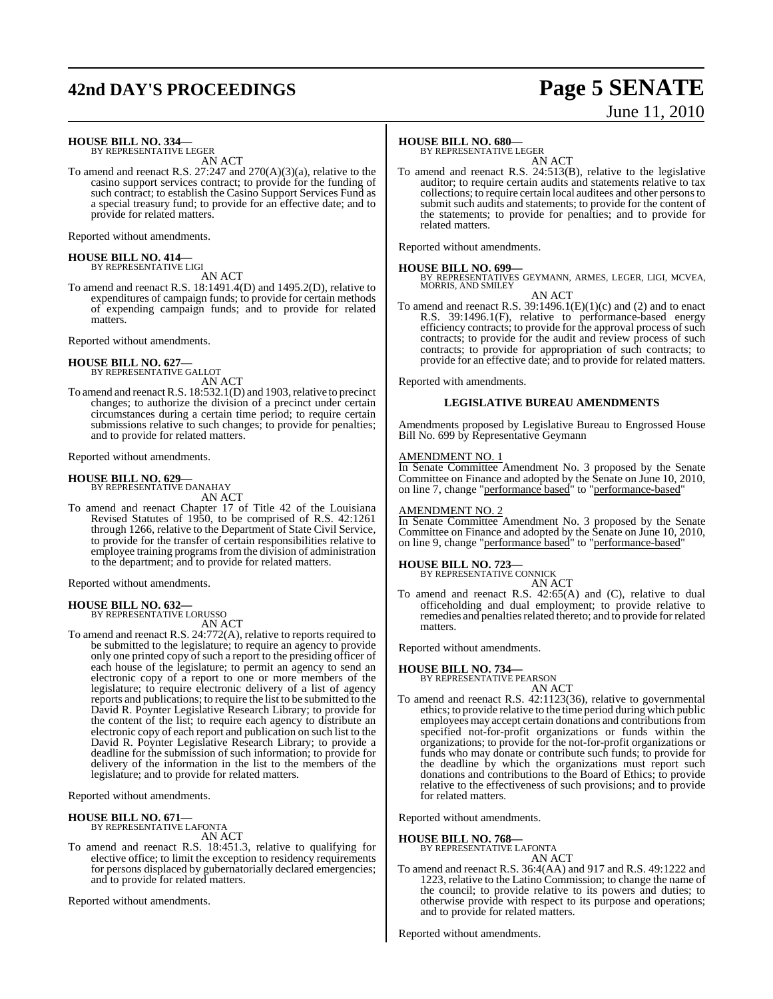## **42nd DAY'S PROCEEDINGS Page 5 SENATE**

# June 11, 2010

**HOUSE BILL NO. 334—** BY REPRESENTATIVE LEGER

AN ACT

To amend and reenact R.S. 27:247 and 270(A)(3)(a), relative to the casino support services contract; to provide for the funding of such contract; to establish the Casino Support Services Fund as a special treasury fund; to provide for an effective date; and to provide for related matters.

Reported without amendments.

## **HOUSE BILL NO. 414—** BY REPRESENTATIVE LIGI

AN ACT

To amend and reenact R.S. 18:1491.4(D) and 1495.2(D), relative to expenditures of campaign funds; to provide for certain methods of expending campaign funds; and to provide for related matters.

Reported without amendments.

#### **HOUSE BILL NO. 627—**

BY REPRESENTATIVE GALLOT AN ACT

To amend and reenact R.S. 18:532.1(D) and 1903, relative to precinct changes; to authorize the division of a precinct under certain circumstances during a certain time period; to require certain submissions relative to such changes; to provide for penalties; and to provide for related matters.

Reported without amendments.

**HOUSE BILL NO. 629—** BY REPRESENTATIVE DANAHAY AN ACT

To amend and reenact Chapter 17 of Title 42 of the Louisiana Revised Statutes of 1950, to be comprised of R.S. 42:1261 through 1266, relative to the Department of State Civil Service, to provide for the transfer of certain responsibilities relative to employee training programs from the division of administration to the department; and to provide for related matters.

Reported without amendments.

**HOUSE BILL NO. 632—** BY REPRESENTATIVE LORUSSO

AN ACT

To amend and reenact R.S. 24:772(A), relative to reports required to be submitted to the legislature; to require an agency to provide only one printed copy of such a report to the presiding officer of each house of the legislature; to permit an agency to send an electronic copy of a report to one or more members of the legislature; to require electronic delivery of a list of agency reports and publications; to require the list to be submitted to the David R. Poynter Legislative Research Library; to provide for the content of the list; to require each agency to distribute an electronic copy of each report and publication on such list to the David R. Poynter Legislative Research Library; to provide a deadline for the submission of such information; to provide for delivery of the information in the list to the members of the legislature; and to provide for related matters.

Reported without amendments.

#### **HOUSE BILL NO. 671—**

BY REPRESENTATIVE LAFONTA

AN ACT

To amend and reenact R.S. 18:451.3, relative to qualifying for elective office; to limit the exception to residency requirements for persons displaced by gubernatorially declared emergencies; and to provide for related matters.

Reported without amendments.

### **HOUSE BILL NO. 680—**

BY REPRESENTATIVE LEGER

AN ACT To amend and reenact R.S. 24:513(B), relative to the legislative auditor; to require certain audits and statements relative to tax collections; to require certain local auditees and other personsto submit such audits and statements; to provide for the content of the statements; to provide for penalties; and to provide for related matters.

Reported without amendments.

#### **HOUSE BILL NO. 699—**

BY REPRESENTATIVES GEYMANN, ARMES, LEGER, LIGI, MCVEA, MORRIS, AND SMILEY

AN ACT

To amend and reenact R.S.  $39:1496.1(E)(1)(c)$  and (2) and to enact R.S. 39:1496.1(F), relative to performance-based energy efficiency contracts; to provide for the approval process of such contracts; to provide for the audit and review process of such contracts; to provide for appropriation of such contracts; to provide for an effective date; and to provide for related matters.

Reported with amendments.

#### **LEGISLATIVE BUREAU AMENDMENTS**

Amendments proposed by Legislative Bureau to Engrossed House Bill No. 699 by Representative Geymann

#### AMENDMENT NO. 1

In Senate Committee Amendment No. 3 proposed by the Senate Committee on Finance and adopted by the Senate on June 10, 2010, on line 7, change "performance based" to "performance-based"

#### AMENDMENT NO. 2

In Senate Committee Amendment No. 3 proposed by the Senate Committee on Finance and adopted by the Senate on June 10, 2010, on line 9, change "performance based" to "performance-based"

**HOUSE BILL NO. 723—** BY REPRESENTATIVE CONNICK

AN ACT

To amend and reenact R.S. 42:65(A) and (C), relative to dual officeholding and dual employment; to provide relative to remedies and penalties related thereto; and to provide for related matters.

Reported without amendments.

## **HOUSE BILL NO. 734—**

BY REPRESENTATIVE PEARSON

- AN ACT
- To amend and reenact R.S. 42:1123(36), relative to governmental ethics; to provide relative to the time period during which public employees may accept certain donations and contributions from specified not-for-profit organizations or funds within the organizations; to provide for the not-for-profit organizations or funds who may donate or contribute such funds; to provide for the deadline by which the organizations must report such donations and contributions to the Board of Ethics; to provide relative to the effectiveness of such provisions; and to provide for related matters.

Reported without amendments.

## **HOUSE BILL NO. 768—**

BY REPRESENTATIVE LAFONTA AN ACT

To amend and reenact R.S. 36:4(AA) and 917 and R.S. 49:1222 and 1223, relative to the Latino Commission; to change the name of the council; to provide relative to its powers and duties; to otherwise provide with respect to its purpose and operations; and to provide for related matters.

Reported without amendments.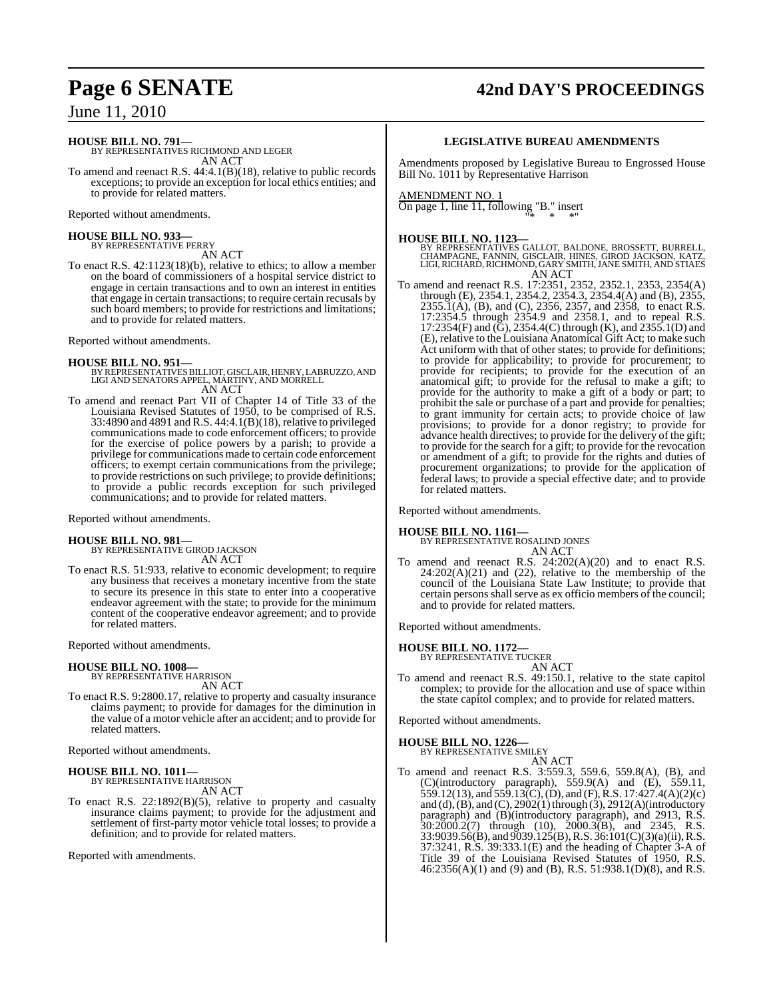## **Page 6 SENATE 42nd DAY'S PROCEEDINGS**

June 11, 2010

**HOUSE BILL NO. 791—** BY REPRESENTATIVES RICHMOND AND LEGER AN ACT

To amend and reenact R.S. 44:4.1(B)(18), relative to public records exceptions; to provide an exception for local ethics entities; and to provide for related matters.

Reported without amendments.

#### **HOUSE BILL NO. 933—** BY REPRESENTATIVE PERRY

AN ACT

To enact R.S. 42:1123(18)(b), relative to ethics; to allow a member on the board of commissioners of a hospital service district to engage in certain transactions and to own an interest in entities that engage in certain transactions; to require certain recusals by such board members; to provide for restrictions and limitations; and to provide for related matters.

Reported without amendments.

- **HOUSE BILL NO. 951—** BY REPRESENTATIVESBILLIOT, GISCLAIR, HENRY, LABRUZZO, AND LIGI AND SENATORS APPEL, MARTINY, AND MORRELL AN ACT
- To amend and reenact Part VII of Chapter 14 of Title 33 of the Louisiana Revised Statutes of 1950, to be comprised of R.S. 33:4890 and 4891 and R.S. 44:4.1(B)(18), relative to privileged communications made to code enforcement officers; to provide for the exercise of police powers by a parish; to provide a privilege for communications made to certain code enforcement officers; to exempt certain communications from the privilege; to provide restrictions on such privilege; to provide definitions; to provide a public records exception for such privileged communications; and to provide for related matters.

Reported without amendments.

# **HOUSE BILL NO. 981—** BY REPRESENTATIVE GIROD JACKSON

AN ACT

To enact R.S. 51:933, relative to economic development; to require any business that receives a monetary incentive from the state to secure its presence in this state to enter into a cooperative endeavor agreement with the state; to provide for the minimum content of the cooperative endeavor agreement; and to provide for related matters.

Reported without amendments.

## **HOUSE BILL NO. 1008—**

BY REPRESENTATIVE HARRISON AN ACT

To enact R.S. 9:2800.17, relative to property and casualty insurance claims payment; to provide for damages for the diminution in the value of a motor vehicle after an accident; and to provide for related matters.

Reported without amendments.

## **HOUSE BILL NO. 1011**

BY REPRESENTATIVE HARRISON AN ACT

To enact R.S. 22:1892(B)(5), relative to property and casualty insurance claims payment; to provide for the adjustment and settlement of first-party motor vehicle total losses; to provide a definition; and to provide for related matters.

Reported with amendments.

#### **LEGISLATIVE BUREAU AMENDMENTS**

Amendments proposed by Legislative Bureau to Engrossed House Bill No. 1011 by Representative Harrison

#### AMENDMENT NO. 1

On page 1, line 11, following "B." insert "\* \* \*"

**HOUSE BILL NO. 1123—** BY REPRESENTATIVES GALLOT, BALDONE, BROSSETT, BURRELL, CHAMPAGNE, FANNIN, GISCLAIR, HINES, GIROD JACKSON, KATZ, LIGI, RICHARD, RICHMOND, GARY SMITH, JANE SMITH, AND STIAES AN ACT

To amend and reenact R.S. 17:2351, 2352, 2352.1, 2353, 2354(A) through (E), 2354.1, 2354.2, 2354.3, 2354.4(A) and (B), 2355, 2355.1(A), (B), and (C), 2356, 2357, and 2358, to enact R.S. 17:2354.5 through 2354.9 and 2358.1, and to repeal R.S. 17:2354(F) and (G), 2354.4(C) through (K), and 2355.1(D) and (E), relative to the Louisiana Anatomical Gift Act; to make such Act uniform with that of other states; to provide for definitions; to provide for applicability; to provide for procurement; to provide for recipients; to provide for the execution of an anatomical gift; to provide for the refusal to make a gift; to provide for the authority to make a gift of a body or part; to prohibit the sale or purchase of a part and provide for penalties; to grant immunity for certain acts; to provide choice of law provisions; to provide for a donor registry; to provide for advance health directives; to provide for the delivery of the gift; to provide for the search for a gift; to provide for the revocation or amendment of a gift; to provide for the rights and duties of procurement organizations; to provide for the application of federal laws; to provide a special effective date; and to provide for related matters.

Reported without amendments.

#### **HOUSE BILL NO. 1161—**

BY REPRESENTATIVE ROSALIND JONES AN ACT

To amend and reenact R.S. 24:202(A)(20) and to enact R.S.  $24:202(A)(21)$  and  $(22)$ , relative to the membership of the council of the Louisiana State Law Institute; to provide that certain persons shall serve as ex officio members of the council; and to provide for related matters.

Reported without amendments.

## **HOUSE BILL NO. 1172—** BY REPRESENTATIVE TUCKER

AN ACT

To amend and reenact R.S. 49:150.1, relative to the state capitol complex; to provide for the allocation and use of space within the state capitol complex; and to provide for related matters.

Reported without amendments.

### **HOUSE BILL NO. 1226—**

BY REPRESENTATIVE SMILEY AN ACT

To amend and reenact R.S. 3:559.3, 559.6, 559.8(A), (B), and (C)(introductory paragraph), 559.9(A) and (E), 559.11, 559.12(13), and 559.13(C),(D), and (F), R.S. 17:427.4(A)(2)(c) and (d),  $(B)$ , and  $(C)$ , 2902 $(1)$  through  $(3)$ , 2912 $(A)$ (introductory paragraph) and (B)(introductory paragraph), and 2913, R.S. 30:2000.2(7) through (10), 2000.3(B), and 2345, R.S. 33:9039.56(B), and 9039.125(B), R.S. 36:101(C)(3)(a)(ii), R.S. 37:3241, R.S. 39:333.1(E) and the heading of Chapter 3-A of Title 39 of the Louisiana Revised Statutes of 1950, R.S. 46:2356(A)(1) and (9) and (B), R.S. 51:938.1(D)(8), and R.S.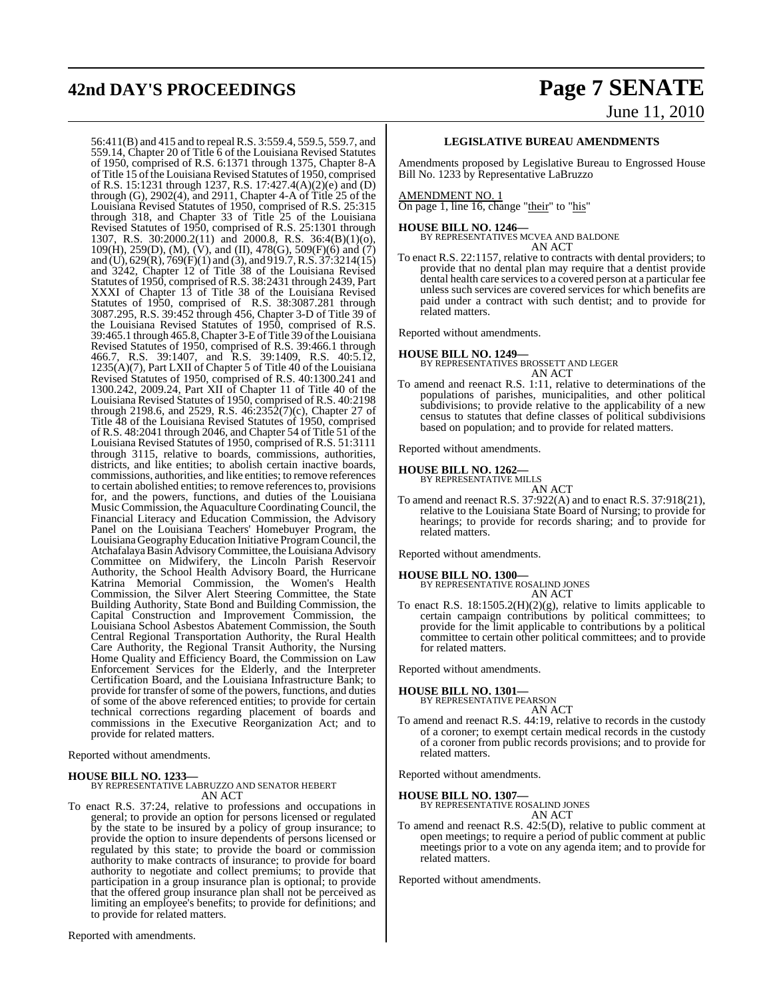# **42nd DAY'S PROCEEDINGS Page 7 SENATE**

# June 11, 2010

56:411(B) and 415 and to repealR.S. 3:559.4, 559.5, 559.7, and 559.14, Chapter 20 of Title 6 of the Louisiana Revised Statutes of 1950, comprised of R.S. 6:1371 through 1375, Chapter 8-A of Title 15 of the Louisiana Revised Statutes of 1950, comprised of R.S. 15:1231 through 1237, R.S. 17:427.4(A)(2)(e) and (D) through (G), 2902(4), and 2911, Chapter 4-A of Title 25 of the Louisiana Revised Statutes of 1950, comprised of R.S. 25:315 through 318, and Chapter 33 of Title 25 of the Louisiana Revised Statutes of 1950, comprised of R.S. 25:1301 through 1307, R.S. 30:2000.2(11) and 2000.8, R.S. 36:4(B)(1)(o),  $109(H)$ ,  $259(D)$ , (M), (V), and (II),  $478(G)$ ,  $509(F)(6)$  and (7) and (U), 629(R), 769(F)(1) and (3), and 919.7,R.S. 37:3214(15) and 3242, Chapter 12 of Title 38 of the Louisiana Revised Statutes of 1950, comprised of R.S. 38:2431 through 2439, Part XXXI of Chapter 13 of Title 38 of the Louisiana Revised Statutes of 1950, comprised of R.S. 38:3087.281 through 3087.295, R.S. 39:452 through 456, Chapter 3-D of Title 39 of the Louisiana Revised Statutes of 1950, comprised of R.S. 39:465.1 through 465.8,Chapter 3-EofTitle 39 oftheLouisiana Revised Statutes of 1950, comprised of R.S. 39:466.1 through 466.7, R.S. 39:1407, and R.S. 39:1409, R.S. 40:5.12, 1235(A)(7), Part LXII of Chapter 5 of Title 40 of the Louisiana Revised Statutes of 1950, comprised of R.S. 40:1300.241 and 1300.242, 2009.24, Part XII of Chapter 11 of Title 40 of the Louisiana Revised Statutes of 1950, comprised of R.S. 40:2198 through 2198.6, and 2529, R.S. 46:2352(7)(c), Chapter 27 of Title 48 of the Louisiana Revised Statutes of 1950, comprised of R.S. 48:2041 through 2046, and Chapter 54 of Title 51 of the Louisiana Revised Statutes of 1950, comprised of R.S. 51:3111 through 3115, relative to boards, commissions, authorities, districts, and like entities; to abolish certain inactive boards, commissions, authorities, and like entities; to remove references to certain abolished entities; to remove referencesto, provisions for, and the powers, functions, and duties of the Louisiana Music Commission, the Aquaculture Coordinating Council, the Financial Literacy and Education Commission, the Advisory Panel on the Louisiana Teachers' Homebuyer Program, the Louisiana Geography Education Initiative Program Council, the Atchafalaya Basin Advisory Committee, the Louisiana Advisory Committee on Midwifery, the Lincoln Parish Reservoir Authority, the School Health Advisory Board, the Hurricane Katrina Memorial Commission, the Women's Health Commission, the Silver Alert Steering Committee, the State Building Authority, State Bond and Building Commission, the Capital Construction and Improvement Commission, the Louisiana School Asbestos Abatement Commission, the South Central Regional Transportation Authority, the Rural Health Care Authority, the Regional Transit Authority, the Nursing Home Quality and Efficiency Board, the Commission on Law Enforcement Services for the Elderly, and the Interpreter Certification Board, and the Louisiana Infrastructure Bank; to provide for transfer of some of the powers, functions, and duties of some of the above referenced entities; to provide for certain technical corrections regarding placement of boards and commissions in the Executive Reorganization Act; and to provide for related matters.

Reported without amendments.

**HOUSE BILL NO. 1233—** BY REPRESENTATIVE LABRUZZO AND SENATOR HEBERT AN ACT

To enact R.S. 37:24, relative to professions and occupations in general; to provide an option for persons licensed or regulated by the state to be insured by a policy of group insurance; to provide the option to insure dependents of persons licensed or regulated by this state; to provide the board or commission authority to make contracts of insurance; to provide for board authority to negotiate and collect premiums; to provide that participation in a group insurance plan is optional; to provide that the offered group insurance plan shall not be perceived as limiting an employee's benefits; to provide for definitions; and to provide for related matters.

Reported with amendments.

#### **LEGISLATIVE BUREAU AMENDMENTS**

Amendments proposed by Legislative Bureau to Engrossed House Bill No. 1233 by Representative LaBruzzo

#### AMENDMENT NO. 1

On page 1, line 16, change "their" to "his"

**HOUSE BILL NO. 1246—** BY REPRESENTATIVES MCVEA AND BALDONE AN ACT

To enact R.S. 22:1157, relative to contracts with dental providers; to provide that no dental plan may require that a dentist provide dental health care services to a covered person at a particular fee unless such services are covered services for which benefits are paid under a contract with such dentist; and to provide for related matters.

Reported without amendments.

**HOUSE BILL NO. 1249—** BY REPRESENTATIVES BROSSETT AND LEGER AN ACT

To amend and reenact R.S. 1:11, relative to determinations of the populations of parishes, municipalities, and other political subdivisions; to provide relative to the applicability of a new census to statutes that define classes of political subdivisions based on population; and to provide for related matters.

Reported without amendments.

## **HOUSE BILL NO. 1262—** BY REPRESENTATIVE MILLS

AN ACT

To amend and reenact R.S. 37:922(A) and to enact R.S. 37:918(21), relative to the Louisiana State Board of Nursing; to provide for hearings; to provide for records sharing; and to provide for related matters.

Reported without amendments.

#### **HOUSE BILL NO. 1300—**

BY REPRESENTATIVE ROSALIND JONES AN ACT

To enact R.S. 18:1505.2(H)(2)(g), relative to limits applicable to certain campaign contributions by political committees; to provide for the limit applicable to contributions by a political committee to certain other political committees; and to provide for related matters.

Reported without amendments.

**HOUSE BILL NO. 1301—** BY REPRESENTATIVE PEARSON

AN ACT

To amend and reenact R.S. 44:19, relative to records in the custody of a coroner; to exempt certain medical records in the custody of a coroner from public records provisions; and to provide for related matters.

Reported without amendments.

**HOUSE BILL NO. 1307—** BY REPRESENTATIVE ROSALIND JONES

AN ACT

To amend and reenact R.S. 42:5(D), relative to public comment at open meetings; to require a period of public comment at public meetings prior to a vote on any agenda item; and to provide for related matters.

Reported without amendments.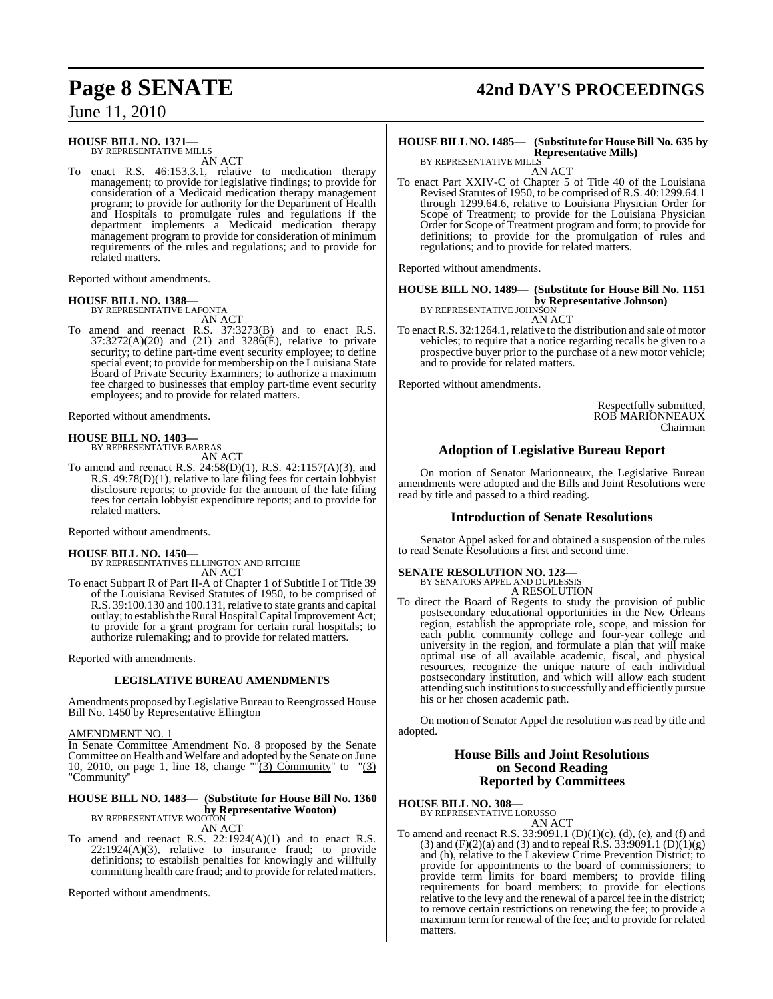#### **HOUSE BILL NO. 1371—** BY REPRESENTATIVE MILLS

AN ACT

To enact R.S. 46:153.3.1, relative to medication therapy management; to provide for legislative findings; to provide for consideration of a Medicaid medication therapy management program; to provide for authority for the Department of Health and Hospitals to promulgate rules and regulations if the department implements a Medicaid medication therapy management program to provide for consideration of minimum requirements of the rules and regulations; and to provide for related matters.

Reported without amendments.

#### **HOUSE BILL NO. 1388—**

BY REPRESENTATIVE LAFONTA AN ACT

To amend and reenact R.S. 37:3273(B) and to enact R.S.  $37:3272(A)(20)$  and  $(21)$  and  $3286(E)$ , relative to private security; to define part-time event security employee; to define special event; to provide for membership on the Louisiana State Board of Private Security Examiners; to authorize a maximum fee charged to businesses that employ part-time event security employees; and to provide for related matters.

Reported without amendments.

#### **HOUSE BILL NO. 1403—**

BY REPRESENTATIVE BARRAS

AN ACT

To amend and reenact R.S. 24:58(D)(1), R.S. 42:1157(A)(3), and R.S. 49:78(D)(1), relative to late filing fees for certain lobbyist disclosure reports; to provide for the amount of the late filing fees for certain lobbyist expenditure reports; and to provide for related matters.

Reported without amendments.

**HOUSE BILL NO. 1450—** BY REPRESENTATIVES ELLINGTON AND RITCHIE AN ACT

To enact Subpart R of Part II-A of Chapter 1 of Subtitle I of Title 39 of the Louisiana Revised Statutes of 1950, to be comprised of R.S. 39:100.130 and 100.131, relative to state grants and capital outlay; to establish the Rural Hospital Capital Improvement Act; to provide for a grant program for certain rural hospitals; to authorize rulemaking; and to provide for related matters.

Reported with amendments.

#### **LEGISLATIVE BUREAU AMENDMENTS**

Amendments proposed by Legislative Bureau to Reengrossed House Bill No. 1450 by Representative Ellington

AMENDMENT NO. 1

In Senate Committee Amendment No. 8 proposed by the Senate Committee on Health and Welfare and adopted by the Senate on June 10, 2010, on page 1, line 18, change "" $(3)$  Community" to " $(3)$ "Community"

#### **HOUSE BILL NO. 1483— (Substitute for House Bill No. 1360 by Representative Wooton)** BY REPRESENTATIVE WOOTON

AN ACT

To amend and reenact R.S. 22:1924(A)(1) and to enact R.S. 22:1924(A)(3), relative to insurance fraud; to provide definitions; to establish penalties for knowingly and willfully committing health care fraud; and to provide for related matters.

Reported without amendments.

# **Page 8 SENATE 42nd DAY'S PROCEEDINGS**

#### **HOUSE BILL NO. 1485— (Substitute for HouseBill No. 635 by Representative Mills)** BY REPRESENTATIVE MILLS

AN ACT

To enact Part XXIV-C of Chapter 5 of Title 40 of the Louisiana Revised Statutes of 1950, to be comprised of R.S. 40:1299.64.1 through 1299.64.6, relative to Louisiana Physician Order for Scope of Treatment; to provide for the Louisiana Physician Order for Scope of Treatment program and form; to provide for definitions; to provide for the promulgation of rules and regulations; and to provide for related matters.

Reported without amendments.

#### **HOUSE BILL NO. 1489— (Substitute for House Bill No. 1151 by Representative Johnson)**

BY REPRESENTATIVE JOHNSON AN ACT

To enact R.S. 32:1264.1, relative to the distribution and sale of motor vehicles; to require that a notice regarding recalls be given to a prospective buyer prior to the purchase of a new motor vehicle; and to provide for related matters.

Reported without amendments.

Respectfully submitted, ROB MARIONNEAUX Chairman

## **Adoption of Legislative Bureau Report**

On motion of Senator Marionneaux, the Legislative Bureau amendments were adopted and the Bills and Joint Resolutions were read by title and passed to a third reading.

#### **Introduction of Senate Resolutions**

Senator Appel asked for and obtained a suspension of the rules to read Senate Resolutions a first and second time.

#### **SENATE RESOLUTION NO. 123—**

BY SENATORS APPEL AND DUPLESSIS A RESOLUTION

To direct the Board of Regents to study the provision of public postsecondary educational opportunities in the New Orleans region, establish the appropriate role, scope, and mission for each public community college and four-year college and university in the region, and formulate a plan that will make optimal use of all available academic, fiscal, and physical resources, recognize the unique nature of each individual postsecondary institution, and which will allow each student attending such institutions to successfully and efficiently pursue his or her chosen academic path.

On motion of Senator Appel the resolution was read by title and adopted.

#### **House Bills and Joint Resolutions on Second Reading Reported by Committees**

## **HOUSE BILL NO. 308—** BY REPRESENTATIVE LORUSSO

AN ACT

To amend and reenact R.S.  $33:9091.1$  (D)(1)(c), (d), (e), and (f) and (3) and (F)(2)(a) and (3) and to repeal R.S. 33:9091.1 (D)(1)(g) and (h), relative to the Lakeview Crime Prevention District; to provide for appointments to the board of commissioners; to provide term limits for board members; to provide filing requirements for board members; to provide for elections relative to the levy and the renewal of a parcel fee in the district; to remove certain restrictions on renewing the fee; to provide a maximum term for renewal of the fee; and to provide for related matters.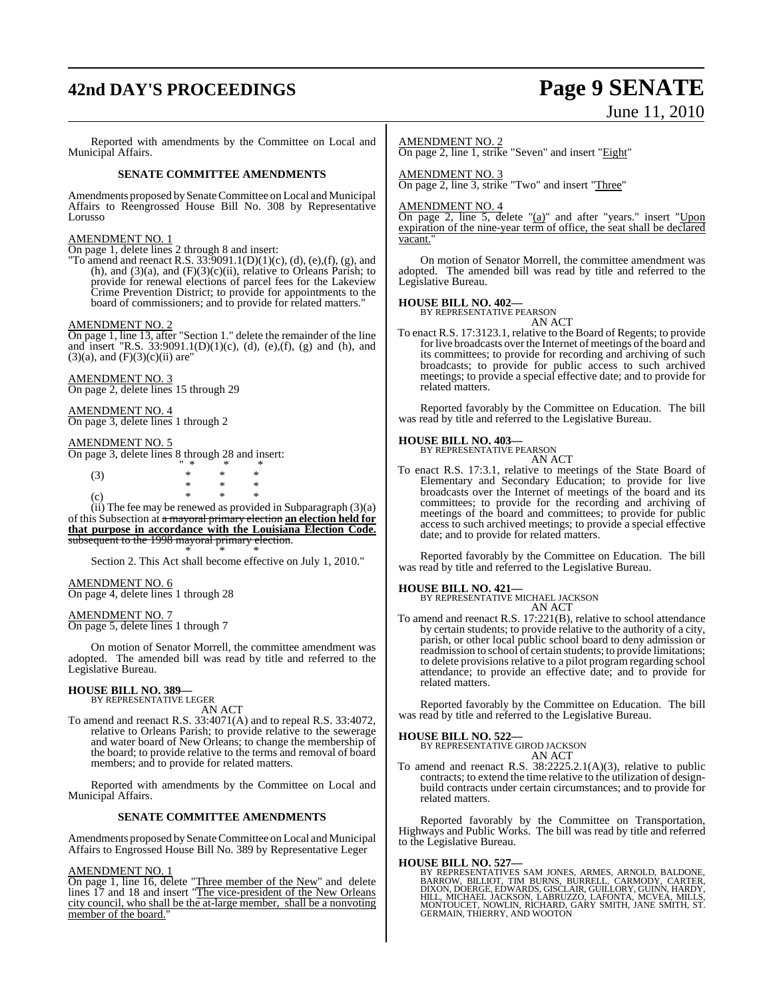# **42nd DAY'S PROCEEDINGS Page 9 SENATE**

# June 11, 2010

Reported with amendments by the Committee on Local and Municipal Affairs. **SENATE COMMITTEE AMENDMENTS** Amendments proposed by Senate Committee on Local and Municipal Affairs to Reengrossed House Bill No. 308 by Representative Lorusso AMENDMENT NO. 1 On page 1, delete lines 2 through 8 and insert: "To amend and reenact R.S.  $33:9091.1(D)(1)(c)$ , (d), (e),(f), (g), and (h), and  $(3)(a)$ , and  $(F)(3)(c)(ii)$ , relative to Orleans Parish; to provide for renewal elections of parcel fees for the Lakeview Crime Prevention District; to provide for appointments to the board of commissioners; and to provide for related matters." AMENDMENT NO. 2 On page 1, line 13, after "Section 1." delete the remainder of the line and insert "R.S. 33:9091.1(D)(1)(c), (d), (e),(f), (g) and (h), and  $(3)(a)$ , and  $(F)(3)(c)(ii)$  are" AMENDMENT NO. 3 On page 2, delete lines 15 through 29 AMENDMENT NO. 4 On page 3, delete lines 1 through 2 AMENDMENT NO. 5 On page 3, delete lines 8 through 28 and insert: " \* \* \* (3) \* \* \* \* \* \* (c) \* \* \* (ii) The fee may be renewed as provided in Subparagraph (3)(a) of this Subsection at a mayoral primary election **an election held for that purpose in accordance with the Louisiana Election Code.** subsequent to the 1998 mayoral primary election. \* \* \* Section 2. This Act shall become effective on July 1, 2010." AMENDMENT NO. 6 On page 4, delete lines 1 through 28 AMENDMENT NO. 7 On page 5, delete lines 1 through 7 On motion of Senator Morrell, the committee amendment was adopted. The amended bill was read by title and referred to the Legislative Bureau. **HOUSE BILL NO. 389—** BY REPRESENTATIVE LEGER AN ACT To amend and reenact R.S. 33:4071(A) and to repeal R.S. 33:4072, relative to Orleans Parish; to provide relative to the sewerage and water board of New Orleans; to change the membership of the board; to provide relative to the terms and removal of board members; and to provide for related matters. Reported with amendments by the Committee on Local and Municipal Affairs. **SENATE COMMITTEE AMENDMENTS** Amendments proposed by Senate Committee on Local and Municipal Affairs to Engrossed House Bill No. 389 by Representative Leger AMENDMENT NO. 2 On page 2, line 1, strike "Seven" and insert "Eight" AMENDMENT NO. 3 On page 2, line 3, strike "Two" and insert "Three" AMENDMENT NO. 4 On page 2, line  $\overline{5}$ , delete " $(a)$ " and after "years." insert "Upon expiration of the nine-year term of office, the seat shall be declared vacant." On motion of Senator Morrell, the committee amendment was adopted. The amended bill was read by title and referred to the Legislative Bureau. **HOUSE BILL NO. 402—** BY REPRESENTATIVE PEARSON AN ACT To enact R.S. 17:3123.1, relative to the Board of Regents; to provide for live broadcasts over the Internet of meetings of the board and its committees; to provide for recording and archiving of such broadcasts; to provide for public access to such archived meetings; to provide a special effective date; and to provide for related matters. Reported favorably by the Committee on Education. The bill was read by title and referred to the Legislative Bureau. **HOUSE BILL NO. 403—** BY REPRESENTATIVE PEARSON AN ACT To enact R.S. 17:3.1, relative to meetings of the State Board of Elementary and Secondary Education; to provide for live broadcasts over the Internet of meetings of the board and its committees; to provide for the recording and archiving of meetings of the board and committees; to provide for public access to such archived meetings; to provide a special effective date; and to provide for related matters. Reported favorably by the Committee on Education. The bill was read by title and referred to the Legislative Bureau. **HOUSE BILL NO. 421—** BY REPRESENTATIVE MICHAEL JACKSON AN ACT To amend and reenact R.S. 17:221(B), relative to school attendance by certain students; to provide relative to the authority of a city, parish, or other local public school board to deny admission or readmission to school of certain students; to provide limitations; to delete provisions relative to a pilot program regarding school attendance; to provide an effective date; and to provide for related matters. Reported favorably by the Committee on Education. The bill was read by title and referred to the Legislative Bureau. **HOUSE BILL NO. 522—** BY REPRESENTATIVE GIROD JACKSON AN ACT To amend and reenact R.S. 38:2225.2.1(A)(3), relative to public contracts; to extend the time relative to the utilization of designbuild contracts under certain circumstances; and to provide for related matters. Reported favorably by the Committee on Transportation, Highways and Public Works. The bill was read by title and referred to the Legislative Bureau. **HOUSE BILL NO. 527—**<br>BY REPRESENTATIVES SAM JONES, ARMES, ARNOLD, BALDONE,<br>BARROW, BILLIOT, TIM BURNS, BURRELL, CARMODY, CARTER,<br>DIXON, DOERGE, EDWARDS, GISCLAIR, GUILLORY, GUINN, HARDY,<br>HILL, MICHAEL JACKSON, LABRUZZO, L

AMENDMENT NO. 1 On page 1, line 16, delete "Three member of the New" and delete lines 17 and 18 and insert "The vice-president of the New Orleans city council, who shall be the at-large member, shall be a nonvoting member of the board.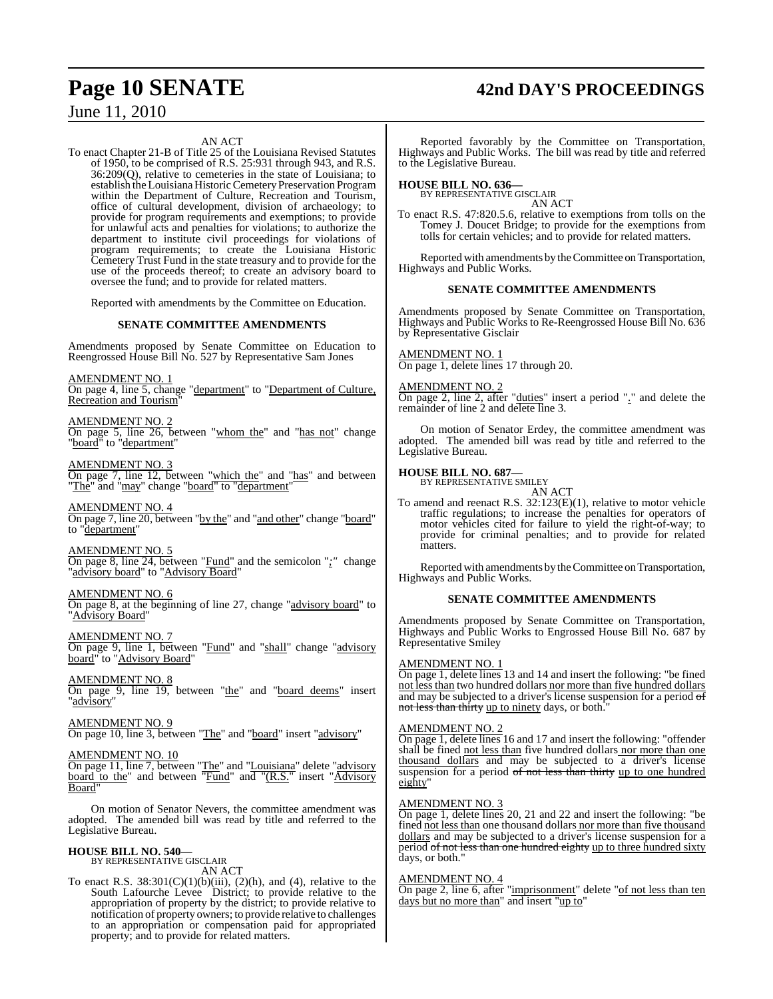## AN ACT

To enact Chapter 21-B of Title 25 of the Louisiana Revised Statutes of 1950, to be comprised of R.S. 25:931 through 943, and R.S. 36:209(Q), relative to cemeteries in the state of Louisiana; to establish the Louisiana Historic Cemetery Preservation Program within the Department of Culture, Recreation and Tourism, office of cultural development, division of archaeology; to provide for program requirements and exemptions; to provide for unlawful acts and penalties for violations; to authorize the department to institute civil proceedings for violations of program requirements; to create the Louisiana Historic Cemetery Trust Fund in the state treasury and to provide for the use of the proceeds thereof; to create an advisory board to oversee the fund; and to provide for related matters.

Reported with amendments by the Committee on Education.

#### **SENATE COMMITTEE AMENDMENTS**

Amendments proposed by Senate Committee on Education to Reengrossed House Bill No. 527 by Representative Sam Jones

AMENDMENT NO. 1

On page 4, line 5, change "department" to "Department of Culture, Recreation and Tourism"

#### AMENDMENT NO. 2

On page 5, line 26, between "whom the" and "has not" change "board" to "department"

#### AMENDMENT NO. 3

On page 7, line 12, between "which the" and "has" and between "The" and "may" change "board" to "department"

## AMENDMENT NO. 4

On page 7, line 20, between "by the" and "and other" change "board" to "department"

## AMENDMENT NO. 5

On page 8, line 24, between "Fund" and the semicolon "*;"* change 'advisory board" to "Advisory Board'

#### AMENDMENT NO. 6

On page 8, at the beginning of line 27, change "advisory board" to "**Advisory Board**"

#### AMENDMENT NO. 7

On page 9, line 1, between "Fund" and "shall" change "advisory board" to "Advisory Board"

#### AMENDMENT NO. 8

On page 9, line 19, between "the" and "board deems" insert "advisory"

#### AMENDMENT NO. 9

On page 10, line 3, between "The" and "board" insert "advisory"

#### AMENDMENT NO. 10

On page 11, line 7, between "The" and "Louisiana" delete "advisory board to the" and between "Fund" and "(R.S." insert "Advisory Board"

On motion of Senator Nevers, the committee amendment was adopted. The amended bill was read by title and referred to the Legislative Bureau.

#### **HOUSE BILL NO. 540—** BY REPRESENTATIVE GISCLAIR

AN ACT

To enact R.S.  $38:301(C)(1)(b)(iii)$ ,  $(2)(h)$ , and  $(4)$ , relative to the South Lafourche Levee District; to provide relative to the appropriation of property by the district; to provide relative to notification of property owners; to provide relative to challenges to an appropriation or compensation paid for appropriated property; and to provide for related matters.

## **Page 10 SENATE 42nd DAY'S PROCEEDINGS**

Reported favorably by the Committee on Transportation, Highways and Public Works. The bill was read by title and referred to the Legislative Bureau.

# **HOUSE BILL NO. 636—** BY REPRESENTATIVE GISCLAIR

AN ACT

To enact R.S. 47:820.5.6, relative to exemptions from tolls on the Tomey J. Doucet Bridge; to provide for the exemptions from tolls for certain vehicles; and to provide for related matters.

Reported with amendments by theCommittee on Transportation, Highways and Public Works.

#### **SENATE COMMITTEE AMENDMENTS**

Amendments proposed by Senate Committee on Transportation, Highways and Public Works to Re-Reengrossed House Bill No. 636 by Representative Gisclair

## AMENDMENT NO. 1

On page 1, delete lines 17 through 20.

#### AMENDMENT NO. 2

On page 2, line 2, after "duties" insert a period "." and delete the remainder of line 2 and delete line 3.

On motion of Senator Erdey, the committee amendment was adopted. The amended bill was read by title and referred to the Legislative Bureau.

## **HOUSE BILL NO. 687—** BY REPRESENTATIVE SMILEY

AN ACT

To amend and reenact R.S. 32:123(E)(1), relative to motor vehicle traffic regulations; to increase the penalties for operators of motor vehicles cited for failure to yield the right-of-way; to provide for criminal penalties; and to provide for related matters.

Reported with amendments by theCommittee on Transportation, Highways and Public Works.

#### **SENATE COMMITTEE AMENDMENTS**

Amendments proposed by Senate Committee on Transportation, Highways and Public Works to Engrossed House Bill No. 687 by Representative Smiley

#### AMENDMENT NO. 1

On page 1, delete lines 13 and 14 and insert the following: "be fined not less than two hundred dollars nor more than five hundred dollars and may be subjected to a driver's license suspension for a period of not less than thirty up to ninety days, or both."

#### AMENDMENT NO. 2

On page 1, delete lines 16 and 17 and insert the following: "offender shall be fined not less than five hundred dollars nor more than one thousand dollars and may be subjected to a driver's license suspension for a period of not less than thirty up to one hundred eighty"

#### AMENDMENT NO. 3

On page 1, delete lines 20, 21 and 22 and insert the following: "be fined not less than one thousand dollars nor more than five thousand dollars and may be subjected to a driver's license suspension for a period of not less than one hundred eighty up to three hundred sixty days, or both."

#### AMENDMENT NO. 4

On page 2, line 6, after "imprisonment" delete "of not less than ten days but no more than" and insert "up to"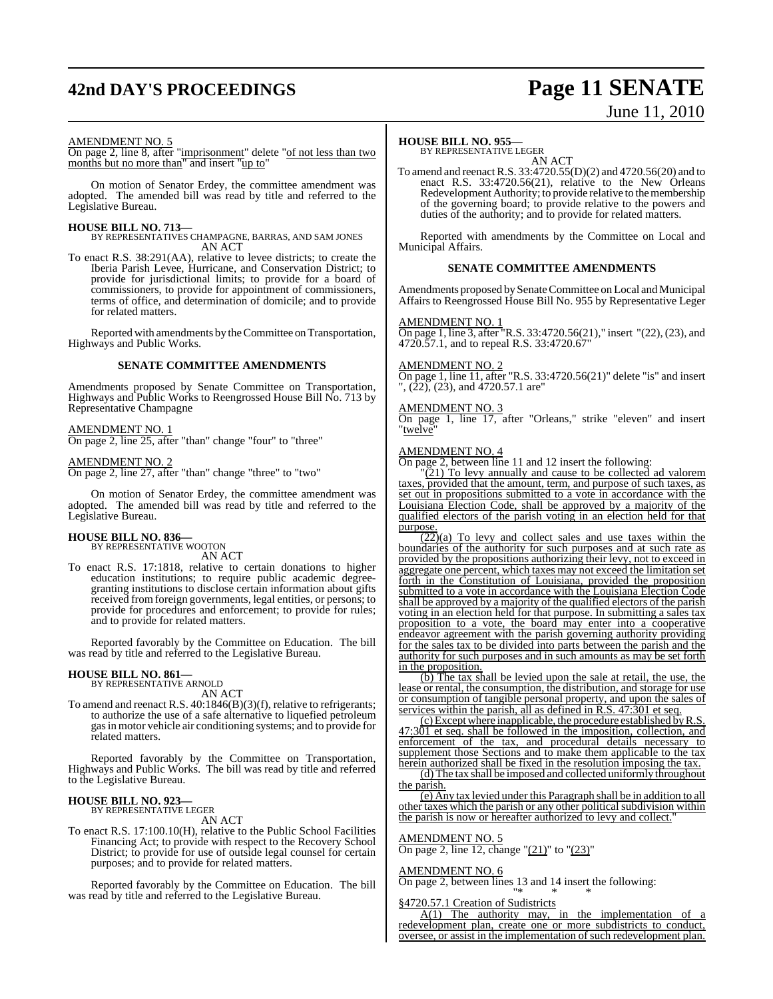# **42nd DAY'S PROCEEDINGS Page 11 SENATE**

# June 11, 2010

#### AMENDMENT NO. 5

On page 2, line 8, after "imprisonment" delete "of not less than two months but no more than" and insert "up to"

On motion of Senator Erdey, the committee amendment was adopted. The amended bill was read by title and referred to the Legislative Bureau.

**HOUSE BILL NO. 713—** BY REPRESENTATIVES CHAMPAGNE, BARRAS, AND SAM JONES AN ACT

To enact R.S. 38:291(AA), relative to levee districts; to create the Iberia Parish Levee, Hurricane, and Conservation District; to provide for jurisdictional limits; to provide for a board of commissioners, to provide for appointment of commissioners, terms of office, and determination of domicile; and to provide for related matters.

Reported with amendments by theCommittee on Transportation, Highways and Public Works.

#### **SENATE COMMITTEE AMENDMENTS**

Amendments proposed by Senate Committee on Transportation, Highways and Public Works to Reengrossed House Bill No. 713 by Representative Champagne

#### AMENDMENT NO. 1

On page 2, line 25, after "than" change "four" to "three"

AMENDMENT NO. 2 On page 2, line 27, after "than" change "three" to "two"

On motion of Senator Erdey, the committee amendment was adopted. The amended bill was read by title and referred to the Legislative Bureau.

#### **HOUSE BILL NO. 836—**

BY REPRESENTATIVE WOOTON AN ACT

To enact R.S. 17:1818, relative to certain donations to higher education institutions; to require public academic degreegranting institutions to disclose certain information about gifts received from foreign governments, legal entities, or persons; to provide for procedures and enforcement; to provide for rules; and to provide for related matters.

Reported favorably by the Committee on Education. The bill was read by title and referred to the Legislative Bureau.

#### **HOUSE BILL NO. 861—**

BY REPRESENTATIVE ARNOLD AN ACT

To amend and reenact R.S. 40:1846(B)(3)(f), relative to refrigerants; to authorize the use of a safe alternative to liquefied petroleum gasin motor vehicle air conditioning systems; and to provide for related matters.

Reported favorably by the Committee on Transportation, Highways and Public Works. The bill was read by title and referred to the Legislative Bureau.

## **HOUSE BILL NO. 923—** BY REPRESENTATIVE LEGER

AN ACT

To enact R.S. 17:100.10(H), relative to the Public School Facilities Financing Act; to provide with respect to the Recovery School District; to provide for use of outside legal counsel for certain purposes; and to provide for related matters.

Reported favorably by the Committee on Education. The bill was read by title and referred to the Legislative Bureau.

#### **HOUSE BILL NO. 955—**

BY REPRESENTATIVE LEGER AN ACT

To amend and reenactR.S. 33:4720.55(D)(2) and 4720.56(20) and to enact R.S. 33:4720.56(21), relative to the New Orleans Redevelopment Authority; to provide relative to the membership of the governing board; to provide relative to the powers and duties of the authority; and to provide for related matters.

Reported with amendments by the Committee on Local and Municipal Affairs.

#### **SENATE COMMITTEE AMENDMENTS**

Amendments proposed by Senate Committee on Local and Municipal Affairs to Reengrossed House Bill No. 955 by Representative Leger

#### AMENDMENT NO. 1

On page 1, line 3, after "R.S. 33:4720.56(21)," insert "(22), (23), and 4720.57.1, and to repeal R.S. 33:4720.67"

#### AMENDMENT NO. 2

On page 1, line 11, after "R.S. 33:4720.56(21)" delete "is" and insert ", (22), (23), and 4720.57.1 are"

#### AMENDMENT NO. 3

On page 1, line 17, after "Orleans," strike "eleven" and insert "twelve"

#### AMENDMENT NO. 4

On page 2, between line 11 and 12 insert the following:

 $(21)$  To levy annually and cause to be collected ad valorem taxes, provided that the amount, term, and purpose of such taxes, as set out in propositions submitted to a vote in accordance with the Louisiana Election Code, shall be approved by a majority of the qualified electors of the parish voting in an election held for that purpose.

(22)(a) To levy and collect sales and use taxes within the boundaries of the authority for such purposes and at such rate as provided by the propositions authorizing their levy, not to exceed in aggregate one percent, which taxes may not exceed the limitation set forth in the Constitution of Louisiana, provided the proposition submitted to a vote in accordance with the Louisiana Election Code shall be approved by a majority of the qualified electors of the parish voting in an election held for that purpose. In submitting a sales tax proposition to a vote, the board may enter into a cooperative endeavor agreement with the parish governing authority providing for the sales tax to be divided into parts between the parish and the authority for such purposes and in such amounts as may be set forth in the proposition.

(b) The tax shall be levied upon the sale at retail, the use, the lease or rental, the consumption, the distribution, and storage for use or consumption of tangible personal property, and upon the sales of services within the parish, all as defined in R.S. 47:301 et seq.

(c)Except where inapplicable, the procedure established byR.S. 301 et seq. shall be followed in the imposition, collection, and enforcement of the tax, and procedural details necessary to supplement those Sections and to make them applicable to the tax herein authorized shall be fixed in the resolution imposing the tax.

(d) The tax shall be imposed and collected uniformly throughout the parish.

(e) Any tax levied under this Paragraph shall be in addition to all other taxes which the parish or any other political subdivision within the parish is now or hereafter authorized to levy and collect."

#### AMENDMENT NO. 5

On page 2, line 12, change "(21)" to "(23)"

#### AMENDMENT NO. 6

On page 2, between lines 13 and 14 insert the following: "\* \* \*

§4720.57.1 Creation of Sudistricts

 $A(1)$  The authority may, in the implementation of a redevelopment plan, create one or more subdistricts to conduct, oversee, or assist in the implementation of such redevelopment plan.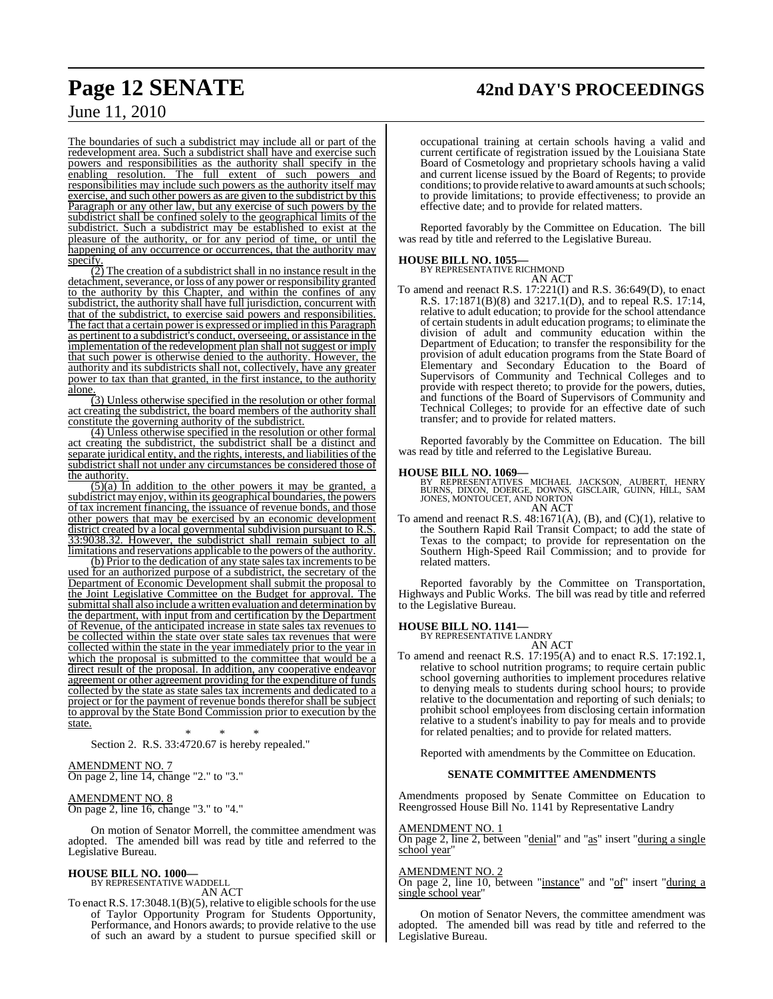# **Page 12 SENATE 42nd DAY'S PROCEEDINGS**

## June 11, 2010

The boundaries of such a subdistrict may include all or part of the redevelopment area. Such a subdistrict shall have and exercise such powers and responsibilities as the authority shall specify in the enabling resolution. The full extent of such powers and responsibilities may include such powers as the authority itself may exercise, and such other powers as are given to the subdistrict by this Paragraph or any other law, but any exercise of such powers by the subdistrict shall be confined solely to the geographical limits of the subdistrict. Such a subdistrict may be established to exist at the pleasure of the authority, or for any period of time, or until the happening of any occurrence or occurrences, that the authority may specify.

 $\overline{(2)}$  The creation of a subdistrict shall in no instance result in the detachment, severance, or loss of any power or responsibility granted to the authority by this Chapter, and within the confines of any subdistrict, the authority shall have full jurisdiction, concurrent with that of the subdistrict, to exercise said powers and responsibilities. The fact that a certain power is expressed or implied in this Paragraph as pertinent to a subdistrict's conduct, overseeing, or assistance in the implementation of the redevelopment plan shall not suggest or imply that such power is otherwise denied to the authority. However, the authority and its subdistricts shall not, collectively, have any greater power to tax than that granted, in the first instance, to the authority alone

(3) Unless otherwise specified in the resolution or other formal act creating the subdistrict, the board members of the authority shall constitute the governing authority of the subdistrict.

(4) Unless otherwise specified in the resolution or other formal act creating the subdistrict, the subdistrict shall be a distinct and separate juridical entity, and the rights, interests, and liabilities of the subdistrict shall not under any circumstances be considered those of the authority.

 $\overline{(5)}$ (a) In addition to the other powers it may be granted, a subdistrict may enjoy, within its geographical boundaries, the powers of tax increment financing, the issuance of revenue bonds, and those other powers that may be exercised by an economic development district created by a local governmental subdivision pursuant to R.S. 33:9038.32. However, the subdistrict shall remain subject to all limitations and reservations applicable to the powers of the authority.

(b) Prior to the dedication of any state sales tax increments to be used for an authorized purpose of a subdistrict, the secretary of the Department of Economic Development shall submit the proposal to the Joint Legislative Committee on the Budget for approval. The submittal shall also include a written evaluation and determination by the department, with input from and certification by the Department of Revenue, of the anticipated increase in state sales tax revenues to be collected within the state over state sales tax revenues that were collected within the state in the year immediately prior to the year in which the proposal is submitted to the committee that would be a direct result of the proposal. In addition, any cooperative endeavor agreement or other agreement providing for the expenditure of funds collected by the state as state sales tax increments and dedicated to a project or for the payment of revenue bonds therefor shall be subject to approval by the State Bond Commission prior to execution by the state.

\* \* \* Section 2. R.S. 33:4720.67 is hereby repealed."

#### AMENDMENT NO. 7 On page 2, line 14, change "2." to "3."

#### AMENDMENT NO. 8 On page 2, line 16, change "3." to "4."

On motion of Senator Morrell, the committee amendment was adopted. The amended bill was read by title and referred to the Legislative Bureau.

#### **HOUSE BILL NO. 1000—**

BY REPRESENTATIVE WADDELL AN ACT

To enact R.S.  $17:3048.1(B)(5)$ , relative to eligible schools for the use of Taylor Opportunity Program for Students Opportunity, Performance, and Honors awards; to provide relative to the use of such an award by a student to pursue specified skill or

occupational training at certain schools having a valid and current certificate of registration issued by the Louisiana State Board of Cosmetology and proprietary schools having a valid and current license issued by the Board of Regents; to provide conditions; to provide relative to award amounts at such schools; to provide limitations; to provide effectiveness; to provide an effective date; and to provide for related matters.

Reported favorably by the Committee on Education. The bill was read by title and referred to the Legislative Bureau.

# **HOUSE BILL NO. 1055—** BY REPRESENTATIVE RICHMOND

AN ACT To amend and reenact R.S. 17:221(I) and R.S. 36:649(D), to enact R.S. 17:1871(B)(8) and 3217.1(D), and to repeal R.S. 17:14, relative to adult education; to provide for the school attendance of certain students in adult education programs; to eliminate the division of adult and community education within the Department of Education; to transfer the responsibility for the provision of adult education programs from the State Board of Elementary and Secondary Education to the Board of Supervisors of Community and Technical Colleges and to provide with respect thereto; to provide for the powers, duties, and functions of the Board of Supervisors of Community and Technical Colleges; to provide for an effective date of such transfer; and to provide for related matters.

Reported favorably by the Committee on Education. The bill was read by title and referred to the Legislative Bureau.

**HOUSE BILL NO. 1069—** BY REPRESENTATIVES MICHAEL JACKSON, AUBERT, HENRY BURNS, DIXON, DOERGE, DOWNS, GISCLAIR, GUINN, HILL, SAM JONES, MONTOUCET, AND NORTON AN ACT

To amend and reenact R.S.  $48:1671(A)$ , (B), and (C)(1), relative to the Southern Rapid Rail Transit Compact; to add the state of Texas to the compact; to provide for representation on the Southern High-Speed Rail Commission; and to provide for related matters.

Reported favorably by the Committee on Transportation, Highways and Public Works. The bill was read by title and referred to the Legislative Bureau.

## **HOUSE BILL NO. 1141—** BY REPRESENTATIVE LANDRY

AN ACT

To amend and reenact R.S. 17:195(A) and to enact R.S. 17:192.1, relative to school nutrition programs; to require certain public school governing authorities to implement procedures relative to denying meals to students during school hours; to provide relative to the documentation and reporting of such denials; to prohibit school employees from disclosing certain information relative to a student's inability to pay for meals and to provide for related penalties; and to provide for related matters.

Reported with amendments by the Committee on Education.

#### **SENATE COMMITTEE AMENDMENTS**

Amendments proposed by Senate Committee on Education to Reengrossed House Bill No. 1141 by Representative Landry

#### AMENDMENT NO. 1

On page 2, line 2, between "denial" and "as" insert "during a single school year"

#### AMENDMENT NO. 2

On page 2, line 10, between "instance" and "of" insert "during a single school year"

On motion of Senator Nevers, the committee amendment was adopted. The amended bill was read by title and referred to the Legislative Bureau.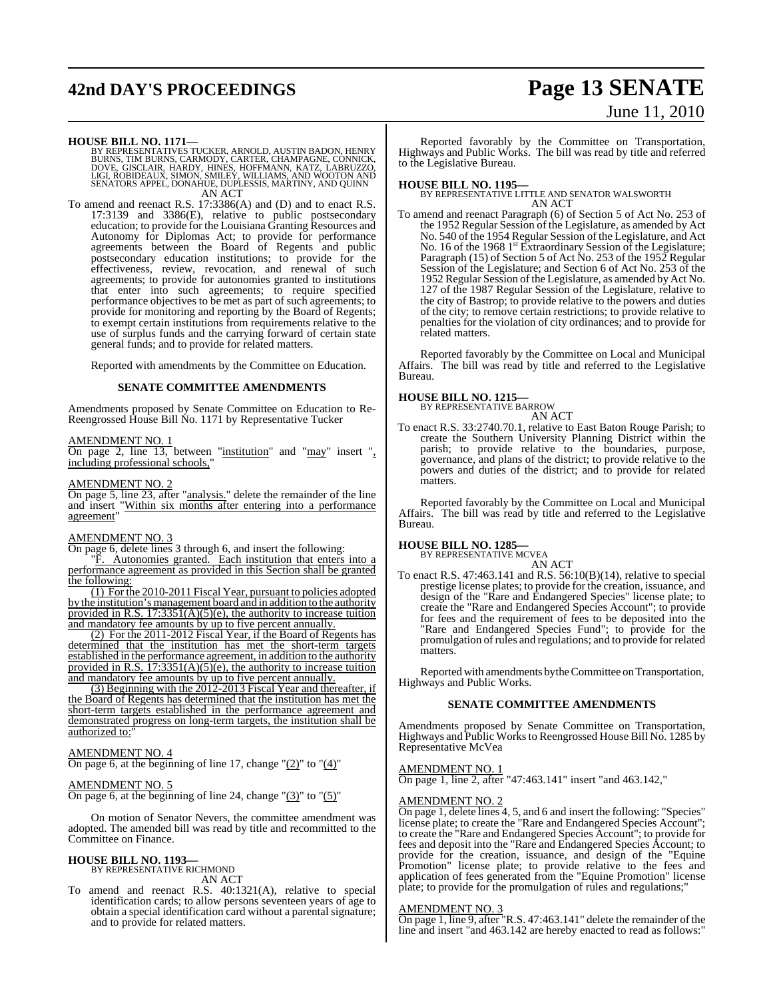# **42nd DAY'S PROCEEDINGS Page 13 SENATE**

# June 11, 2010

**HOUSE BILL NO. 1171—**<br>BY REPRESENTATIVES TUCKER, ARNOLD, AUSTIN BADON, HENRY<br>BURNS, TIM BURNS, CARMODY, CARTER, CHAMPAGNE, CONNICK,<br>DOVE, GISCLAIR, HARDY, HINES, HOFFMANN, KATZ, LABRUZZO,<br>LIGI, ROBIDEAUX, SIMON, SMILEY, W AN ACT

To amend and reenact R.S. 17:3386(A) and (D) and to enact R.S. 17:3139 and 3386(E), relative to public postsecondary education; to provide for the Louisiana Granting Resources and Autonomy for Diplomas Act; to provide for performance agreements between the Board of Regents and public postsecondary education institutions; to provide for the effectiveness, review, revocation, and renewal of such agreements; to provide for autonomies granted to institutions that enter into such agreements; to require specified performance objectives to be met as part of such agreements; to provide for monitoring and reporting by the Board of Regents; to exempt certain institutions from requirements relative to the use of surplus funds and the carrying forward of certain state general funds; and to provide for related matters.

Reported with amendments by the Committee on Education.

#### **SENATE COMMITTEE AMENDMENTS**

Amendments proposed by Senate Committee on Education to Re-Reengrossed House Bill No. 1171 by Representative Tucker

#### AMENDMENT NO. 1

On page 2, line 13, between "institution" and "may" insert ", including professional schools,"

#### AMENDMENT NO. 2

On page 5, line 23, after "analysis." delete the remainder of the line and insert "Within six months after entering into a performance agreement"

#### AMENDMENT NO. 3

On page 6, delete lines 3 through 6, and insert the following:

"F. Autonomies granted. Each institution that enters into a performance agreement as provided in this Section shall be granted the following:

(1) For the 2010-2011 Fiscal Year, pursuant to policies adopted by the institution's management board and in addition to the authority provided in R.S.  $17:3351(A)(5)(e)$ , the authority to increase tuition and mandatory fee amounts by up to five percent annually.

(2) For the 2011-2012 Fiscal Year, if the Board of Regents has determined that the institution has met the short-term targets established in the performance agreement, in addition to the authority provided in R.S.  $17:3351(A)(5)(e)$ , the authority to increase tuition and mandatory fee amounts by up to five percent annually.

(3) Beginning with the 2012-2013 Fiscal Year and thereafter, if the Board of Regents has determined that the institution has met the short-term targets established in the performance agreement and demonstrated progress on long-term targets, the institution shall be authorized to:

#### AMENDMENT NO. 4

On page 6, at the beginning of line 17, change " $(2)$ " to " $(4)$ "

AMENDMENT NO. 5 On page 6, at the beginning of line 24, change " $(3)$ " to " $(5)$ "

On motion of Senator Nevers, the committee amendment was adopted. The amended bill was read by title and recommitted to the Committee on Finance.

## **HOUSE BILL NO. 1193—** BY REPRESENTATIVE RICHMOND

AN ACT

To amend and reenact R.S. 40:1321(A), relative to special identification cards; to allow persons seventeen years of age to obtain a special identification card without a parental signature; and to provide for related matters.

Reported favorably by the Committee on Transportation, Highways and Public Works. The bill was read by title and referred to the Legislative Bureau.

**HOUSE BILL NO. 1195—** BY REPRESENTATIVE LITTLE AND SENATOR WALSWORTH AN ACT

To amend and reenact Paragraph (6) of Section 5 of Act No. 253 of the 1952 Regular Session of the Legislature, as amended by Act No. 540 of the 1954 Regular Session of the Legislature, and Act No. 16 of the 1968 1<sup>st</sup> Extraordinary Session of the Legislature; Paragraph (15) of Section 5 of Act No. 253 of the 1952 Regular Session of the Legislature; and Section 6 of Act No. 253 of the 1952 Regular Session ofthe Legislature, as amended by Act No. 127 of the 1987 Regular Session of the Legislature, relative to the city of Bastrop; to provide relative to the powers and duties of the city; to remove certain restrictions; to provide relative to penalties for the violation of city ordinances; and to provide for related matters.

Reported favorably by the Committee on Local and Municipal Affairs. The bill was read by title and referred to the Legislative Bureau.

## **HOUSE BILL NO. 1215—** BY REPRESENTATIVE BARROW

AN ACT

To enact R.S. 33:2740.70.1, relative to East Baton Rouge Parish; to create the Southern University Planning District within the parish; to provide relative to the boundaries, purpose, governance, and plans of the district; to provide relative to the powers and duties of the district; and to provide for related matters.

Reported favorably by the Committee on Local and Municipal Affairs. The bill was read by title and referred to the Legislative Bureau.

#### **HOUSE BILL NO. 1285—**

BY REPRESENTATIVE MCVFA

- AN ACT
- To enact R.S. 47:463.141 and R.S. 56:10(B)(14), relative to special prestige license plates; to provide for the creation, issuance, and design of the "Rare and Endangered Species" license plate; to create the "Rare and Endangered Species Account"; to provide for fees and the requirement of fees to be deposited into the "Rare and Endangered Species Fund"; to provide for the promulgation ofrules and regulations; and to provide for related matters.

Reported with amendments by the Committee on Transportation, Highways and Public Works.

#### **SENATE COMMITTEE AMENDMENTS**

Amendments proposed by Senate Committee on Transportation, Highways and Public Worksto Reengrossed House Bill No. 1285 by Representative McVea

#### AMENDMENT NO. 1

On page 1, line 2, after "47:463.141" insert "and 463.142,"

#### AMENDMENT NO. 2

On page 1, delete lines 4, 5, and 6 and insert the following: "Species" license plate; to create the "Rare and Endangered Species Account"; to create the "Rare and Endangered Species Account"; to provide for fees and deposit into the "Rare and Endangered Species Account; to provide for the creation, issuance, and design of the "Equine Promotion" license plate; to provide relative to the fees and application of fees generated from the "Equine Promotion" license plate; to provide for the promulgation of rules and regulations;"

#### AMENDMENT NO. 3

On page 1, line 9, after "R.S. 47:463.141" delete the remainder of the line and insert "and 463.142 are hereby enacted to read as follows:"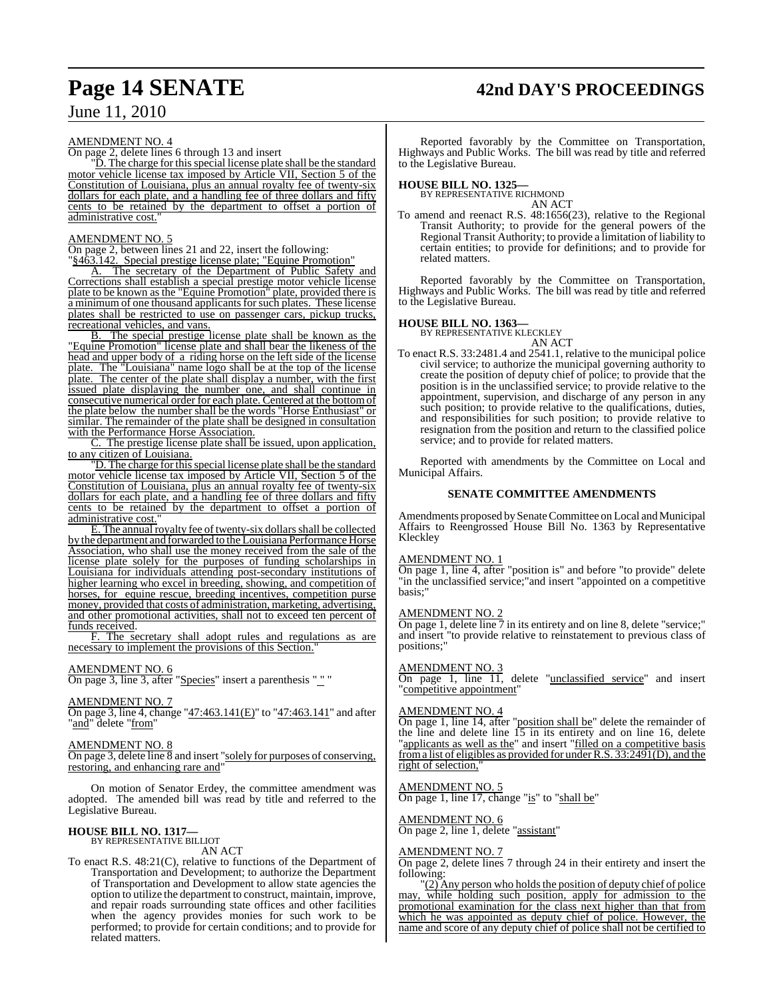# **Page 14 SENATE 42nd DAY'S PROCEEDINGS**

## June 11, 2010

#### AMENDMENT NO. 4

On page 2, delete lines 6 through 13 and insert

"D. The charge for this special license plate shall be the standard motor vehicle license tax imposed by Article VII, Section 5 of the Constitution of Louisiana, plus an annual royalty fee of twenty-six dollars for each plate, and a handling fee of three dollars and fifty cents to be retained by the department to offset a portion of administrative cost.

#### AMENDMENT NO. 5

On page 2, between lines 21 and 22, insert the following: "§463.142. Special prestige license plate; "Equine Promotion"

A. The secretary of the Department of Public Safety and Corrections shall establish a special prestige motor vehicle license plate to be known as the "Equine Promotion" plate, provided there is a minimum of one thousand applicants for such plates. These license plates shall be restricted to use on passenger cars, pickup trucks, recreational vehicles, and vans.

B. The special prestige license plate shall be known as the "Equine Promotion" license plate and shall bear the likeness of the head and upper body of a riding horse on the left side of the license plate. The "Louisiana" name logo shall be at the top of the license plate. The center of the plate shall display a number, with the first issued plate displaying the number one, and shall continue in consecutive numerical order for each plate. Centered at the bottomof the plate below the number shall be the words "Horse Enthusiast" or similar. The remainder of the plate shall be designed in consultation with the Performance Horse Association.

C. The prestige license plate shall be issued, upon application, to any citizen of Louisiana.

"D. The charge for this special license plate shall be the standard motor vehicle license tax imposed by Article VII, Section 5 of the Constitution of Louisiana, plus an annual royalty fee of twenty-six dollars for each plate, and a handling fee of three dollars and fifty cents to be retained by the department to offset a portion of administrative cost."

 $\overline{E}$ . The annual royalty fee of twenty-six dollars shall be collected by the department and forwarded to the Louisiana Performance Horse Association, who shall use the money received from the sale of the license plate solely for the purposes of funding scholarships in Louisiana for individuals attending post-secondary institutions of higher learning who excel in breeding, showing, and competition of horses, for equine rescue, breeding incentives, competition purse money, provided that costs of administration, marketing, advertising, and other promotional activities, shall not to exceed ten percent of funds received.

F. The secretary shall adopt rules and regulations as are necessary to implement the provisions of this Section.

#### AMENDMENT NO. 6

On page 3, line 3, after "Species" insert a parenthesis " " "

#### AMENDMENT NO. 7

On page 3, line 4, change "47:463.141(E)" to "47:463.141" and after 'and" delete "from"

#### AMENDMENT NO. 8

On page 3, delete line 8 and insert "solely for purposes of conserving, restoring, and enhancing rare and"

On motion of Senator Erdey, the committee amendment was adopted. The amended bill was read by title and referred to the Legislative Bureau.

#### **HOUSE BILL NO. 1317—**

BY REPRESENTATIVE BILLIOT AN ACT

To enact R.S. 48:21(C), relative to functions of the Department of Transportation and Development; to authorize the Department of Transportation and Development to allow state agencies the option to utilize the department to construct, maintain, improve, and repair roads surrounding state offices and other facilities when the agency provides monies for such work to be performed; to provide for certain conditions; and to provide for related matters.

Reported favorably by the Committee on Transportation, Highways and Public Works. The bill was read by title and referred to the Legislative Bureau.

#### **HOUSE BILL NO. 1325—**

BY REPRESENTATIVE RICHMOND AN ACT

To amend and reenact R.S. 48:1656(23), relative to the Regional Transit Authority; to provide for the general powers of the Regional Transit Authority; to provide a limitation of liability to certain entities; to provide for definitions; and to provide for related matters.

Reported favorably by the Committee on Transportation, Highways and Public Works. The bill was read by title and referred to the Legislative Bureau.

#### **HOUSE BILL NO. 1363—**

BY REPRESENTATIVE KLECKLEY AN ACT

To enact R.S. 33:2481.4 and 2541.1, relative to the municipal police civil service; to authorize the municipal governing authority to create the position of deputy chief of police; to provide that the position is in the unclassified service; to provide relative to the appointment, supervision, and discharge of any person in any such position; to provide relative to the qualifications, duties, and responsibilities for such position; to provide relative to resignation from the position and return to the classified police service; and to provide for related matters.

Reported with amendments by the Committee on Local and Municipal Affairs.

#### **SENATE COMMITTEE AMENDMENTS**

Amendments proposed by Senate Committee on Local and Municipal Affairs to Reengrossed House Bill No. 1363 by Representative Kleckley

#### AMENDMENT NO. 1

On page 1, line 4, after "position is" and before "to provide" delete "in the unclassified service;"and insert "appointed on a competitive basis;"

#### AMENDMENT NO. 2

On page 1, delete line  $\overline{7}$  in its entirety and on line 8, delete "service;" and insert "to provide relative to reinstatement to previous class of positions;"

#### AMENDMENT NO. 3

On page 1, line 11, delete "unclassified service" and insert "competitive appointment"

#### AMENDMENT NO. 4

On page 1, line 14, after "position shall be" delete the remainder of the line and delete line 15 in its entirety and on line 16, delete "applicants as well as the" and insert "filled on a competitive basis froma list of eligibles as provided for underR.S. 33:2491(D), and the right of selection,

#### AMENDMENT NO. 5

On page 1, line 17, change "is" to "shall be"

AMENDMENT NO. 6

On page 2, line 1, delete "assistant"

#### AMENDMENT NO. 7

On page 2, delete lines 7 through 24 in their entirety and insert the following:

 $'(2)$  Any person who holds the position of deputy chief of police may, while holding such position, apply for admission to the promotional examination for the class next higher than that from which he was appointed as deputy chief of police. However, the name and score of any deputy chief of police shall not be certified to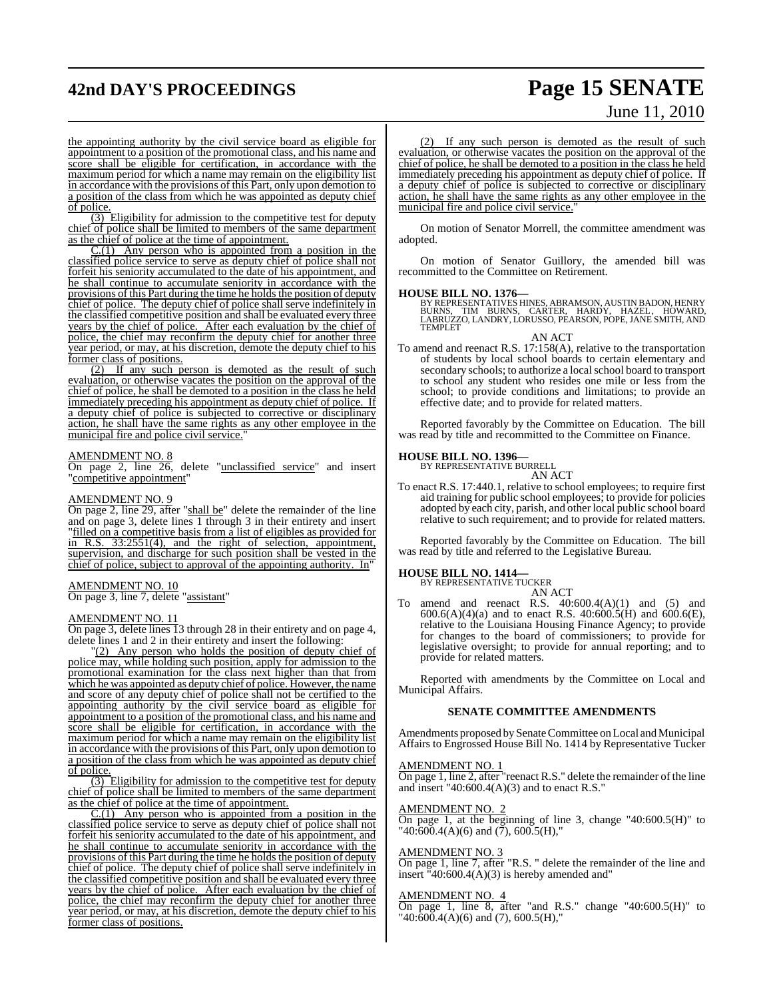# **42nd DAY'S PROCEEDINGS Page 15 SENATE**

# June 11, 2010

the appointing authority by the civil service board as eligible for appointment to a position of the promotional class, and his name and score shall be eligible for certification, in accordance with the maximum period for which a name may remain on the eligibility list in accordance with the provisions of this Part, only upon demotion to a position of the class from which he was appointed as deputy chief of police.

(3) Eligibility for admission to the competitive test for deputy chief of police shall be limited to members of the same department as the chief of police at the time of appointment.

 $C(1)$  Any person who is appointed from a position in the classified police service to serve as deputy chief of police shall not forfeit his seniority accumulated to the date of his appointment, and he shall continue to accumulate seniority in accordance with the provisions of this Part during the time he holds the position of deputy chief of police. The deputy chief of police shall serve indefinitely in the classified competitive position and shall be evaluated every three years by the chief of police. After each evaluation by the chief of police, the chief may reconfirm the deputy chief for another three year period, or may, at his discretion, demote the deputy chief to his former class of positions.

(2) If any such person is demoted as the result of such evaluation, or otherwise vacates the position on the approval of the chief of police, he shall be demoted to a position in the class he held immediately preceding his appointment as deputy chief of police. If a deputy chief of police is subjected to corrective or disciplinary action, he shall have the same rights as any other employee in the municipal fire and police civil service.'

#### AMENDMENT NO. 8

On page 2, line 26, delete "unclassified service" and insert "competitive appointment"

#### AMENDMENT NO. 9

On page 2, line 29, after "shall be" delete the remainder of the line and on page 3, delete lines 1 through 3 in their entirety and insert "filled on a competitive basis from a list of eligibles as provided for in R.S. 33:2551(4), and the right of selection, appointment, supervision, and discharge for such position shall be vested in the chief of police, subject to approval of the appointing authority. In"

#### AMENDMENT NO. 10

On page 3, line 7, delete "assistant"

#### AMENDMENT NO. 11

On page 3, delete lines 13 through 28 in their entirety and on page 4, delete lines 1 and 2 in their entirety and insert the following:

"(2) Any person who holds the position of deputy chief of police may, while holding such position, apply for admission to the promotional examination for the class next higher than that from which he was appointed as deputy chief of police. However, the name and score of any deputy chief of police shall not be certified to the appointing authority by the civil service board as eligible for appointment to a position of the promotional class, and his name and score shall be eligible for certification, in accordance with the maximum period for which a name may remain on the eligibility list in accordance with the provisions of this Part, only upon demotion to a position of the class from which he was appointed as deputy chief of police.

(3) Eligibility for admission to the competitive test for deputy chief of police shall be limited to members of the same department as the chief of police at the time of appointment.

C.(1) Any person who is appointed from a position in the classified police service to serve as deputy chief of police shall not forfeit his seniority accumulated to the date of his appointment, and he shall continue to accumulate seniority in accordance with the provisions of this Part during the time he holds the position of deputy chief of police. The deputy chief of police shall serve indefinitely in the classified competitive position and shall be evaluated every three years by the chief of police. After each evaluation by the chief of police, the chief may reconfirm the deputy chief for another three year period, or may, at his discretion, demote the deputy chief to his former class of positions.

(2) If any such person is demoted as the result of such evaluation, or otherwise vacates the position on the approval of the chief of police, he shall be demoted to a position in the class he held immediately preceding his appointment as deputy chief of police. If a deputy chief of police is subjected to corrective or disciplinary action, he shall have the same rights as any other employee in the municipal fire and police civil service.

On motion of Senator Morrell, the committee amendment was adopted.

On motion of Senator Guillory, the amended bill was recommitted to the Committee on Retirement.

#### **HOUSE BILL NO. 1376—**

BY REPRESENTATIVES HINES, ABRAMSON, AUSTIN BADON, HENRY BURNS, TIM BURNS, CARTER, HARDY, HAZEL, HOWARD, LABRUZZO, LANDRY, LORUSSO, PEARSON, POPE, JANE SMITH, AND TEMPLET

AN ACT

To amend and reenact R.S. 17:158(A), relative to the transportation of students by local school boards to certain elementary and secondary schools; to authorize a local school board to transport to school any student who resides one mile or less from the school; to provide conditions and limitations; to provide an effective date; and to provide for related matters.

Reported favorably by the Committee on Education. The bill was read by title and recommitted to the Committee on Finance.

#### **HOUSE BILL NO. 1396—**

BY REPRESENTATIVE BURRELL AN ACT

To enact R.S. 17:440.1, relative to school employees; to require first aid training for public school employees; to provide for policies adopted by each city, parish, and other local public school board relative to such requirement; and to provide for related matters.

Reported favorably by the Committee on Education. The bill was read by title and referred to the Legislative Bureau.

#### **HOUSE BILL NO. 1414—**

BY REPRESENTATIVE TUCKER AN ACT

To amend and reenact R.S.  $40:600.4(A)(1)$  and  $(5)$  and 600.6(A)(4)(a) and to enact R.S. 40:600.5(H) and 600.6(E), relative to the Louisiana Housing Finance Agency; to provide for changes to the board of commissioners; to provide for legislative oversight; to provide for annual reporting; and to provide for related matters.

Reported with amendments by the Committee on Local and Municipal Affairs.

#### **SENATE COMMITTEE AMENDMENTS**

Amendments proposed by Senate Committee on Local and Municipal Affairs to Engrossed House Bill No. 1414 by Representative Tucker

#### AMENDMENT NO. 1

 $\overline{\text{On page 1, line 2, after}}$  reenact R.S." delete the remainder of the line and insert  $"40:600.4(A)(3)$  and to enact R.S."

#### AMENDMENT NO. 2

On page 1, at the beginning of line 3, change "40:600.5(H)" to  $"40:600.4(A)(6)$  and  $(\overline{7})$ , 600.5(H),"

#### AMENDMENT NO. 3

On page 1, line 7, after "R.S. " delete the remainder of the line and insert "40:600.4(A)(3) is hereby amended and"

#### AMENDMENT NO. 4

 $\overline{On\ page\ 1}$ , line 8, after "and R.S." change "40:600.5(H)" to  $"40:\!600.4(A)(6)$  and (7), 600.5(H),"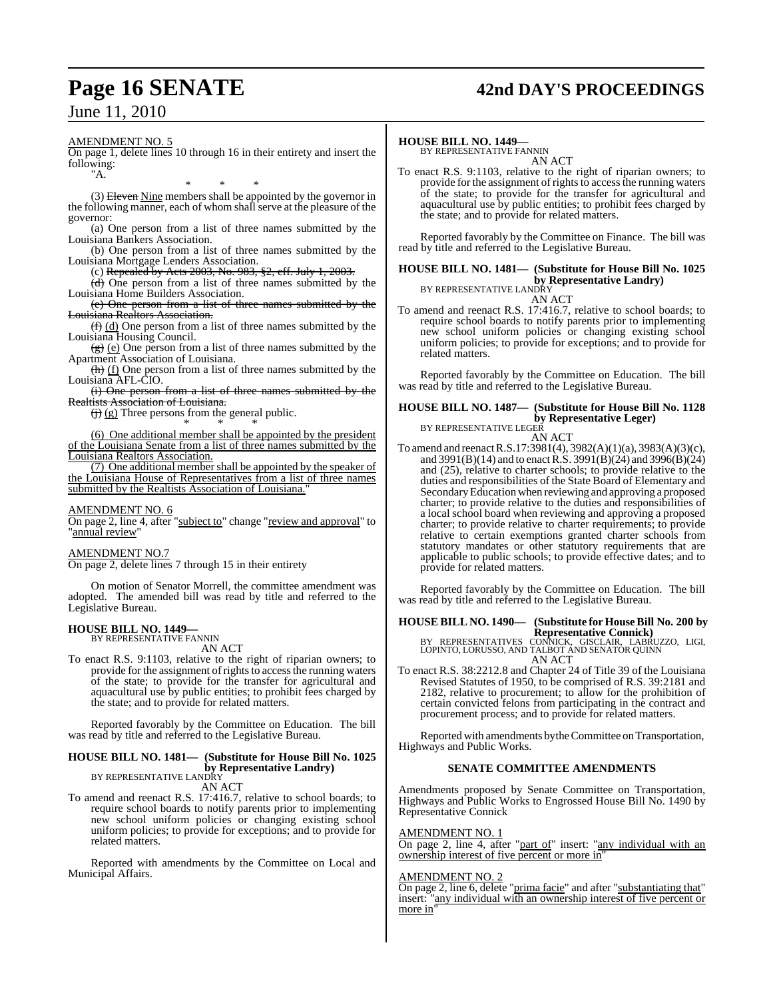# **Page 16 SENATE 42nd DAY'S PROCEEDINGS**

AMENDMENT NO. 5

On page 1, delete lines 10 through 16 in their entirety and insert the following: "A.

\* \* \* (3) Eleven Nine members shall be appointed by the governor in the following manner, each of whom shall serve at the pleasure of the governor:

(a) One person from a list of three names submitted by the Louisiana Bankers Association.

(b) One person from a list of three names submitted by the Louisiana Mortgage Lenders Association.

(c) Repealed by Acts 2003, No. 983, §2, eff. July 1, 2003.

(d) One person from a list of three names submitted by the Louisiana Home Builders Association.

(e) One person from a list of three names submitted by the Louisiana Realtors Association.

 $(f)$  (d) One person from a list of three names submitted by the Louisiana Housing Council.

 $(g)$  (e) One person from a list of three names submitted by the Apartment Association of Louisiana.

(h) (f) One person from a list of three names submitted by the Louisiana AFL-CIO.

(i) One person from a list of three names submitted by the Realtists Association of Louisiana.

 $\left(\frac{1}{2}\right)$  (g) Three persons from the general public. \* \* \*

(6) One additional member shall be appointed by the president of the Louisiana Senate from a list of three names submitted by the Louisiana Realtors Association.

(7) One additional member shall be appointed by the speaker of the Louisiana House of Representatives from a list of three names submitted by the Realtists Association of Louisiana.

#### AMENDMENT NO. 6

On page 2, line 4, after "subject to" change "review and approval" to 'annual review'

#### AMENDMENT NO.7

On page 2, delete lines 7 through 15 in their entirety

On motion of Senator Morrell, the committee amendment was adopted. The amended bill was read by title and referred to the Legislative Bureau.

#### **HOUSE BILL NO. 1449—** BY REPRESENTATIVE FANNIN

AN ACT

To enact R.S. 9:1103, relative to the right of riparian owners; to provide for the assignment of rights to access the running waters of the state; to provide for the transfer for agricultural and aquacultural use by public entities; to prohibit fees charged by the state; and to provide for related matters.

Reported favorably by the Committee on Education. The bill was read by title and referred to the Legislative Bureau.

## **HOUSE BILL NO. 1481— (Substitute for House Bill No. 1025 by Representative Landry**)<br>BY REPRESENTATIVE LANDRY

AN ACT

To amend and reenact R.S. 17:416.7, relative to school boards; to require school boards to notify parents prior to implementing new school uniform policies or changing existing school uniform policies; to provide for exceptions; and to provide for related matters.

Reported with amendments by the Committee on Local and Municipal Affairs.

#### **HOUSE BILL NO. 1449—**

BY REPRESENTATIVE FANNIN AN ACT

To enact R.S. 9:1103, relative to the right of riparian owners; to provide for the assignment of rights to access the running waters of the state; to provide for the transfer for agricultural and aquacultural use by public entities; to prohibit fees charged by the state; and to provide for related matters.

Reported favorably by the Committee on Finance. The bill was read by title and referred to the Legislative Bureau.

#### **HOUSE BILL NO. 1481— (Substitute for House Bill No. 1025 by Representative Landry)** BY REPRESENTATIVE LANDRY

AN ACT

To amend and reenact R.S. 17:416.7, relative to school boards; to require school boards to notify parents prior to implementing new school uniform policies or changing existing school uniform policies; to provide for exceptions; and to provide for related matters.

Reported favorably by the Committee on Education. The bill was read by title and referred to the Legislative Bureau.

## **HOUSE BILL NO. 1487— (Substitute for House Bill No. 1128 by Representative Leger)**<br>BY REPRESENTATIVE LEGER

AN ACT

To amend and reenact R.S.17:3981(4), 3982(A)(1)(a), 3983(A)(3)(c), and 3991(B)(14) and to enact R.S. 3991(B)(24) and 3996(B)(24) and (25), relative to charter schools; to provide relative to the duties and responsibilities of the State Board of Elementary and SecondaryEducation when reviewing and approving a proposed charter; to provide relative to the duties and responsibilities of a local school board when reviewing and approving a proposed charter; to provide relative to charter requirements; to provide relative to certain exemptions granted charter schools from statutory mandates or other statutory requirements that are applicable to public schools; to provide effective dates; and to provide for related matters.

Reported favorably by the Committee on Education. The bill was read by title and referred to the Legislative Bureau.

## **HOUSE BILL NO. 1490— (Substitute for HouseBill No. 200 by**

**Representative Connick)<br>BY REPRESENTATIVES CONNICK, GISCLAIR, LABRUZZO, LIGI,<br>LOPINTO, LORUSSO, AND TALBOT AND SENATOR QUINN** AN ACT

To enact R.S. 38:2212.8 and Chapter 24 of Title 39 of the Louisiana Revised Statutes of 1950, to be comprised of R.S. 39:2181 and 2182, relative to procurement; to allow for the prohibition of certain convicted felons from participating in the contract and procurement process; and to provide for related matters.

Reported with amendments by the Committee on Transportation, Highways and Public Works.

#### **SENATE COMMITTEE AMENDMENTS**

Amendments proposed by Senate Committee on Transportation, Highways and Public Works to Engrossed House Bill No. 1490 by Representative Connick

## AMENDMENT NO. 1

On page 2, line 4, after "part of" insert: "any individual with an ownership interest of five percent or more in"

#### AMENDMENT NO. 2

On page 2, line 6, delete "prima facie" and after "substantiating that" insert: "any individual with an ownership interest of five percent or more in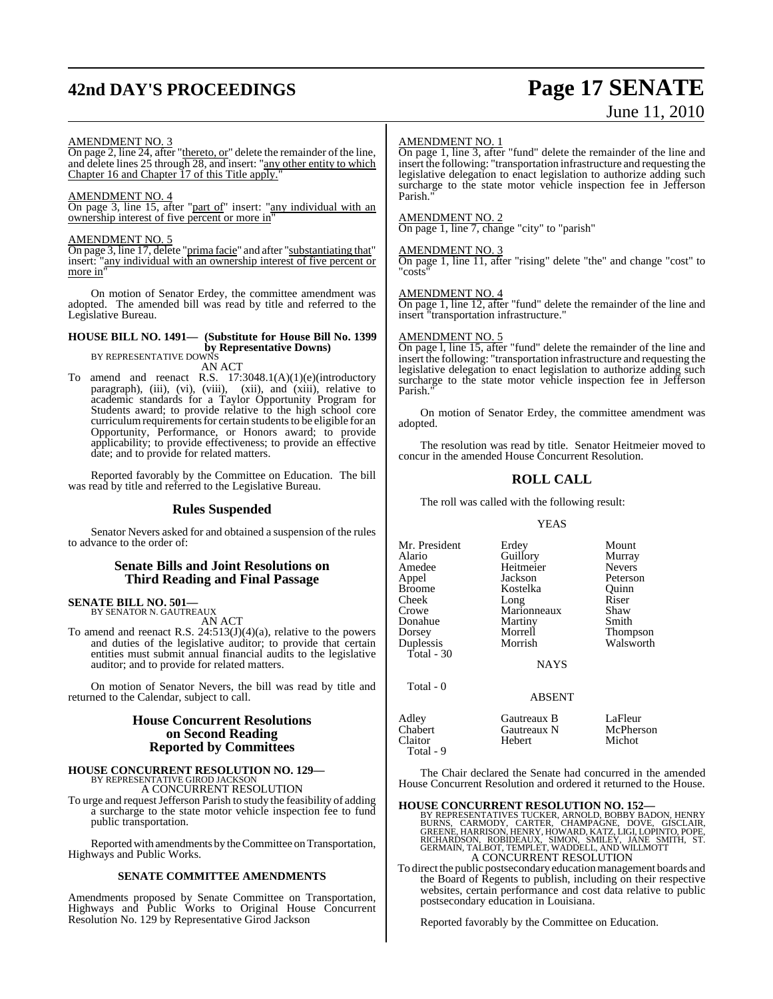# **42nd DAY'S PROCEEDINGS Page 17 SENATE**

# June 11, 2010

#### AMENDMENT NO. 3

On page 2, line 24, after "thereto, or" delete the remainder of the line, and delete lines 25 through 28, and insert: "any other entity to which Chapter 16 and Chapter 17 of this Title apply."

#### AMENDMENT NO. 4

On page 3, line 15, after "part of" insert: "any individual with an ownership interest of five percent or more in"

#### AMENDMENT NO. 5

On page 3, line 17, delete "prima facie" and after "substantiating that" insert: "any individual with an ownership interest of five percent or more in

On motion of Senator Erdey, the committee amendment was adopted. The amended bill was read by title and referred to the Legislative Bureau.

## **HOUSE BILL NO. 1491— (Substitute for House Bill No. 1399 by Representative Downs)** BY REPRESENTATIVE DOWNS

AN ACT

To amend and reenact R.S. 17:3048.1(A)(1)(e)(introductory paragraph), (iii), (vi), (viii), (xiii), and (xiii), relative to academic standards for a Taylor Opportunity Program for Students award; to provide relative to the high school core curriculum requirements for certain students to be eligible for an Opportunity, Performance, or Honors award; to provide applicability; to provide effectiveness; to provide an effective date; and to provide for related matters.

Reported favorably by the Committee on Education. The bill was read by title and referred to the Legislative Bureau.

#### **Rules Suspended**

Senator Nevers asked for and obtained a suspension of the rules to advance to the order of:

#### **Senate Bills and Joint Resolutions on Third Reading and Final Passage**

# **SENATE BILL NO. 501—** BY SENATOR N. GAUTREAUX

AN ACT

To amend and reenact R.S. 24:513(J)(4)(a), relative to the powers and duties of the legislative auditor; to provide that certain entities must submit annual financial audits to the legislative auditor; and to provide for related matters.

On motion of Senator Nevers, the bill was read by title and returned to the Calendar, subject to call.

#### **House Concurrent Resolutions on Second Reading Reported by Committees**

**HOUSE CONCURRENT RESOLUTION NO. 129—** BY REPRESENTATIVE GIROD JACKSON

A CONCURRENT RESOLUTION

To urge and request Jefferson Parish to study the feasibility of adding a surcharge to the state motor vehicle inspection fee to fund public transportation.

Reported with amendments by the Committee on Transportation, Highways and Public Works.

#### **SENATE COMMITTEE AMENDMENTS**

Amendments proposed by Senate Committee on Transportation, Highways and Public Works to Original House Concurrent Resolution No. 129 by Representative Girod Jackson

#### AMENDMENT NO. 1

On page 1, line 3, after "fund" delete the remainder of the line and insert the following: "transportation infrastructure and requesting the legislative delegation to enact legislation to authorize adding such surcharge to the state motor vehicle inspection fee in Jefferson Parish."

#### AMENDMENT NO. 2

On page 1, line 7, change "city" to "parish"

#### AMENDMENT NO. 3

On page 1, line 11, after "rising" delete "the" and change "cost" to "costs"

#### AMENDMENT NO. 4

On page 1, line 12, after "fund" delete the remainder of the line and insert "transportation infrastructure."

#### AMENDMENT NO. 5

Total - 9

On page l, line 15, after "fund" delete the remainder of the line and insert the following: "transportation infrastructure and requesting the legislative delegation to enact legislation to authorize adding such surcharge to the state motor vehicle inspection fee in Jefferson Parish."

On motion of Senator Erdey, the committee amendment was adopted.

The resolution was read by title. Senator Heitmeier moved to concur in the amended House Concurrent Resolution.

#### **ROLL CALL**

The roll was called with the following result:

#### YEAS

| Mr. President<br>Alario<br>Amedee<br>Appel<br><b>Broome</b><br>Cheek<br>Crowe<br>Donahue<br>Dorsey<br>Duplessis<br>Total $-30$<br>Total - 0 | Erdey<br>Guillory<br>Heitmeier<br>Jackson<br>Kostelka<br>Long<br>Marionneaux<br>Martiny<br>Morrell<br>Morrish<br><b>NAYS</b> | Mount<br>Murray<br><b>Nevers</b><br>Peterson<br>Ouinn<br>Riser<br>Shaw<br>Smith<br>Thompson<br>Walsworth |
|---------------------------------------------------------------------------------------------------------------------------------------------|------------------------------------------------------------------------------------------------------------------------------|----------------------------------------------------------------------------------------------------------|
|                                                                                                                                             | <b>ABSENT</b>                                                                                                                |                                                                                                          |
| Adley<br>Chabert<br>Claitor                                                                                                                 | Gautreaux B<br>Gautreaux N<br>Hebert                                                                                         | LaFleur<br>McPherson<br>Michot                                                                           |

The Chair declared the Senate had concurred in the amended House Concurrent Resolution and ordered it returned to the House.

#### **HOUSE CONCURRENT RESOLUTION NO. 152—**

BY REPRESENTATIVES TUCKER, ARNOLD, BOBBY BADON, HENRY<br>BURNS, CARMODY, CARTER, CHAMPAGNE, DOVE, GISCLAIR,<br>GREENE, HARRISON, HENRY, HOWARD, KATZ, LIGI, LOPINTO, POPE,<br>RICHARDSON, ROBIDEAUX, SIMON, SMILEY, JANE SMITH, ST.<br>GER A CONCURRENT RESOLUTION

To direct the public postsecondary education management boards and the Board of Regents to publish, including on their respective websites, certain performance and cost data relative to public postsecondary education in Louisiana.

Reported favorably by the Committee on Education.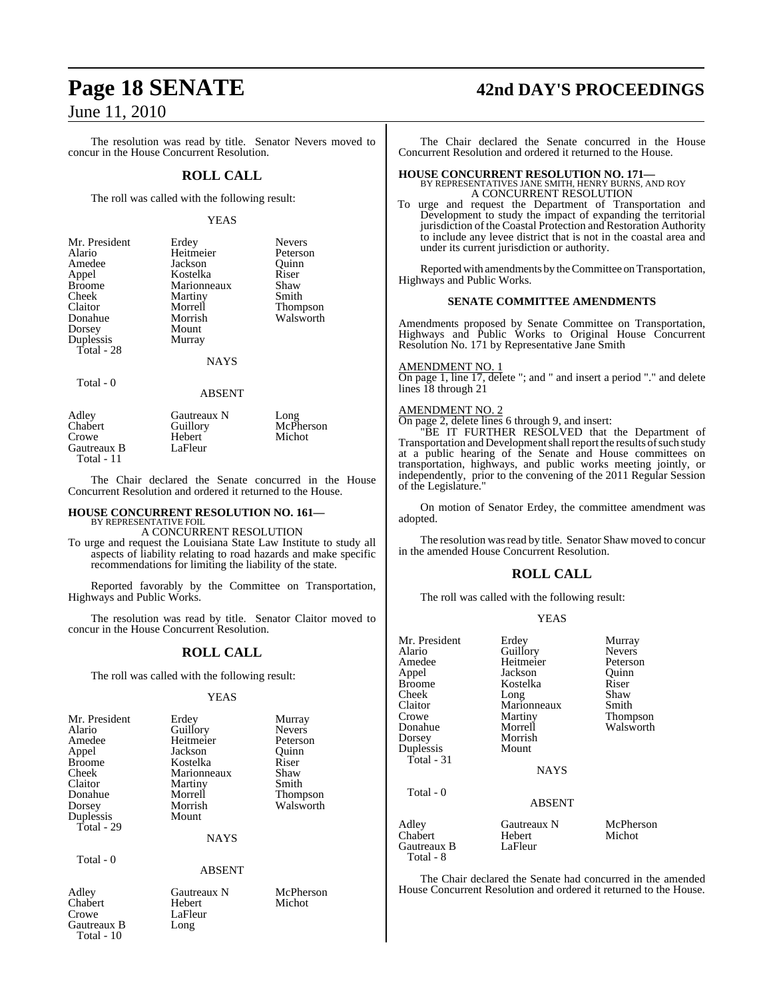The resolution was read by title. Senator Nevers moved to concur in the House Concurrent Resolution.

#### **ROLL CALL**

The roll was called with the following result:

#### YEAS

| Mr. President | Erdey       | <b>Nevers</b> |
|---------------|-------------|---------------|
|               |             |               |
| Alario        | Heitmeier   | Peterson      |
| Amedee        | Jackson     | Ouinn         |
| Appel         | Kostelka    | Riser         |
| Broome        | Marionneaux | Shaw          |
| Cheek         | Martiny     | Smith         |
| Claitor       | Morrell     | Thompson      |
| Donahue       | Morrish     | Walsworth     |
| Dorsey        | Mount       |               |
| Duplessis     | Murray      |               |
| Total - 28    |             |               |
|               |             |               |

#### NAYS

Total - 0

ABSENT

Adley Gautreaux N Long<br>
Chabert Guillory McPl Echa<sub>pherson</sub> Crowe Hebert Michot<br>
Gautreaux B LaFleur Gautreaux B Total - 11

The Chair declared the Senate concurred in the House Concurrent Resolution and ordered it returned to the House.

#### **HOUSE CONCURRENT RESOLUTION NO. 161—** BY REPRESENTATIVE FOIL

A CONCURRENT RESOLUTION

To urge and request the Louisiana State Law Institute to study all aspects of liability relating to road hazards and make specific recommendations for limiting the liability of the state.

Reported favorably by the Committee on Transportation, Highways and Public Works.

The resolution was read by title. Senator Claitor moved to concur in the House Concurrent Resolution.

#### **ROLL CALL**

The roll was called with the following result:

#### YEAS

| Mr. President | Erdey         | Murray                       |
|---------------|---------------|------------------------------|
| Alario        | Guillory      | <b>Nevers</b>                |
| Amedee        | Heitmeier     | Peterson                     |
| Appel         | Jackson       | Quinn                        |
| <b>Broome</b> | Kostelka      | Riser                        |
| Cheek         | Marionneaux   | Shaw                         |
| Claitor       | Martiny       | Smith                        |
| Donahue       | Morrell       |                              |
|               | Morrish       | <b>Thompson</b><br>Walsworth |
| Dorsey        |               |                              |
| Duplessis     | Mount         |                              |
| Total - 29    |               |                              |
|               | <b>NAYS</b>   |                              |
| Total - 0     |               |                              |
|               | <b>ABSENT</b> |                              |
| Adley         | Gautreaux N   | McPherson                    |
| Chabert       | Hebert        | Michot                       |

Crowe LaFleur Gautreaux B Long

Total - 10

## **Page 18 SENATE 42nd DAY'S PROCEEDINGS**

The Chair declared the Senate concurred in the House Concurrent Resolution and ordered it returned to the House.

## **HOUSE CONCURRENT RESOLUTION NO. 171—** BY REPRESENTATIVES JANE SMITH, HENRY BURNS, AND ROY

A CONCURRENT RESOLUTION

To urge and request the Department of Transportation and Development to study the impact of expanding the territorial jurisdiction of the Coastal Protection and Restoration Authority to include any levee district that is not in the coastal area and under its current jurisdiction or authority.

Reported with amendments by the Committee on Transportation, Highways and Public Works.

#### **SENATE COMMITTEE AMENDMENTS**

Amendments proposed by Senate Committee on Transportation, Highways and Public Works to Original House Concurrent Resolution No. 171 by Representative Jane Smith

#### AMENDMENT NO. 1

On page 1, line 17, delete "; and " and insert a period "." and delete lines 18 through 21

#### AMENDMENT NO. 2

On page 2, delete lines 6 through 9, and insert:

"BE IT FURTHER RESOLVED that the Department of Transportation and Development shall report the results of such study at a public hearing of the Senate and House committees on transportation, highways, and public works meeting jointly, or independently, prior to the convening of the 2011 Regular Session of the Legislature."

On motion of Senator Erdey, the committee amendment was adopted.

The resolution was read by title. Senator Shaw moved to concur in the amended House Concurrent Resolution.

#### **ROLL CALL**

The roll was called with the following result:

#### YEAS

| Mr. President<br>Alario<br>Amedee<br>Appel<br>Broome<br>Cheek<br>Claitor<br>Crowe<br>Donahue<br>Dorsey | Erdey<br>Guillory<br>Heitmeier<br>Jackson<br>Kostelka<br>Long<br>Marionneaux<br>Martiny<br>Morrell<br>Morrish | Murray<br><b>Nevers</b><br>Peterson<br>Ouinn<br>Riser<br>Shaw<br>Smith<br>Thompson<br>Walsworth |
|--------------------------------------------------------------------------------------------------------|---------------------------------------------------------------------------------------------------------------|-------------------------------------------------------------------------------------------------|
| Duplessis<br>Total - 31                                                                                | Mount<br><b>NAYS</b>                                                                                          |                                                                                                 |
| Total - 0                                                                                              | <b>ABSENT</b>                                                                                                 |                                                                                                 |
| Adley<br>Chabert<br>Gautreaux B<br>Total - 8                                                           | Gautreaux N<br>Hebert<br>LaFleur                                                                              | McPherson<br>Michot                                                                             |

The Chair declared the Senate had concurred in the amended House Concurrent Resolution and ordered it returned to the House.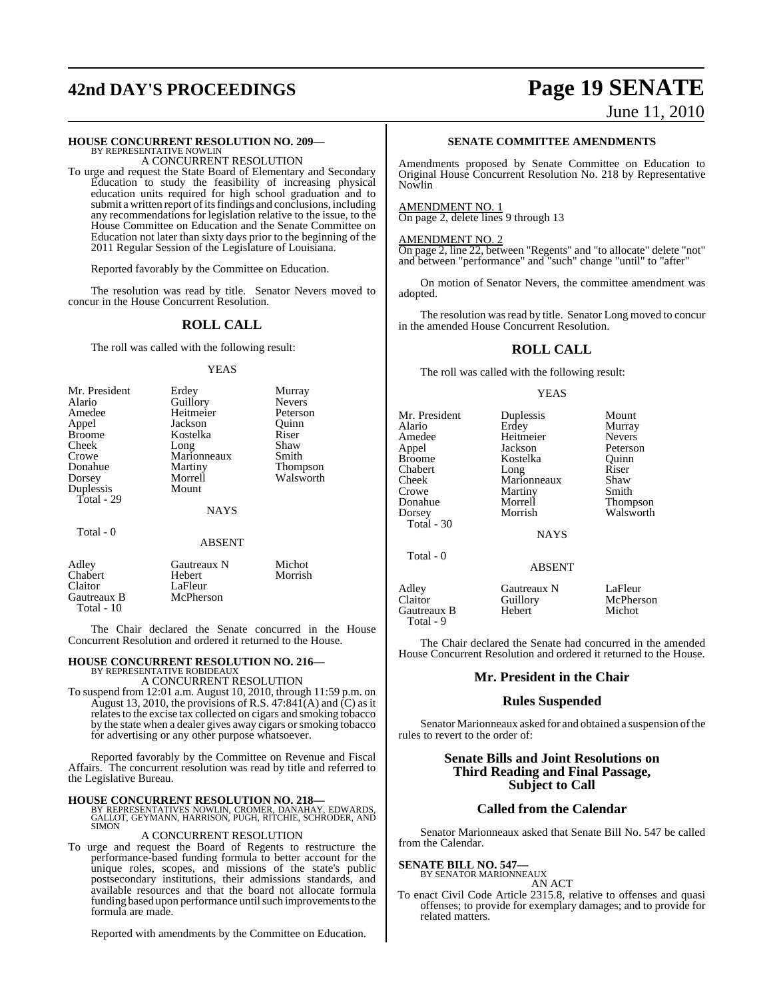# **42nd DAY'S PROCEEDINGS Page 19 SENATE** June 11, 2010

## **HOUSE CONCURRENT RESOLUTION NO. 209—** BY REPRESENTATIVE NOWLIN

A CONCURRENT RESOLUTION

To urge and request the State Board of Elementary and Secondary Education to study the feasibility of increasing physical education units required for high school graduation and to submit a written report of its findings and conclusions, including any recommendations for legislation relative to the issue, to the House Committee on Education and the Senate Committee on Education not later than sixty days prior to the beginning of the 2011 Regular Session of the Legislature of Louisiana.

Reported favorably by the Committee on Education.

The resolution was read by title. Senator Nevers moved to concur in the House Concurrent Resolution.

## **ROLL CALL**

The roll was called with the following result:

#### YEAS

| Mr. President | Erdey         | Murray          |
|---------------|---------------|-----------------|
| Alario        | Guillory      | <b>Nevers</b>   |
| Amedee        | Heitmeier     | Peterson        |
| Appel         | Jackson       | Ouinn           |
| <b>Broome</b> | Kostelka      | Riser           |
| Cheek         | Long          | Shaw            |
| Crowe         | Marionneaux   | Smith           |
| Donahue       | Martiny       | <b>Thompson</b> |
| Dorsey        | Morrell       | Walsworth       |
| Duplessis     | Mount         |                 |
| Total - 29    |               |                 |
|               | <b>NAYS</b>   |                 |
| Total - 0     |               |                 |
|               | <b>ABSENT</b> |                 |
|               |               |                 |

| Adley       | Gautreaux N | Michot  |
|-------------|-------------|---------|
| Chabert     | Hebert      | Morrish |
| Claitor     | LaFleur     |         |
| Gautreaux B | McPherson   |         |
| Total $-10$ |             |         |

The Chair declared the Senate concurred in the House Concurrent Resolution and ordered it returned to the House.

## **HOUSE CONCURRENT RESOLUTION NO. 216—**

BY REPRESENTATIVE ROBIDEAUX A CONCURRENT RESOLUTION

To suspend from 12:01 a.m. August 10, 2010, through 11:59 p.m. on August 13, 2010, the provisions of R.S.  $47:84\tilde{I}(A)$  and  $\tilde{C}$ ) as it relates to the excise tax collected on cigars and smoking tobacco by the state when a dealer gives away cigars or smoking tobacco for advertising or any other purpose whatsoever.

Reported favorably by the Committee on Revenue and Fiscal Affairs. The concurrent resolution was read by title and referred to the Legislative Bureau.

**HOUSE CONCURRENT RESOLUTION NO. 218—**<br>BY REPRESENTATIVES NOWLIN, CROMER, DANAHAY, EDWARDS,<br>GALLOT, GEYMANN, HARRISON, PUGH, RITCHIE, SCHRODER, AND<br>SIMON

#### A CONCURRENT RESOLUTION

To urge and request the Board of Regents to restructure the performance-based funding formula to better account for the unique roles, scopes, and missions of the state's public postsecondary institutions, their admissions standards, and available resources and that the board not allocate formula funding based upon performance until such improvements to the formula are made.

Reported with amendments by the Committee on Education.

#### **SENATE COMMITTEE AMENDMENTS**

Amendments proposed by Senate Committee on Education to Original House Concurrent Resolution No. 218 by Representative Nowlin

#### AMENDMENT NO. 1

On page 2, delete lines 9 through 13

#### AMENDMENT NO. 2

On page 2, line 22, between "Regents" and "to allocate" delete "not" and between "performance" and "such" change "until" to "after"

On motion of Senator Nevers, the committee amendment was adopted.

The resolution was read by title. Senator Long moved to concur in the amended House Concurrent Resolution.

#### **ROLL CALL**

The roll was called with the following result:

#### YEAS

Mr. President Duplessis Mount<br>Alario Erdey Murray Amedee Heitmeier Nevers<br>
Appel Jackson Peterson Appel Jackson Peterson<br>Broome Kostelka Ouinn Broome Kostelka Quinn<br>
Chabert Long Riser Chabert Long Riser Cheek Marionneaux Shaw Crowe Martiny Smith<br>Donahue Morrell Thom Donahue Morrell Thompson Total - 30

Total - 0

Murray<br>Nevers Walsworth

**NAYS** 

#### ABSENT

| Adley<br>Claitor<br>Gautreaux B<br>Total - 9 | Gautreaux N<br>Guillory<br>Hebert | LaFleur<br>McPherson<br>Michot |
|----------------------------------------------|-----------------------------------|--------------------------------|
|                                              |                                   |                                |

The Chair declared the Senate had concurred in the amended House Concurrent Resolution and ordered it returned to the House.

#### **Mr. President in the Chair**

#### **Rules Suspended**

Senator Marionneaux asked for and obtained a suspension of the rules to revert to the order of:

#### **Senate Bills and Joint Resolutions on Third Reading and Final Passage, Subject to Call**

#### **Called from the Calendar**

Senator Marionneaux asked that Senate Bill No. 547 be called from the Calendar.

#### **SENATE BILL NO. 547—** BY SENATOR MARIONNEAUX

- AN ACT
- To enact Civil Code Article 2315.8, relative to offenses and quasi offenses; to provide for exemplary damages; and to provide for related matters.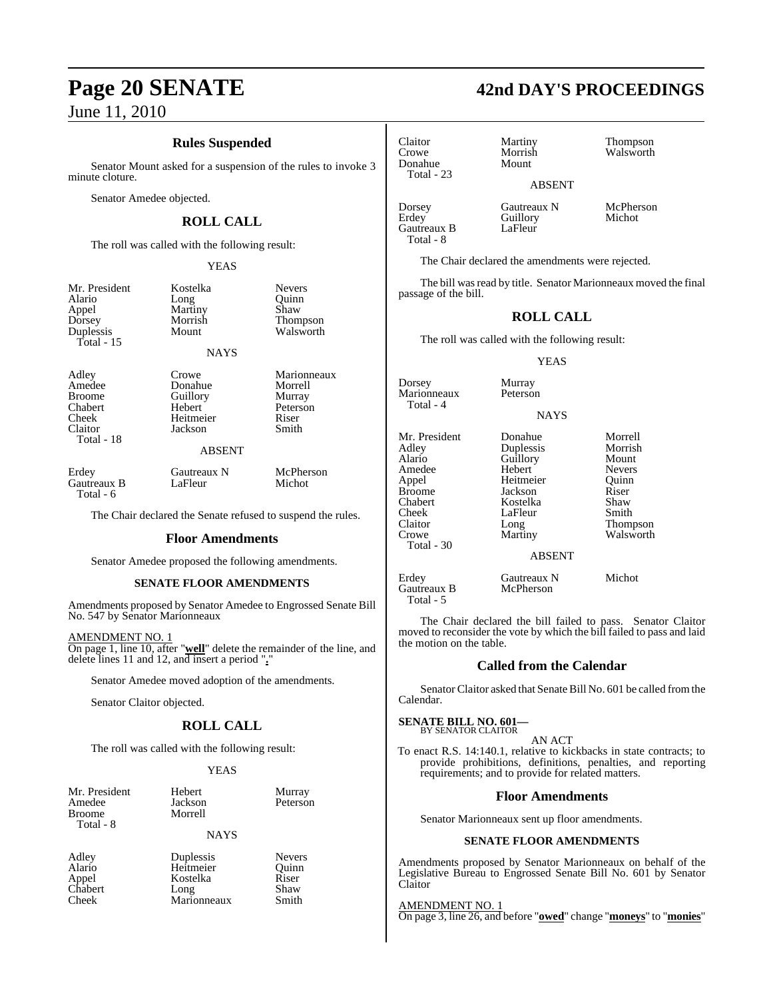### **Rules Suspended**

Senator Mount asked for a suspension of the rules to invoke 3 minute cloture.

Senator Amedee objected.

## **ROLL CALL**

The roll was called with the following result:

YEAS

| Mr. President<br>Alario<br>Appel<br>Dorsey<br>Duplessis<br>Total - $15$       | Kostelka<br>Long<br>Martiny<br>Morrish<br>Mount<br><b>NAYS</b>                  | Nevers<br>Ouinn<br>Shaw<br>Thompson<br>Walsworth               |
|-------------------------------------------------------------------------------|---------------------------------------------------------------------------------|----------------------------------------------------------------|
| Adley<br>Amedee<br><b>Broome</b><br>Chabert<br>Cheek<br>Claitor<br>Total - 18 | Crowe<br>Donahue<br>Guillory<br>Hebert<br>Heitmeier<br>Jackson<br><b>ABSENT</b> | Marionneaux<br>Morrell<br>Murray<br>Peterson<br>Riser<br>Smith |
| Erdey<br>Gautreaux B<br>Total - 6                                             | Gautreaux N<br>LaFleur                                                          | McPherson<br>Michot                                            |

The Chair declared the Senate refused to suspend the rules.

#### **Floor Amendments**

Senator Amedee proposed the following amendments.

#### **SENATE FLOOR AMENDMENTS**

Amendments proposed by Senator Amedee to Engrossed Senate Bill No. 547 by Senator Marionneaux

#### AMENDMENT NO. 1

On page 1, line 10, after "**well**" delete the remainder of the line, and delete lines 11 and 12, and insert a period "**.**"

Senator Amedee moved adoption of the amendments.

Senator Claitor objected.

#### **ROLL CALL**

The roll was called with the following result:

Morrell

#### YEAS

| Mr. President |
|---------------|
| Amedee        |
| <b>Broome</b> |
| Total - 8     |

Hebert Murray Jackson Peterson

#### NAYS

Adley Duplessis Nevers<br>Alario Heitmeier Quinn Heitmeier Quinn<br>Kostelka Riser Appel Kostelka Riser<br>Chabert Long Shaw Chabert Long Shaw<br>Cheek Marionneaux Smith Marionneaux

Claitor Martiny Thompson Donahue Total - 23

Morrish Walsworth<br>Mount

ABSENT

Dorsey Gautreaux N McPherson<br>
Erdey Guillory Michot Guillory<br>LaFleur Gautreaux B Total - 8

The Chair declared the amendments were rejected.

The bill was read by title. Senator Marionneaux moved the final passage of the bill.

## **ROLL CALL**

The roll was called with the following result:

#### YEAS

Dorsey Murray<br>Marionneaux Peterson **Marionneaux** Total  $-4$ 

#### NAYS

Mr. President Donahue Morrell<br>Adley Duplessis Morrish Adley Duplessis Morris<br>
Alario Guillory Mount Amedee Hebert Nevers<br>
Appel Heitmeier Quinn Broome Jackson Riser<br>
Chabert Rostelka Shaw Chabert Kostelka Shaw Cheek LaFleur<br>Claitor Long Claitor Long Thompson<br>Crowe Martiny Walsworth Total - 30

Guillory Mount<br>Hebert Nevers Heitmeier

Walsworth

#### ABSENT

Erdey Gautreaux N Michot<br>Gautreaux B McPherson Gautreaux B Total - 5

The Chair declared the bill failed to pass. Senator Claitor moved to reconsider the vote by which the bill failed to pass and laid the motion on the table.

#### **Called from the Calendar**

Senator Claitor asked that Senate Bill No. 601 be called from the Calendar.

#### **SENATE BILL NO. 601—**

BY SENATOR CLAITOR AN ACT

To enact R.S. 14:140.1, relative to kickbacks in state contracts; to provide prohibitions, definitions, penalties, and reporting requirements; and to provide for related matters.

#### **Floor Amendments**

Senator Marionneaux sent up floor amendments.

#### **SENATE FLOOR AMENDMENTS**

Amendments proposed by Senator Marionneaux on behalf of the Legislative Bureau to Engrossed Senate Bill No. 601 by Senator Claitor

AMENDMENT NO. 1 On page 3, line 26, and before "**owed**" change "**moneys**" to "**monies**"

# **Page 20 SENATE 42nd DAY'S PROCEEDINGS**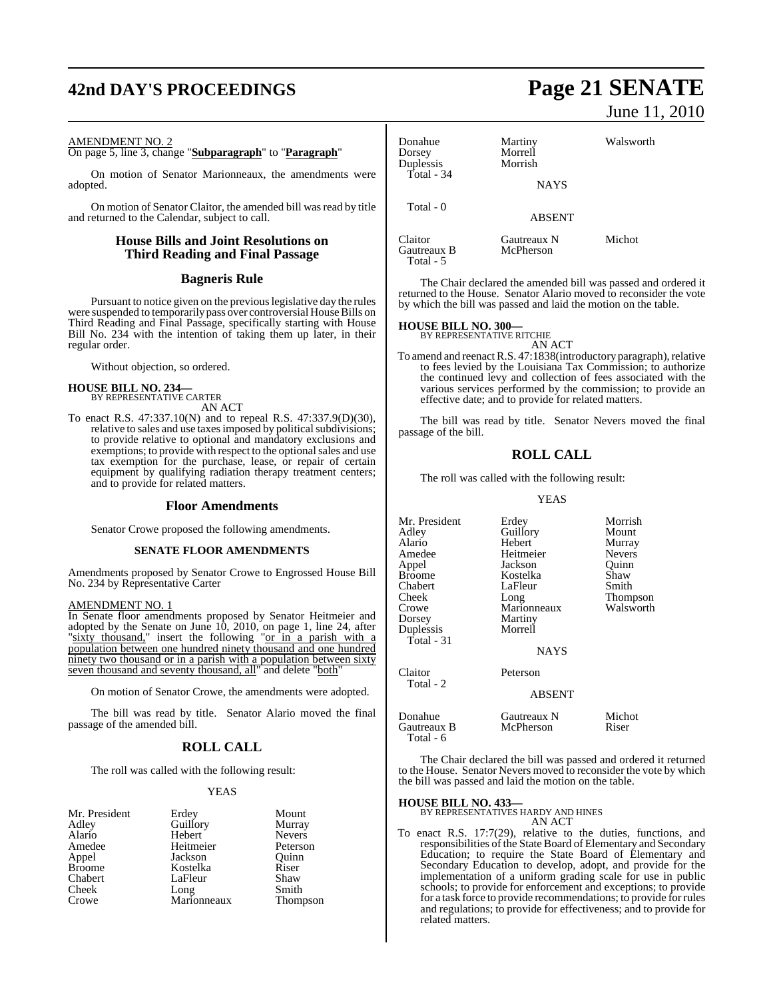# **42nd DAY'S PROCEEDINGS Page 21 SENATE**

#### AMENDMENT NO. 2

On page 5, line 3, change "**Subparagraph**" to "**Paragraph**"

On motion of Senator Marionneaux, the amendments were adopted.

On motion of Senator Claitor, the amended bill was read by title and returned to the Calendar, subject to call.

#### **House Bills and Joint Resolutions on Third Reading and Final Passage**

#### **Bagneris Rule**

Pursuant to notice given on the previouslegislative day the rules were suspended to temporarily pass over controversial House Bills on Third Reading and Final Passage, specifically starting with House Bill No. 234 with the intention of taking them up later, in their regular order.

Without objection, so ordered.

## **HOUSE BILL NO. 234—** BY REPRESENTATIVE CARTER

AN ACT

To enact R.S. 47:337.10(N) and to repeal R.S. 47:337.9(D)(30), relative to sales and use taxes imposed by political subdivisions; to provide relative to optional and mandatory exclusions and exemptions; to provide with respect to the optional sales and use tax exemption for the purchase, lease, or repair of certain equipment by qualifying radiation therapy treatment centers; and to provide for related matters.

#### **Floor Amendments**

Senator Crowe proposed the following amendments.

#### **SENATE FLOOR AMENDMENTS**

Amendments proposed by Senator Crowe to Engrossed House Bill No. 234 by Representative Carter

#### AMENDMENT NO. 1

In Senate floor amendments proposed by Senator Heitmeier and adopted by the Senate on June 10, 2010, on page 1, line 24, after "sixty thousand," insert the following "or in a parish with a population between one hundred ninety thousand and one hundred ninety two thousand or in a parish with a population between sixty seven thousand and seventy thousand, all" and delete "both"

On motion of Senator Crowe, the amendments were adopted.

The bill was read by title. Senator Alario moved the final passage of the amended bill.

## **ROLL CALL**

The roll was called with the following result:

#### YEAS

| Mr. President | Erdey       | Mount         |
|---------------|-------------|---------------|
| Adley         | Guillory    | Murray        |
| Alario        | Hebert      | <b>Nevers</b> |
| Amedee        | Heitmeier   | Peterson      |
| Appel         | Jackson     | Ouinn         |
| <b>Broome</b> | Kostelka    | Riser         |
| Chabert       | LaFleur     | Shaw          |
| Cheek         | Long        | Smith         |
| Crowe         | Marionneaux | Thompson      |

# June 11, 2010

| Donahue<br>Dorsey<br>Duplessis<br>Total - 34 | Martiny<br>Morrell<br>Morrish<br><b>NAYS</b> | Walsworth |  |
|----------------------------------------------|----------------------------------------------|-----------|--|
| Total - 0                                    | <b>ABSENT</b>                                |           |  |
| Claitor<br>Gautreaux B                       | Gautreaux N<br>McPherson                     | Michot    |  |

The Chair declared the amended bill was passed and ordered it returned to the House. Senator Alario moved to reconsider the vote by which the bill was passed and laid the motion on the table.

## **HOUSE BILL NO. 300—** BY REPRESENTATIVE RITCHIE

Total - 5

AN ACT To amend and reenact R.S. 47:1838(introductory paragraph), relative to fees levied by the Louisiana Tax Commission; to authorize the continued levy and collection of fees associated with the various services performed by the commission; to provide an effective date; and to provide for related matters.

The bill was read by title. Senator Nevers moved the final passage of the bill.

#### **ROLL CALL**

The roll was called with the following result:

YEAS

| Mr. President<br>Adley<br>Alario<br>Amedee<br>Appel<br>Broome<br>Chabert<br>Cheek<br>Crowe<br>Dorsey<br>Duplessis<br>Total - 31 | Erdey<br>Guillory<br>Hebert<br>Heitmeier<br>Jackson<br>Kostelka<br>LaFleur<br>Long<br>Marionneaux<br>Martiny<br>Morrell<br><b>NAYS</b> | Morrish<br>Mount<br>Murray<br><b>Nevers</b><br>Quinn<br>Shaw<br>Smith<br>Thompson<br>Walsworth |
|---------------------------------------------------------------------------------------------------------------------------------|----------------------------------------------------------------------------------------------------------------------------------------|------------------------------------------------------------------------------------------------|
| Claitor<br>Total - 2                                                                                                            | Peterson<br><b>ABSENT</b>                                                                                                              |                                                                                                |
| Donahue<br>Gautreaux B<br>Total - 6                                                                                             | Gautreaux N<br>McPherson                                                                                                               | Michot<br>Riser                                                                                |

The Chair declared the bill was passed and ordered it returned to the House. Senator Nevers moved to reconsider the vote by which the bill was passed and laid the motion on the table.

#### **HOUSE BILL NO. 433—**

BY REPRESENTATIVES HARDY AND HINES AN ACT

To enact R.S. 17:7(29), relative to the duties, functions, and responsibilities of the State Board of Elementary and Secondary Education; to require the State Board of Elementary and Secondary Education to develop, adopt, and provide for the implementation of a uniform grading scale for use in public schools; to provide for enforcement and exceptions; to provide for a task force to provide recommendations; to provide forrules and regulations; to provide for effectiveness; and to provide for related matters.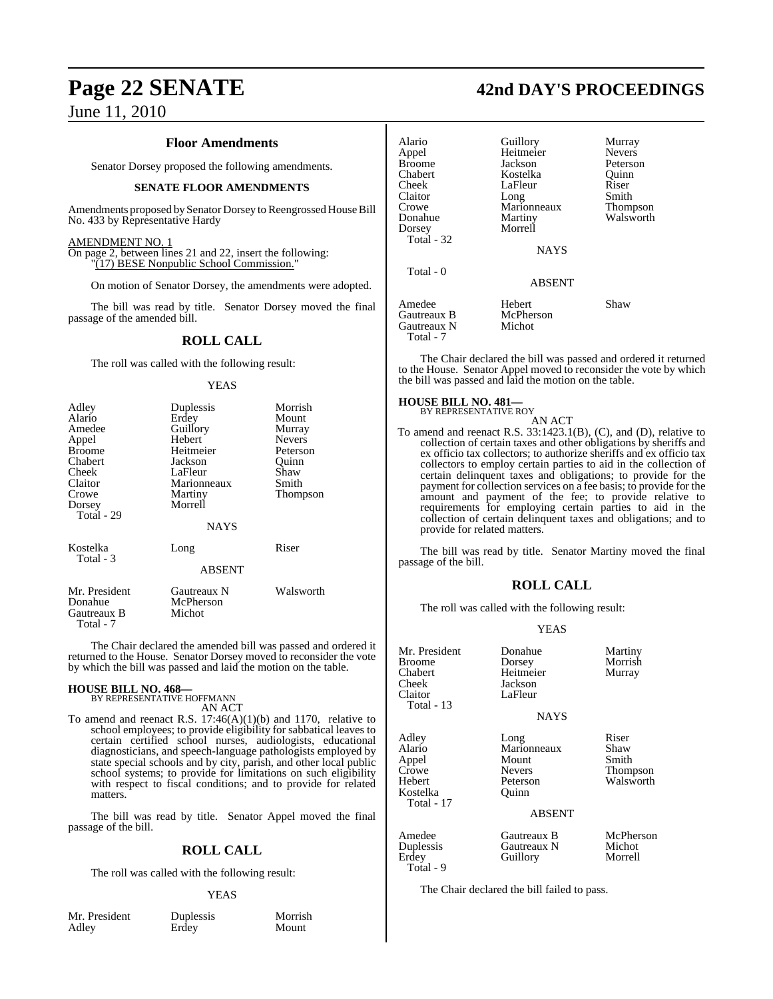#### **Floor Amendments**

Senator Dorsey proposed the following amendments.

#### **SENATE FLOOR AMENDMENTS**

Amendments proposed by Senator Dorsey to Reengrossed House Bill No. 433 by Representative Hardy

#### AMENDMENT NO. 1

On page 2, between lines 21 and 22, insert the following: "(17) BESE Nonpublic School Commission."

On motion of Senator Dorsey, the amendments were adopted.

The bill was read by title. Senator Dorsey moved the final passage of the amended bill.

#### **ROLL CALL**

The roll was called with the following result:

#### YEAS

| Adley<br>Alario<br>Amedee<br>Appel<br><b>Broome</b><br>Chabert<br>Cheek<br>Claitor<br>Crowe<br>Dorsey<br>Total - 29 | Duplessis<br>Erdey<br>Guillory<br>Hebert<br>Heitmeier<br>Jackson<br>LaFleur<br>Marionneaux<br>Martiny<br>Morrell<br><b>NAYS</b> | Morrish<br>Mount<br>Murray<br><b>Nevers</b><br>Peterson<br>Ouinn<br>Shaw<br>Smith<br>Thompson |
|---------------------------------------------------------------------------------------------------------------------|---------------------------------------------------------------------------------------------------------------------------------|-----------------------------------------------------------------------------------------------|
| Kostelka<br>Total - 3                                                                                               | Long<br><b>ABSENT</b>                                                                                                           | Riser                                                                                         |
| Mr. President<br>Donahue<br>Gautreaux B<br>Total - 7                                                                | Gautreaux N<br>McPherson<br>Michot                                                                                              | Walsworth                                                                                     |

The Chair declared the amended bill was passed and ordered it returned to the House. Senator Dorsey moved to reconsider the vote by which the bill was passed and laid the motion on the table.

#### **HOUSE BILL NO. 468—**

BY REPRESENTATIVE HOFFMANN AN ACT

To amend and reenact R.S. 17:46(A)(1)(b) and 1170, relative to school employees; to provide eligibility for sabbatical leaves to certain certified school nurses, audiologists, educational diagnosticians, and speech-language pathologists employed by state special schools and by city, parish, and other local public school systems; to provide for limitations on such eligibility with respect to fiscal conditions; and to provide for related matters.

The bill was read by title. Senator Appel moved the final passage of the bill.

#### **ROLL CALL**

The roll was called with the following result:

#### YEAS

Mr. President Duplessis Morrish<br>Adley Erdey Mount

**Erdey** 

## **Page 22 SENATE 42nd DAY'S PROCEEDINGS**

| Alario<br>Appel                                   | Guillory<br>Heitmeier             | Murray<br><b>Nevers</b> |
|---------------------------------------------------|-----------------------------------|-------------------------|
| <b>Broome</b><br>Chabert                          | Jackson<br>Kostelka               | Peterson<br>Ouinn       |
| Cheek<br>Claitor                                  | LaFleur<br>Long                   | Riser<br>Smith          |
| Crowe<br>Donahue                                  | Marionneaux<br>Martiny<br>Morrell | Thompson<br>Walsworth   |
| Dorsey<br>Total - 32                              | <b>NAYS</b>                       |                         |
| Total $-0$                                        | <b>ABSENT</b>                     |                         |
| Amedee<br>Gautreaux B<br>Gautreaux N<br>Total - 7 | Hebert<br>McPherson<br>Michot     | Shaw                    |

The Chair declared the bill was passed and ordered it returned to the House. Senator Appel moved to reconsider the vote by which the bill was passed and laid the motion on the table.

#### **HOUSE BILL NO. 481—** BY REPRESENTATIVE ROY

AN ACT To amend and reenact R.S. 33:1423.1(B), (C), and (D), relative to collection of certain taxes and other obligations by sheriffs and ex officio tax collectors; to authorize sheriffs and ex officio tax collectors to employ certain parties to aid in the collection of certain delinquent taxes and obligations; to provide for the payment for collection services on a fee basis; to provide for the amount and payment of the fee; to provide relative to requirements for employing certain parties to aid in the collection of certain delinquent taxes and obligations; and to provide for related matters.

The bill was read by title. Senator Martiny moved the final passage of the bill.

#### **ROLL CALL**

The roll was called with the following result:

#### YEAS

| Mr. President<br>Broome<br>Chabert<br>Cheek<br>Claitor<br>Total - 13  | Donahue<br>Dorsey<br>Heitmeier<br>Jackson<br>LaFleur<br><b>NAYS</b>                 | Martiny<br>Morrish<br>Murray                    |
|-----------------------------------------------------------------------|-------------------------------------------------------------------------------------|-------------------------------------------------|
| Adley<br>Alario<br>Appel<br>Crowe<br>Hebert<br>Kostelka<br>Total - 17 | Long<br>Marionneaux<br>Mount<br><b>Nevers</b><br>Peterson<br>Ouinn<br><b>ABSENT</b> | Riser<br>Shaw<br>Smith<br>Thompson<br>Walsworth |
| Amedee<br>Duplessis<br>Erdey<br>Total - 9                             | Gautreaux B<br>Gautreaux N<br>Guillory                                              | McPherson<br>Michot<br>Morrell                  |

The Chair declared the bill failed to pass.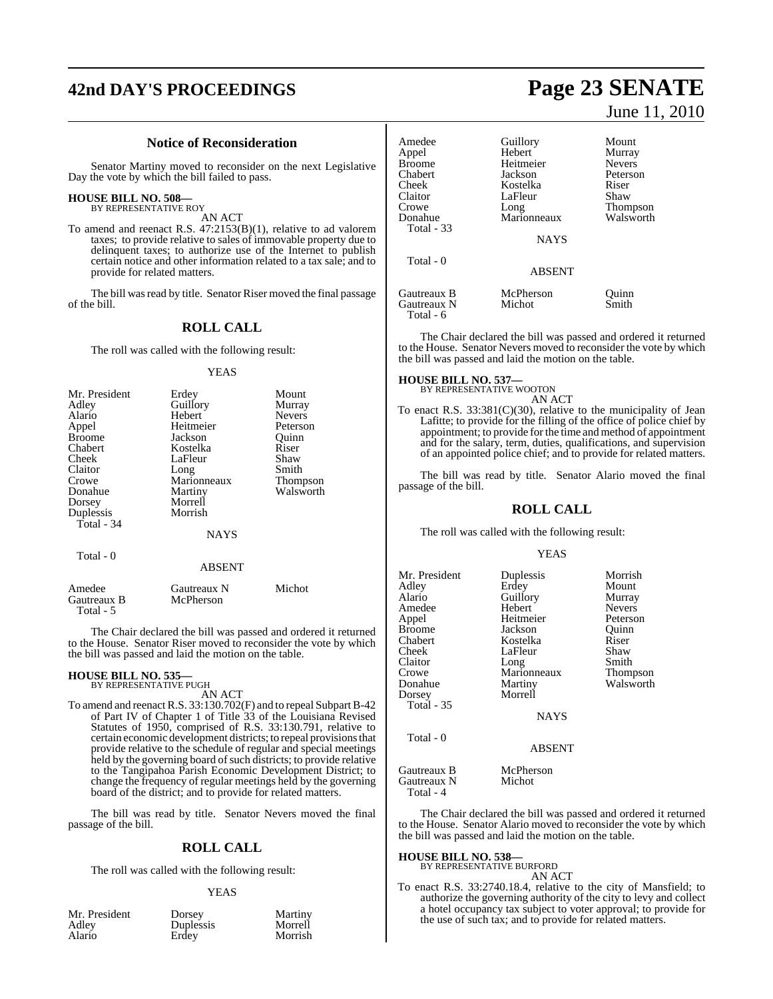# **42nd DAY'S PROCEEDINGS Page 23 SENATE**

#### **Notice of Reconsideration**

Senator Martiny moved to reconsider on the next Legislative Day the vote by which the bill failed to pass.

## **HOUSE BILL NO. 508—** BY REPRESENTATIVE ROY

AN ACT

To amend and reenact R.S. 47:2153(B)(1), relative to ad valorem taxes; to provide relative to sales of immovable property due to delinquent taxes; to authorize use of the Internet to publish certain notice and other information related to a tax sale; and to provide for related matters.

The bill was read by title. Senator Riser moved the final passage of the bill.

## **ROLL CALL**

The roll was called with the following result:

#### YEAS

| Mr. President | Erdey       | Mount           |
|---------------|-------------|-----------------|
| Adley         | Guillory    | Murray          |
| Alario        | Hebert      | <b>Nevers</b>   |
| Appel         | Heitmeier   | Peterson        |
| <b>Broome</b> | Jackson     | Ouinn           |
| Chabert       | Kostelka    | Riser           |
| Cheek         | LaFleur     | Shaw            |
| Claitor       | Long        | Smith           |
| Crowe         | Marionneaux | <b>Thompson</b> |
| Donahue       | Martiny     | Walsworth       |
| Dorsey        | Morrell     |                 |
| Duplessis     | Morrish     |                 |
| Total - 34    |             |                 |
|               | <b>NAYS</b> |                 |

Total - 0

#### ABSENT

| Amedee                   | Gautreaux N | Michot |  |
|--------------------------|-------------|--------|--|
| Gautreaux B<br>Total - 5 | McPherson   |        |  |

The Chair declared the bill was passed and ordered it returned to the House. Senator Riser moved to reconsider the vote by which the bill was passed and laid the motion on the table.

#### **HOUSE BILL NO. 535—** BY REPRESENTATIVE PUGH

AN ACT

To amend and reenact R.S. 33:130.702(F) and to repeal SubpartB-42 of Part IV of Chapter 1 of Title 33 of the Louisiana Revised Statutes of 1950, comprised of R.S. 33:130.791, relative to certain economic development districts; to repeal provisions that provide relative to the schedule of regular and special meetings held by the governing board of such districts; to provide relative to the Tangipahoa Parish Economic Development District; to change the frequency of regular meetings held by the governing board of the district; and to provide for related matters.

The bill was read by title. Senator Nevers moved the final passage of the bill.

#### **ROLL CALL**

The roll was called with the following result:

#### **YEAS**

Morrish

| Mr. President |  |
|---------------|--|
| Adley         |  |
| Alario        |  |

Dorsey Martiny<br>
Duplessis Morrell Duplessis<br>Erdey

June 11, 2010

| Amedee<br>Appel                         | Guillory<br>Hebert  | Mount<br>Murray |
|-----------------------------------------|---------------------|-----------------|
| Broome                                  | Heitmeier           | <b>Nevers</b>   |
| Chabert                                 | Jackson             | Peterson        |
| Cheek                                   | Kostelka            | Riser           |
| Claitor                                 | LaFleur             | Shaw            |
| Crowe                                   | Long                | Thompson        |
| Donahue<br>Total - 33                   | Marionneaux         | Walsworth       |
|                                         | <b>NAYS</b>         |                 |
| Total $-0$                              |                     |                 |
|                                         | <b>ABSENT</b>       |                 |
| Gautreaux B<br>Gautreaux N<br>Total - 6 | McPherson<br>Michot | Ouinn<br>Smith  |

The Chair declared the bill was passed and ordered it returned to the House. Senator Nevers moved to reconsider the vote by which the bill was passed and laid the motion on the table.

**HOUSE BILL NO. 537—** BY REPRESENTATIVE WOOTON

AN ACT

To enact R.S. 33:381(C)(30), relative to the municipality of Jean Lafitte; to provide for the filling of the office of police chief by appointment; to provide forthe time and method of appointment and for the salary, term, duties, qualifications, and supervision of an appointed police chief; and to provide for related matters.

The bill was read by title. Senator Alario moved the final passage of the bill.

#### **ROLL CALL**

The roll was called with the following result:

#### YEAS

| Mr. President<br>Adlev<br>Alario<br>Amedee<br>Appel<br>Broome<br>Chabert<br>Cheek<br>Claitor<br>Crowe<br>Donahue<br>Dorsey<br>Total $-35$<br>Total $-0$ | Duplessis<br>Erdey<br>Guillory<br>Hebert<br>Heitmeier<br>Jackson<br>Kostelka<br>LaFleur<br>Long<br>Marionneaux<br>Martiny<br>Morrell<br><b>NAYS</b> | Morrish<br>Mount<br>Murray<br><b>Nevers</b><br>Peterson<br>Ouinn<br>Riser<br>Shaw<br>Smith<br>Thompson<br>Walsworth |
|---------------------------------------------------------------------------------------------------------------------------------------------------------|-----------------------------------------------------------------------------------------------------------------------------------------------------|---------------------------------------------------------------------------------------------------------------------|
|                                                                                                                                                         | <b>ABSENT</b>                                                                                                                                       |                                                                                                                     |
| Gautreaux B<br>Gautreaux N                                                                                                                              | McPherson<br>Michot                                                                                                                                 |                                                                                                                     |

Total - 4

The Chair declared the bill was passed and ordered it returned to the House. Senator Alario moved to reconsider the vote by which the bill was passed and laid the motion on the table.

## **HOUSE BILL NO. 538—** BY REPRESENTATIVE BURFORD

AN ACT

To enact R.S. 33:2740.18.4, relative to the city of Mansfield; to authorize the governing authority of the city to levy and collect a hotel occupancy tax subject to voter approval; to provide for the use of such tax; and to provide for related matters.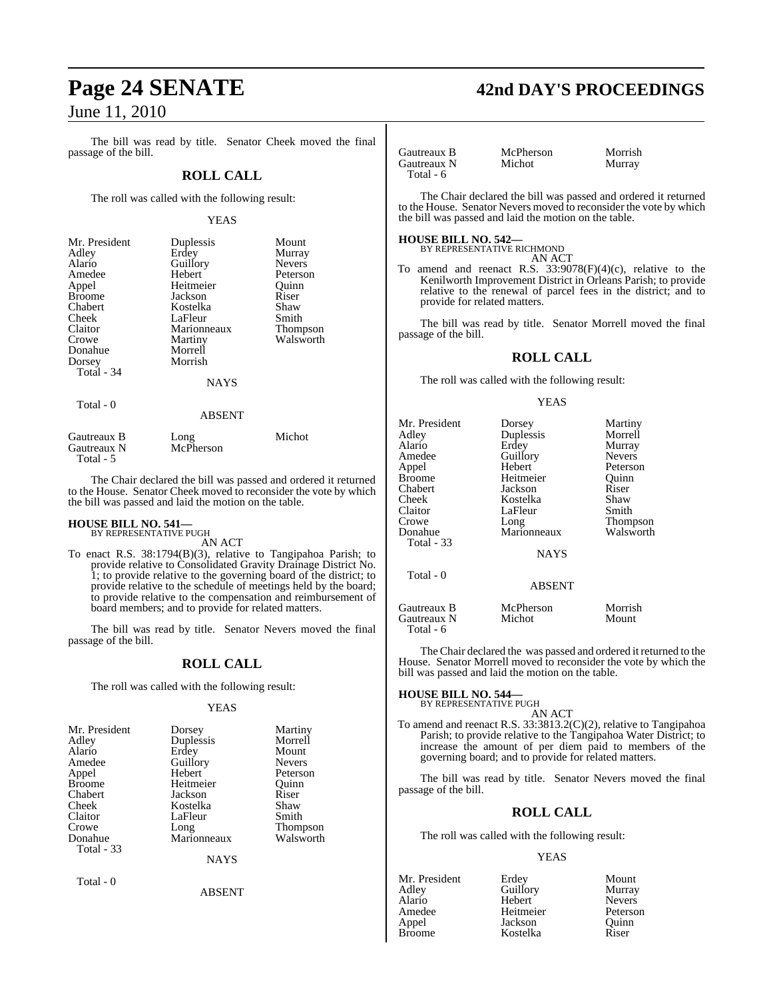The bill was read by title. Senator Cheek moved the final passage of the bill.

#### **ROLL CALL**

The roll was called with the following result:

#### YEAS

| Mr. President | Duplessis     | Mount         |
|---------------|---------------|---------------|
| Adley         | Erdey         | Murray        |
| Alario        | Guillory      | <b>Nevers</b> |
| Amedee        | Hebert        | Peterson      |
| Appel         | Heitmeier     | Ouinn         |
| <b>Broome</b> | Jackson       | Riser         |
| Chabert       | Kostelka      | Shaw          |
| Cheek         | LaFleur       | Smith         |
| Claitor       | Marionneaux   | Thompson      |
| Crowe         | Martiny       | Walsworth     |
| Donahue       | Morrell       |               |
| Dorsey        | Morrish       |               |
| Total $-34$   |               |               |
|               | <b>NAYS</b>   |               |
| Total - 0     |               |               |
|               | <b>ABSENT</b> |               |

| Gautreaux B | Long      | Michot |
|-------------|-----------|--------|
| Gautreaux N | McPherson |        |
| Total - 5   |           |        |

The Chair declared the bill was passed and ordered it returned to the House. Senator Cheek moved to reconsider the vote by which the bill was passed and laid the motion on the table.

#### **HOUSE BILL NO. 541—** BY REPRESENTATIVE PUGH

AN ACT

To enact R.S. 38:1794(B)(3), relative to Tangipahoa Parish; to provide relative to Consolidated Gravity Drainage District No. 1; to provide relative to the governing board of the district; to provide relative to the schedule of meetings held by the board; to provide relative to the compensation and reimbursement of board members; and to provide for related matters.

The bill was read by title. Senator Nevers moved the final passage of the bill.

#### **ROLL CALL**

The roll was called with the following result:

#### YEAS

| Mr. President | Dorsey      | Martiny         |
|---------------|-------------|-----------------|
| Adley         | Duplessis   | Morrell         |
| Alario        | Erdey       | Mount           |
| Amedee        | Guillory    | <b>Nevers</b>   |
| Appel         | Hebert      | Peterson        |
| <b>Broome</b> | Heitmeier   | Ouinn           |
| Chabert       | Jackson     | Riser           |
| Cheek         | Kostelka    | Shaw            |
| Claitor       | LaFleur     | Smith           |
| Crowe         | Long        | <b>Thompson</b> |
| Donahue       | Marionneaux | Walsworth       |
| Total - 33    |             |                 |
|               | <b>NAYS</b> |                 |

ABSENT

Total - 0

# **Page 24 SENATE 42nd DAY'S PROCEEDINGS**

Gautreaux B McPherson Morrish<br>
Gautreaux N Michot Murray Gautreaux N Total - 6

The Chair declared the bill was passed and ordered it returned to the House. Senator Nevers moved to reconsider the vote by which the bill was passed and laid the motion on the table.

#### **HOUSE BILL NO. 542—**

BY REPRESENTATIVE RICHMOND AN ACT

To amend and reenact R.S.  $33:9078(F)(4)(c)$ , relative to the Kenilworth Improvement District in Orleans Parish; to provide relative to the renewal of parcel fees in the district; and to provide for related matters.

The bill was read by title. Senator Morrell moved the final passage of the bill.

### **ROLL CALL**

The roll was called with the following result:

#### YEAS

| Mr. President<br>Adley<br>Alario<br>Amedee<br>Appel<br>Broome<br>Chabert<br>Cheek<br>Claitor<br>Crowe<br>Donahue<br>Total - 33 | Dorsey<br>Duplessis<br>Erdey<br>Guillory<br>Hebert<br>Heitmeier<br>Jackson<br>Kostelka<br>LaFleur<br>Long<br>Marionneaux<br><b>NAYS</b> | Martiny<br>Morrell<br>Murray<br><b>Nevers</b><br>Peterson<br>Ouinn<br>Riser<br>Shaw<br>Smith<br>Thompson<br>Walsworth |
|--------------------------------------------------------------------------------------------------------------------------------|-----------------------------------------------------------------------------------------------------------------------------------------|-----------------------------------------------------------------------------------------------------------------------|
| Total - 0                                                                                                                      | <b>ABSENT</b>                                                                                                                           |                                                                                                                       |
| Gautreaux B<br>Gautreaux N<br>Total - 6                                                                                        | McPherson<br>Michot                                                                                                                     | Morrish<br>Mount                                                                                                      |

The Chair declared the was passed and ordered it returned to the House. Senator Morrell moved to reconsider the vote by which the bill was passed and laid the motion on the table.

#### **HOUSE BILL NO. 544—**

BY REPRESENTATIVE PUGH

AN ACT To amend and reenact R.S. 33:3813.2(C)(2), relative to Tangipahoa Parish; to provide relative to the Tangipahoa Water District; to increase the amount of per diem paid to members of the governing board; and to provide for related matters.

The bill was read by title. Senator Nevers moved the final passage of the bill.

#### **ROLL CALL**

The roll was called with the following result:

#### YEAS

Adley Guillory Murray<br>Alario Hebert Nevers Alario Hebert Nevers Amedee Heitmeier Peterson<br>Appel Jackson Quinn Appel Jackson Quinn

Mr. President Erdey Mount Kostelka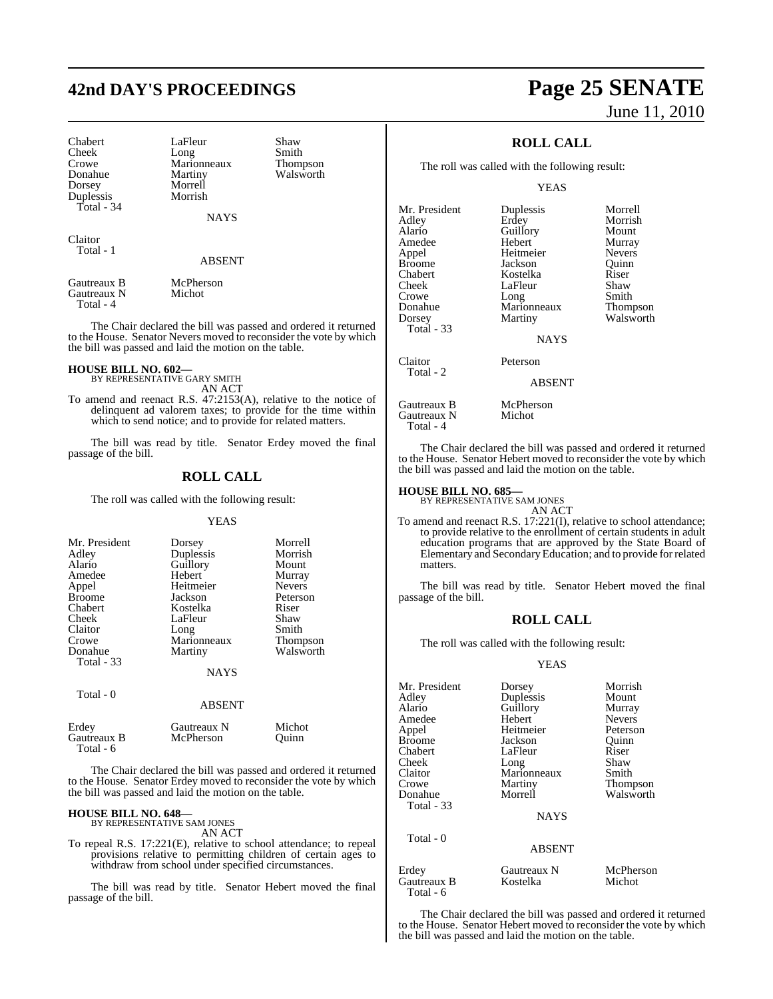# **42nd DAY'S PROCEEDINGS Page 25 SENATE**

Crowe Marionneaux<br>Donahue Martiny Dorsey Morrell Duplessis Total - 34

Chabert LaFleur Shaw<br>Cheek Long Smith Cheek Long Smith<br>Crowe Marionneaux Thompson Martiny Walsworth

**NAVS** 

Claitor Total - 1

#### ABSENT

Gautreaux B McPherson<br>Gautreaux N Michot Gautreaux N Total - 4

The Chair declared the bill was passed and ordered it returned to the House. Senator Nevers moved to reconsider the vote by which the bill was passed and laid the motion on the table.

## **HOUSE BILL NO. 602—**

BY REPRESENTATIVE GARY SMITH AN ACT

To amend and reenact R.S. 47:2153(A), relative to the notice of delinquent ad valorem taxes; to provide for the time within which to send notice; and to provide for related matters.

The bill was read by title. Senator Erdey moved the final passage of the bill.

#### **ROLL CALL**

The roll was called with the following result:

#### YEAS

| Mr. President<br>Adley<br>Alario<br>Amedee<br>Appel<br><b>Broome</b><br>Chabert<br>Cheek<br>Claitor<br>Crowe<br>Donahue | Dorsey<br>Duplessis<br>Guillory<br>Hebert<br>Heitmeier<br>Jackson<br>Kostelka<br>LaFleur<br>Long<br>Marionneaux<br>Martiny | Morrell<br>Morrish<br>Mount<br>Murray<br><b>Nevers</b><br>Peterson<br>Riser<br>Shaw<br>Smith<br><b>Thompson</b><br>Walsworth |
|-------------------------------------------------------------------------------------------------------------------------|----------------------------------------------------------------------------------------------------------------------------|------------------------------------------------------------------------------------------------------------------------------|
| <b>Total - 33</b>                                                                                                       | <b>NAYS</b>                                                                                                                |                                                                                                                              |
| Total - 0                                                                                                               | <b>ABSENT</b>                                                                                                              |                                                                                                                              |
| Erdey                                                                                                                   | Gautreaux N                                                                                                                | Michot                                                                                                                       |

The Chair declared the bill was passed and ordered it returned to the House. Senator Erdey moved to reconsider the vote by which the bill was passed and laid the motion on the table.

#### **HOUSE BILL NO. 648—**

Total - 6

BY REPRESENTATIVE SAM JONES

Gautreaux B McPherson Quinn

AN ACT

To repeal R.S. 17:221(E), relative to school attendance; to repeal provisions relative to permitting children of certain ages to withdraw from school under specified circumstances.

The bill was read by title. Senator Hebert moved the final passage of the bill.

# June 11, 2010

## **ROLL CALL**

The roll was called with the following result:

**YEAS** 

| Duplessis     | Morrell       |
|---------------|---------------|
| Erdey         | Morrish       |
| Guillory      | Mount         |
| Hebert        | Murray        |
| Heitmeier     | <b>Nevers</b> |
| Jackson       | Ouinn         |
| Kostelka      | Riser         |
| LaFleur       | Shaw          |
|               | Smith         |
| Marionneaux   | Thompson      |
| Martiny       | Walsworth     |
|               |               |
| NAYS          |               |
| Peterson      |               |
| <b>ABSENT</b> |               |
| McPherson     |               |
| Michot        |               |
|               | Long          |

The Chair declared the bill was passed and ordered it returned to the House. Senator Hebert moved to reconsider the vote by which the bill was passed and laid the motion on the table.

## **HOUSE BILL NO. 685—** BY REPRESENTATIVE SAM JONES

Total - 4

AN ACT To amend and reenact R.S. 17:221(I), relative to school attendance; to provide relative to the enrollment of certain students in adult education programs that are approved by the State Board of Elementary and SecondaryEducation; and to provide forrelated matters.

The bill was read by title. Senator Hebert moved the final passage of the bill.

#### **ROLL CALL**

The roll was called with the following result:

#### YEAS

| Mr. President | Dorsey        | Morrish       |
|---------------|---------------|---------------|
| Adley         | Duplessis     | Mount         |
| Alario        | Guillory      | Murray        |
| Amedee        | Hebert        | <b>Nevers</b> |
| Appel         | Heitmeier     | Peterson      |
| Broome        | Jackson       | Ouinn         |
| Chabert       | LaFleur       | Riser         |
| Cheek         | Long          | Shaw          |
| Claitor       | Marionneaux   | Smith         |
| Crowe         | Martiny       | Thompson      |
| Donahue       | Morrell       | Walsworth     |
| Total - 33    | <b>NAYS</b>   |               |
| Total - 0     | <b>ABSENT</b> |               |
| Erdey         | Gautreaux N   | McPherson     |

Total - 6

Gautreaux B Kostelka Michot

The Chair declared the bill was passed and ordered it returned to the House. Senator Hebert moved to reconsider the vote by which the bill was passed and laid the motion on the table.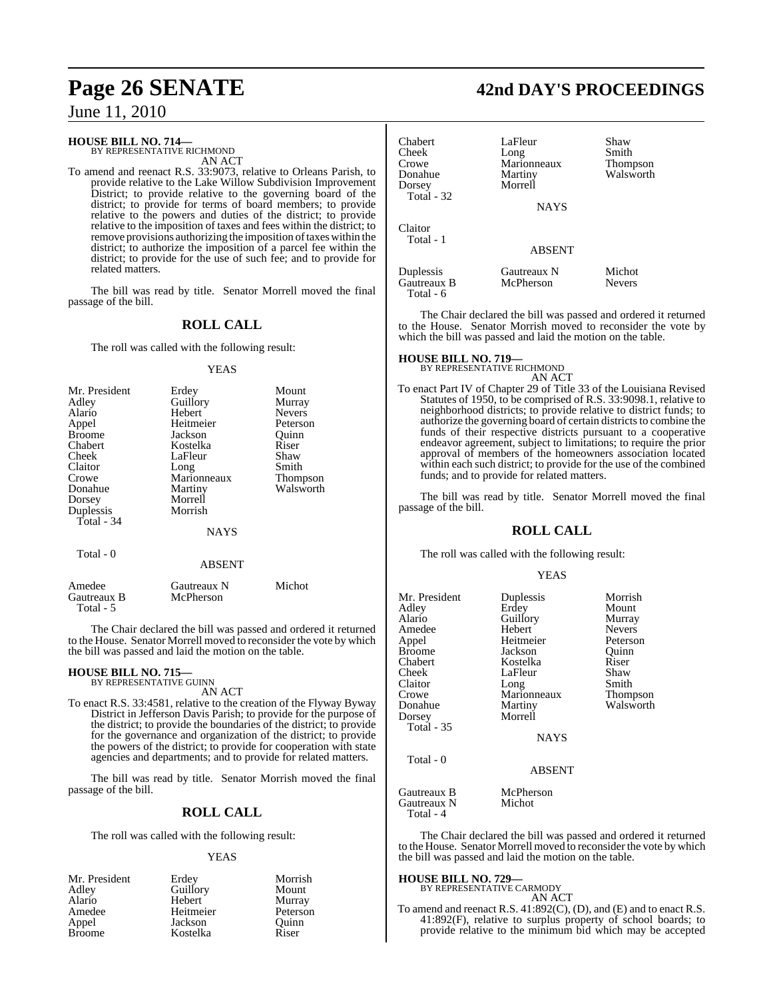#### **HOUSE BILL NO. 714—**

BY REPRESENTATIVE RICHMOND AN ACT

To amend and reenact R.S. 33:9073, relative to Orleans Parish, to provide relative to the Lake Willow Subdivision Improvement District; to provide relative to the governing board of the district; to provide for terms of board members; to provide relative to the powers and duties of the district; to provide relative to the imposition of taxes and fees within the district; to remove provisions authorizing the imposition of taxes within the district; to authorize the imposition of a parcel fee within the district; to provide for the use of such fee; and to provide for related matters.

The bill was read by title. Senator Morrell moved the final passage of the bill.

### **ROLL CALL**

The roll was called with the following result:

#### YEAS

| Mr. President | Erdey       | Mount           |
|---------------|-------------|-----------------|
| Adley         | Guillory    | Murray          |
| Alario        | Hebert      | <b>Nevers</b>   |
| Appel         | Heitmeier   | Peterson        |
| <b>Broome</b> | Jackson     | Ouinn           |
| Chabert       | Kostelka    | Riser           |
| Cheek         | LaFleur     | Shaw            |
| Claitor       | Long        | Smith           |
| Crowe         | Marionneaux | <b>Thompson</b> |
| Donahue       | Martiny     | Walsworth       |
| Dorsey        | Morrell     |                 |
| Duplessis     | Morrish     |                 |
| Total - 34    |             |                 |
|               | <b>NAYS</b> |                 |
| Total - 0     |             |                 |

#### ABSENT

| Amedee                   | Gautreaux N | Michot |
|--------------------------|-------------|--------|
| Gautreaux B<br>Total - 5 | McPherson   |        |

The Chair declared the bill was passed and ordered it returned to the House. Senator Morrell moved to reconsider the vote by which the bill was passed and laid the motion on the table.

## **HOUSE BILL NO. 715—** BY REPRESENTATIVE GUINN

AN ACT To enact R.S. 33:4581, relative to the creation of the Flyway Byway District in Jefferson Davis Parish; to provide for the purpose of the district; to provide the boundaries of the district; to provide for the governance and organization of the district; to provide the powers of the district; to provide for cooperation with state agencies and departments; and to provide for related matters.

The bill was read by title. Senator Morrish moved the final passage of the bill.

#### **ROLL CALL**

The roll was called with the following result:

#### YEAS

| Mr. President | Erdey     | Morrish  |
|---------------|-----------|----------|
| Adley         | Guillory  | Mount    |
| Alario        | Hebert    | Murray   |
| Amedee        | Heitmeier | Peterson |
| Appel         | Jackson   | Ouinn    |
| <b>Broome</b> | Kostelka  | Riser    |

## **Page 26 SENATE 42nd DAY'S PROCEEDINGS**

| Chabert<br>Cheek<br>Crowe<br>Donahue<br>Dorsey<br>Total - 32 | LaFleur<br>Long<br>Marionneaux<br>Martiny<br>Morrell<br><b>NAYS</b> | Shaw<br>Smith<br>Thompson<br>Walsworth |
|--------------------------------------------------------------|---------------------------------------------------------------------|----------------------------------------|
| Claitor<br>Total - 1                                         | <b>ABSENT</b>                                                       |                                        |
| Duplessis<br>Gautreaux B<br>Total - 6                        | Gautreaux N<br>McPherson                                            | Michot<br><b>Nevers</b>                |

The Chair declared the bill was passed and ordered it returned to the House. Senator Morrish moved to reconsider the vote by which the bill was passed and laid the motion on the table.

## **HOUSE BILL NO. 719—** BY REPRESENTATIVE RICHMOND

AN ACT

To enact Part IV of Chapter 29 of Title 33 of the Louisiana Revised Statutes of 1950, to be comprised of R.S. 33:9098.1, relative to neighborhood districts; to provide relative to district funds; to authorize the governing board of certain districts to combine the funds of their respective districts pursuant to a cooperative endeavor agreement, subject to limitations; to require the prior approval of members of the homeowners association located within each such district; to provide for the use of the combined funds; and to provide for related matters.

The bill was read by title. Senator Morrell moved the final passage of the bill.

#### **ROLL CALL**

The roll was called with the following result:

#### YEAS

| Mr. President     | Duplessis     | Morrish       |
|-------------------|---------------|---------------|
| Adley             | Erdey         | Mount         |
| Alario            | Guillory      | Murray        |
| Amedee            | Hebert        | <b>Nevers</b> |
| Appel             | Heitmeier     | Peterson      |
| <b>Broome</b>     | Jackson       | Quinn         |
| Chabert           | Kostelka      | Riser         |
| Cheek             | LaFleur       | Shaw          |
| Claitor           | Long          | Smith         |
| Crowe             | Marionneaux   | Thompson      |
| Donahue           | Martiny       | Walsworth     |
| Dorsey            | Morrell       |               |
| <b>Total - 35</b> |               |               |
|                   | <b>NAYS</b>   |               |
| Total - 0         |               |               |
|                   | <b>ABSENT</b> |               |
| Gautreaux B       | McPherson     |               |
| Gautreaux N       | Michot        |               |

The Chair declared the bill was passed and ordered it returned to the House. Senator Morrell moved to reconsider the vote by which the bill was passed and laid the motion on the table.

#### **HOUSE BILL NO. 729—**

Total - 4

BY REPRESENTATIVE CARMODY AN ACT

To amend and reenact R.S. 41:892(C), (D), and (E) and to enact R.S. 41:892(F), relative to surplus property of school boards; to provide relative to the minimum bid which may be accepted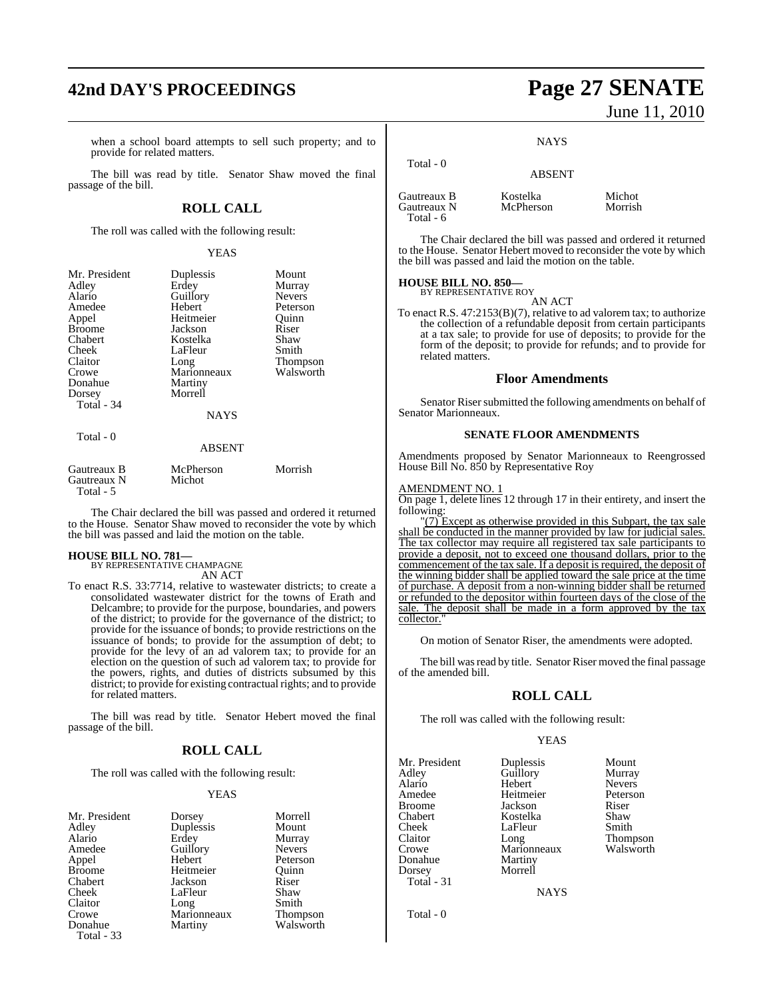## **42nd DAY'S PROCEEDINGS Page 27 SENATE**

when a school board attempts to sell such property; and to provide for related matters.

The bill was read by title. Senator Shaw moved the final passage of the bill.

#### **ROLL CALL**

The roll was called with the following result:

#### YEAS

| Mr. President                           | Duplessis<br>Erdey  | Mount                   |
|-----------------------------------------|---------------------|-------------------------|
| Adley<br>Alario                         | Guillory            | Murray<br><b>Nevers</b> |
|                                         | Hebert              |                         |
| Amedee                                  |                     | Peterson                |
| Appel                                   | Heitmeier           | Quinn                   |
| <b>Broome</b>                           | Jackson             | Riser                   |
| Chabert                                 | Kostelka            | Shaw                    |
| Cheek                                   | LaFleur             | Smith                   |
| Claitor                                 | Long                | Thompson                |
| Crowe                                   | Marionneaux         | Walsworth               |
| Donahue                                 | Martiny             |                         |
| Dorsey                                  | Morrell             |                         |
| Total $-34$                             |                     |                         |
|                                         | <b>NAYS</b>         |                         |
| Total $-0$                              |                     |                         |
|                                         | <b>ABSENT</b>       |                         |
| Gautreaux B<br>Gautreaux N<br>Total - 5 | McPherson<br>Michot | Morrish                 |

The Chair declared the bill was passed and ordered it returned to the House. Senator Shaw moved to reconsider the vote by which the bill was passed and laid the motion on the table.

#### **HOUSE BILL NO. 781—**

BY REPRESENTATIVE CHAMPAGNE AN ACT

To enact R.S. 33:7714, relative to wastewater districts; to create a consolidated wastewater district for the towns of Erath and Delcambre; to provide for the purpose, boundaries, and powers of the district; to provide for the governance of the district; to provide for the issuance of bonds; to provide restrictions on the issuance of bonds; to provide for the assumption of debt; to provide for the levy of an ad valorem tax; to provide for an election on the question of such ad valorem tax; to provide for the powers, rights, and duties of districts subsumed by this district; to provide for existing contractual rights; and to provide for related matters.

The bill was read by title. Senator Hebert moved the final passage of the bill.

## **ROLL CALL**

The roll was called with the following result:

#### YEAS

| Mr. Presiden      |
|-------------------|
| Adley             |
| Alario            |
| Amedee            |
| Appel             |
| <b>Broome</b>     |
| Chabert           |
| Cheek             |
| Claitor           |
| Crowe             |
| Donahue           |
| <b>Total - 33</b> |
|                   |

Duplessis<br>Erdey Guillory<br>Hebert Heitmeier Quinn<br>Jackson Riser Jackson Riser<br>LaFleur Shaw LaFleur Shaw<br>Long Smith Marionneaux Martiny Walsworth

nt Dorsey Morrell<br>
Duplessis Mount Murray<br>Nevers Peterson Long Smith<br>Marionneaux Thompson

# June 11, 2010

**NAYS** 

| Total $-0$                                | <b>ABSENT</b>         |                   |
|-------------------------------------------|-----------------------|-------------------|
| Gautreaux B<br>Gautreaux N<br>Total - $6$ | Kostelka<br>McPherson | Michot<br>Morrish |

The Chair declared the bill was passed and ordered it returned to the House. Senator Hebert moved to reconsider the vote by which the bill was passed and laid the motion on the table.

#### **HOUSE BILL NO. 850—** BY REPRESENTATIVE ROY

AN ACT

To enact R.S. 47:2153(B)(7), relative to ad valorem tax; to authorize the collection of a refundable deposit from certain participants at a tax sale; to provide for use of deposits; to provide for the form of the deposit; to provide for refunds; and to provide for related matters.

#### **Floor Amendments**

Senator Riser submitted the following amendments on behalf of Senator Marionneaux.

#### **SENATE FLOOR AMENDMENTS**

Amendments proposed by Senator Marionneaux to Reengrossed House Bill No. 850 by Representative Roy

#### AMENDMENT NO. 1

On page 1, delete lines 12 through 17 in their entirety, and insert the following:

"(7) Except as otherwise provided in this Subpart, the tax sale shall be conducted in the manner provided by law for judicial sales. The tax collector may require all registered tax sale participants to provide a deposit, not to exceed one thousand dollars, prior to the commencement of the tax sale. If a deposit is required, the deposit of the winning bidder shall be applied toward the sale price at the time of purchase. A deposit from a non-winning bidder shall be returned or refunded to the depositor within fourteen days of the close of the sale. The deposit shall be made in a form approved by the tax collector."

On motion of Senator Riser, the amendments were adopted.

The bill was read by title. Senator Riser moved the final passage of the amended bill.

### **ROLL CALL**

The roll was called with the following result:

#### YEAS

| Mr. President | Duplessis   | Mount           |
|---------------|-------------|-----------------|
| Adley         | Guillory    | Murray          |
| Alario        | Hebert      | <b>Nevers</b>   |
| Amedee        | Heitmeier   | Peterson        |
| <b>Broome</b> | Jackson     | Riser           |
| Chabert       | Kostelka    | Shaw            |
| Cheek         | LaFleur     | Smith           |
| Claitor       | Long        | <b>Thompson</b> |
| Crowe         | Marionneaux | Walsworth       |
| Donahue       | Martiny     |                 |
| Dorsey        | Morrell     |                 |
| Total - 31    |             |                 |
|               | <b>NAYS</b> |                 |
|               |             |                 |

Total - 0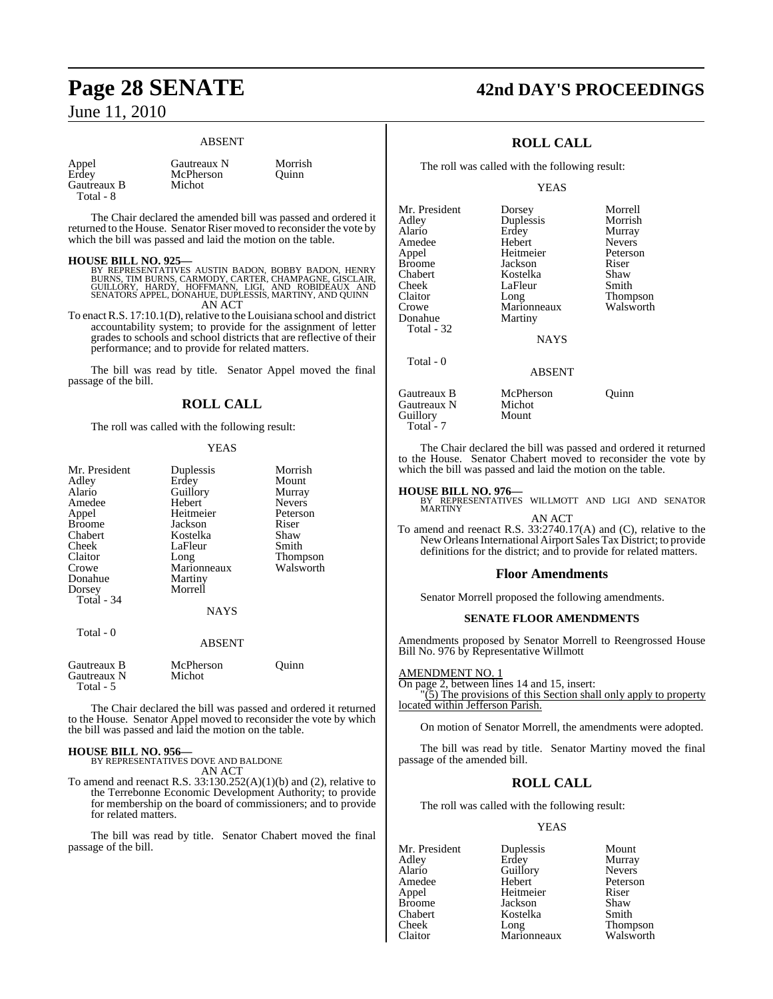#### ABSENT

| Appel       |  |
|-------------|--|
| Erdey       |  |
| Gautreaux B |  |
| Total - 8   |  |

Gautreaux N Morrish McPherson Quinn Michot

The Chair declared the amended bill was passed and ordered it returned to the House. Senator Riser moved to reconsider the vote by which the bill was passed and laid the motion on the table.

**HOUSE BILL NO. 925—**<br>BY REPRESENTATIVES AUSTIN BADON, BOBBY BADON, HENRY<br>BURNS, TIM BURNS, CARMODY, CARTER, CHAMPAGNE, GISCLAIR,<br>GUILLORY, HARDY, HOFFMANN, LIGI, AND ROBIDEAUX AND<br>SENATORS APPEL, DONAHUE, DUPLESSIS, MARTI AN ACT

To enact R.S. 17:10.1(D), relative to the Louisiana school and district accountability system; to provide for the assignment of letter grades to schools and school districts that are reflective of their performance; and to provide for related matters.

The bill was read by title. Senator Appel moved the final passage of the bill.

#### **ROLL CALL**

The roll was called with the following result:

#### YEAS

| Mr. President              | Duplessis           | Morrish       |
|----------------------------|---------------------|---------------|
| Adley                      | Erdey               | Mount         |
| Alario                     | Guillory            | Murray        |
|                            |                     |               |
| Amedee                     | Hebert              | <b>Nevers</b> |
| Appel                      | Heitmeier           | Peterson      |
| <b>Broome</b>              | Jackson             | Riser         |
| Chabert                    | Kostelka            | Shaw          |
| Cheek                      | LaFleur             | Smith         |
| Claitor                    | Long                | Thompson      |
| Crowe                      | Marionneaux         | Walsworth     |
| Donahue                    | Martiny             |               |
| Dorsey                     | Morrell             |               |
| Total - 34                 |                     |               |
|                            | <b>NAYS</b>         |               |
| Total - 0                  |                     |               |
|                            | ABSENT              |               |
| Gautreaux B<br>Gautreaux N | McPherson<br>Michot | Ouinn         |
| Total - 5                  |                     |               |

The Chair declared the bill was passed and ordered it returned to the House. Senator Appel moved to reconsider the vote by which the bill was passed and laid the motion on the table.

**HOUSE BILL NO. 956—** BY REPRESENTATIVES DOVE AND BALDONE AN ACT

To amend and reenact R.S.  $33:130.252(A)(1)(b)$  and (2), relative to the Terrebonne Economic Development Authority; to provide for membership on the board of commissioners; and to provide for related matters.

The bill was read by title. Senator Chabert moved the final passage of the bill.

## **Page 28 SENATE 42nd DAY'S PROCEEDINGS**

## **ROLL CALL**

The roll was called with the following result:

**YEAS** 

| Mr. President | Dorsey        | Morrell       |
|---------------|---------------|---------------|
| Adley         | Duplessis     | Morrish       |
| Alario        | Erdey         | Murray        |
| Amedee        | Hebert        | <b>Nevers</b> |
| Appel         | Heitmeier     | Peterson      |
| <b>Broome</b> | Jackson       | Riser         |
| Chabert       | Kostelka      | Shaw          |
| Cheek         | LaFleur       | Smith         |
| Claitor       | Long          | Thompson      |
| Crowe         | Marionneaux   | Walsworth     |
| Donahue       | Martiny       |               |
| Total - 32    |               |               |
|               | <b>NAYS</b>   |               |
| Total - 0     |               |               |
|               | <b>ABSENT</b> |               |
| Gautreaux B   | McPherson     | Ouinn         |
| Gautreaux N   | Michot        |               |

The Chair declared the bill was passed and ordered it returned to the House. Senator Chabert moved to reconsider the vote by which the bill was passed and laid the motion on the table.

#### **HOUSE BILL NO. 976—**

Guillory Mount

Total<sup>-</sup>7

BY REPRESENTATIVES WILLMOTT AND LIGI AND SENATOR MARTINY AN ACT

To amend and reenact R.S. 33:2740.17(A) and (C), relative to the New Orleans International Airport Sales Tax District; to provide definitions for the district; and to provide for related matters.

#### **Floor Amendments**

Senator Morrell proposed the following amendments.

#### **SENATE FLOOR AMENDMENTS**

Amendments proposed by Senator Morrell to Reengrossed House Bill No. 976 by Representative Willmott

AMENDMENT NO. 1

On page 2, between lines 14 and 15, insert:  $\sqrt{(5)}$  The provisions of this Section shall only apply to property located within Jefferson Parish.

On motion of Senator Morrell, the amendments were adopted.

The bill was read by title. Senator Martiny moved the final passage of the amended bill.

#### **ROLL CALL**

The roll was called with the following result:

#### YEAS

Mr. President Duplessis Mount<br>Adley Erdey Murray Alario Guillory Nevers<br>Amedee Hebert Petersc Amedee Hebert Peterson<br>Appel Heitmeier Riser Heitmeier Broome **Jackson** Shaw<br>Chabert **Broome** Chabert **Shaw** Chabert Kostelka<br>Cheek Long Cheek Long Thompson<br>Claitor Marionneaux Walsworth Marionneaux

Murray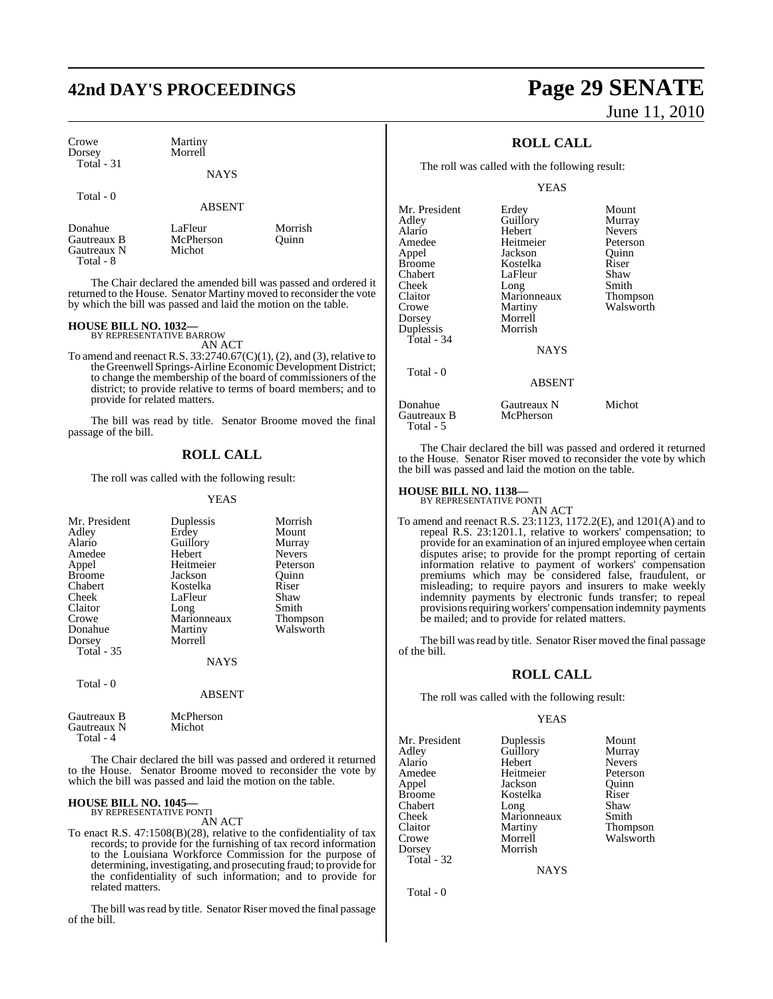## **42nd DAY'S PROCEEDINGS Page 29 SENATE**

| Crowe       | Martiny |
|-------------|---------|
| Dorsey      | Morrell |
| Total $-31$ |         |
|             |         |

ABSENT

**NAYS** 

| Donahue<br>Gautreaux B<br>Gautreaux N<br>Total - 8 | LaFleur<br>McPherson<br>Michot | Morrish<br>Ouinn |
|----------------------------------------------------|--------------------------------|------------------|
|----------------------------------------------------|--------------------------------|------------------|

The Chair declared the amended bill was passed and ordered it returned to the House. Senator Martiny moved to reconsider the vote by which the bill was passed and laid the motion on the table.

## **HOUSE BILL NO. 1032—** BY REPRESENTATIVE BARROW

AN ACT

To amend and reenact R.S.  $33:2740.67(C)(1)$ , (2), and (3), relative to theGreenwell Springs-Airline Economic Development District; to change the membership of the board of commissioners of the district; to provide relative to terms of board members; and to provide for related matters.

The bill was read by title. Senator Broome moved the final passage of the bill.

#### **ROLL CALL**

The roll was called with the following result:

YEAS

| Mr. President<br>Adley<br>Alario<br>Amedee<br>Appel<br><b>Broome</b><br>Chabert<br>Cheek<br>Claitor<br>Crowe<br>Donahue<br>Dorsey<br><b>Total - 35</b> | Duplessis<br>Erdey<br>Guillory<br>Hebert<br>Heitmeier<br>Jackson<br>Kostelka<br>LaFleur<br>Long<br>Marionneaux<br>Martiny<br>Morrell<br><b>NAYS</b> | Morrish<br>Mount<br>Murray<br><b>Nevers</b><br>Peterson<br>Ouinn<br>Riser<br>Shaw<br>Smith<br><b>Thompson</b><br>Walsworth |
|--------------------------------------------------------------------------------------------------------------------------------------------------------|-----------------------------------------------------------------------------------------------------------------------------------------------------|----------------------------------------------------------------------------------------------------------------------------|
|                                                                                                                                                        |                                                                                                                                                     |                                                                                                                            |
| Total - 0                                                                                                                                              | <b>ABSENT</b>                                                                                                                                       |                                                                                                                            |

| Gautreaux B | McPherson |
|-------------|-----------|
| Gautreaux N | Michot    |
| Total - 4   |           |

The Chair declared the bill was passed and ordered it returned to the House. Senator Broome moved to reconsider the vote by which the bill was passed and laid the motion on the table.

#### **HOUSE BILL NO. 1045—** BY REPRESENTATIVE PONTI

AN ACT

To enact R.S. 47:1508(B)(28), relative to the confidentiality of tax records; to provide for the furnishing of tax record information to the Louisiana Workforce Commission for the purpose of determining, investigating, and prosecuting fraud; to provide for the confidentiality of such information; and to provide for related matters.

The bill was read by title. Senator Riser moved the final passage of the bill.

# June 11, 2010

## **ROLL CALL**

The roll was called with the following result:

**YEAS** 

| Mr. President<br>Adley<br>Alario<br>Amedee<br>Appel<br>Broome<br>Chabert<br>Cheek<br>Claitor<br>Crowe<br>Dorsey<br>Duplessis | Erdey<br>Guillory<br>Hebert<br>Heitmeier<br>Jackson<br>Kostelka<br>LaFleur<br>Long<br>Marionneaux<br>Martiny<br>Morrell<br>Morrish | Mount<br>Murray<br><b>Nevers</b><br>Peterson<br>Ouinn<br>Riser<br>Shaw<br>Smith<br>Thompson<br>Walsworth |
|------------------------------------------------------------------------------------------------------------------------------|------------------------------------------------------------------------------------------------------------------------------------|----------------------------------------------------------------------------------------------------------|
| Total - 34                                                                                                                   | <b>NAYS</b>                                                                                                                        |                                                                                                          |
| Total - 0                                                                                                                    | <b>ABSENT</b>                                                                                                                      |                                                                                                          |
| Donahue<br>Gautreaux B<br>Total - 5                                                                                          | Gautreaux N<br>McPherson                                                                                                           | Michot                                                                                                   |

The Chair declared the bill was passed and ordered it returned to the House. Senator Riser moved to reconsider the vote by which the bill was passed and laid the motion on the table.

## **HOUSE BILL NO. 1138—** BY REPRESENTATIVE PONTI

AN ACT To amend and reenact R.S. 23:1123, 1172.2(E), and 1201(A) and to repeal R.S. 23:1201.1, relative to workers' compensation; to provide for an examination of an injured employee when certain disputes arise; to provide for the prompt reporting of certain information relative to payment of workers' compensation premiums which may be considered false, fraudulent, or misleading; to require payors and insurers to make weekly indemnity payments by electronic funds transfer; to repeal provisions requiring workers' compensation indemnity payments be mailed; and to provide for related matters.

The bill was read by title. Senator Riser moved the final passage of the bill.

## **ROLL CALL**

The roll was called with the following result:

Heitmeier

Morrish

#### YEAS

Mr. President Duplessis Mount<br>Adley Guillory Murray Adley Guillory Murray Alario Hebert Nevers Appel Jackson Quinn Broome Kostelka Riser<br>Chabert Long Shaw Chabert Long Shaw Cheek Marionneaux Smith Claitor Martiny Thompson Crowe Morrell Walsworth<br>
Dorsey Morrish Total - 32

NAYS

Total - 0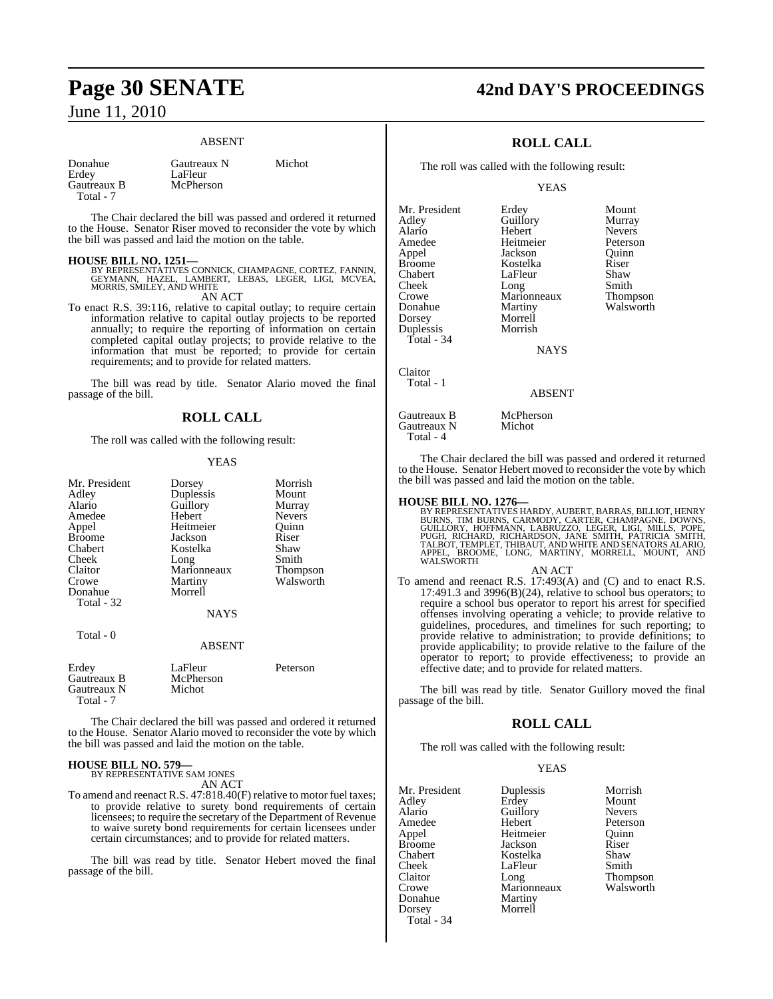#### ABSENT

| Donahue     | Gautreaux N | Michot |  |
|-------------|-------------|--------|--|
| Erdey       | LaFleur     |        |  |
| Gautreaux B | McPherson   |        |  |
| Total - 7   |             |        |  |

The Chair declared the bill was passed and ordered it returned to the House. Senator Riser moved to reconsider the vote by which the bill was passed and laid the motion on the table.

**HOUSE BILL NO. 1251—**<br>BY REPRESENTATIVES CONNICK, CHAMPAGNE, CORTEZ, FANNIN,<br>GEYMANN, HAZEL, LAMBERT, LEBAS, LEGER, LIGI, MCVEA,<br>MORRIS, SMILEY, AND WHITE

AN ACT

To enact R.S. 39:116, relative to capital outlay; to require certain information relative to capital outlay projects to be reported annually; to require the reporting of information on certain completed capital outlay projects; to provide relative to the information that must be reported; to provide for certain requirements; and to provide for related matters.

The bill was read by title. Senator Alario moved the final passage of the bill.

#### **ROLL CALL**

The roll was called with the following result:

#### YEAS

| Mr. President | Dorsey        | Morrish       |
|---------------|---------------|---------------|
| Adley         | Duplessis     | Mount         |
| Alario        | Guillory      | Murray        |
| Amedee        | Hebert        | <b>Nevers</b> |
| Appel         | Heitmeier     | Ouinn         |
| <b>Broome</b> | Jackson       | Riser         |
| Chabert       | Kostelka      | Shaw          |
| Cheek         | Long          | Smith         |
| Claitor       | Marionneaux   | Thompson      |
| Crowe         | Martiny       | Walsworth     |
| Donahue       | Morrell       |               |
| Total - 32    |               |               |
|               | NAYS          |               |
| Total - 0     |               |               |
|               | <b>ABSENT</b> |               |
| Erdey         | LaFleur       | Peterson      |
| Gautreaux B   | McPherson     |               |
| Gautreaux N   | Michot        |               |
| Total - 7     |               |               |

The Chair declared the bill was passed and ordered it returned to the House. Senator Alario moved to reconsider the vote by which the bill was passed and laid the motion on the table.

## **HOUSE BILL NO. 579—** BY REPRESENTATIVE SAM JONES

AN ACT

To amend and reenact R.S. 47:818.40(F) relative to motor fuel taxes; to provide relative to surety bond requirements of certain licensees; to require the secretary of the Department of Revenue to waive surety bond requirements for certain licensees under certain circumstances; and to provide for related matters.

The bill was read by title. Senator Hebert moved the final passage of the bill.

## **Page 30 SENATE 42nd DAY'S PROCEEDINGS**

## **ROLL CALL**

The roll was called with the following result:

**YEAS** 

Mr. President Erdey Mount<br>Adley Guillory Murray Adley Guillory Murray<br>Alario Hebert Nevers Alario Hebert Nevers Amedee Heitmeier Peterson<br>Appel Jackson Quinn Appel Jackson Quinn Broome Kostelka Riser<br>Chabert LaFleur Shaw Cheek Long Smith<br>Crowe Marionneaux Thompson Crowe Marionneaux<br>Donahue Martiny Dorsey Morrell Duplessis Total - 34 Claitor

LaFleur Shaw<br>Long Smith

**NAYS** 

Gautreaux B McPherson<br>Gautreaux N Michot Gautreaux N Total - 4

Total - 1

The Chair declared the bill was passed and ordered it returned to the House. Senator Hebert moved to reconsider the vote by which the bill was passed and laid the motion on the table.

ABSENT

#### **HOUSE BILL NO. 1276—**

BY REPRESENTATIVES HARDY, AUBERT, BARRAS, BILLIOT, HENRY<br>BURNS, TIM BURNS, CARMODY, CARTER, CHAMPAGNE, DOWNS,<br>GUILLORY, HOFFMANN, LABRUZZO, LEGER, LIGI, MILLS, POPE,<br>PUGH, RICHARD, RICHARDSON, JANE SMITH, PATRICIA SMITH,<br>T

#### AN ACT

To amend and reenact R.S. 17:493(A) and (C) and to enact R.S. 17:491.3 and 3996(B)(24), relative to school bus operators; to require a school bus operator to report his arrest for specified offenses involving operating a vehicle; to provide relative to guidelines, procedures, and timelines for such reporting; to provide relative to administration; to provide definitions; to provide applicability; to provide relative to the failure of the operator to report; to provide effectiveness; to provide an effective date; and to provide for related matters.

The bill was read by title. Senator Guillory moved the final passage of the bill.

#### **ROLL CALL**

The roll was called with the following result:

#### YEAS

| Mr. President | Duplessis   | Morrish       |
|---------------|-------------|---------------|
| Adley         | Erdey       | Mount         |
| Alario        | Guillory    | <b>Nevers</b> |
| Amedee        | Hebert      | Peterson      |
| Appel         | Heitmeier   | Ouinn         |
| Broome        | Jackson     | Riser         |
| Chabert       | Kostelka    | Shaw          |
| Cheek         | LaFleur     | Smith         |
| Claitor       | Long        | Thompson      |
| Crowe         | Marionneaux | Walsworth     |
| Donahue       | Martiny     |               |
| Dorsey        | Morrell     |               |
| Total - 34    |             |               |

Walsworth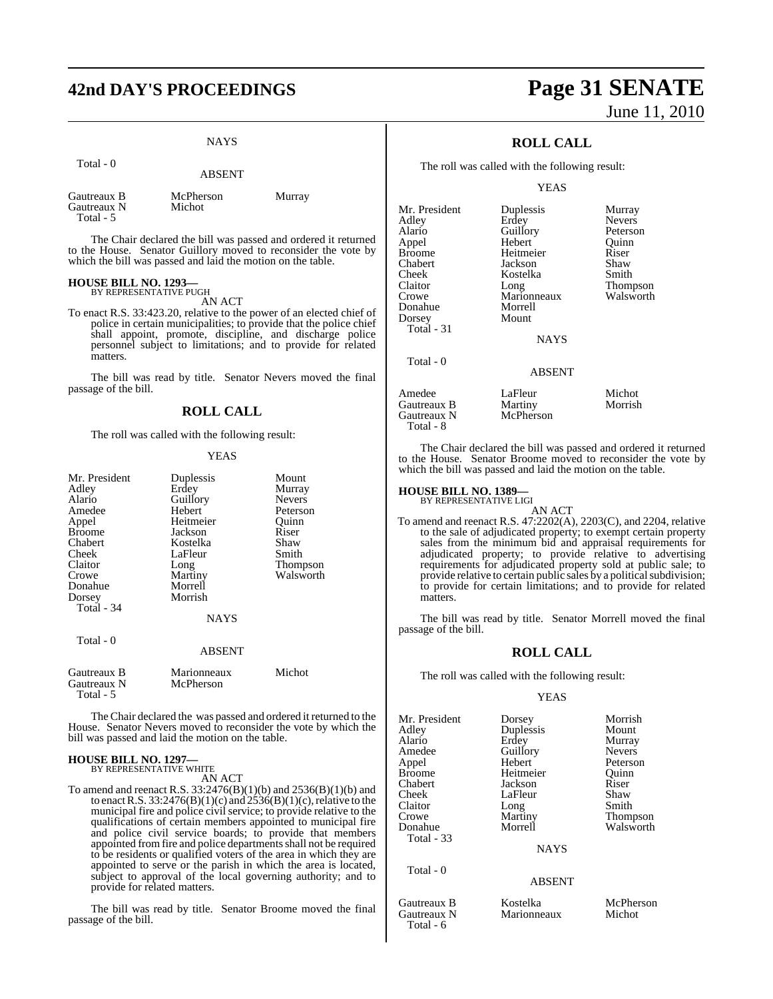## **42nd DAY'S PROCEEDINGS Page 31 SENATE**

#### **NAYS**

ABSENT

|                                         | ADOLIN I            |        |
|-----------------------------------------|---------------------|--------|
| Gautreaux B<br>Gautreaux N<br>Total - 5 | McPherson<br>Michot | Murray |

The Chair declared the bill was passed and ordered it returned to the House. Senator Guillory moved to reconsider the vote by which the bill was passed and laid the motion on the table.

## **HOUSE BILL NO. 1293—** BY REPRESENTATIVE PUGH

Total - 0

AN ACT

To enact R.S. 33:423.20, relative to the power of an elected chief of police in certain municipalities; to provide that the police chief shall appoint, promote, discipline, and discharge police personnel subject to limitations; and to provide for related matters.

The bill was read by title. Senator Nevers moved the final passage of the bill.

## **ROLL CALL**

The roll was called with the following result:

#### YEAS

| Mr. President<br>Adley                  | Duplessis<br>Erdey       | Mount<br>Murray |
|-----------------------------------------|--------------------------|-----------------|
| Alario                                  | Guillory                 | <b>Nevers</b>   |
| Amedee                                  | Hebert                   | Peterson        |
| Appel                                   | Heitmeier                | Ouinn           |
| <b>Broome</b>                           | Jackson                  | Riser           |
| Chabert                                 | Kostelka                 | Shaw            |
| Cheek                                   | LaFleur                  | Smith           |
| Claitor                                 | Long                     | Thompson        |
| Crowe                                   | Martiny                  | Walsworth       |
| Donahue                                 | Morrell                  |                 |
| Dorsey                                  | Morrish                  |                 |
| Total $-34$                             |                          |                 |
|                                         | <b>NAYS</b>              |                 |
| Total - 0                               |                          |                 |
|                                         | <b>ABSENT</b>            |                 |
| Gautreaux B<br>Gautreaux N<br>Total - 5 | Marionneaux<br>McPherson | Michot          |

The Chair declared the was passed and ordered it returned to the House. Senator Nevers moved to reconsider the vote by which the bill was passed and laid the motion on the table.

#### **HOUSE BILL NO. 1297—** BY REPRESENTATIVE WHITE

AN ACT

To amend and reenact R.S. 33:2476(B)(1)(b) and 2536(B)(1)(b) and to enact R.S. 33:2476(B)(1)(c) and  $2536(B)(1)$ (c), relative to the municipal fire and police civil service; to provide relative to the qualifications of certain members appointed to municipal fire and police civil service boards; to provide that members appointed from fire and police departments shall not be required to be residents or qualified voters of the area in which they are appointed to serve or the parish in which the area is located, subject to approval of the local governing authority; and to provide for related matters.

The bill was read by title. Senator Broome moved the final passage of the bill.

# June 11, 2010

## **ROLL CALL**

The roll was called with the following result:

#### **YEAS**

| Mr. President | Duplessis     | Murray        |
|---------------|---------------|---------------|
| Adley         | Erdey         | <b>Nevers</b> |
| Alario        | Guillory      | Peterson      |
| Appel         | Hebert        | Quinn         |
| <b>Broome</b> | Heitmeier     | Riser         |
| Chabert       | Jackson       | Shaw          |
| Cheek         | Kostelka      | Smith         |
| Claitor       | Long          | Thompson      |
| Crowe         | Marionneaux   | Walsworth     |
| Donahue       | Morrell       |               |
| Dorsey        | Mount         |               |
| Total - 31    |               |               |
|               | <b>NAYS</b>   |               |
| Total - 0     |               |               |
|               | <b>ABSENT</b> |               |
| Amedee        | LaFleur       | Michot        |
| Gautreaux B   | Martiny       | Morrish       |
| Gautreaux N   | McPherson     |               |

The Chair declared the bill was passed and ordered it returned to the House. Senator Broome moved to reconsider the vote by which the bill was passed and laid the motion on the table.

## **HOUSE BILL NO. 1389—** BY REPRESENTATIVE LIGI

Total - 8

Total - 6

AN ACT To amend and reenact R.S. 47:2202(A), 2203(C), and 2204, relative to the sale of adjudicated property; to exempt certain property sales from the minimum bid and appraisal requirements for adjudicated property; to provide relative to advertising requirements for adjudicated property sold at public sale; to provide relative to certain public sales by a political subdivision; to provide for certain limitations; and to provide for related matters.

The bill was read by title. Senator Morrell moved the final passage of the bill.

#### **ROLL CALL**

The roll was called with the following result:

#### YEAS

| Mr. President | Dorsey        | Morrish       |
|---------------|---------------|---------------|
| Adley         | Duplessis     | Mount         |
| Alario        | Erdey         | Murray        |
| Amedee        | Guillory      | <b>Nevers</b> |
| Appel         | Hebert        | Peterson      |
| <b>Broome</b> | Heitmeier     | Ouinn         |
| Chabert       | Jackson       | Riser         |
| Cheek         | LaFleur       | Shaw          |
| Claitor       | Long          | Smith         |
| Crowe         | Martiny       | Thompson      |
| Donahue       | Morrell       | Walsworth     |
| Total - 33    |               |               |
|               | <b>NAYS</b>   |               |
| Total - 0     |               |               |
|               | <b>ABSENT</b> |               |
| Gautreaux B   | Kostelka      | McPherson     |
| Gautreaux N   | Marionneaux   | Michot        |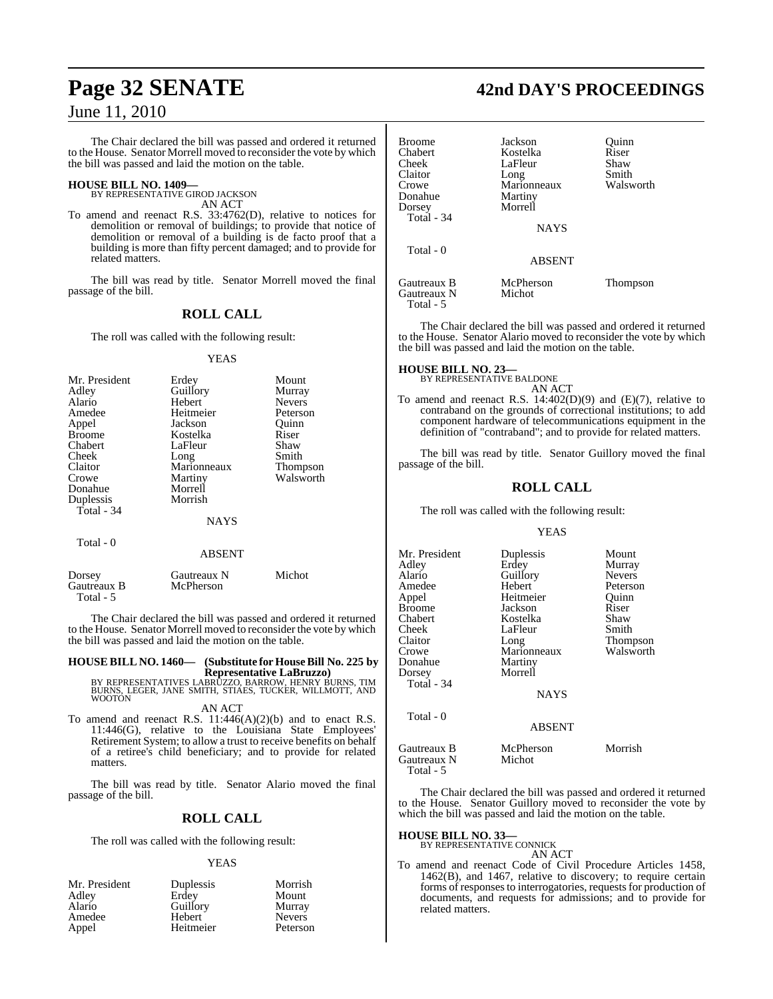The Chair declared the bill was passed and ordered it returned to the House. Senator Morrell moved to reconsider the vote by which the bill was passed and laid the motion on the table.

#### **HOUSE BILL NO. 1409—** BY REPRESENTATIVE GIROD JACKSON

AN ACT

To amend and reenact R.S. 33:4762(D), relative to notices for demolition or removal of buildings; to provide that notice of demolition or removal of a building is de facto proof that a building is more than fifty percent damaged; and to provide for related matters.

The bill was read by title. Senator Morrell moved the final passage of the bill.

## **ROLL CALL**

The roll was called with the following result:

#### YEAS

| Mr. President | Erdey       | Mount           |
|---------------|-------------|-----------------|
| Adley         | Guillory    | Murray          |
| Alario        | Hebert      | <b>Nevers</b>   |
| Amedee        | Heitmeier   | Peterson        |
| Appel         | Jackson     | Quinn           |
| <b>Broome</b> | Kostelka    | Riser           |
| Chabert       | LaFleur     | Shaw            |
| Cheek         | Long        | Smith           |
| Claitor       | Marionneaux | <b>Thompson</b> |
| Crowe         | Martiny     | Walsworth       |
| Donahue       | Morrell     |                 |
| Duplessis     | Morrish     |                 |
| Total - 34    |             |                 |
|               | NAYS        |                 |
| Total - 0     |             |                 |

|                                    | <b>ABSENT</b>            |        |
|------------------------------------|--------------------------|--------|
| Dorsey<br>Gautreaux B<br>Total - 5 | Gautreaux N<br>McPherson | Michot |

The Chair declared the bill was passed and ordered it returned to the House. Senator Morrell moved to reconsider the vote by which the bill was passed and laid the motion on the table.

## **HOUSE BILL NO. 1460— (Substitute for HouseBill No. 225 by**

**Representative LaBruzzo)<br>BY REPRESENTATIVES LABRUZZO, BARROW, HENRY BURNS, TIM<br>BURNS, LEGER, JANE SMITH, STIAES, TUCKER, WILLMOTT, AND** WOOTON

AN ACT

To amend and reenact R.S. 11:446(A)(2)(b) and to enact R.S. 11:446(G), relative to the Louisiana State Employees' Retirement System; to allow a trust to receive benefits on behalf of a retiree's child beneficiary; and to provide for related matters.

The bill was read by title. Senator Alario moved the final passage of the bill.

#### **ROLL CALL**

The roll was called with the following result:

#### YEAS

| Mr. President | Duplessis | Morrish       |
|---------------|-----------|---------------|
| Adley         | Erdev     | Mount         |
| Alario        | Guillory  | Murray        |
| Amedee        | Hebert    | <b>Nevers</b> |
| Appel         | Heitmeier | Peterson      |

## **Page 32 SENATE 42nd DAY'S PROCEEDINGS**

| <b>Broome</b>            | Jackson       | Ouinn     |
|--------------------------|---------------|-----------|
| Chabert                  | Kostelka      | Riser     |
| Cheek                    | LaFleur       | Shaw      |
| Claitor                  | Long          | Smith     |
| Crowe                    | Marionneaux   | Walsworth |
| Donahue                  | Martiny       |           |
| Dorsey                   | Morrell       |           |
| Total - 34               |               |           |
|                          | <b>NAYS</b>   |           |
| Total - 0                |               |           |
|                          | <b>ABSENT</b> |           |
| Gautreaux B              | McPherson     | Thompson  |
| Gautreaux N<br>Total - 5 | Michot        |           |

The Chair declared the bill was passed and ordered it returned to the House. Senator Alario moved to reconsider the vote by which the bill was passed and laid the motion on the table.

#### **HOUSE BILL NO. 23—**

BY REPRESENTATIVE BALDONE AN ACT

To amend and reenact R.S. 14:402(D)(9) and (E)(7), relative to contraband on the grounds of correctional institutions; to add component hardware of telecommunications equipment in the definition of "contraband"; and to provide for related matters.

The bill was read by title. Senator Guillory moved the final passage of the bill.

#### **ROLL CALL**

The roll was called with the following result:

#### YEAS

| Mr. President | Duplessis     | Mount         |
|---------------|---------------|---------------|
| Adlev         | Erdey         | Murray        |
| Alario        | Guillory      | <b>Nevers</b> |
| Amedee        | Hebert        | Peterson      |
| Appel         | Heitmeier     | Quinn         |
| Broome        | Jackson       | Riser         |
| Chabert       | Kostelka      | Shaw          |
| Cheek         | LaFleur       | Smith         |
| Claitor       | Long          | Thompson      |
| Crowe         | Marionneaux   | Walsworth     |
| Donahue       | Martiny       |               |
| Dorsey        | Morrell       |               |
| Total - 34    |               |               |
|               | <b>NAYS</b>   |               |
| Total - 0     |               |               |
|               | <b>ABSENT</b> |               |
| Gautreaux B   | McPherson     | Morrish       |

Gautreaux N Michot Total - 5

The Chair declared the bill was passed and ordered it returned to the House. Senator Guillory moved to reconsider the vote by which the bill was passed and laid the motion on the table.

## **HOUSE BILL NO. 33—** BY REPRESENTATIVE CONNICK

AN ACT To amend and reenact Code of Civil Procedure Articles 1458, 1462(B), and 1467, relative to discovery; to require certain forms of responses to interrogatories, requests for production of documents, and requests for admissions; and to provide for related matters.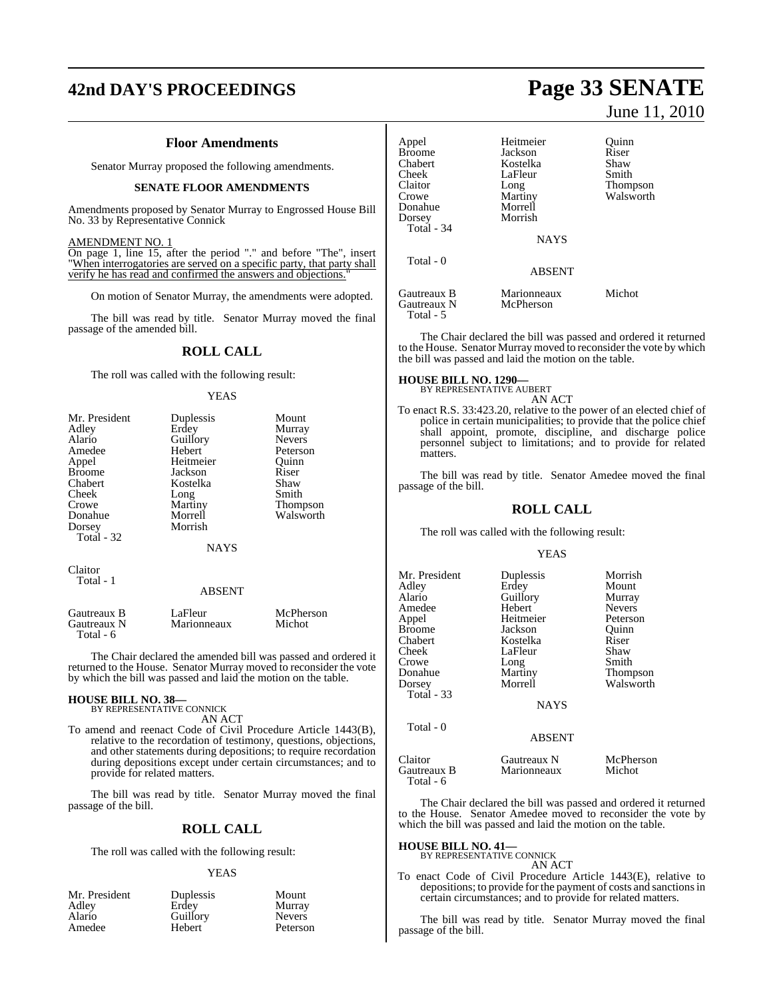## **42nd DAY'S PROCEEDINGS Page 33 SENATE**

#### **Floor Amendments**

Senator Murray proposed the following amendments.

#### **SENATE FLOOR AMENDMENTS**

Amendments proposed by Senator Murray to Engrossed House Bill No. 33 by Representative Connick

#### AMENDMENT NO. 1

On page 1, line 15, after the period "." and before "The", insert "When interrogatories are served on a specific party, that party shall verify he has read and confirmed the answers and objections."

On motion of Senator Murray, the amendments were adopted.

The bill was read by title. Senator Murray moved the final passage of the amended bill.

#### **ROLL CALL**

The roll was called with the following result:

#### YEAS

| Mr. President | Duplessis     | Mount         |
|---------------|---------------|---------------|
| Adley         | Erdey         | Murray        |
| Alario        | Guillory      | <b>Nevers</b> |
| Amedee        | Hebert        | Peterson      |
| Appel         | Heitmeier     | Ouinn         |
| <b>Broome</b> | Jackson       | Riser         |
| Chabert       | Kostelka      | Shaw          |
| Cheek         | Long          | Smith         |
| Crowe         | Martiny       | Thompson      |
| Donahue       | Morrell       | Walsworth     |
| Dorsey        | Morrish       |               |
| Total - 32    |               |               |
|               | <b>NAYS</b>   |               |
| Claitor       |               |               |
| Total - 1     |               |               |
|               | <b>ABSENT</b> |               |
| Gautreaux B   | LaFleur       | McPherson     |

Gautreaux N Marionneaux Michot Total - 6

The Chair declared the amended bill was passed and ordered it returned to the House. Senator Murray moved to reconsider the vote by which the bill was passed and laid the motion on the table.

## **HOUSE BILL NO. 38—** BY REPRESENTATIVE CONNICK

AN ACT

To amend and reenact Code of Civil Procedure Article 1443(B), relative to the recordation of testimony, questions, objections, and other statements during depositions; to require recordation during depositions except under certain circumstances; and to provide for related matters.

The bill was read by title. Senator Murray moved the final passage of the bill.

#### **ROLL CALL**

The roll was called with the following result:

#### YEAS

| Mr. President | Duplessis | Mount         |
|---------------|-----------|---------------|
| Adley         | Erdev     | Murray        |
| Alario        | Guillory  | <b>Nevers</b> |
| Amedee        | Hebert    | Peterson      |

# June 11, 2010

| Heitmeier   | Ouinn                                   |
|-------------|-----------------------------------------|
| Jackson     | Riser                                   |
| Kostelka    | Shaw                                    |
| LaFleur     | Smith                                   |
| Long        | Thompson                                |
| Martiny     | Walsworth                               |
| Morrell     |                                         |
|             |                                         |
|             |                                         |
|             |                                         |
|             |                                         |
|             |                                         |
|             |                                         |
| Marionneaux | Michot                                  |
| McPherson   |                                         |
|             |                                         |
|             | Morrish<br><b>NAYS</b><br><b>ABSENT</b> |

The Chair declared the bill was passed and ordered it returned to the House. Senator Murray moved to reconsider the vote by which the bill was passed and laid the motion on the table.

**HOUSE BILL NO. 1290—** BY REPRESENTATIVE AUBERT

AN ACT

To enact R.S. 33:423.20, relative to the power of an elected chief of police in certain municipalities; to provide that the police chief shall appoint, promote, discipline, and discharge police personnel subject to limitations; and to provide for related matters.

The bill was read by title. Senator Amedee moved the final passage of the bill.

#### **ROLL CALL**

The roll was called with the following result:

#### YEAS

| Mr. President<br>Adley<br>Alario<br>Amedee<br>Appel<br><b>Broome</b><br>Chabert<br>Cheek<br>Crowe<br>Donahue<br>Dorsey<br>Total - 33 | Duplessis<br>Erdey<br>Guillory<br>Hebert<br>Heitmeier<br>Jackson<br>Kostelka<br>LaFleur<br>Long<br>Martiny<br>Morrell<br><b>NAYS</b> | Morrish<br>Mount<br>Murray<br><b>Nevers</b><br>Peterson<br>Ouinn<br>Riser<br>Shaw<br>Smith<br><b>Thompson</b><br>Walsworth |
|--------------------------------------------------------------------------------------------------------------------------------------|--------------------------------------------------------------------------------------------------------------------------------------|----------------------------------------------------------------------------------------------------------------------------|
| Total - 0                                                                                                                            | <b>ABSENT</b>                                                                                                                        |                                                                                                                            |
| Claitor<br>Gautreaux B<br>Total - 6                                                                                                  | Gautreaux N<br>Marionneaux                                                                                                           | McPherson<br>Michot                                                                                                        |

The Chair declared the bill was passed and ordered it returned to the House. Senator Amedee moved to reconsider the vote by which the bill was passed and laid the motion on the table.

## **HOUSE BILL NO. 41—** BY REPRESENTATIVE CONNICK

AN ACT

To enact Code of Civil Procedure Article 1443(E), relative to depositions; to provide for the payment of costs and sanctions in certain circumstances; and to provide for related matters.

The bill was read by title. Senator Murray moved the final passage of the bill.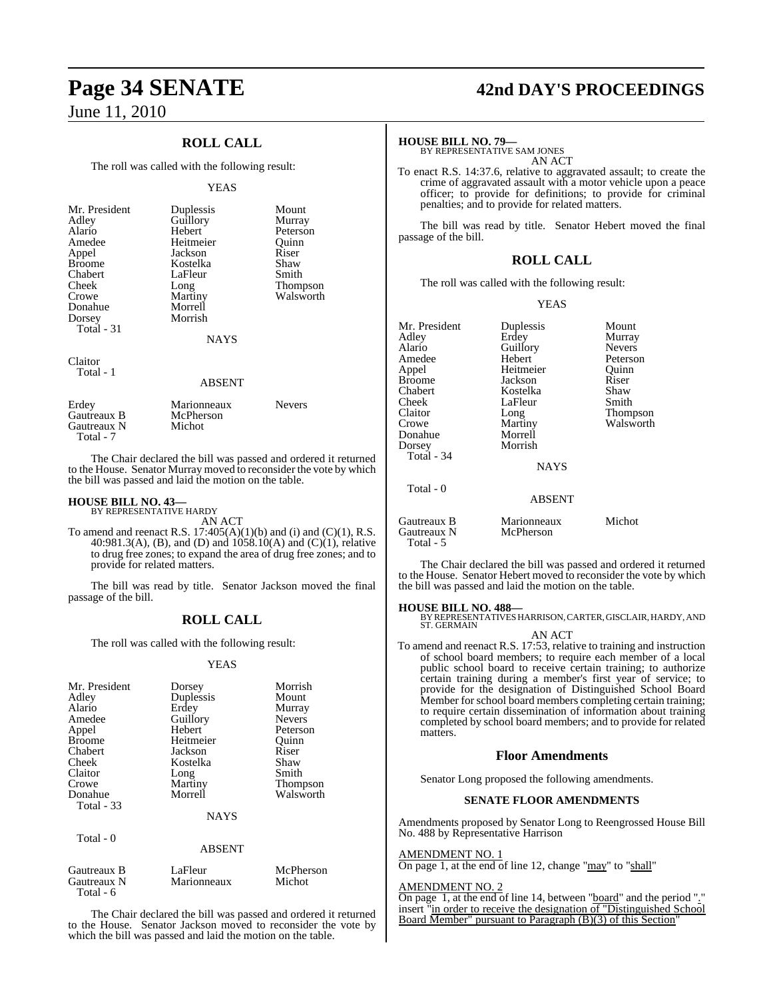## **ROLL CALL**

The roll was called with the following result:

#### **YEAS**

| Mr. President<br>Adley<br>Alario<br>Amedee<br>Appel<br><b>Broome</b><br>Chabert<br>Cheek<br>Crowe<br>Donahue<br>Dorsey<br>Total $-31$ | Duplessis<br>Guillory<br>Hebert<br>Heitmeier<br>Jackson<br>Kostelka<br>LaFleur<br>Long<br>Martiny<br>Morrell<br>Morrish<br><b>NAYS</b> | Mount<br>Murray<br>Peterson<br>Ouinn<br>Riser<br>Shaw<br>Smith<br><b>Thompson</b><br>Walsworth |
|---------------------------------------------------------------------------------------------------------------------------------------|----------------------------------------------------------------------------------------------------------------------------------------|------------------------------------------------------------------------------------------------|
| Claitor<br>Total - 1                                                                                                                  | <b>ABSENT</b>                                                                                                                          |                                                                                                |

| Erdev<br>Gautreaux B<br>Gautreaux N | Marionneaux<br>McPherson<br>Michot | <b>Nevers</b> |
|-------------------------------------|------------------------------------|---------------|
| Total - 7                           |                                    |               |

The Chair declared the bill was passed and ordered it returned to the House. Senator Murray moved to reconsider the vote by which the bill was passed and laid the motion on the table.

## **HOUSE BILL NO. 43—** BY REPRESENTATIVE HARDY

AN ACT

To amend and reenact R.S.  $17:405(A)(1)(b)$  and (i) and (C)(1), R.S. 40:981.3(A), (B), and (D) and  $1058.10(A)$  and  $(C)(1)$ , relative to drug free zones; to expand the area of drug free zones; and to provide for related matters.

The bill was read by title. Senator Jackson moved the final passage of the bill.

#### **ROLL CALL**

The roll was called with the following result:

#### YEAS

| Mr. President     |               | Morrish         |
|-------------------|---------------|-----------------|
|                   | Dorsey        |                 |
| Adley             | Duplessis     | Mount           |
| Alario            | Erdey         | Murray          |
| Amedee            | Guillory      | <b>Nevers</b>   |
| Appel             | Hebert        | Peterson        |
| <b>Broome</b>     | Heitmeier     | Ouinn           |
| Chabert           | Jackson       | Riser           |
| Cheek             | Kostelka      | Shaw            |
| Claitor           | Long          | Smith           |
| Crowe             | Martiny       | <b>Thompson</b> |
| Donahue           | Morrell       | Walsworth       |
| <b>Total - 33</b> |               |                 |
|                   | <b>NAYS</b>   |                 |
|                   |               |                 |
| Total $-0$        | <b>ABSENT</b> |                 |
|                   |               |                 |
|                   |               |                 |

| Gautreaux B | LaFleur     | McPherson |
|-------------|-------------|-----------|
| Gautreaux N | Marionneaux | Michot    |
| Total - 6   |             |           |

The Chair declared the bill was passed and ordered it returned to the House. Senator Jackson moved to reconsider the vote by which the bill was passed and laid the motion on the table.

## **Page 34 SENATE 42nd DAY'S PROCEEDINGS**

#### **HOUSE BILL NO. 79—**

BY REPRESENTATIVE SAM JONES AN ACT

To enact R.S. 14:37.6, relative to aggravated assault; to create the crime of aggravated assault with a motor vehicle upon a peace officer; to provide for definitions; to provide for criminal penalties; and to provide for related matters.

The bill was read by title. Senator Hebert moved the final passage of the bill.

#### **ROLL CALL**

The roll was called with the following result:

#### YEAS

| Mr. President                           | Duplessis                | Mount         |
|-----------------------------------------|--------------------------|---------------|
| Adley                                   | Erdey                    | Murray        |
| Alario                                  | Guillory                 | <b>Nevers</b> |
| Amedee                                  | Hebert                   | Peterson      |
| Appel                                   | Heitmeier                | Ouinn         |
| Broome                                  | Jackson                  | Riser         |
| Chabert                                 | Kostelka                 | Shaw          |
| Cheek                                   | LaFleur                  | Smith         |
| Claitor                                 | Long                     | Thompson      |
| Crowe                                   | Martiny                  | Walsworth     |
| Donahue                                 | Morrell                  |               |
| Dorsey                                  | Morrish                  |               |
| Total - 34                              |                          |               |
|                                         | <b>NAYS</b>              |               |
| Total - 0                               |                          |               |
|                                         | <b>ABSENT</b>            |               |
| Gautreaux B<br>Gautreaux N<br>Total - 5 | Marionneaux<br>McPherson | Michot        |

The Chair declared the bill was passed and ordered it returned to the House. Senator Hebert moved to reconsider the vote by which the bill was passed and laid the motion on the table.

#### **HOUSE BILL NO. 488—**

BY REPRESENTATIVES HARRISON, CARTER, GISCLAIR, HARDY, AND ST. GERMAIN

AN ACT To amend and reenact R.S. 17:53, relative to training and instruction of school board members; to require each member of a local public school board to receive certain training; to authorize certain training during a member's first year of service; to provide for the designation of Distinguished School Board Member for school board members completing certain training; to require certain dissemination of information about training completed by school board members; and to provide for related matters.

#### **Floor Amendments**

Senator Long proposed the following amendments.

#### **SENATE FLOOR AMENDMENTS**

Amendments proposed by Senator Long to Reengrossed House Bill No. 488 by Representative Harrison

#### AMENDMENT NO. 1

On page 1, at the end of line 12, change "may" to "shall"

#### AMENDMENT NO. 2

On page 1, at the end of line 14, between "board" and the period "." insert "in order to receive the designation of "Distinguished School Board Member" pursuant to Paragraph (B)(3) of this Section"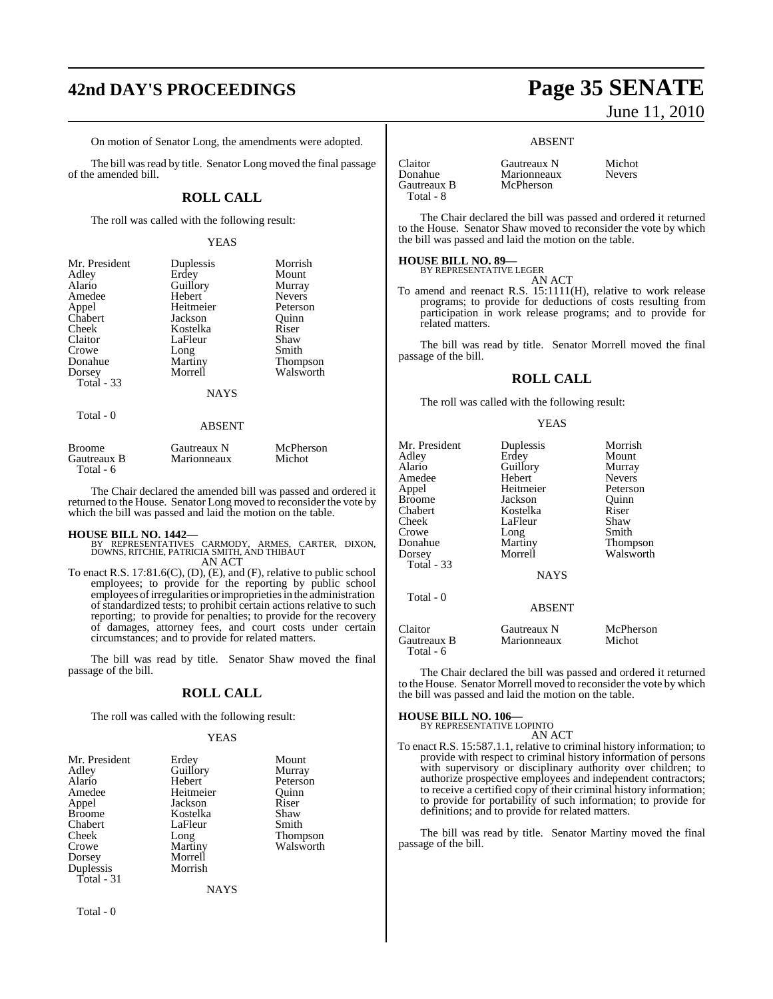# **42nd DAY'S PROCEEDINGS Page 35 SENATE**

On motion of Senator Long, the amendments were adopted.

The bill was read by title. Senator Long moved the final passage of the amended bill.

### **ROLL CALL**

The roll was called with the following result:

#### YEAS

| Mr. President | Duplessis   | Morrish         |
|---------------|-------------|-----------------|
| Adley         | Erdey       | Mount           |
| Alario        | Guillory    | Murray          |
| Amedee        | Hebert      | <b>Nevers</b>   |
| Appel         | Heitmeier   | Peterson        |
| Chabert       | Jackson     | Ouinn           |
| Cheek         | Kostelka    | Riser           |
| Claitor       | LaFleur     | Shaw            |
| Crowe         | Long        | Smith           |
| Donahue       | Martiny     | <b>Thompson</b> |
| Dorsey        | Morrell     | Walsworth       |
| Total - 33    |             |                 |
|               | <b>NAYS</b> |                 |
| Total - 0     |             |                 |
|               | ABSENT      |                 |

| <b>Broome</b><br>Gautreaux B<br>Total - $6$ | Gautreaux N<br>Marionneaux | McPherson<br>Michot |
|---------------------------------------------|----------------------------|---------------------|
|                                             |                            |                     |

The Chair declared the amended bill was passed and ordered it returned to the House. Senator Long moved to reconsider the vote by which the bill was passed and laid the motion on the table.

- **HOUSE BILL NO. 1442—** BY REPRESENTATIVES CARMODY, ARMES, CARTER, DIXON, DOWNS, RITCHIE, PATRICIA SMITH, AND THIBAUT AN ACT
- To enact R.S. 17:81.6(C), (D), (E), and (F), relative to public school employees; to provide for the reporting by public school employees of irregularities or improprieties in the administration of standardized tests; to prohibit certain actions relative to such reporting; to provide for penalties; to provide for the recovery of damages, attorney fees, and court costs under certain circumstances; and to provide for related matters.

The bill was read by title. Senator Shaw moved the final passage of the bill.

#### **ROLL CALL**

The roll was called with the following result:

#### YEAS

| Mr. President | Erdey     | Mount     |
|---------------|-----------|-----------|
| Adley         | Guillory  | Murray    |
| Alario        | Hebert    | Peterson  |
| Amedee        | Heitmeier | Ouinn     |
| Appel         | Jackson   | Riser     |
| <b>Broome</b> | Kostelka  | Shaw      |
| Chabert       | LaFleur   | Smith     |
| Cheek         | Long      | Thompson  |
| Crowe         | Martiny   | Walsworth |
| Dorsey        | Morrell   |           |
| Duplessis     | Morrish   |           |
| Total - 31    |           |           |
|               | NAYS      |           |

Total - 0

# June 11, 2010

#### ABSENT

| Claitor     | Gautreaux N | Michot        |
|-------------|-------------|---------------|
| Donahue     | Marionneaux | <b>Nevers</b> |
| Gautreaux B | McPherson   |               |
| Total - 8   |             |               |

The Chair declared the bill was passed and ordered it returned to the House. Senator Shaw moved to reconsider the vote by which the bill was passed and laid the motion on the table.

## **HOUSE BILL NO. 89—** BY REPRESENTATIVE LEGER

AN ACT

To amend and reenact R.S. 15:1111(H), relative to work release programs; to provide for deductions of costs resulting from participation in work release programs; and to provide for related matters.

The bill was read by title. Senator Morrell moved the final passage of the bill.

#### **ROLL CALL**

The roll was called with the following result:

#### YEAS

| Mr. President<br>Adley<br>Alario<br>Amedee<br>Appel<br><b>Broome</b><br>Chabert<br>Cheek<br>Crowe<br>Donahue<br>Dorsey<br><b>Total - 33</b> | Duplessis<br>Erdey<br>Guillory<br>Hebert<br>Heitmeier<br>Jackson<br>Kostelka<br>LaFleur<br>Long<br>Martiny<br>Morrell<br><b>NAYS</b> | Morrish<br>Mount<br>Murray<br><b>Nevers</b><br>Peterson<br>Ouinn<br>Riser<br>Shaw<br>Smith<br><b>Thompson</b><br>Walsworth |
|---------------------------------------------------------------------------------------------------------------------------------------------|--------------------------------------------------------------------------------------------------------------------------------------|----------------------------------------------------------------------------------------------------------------------------|
| Total $-0$                                                                                                                                  | <b>ABSENT</b>                                                                                                                        |                                                                                                                            |
| Claitor<br>Gautreaux B<br>Total - 6                                                                                                         | Gautreaux N<br>Marionneaux                                                                                                           | McPherson<br>Michot                                                                                                        |

The Chair declared the bill was passed and ordered it returned to the House. Senator Morrell moved to reconsider the vote by which the bill was passed and laid the motion on the table.

#### **HOUSE BILL NO. 106**

| $\overline{A}$ and $\overline{B}$ and $\overline{B}$ and $\overline{C}$ and $\overline{D}$ and $\overline{D}$ and $\overline{D}$ and $\overline{D}$ and $\overline{D}$ and $\overline{D}$ and $\overline{D}$ and $\overline{D}$ and $\overline{D}$ and $\overline{D}$ and $\overline{D}$ and $\overline{D}$ and $\overline{D}$ and |
|------------------------------------------------------------------------------------------------------------------------------------------------------------------------------------------------------------------------------------------------------------------------------------------------------------------------------------|
| BY REPRESENTATIVE LOPINTO                                                                                                                                                                                                                                                                                                          |
| AN ACT                                                                                                                                                                                                                                                                                                                             |
| To enact R.S. 15:587.1.1, relative to criminal history information; to                                                                                                                                                                                                                                                             |
| provide with respect to criminal history information of persons                                                                                                                                                                                                                                                                    |
| with supervisory or disciplinary authority over children; to                                                                                                                                                                                                                                                                       |
| authorize prospective employees and independent contractors;                                                                                                                                                                                                                                                                       |
| to receive a certified copy of their criminal history information;                                                                                                                                                                                                                                                                 |
| to provide for portability of such information; to provide for                                                                                                                                                                                                                                                                     |
| definitions; and to provide for related matters.                                                                                                                                                                                                                                                                                   |

The bill was read by title. Senator Martiny moved the final passage of the bill.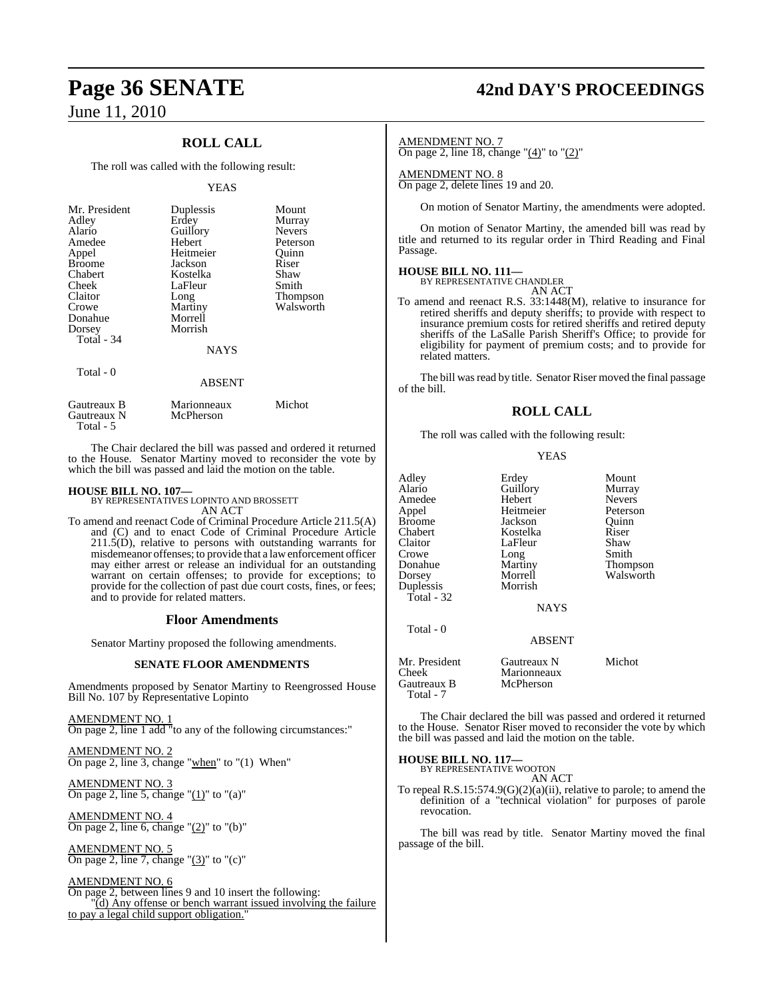## **ROLL CALL**

The roll was called with the following result:

#### **YEAS**

| Mr. President<br>Adley<br>Alario<br>Amedee<br>Appel<br><b>Broome</b><br>Chabert<br>Cheek<br>Claitor<br>Crowe<br>Donahue<br>Dorsey<br>Total $-34$ | Duplessis<br>Erdey<br>Guillory<br>Hebert<br>Heitmeier<br>Jackson<br>Kostelka<br>LaFleur<br>Long<br>Martiny<br>Morrell<br>Morrish | Mount<br>Murray<br><b>Nevers</b><br>Peterson<br>Ouinn<br>Riser<br>Shaw<br>Smith<br><b>Thompson</b><br>Walsworth |
|--------------------------------------------------------------------------------------------------------------------------------------------------|----------------------------------------------------------------------------------------------------------------------------------|-----------------------------------------------------------------------------------------------------------------|
|                                                                                                                                                  | <b>NAYS</b>                                                                                                                      |                                                                                                                 |
| Total - 0                                                                                                                                        | <b>ABSENT</b>                                                                                                                    |                                                                                                                 |

| Gautreaux B | Marionneaux | Michot |
|-------------|-------------|--------|
| Gautreaux N | McPherson   |        |
| Total - 5   |             |        |

The Chair declared the bill was passed and ordered it returned to the House. Senator Martiny moved to reconsider the vote by which the bill was passed and laid the motion on the table.

## **HOUSE BILL NO. 107—** BY REPRESENTATIVES LOPINTO AND BROSSETT

AN ACT

To amend and reenact Code of Criminal Procedure Article 211.5(A) and (C) and to enact Code of Criminal Procedure Article  $211.5(D)$ , relative to persons with outstanding warrants for misdemeanor offenses; to provide that a lawenforcement officer may either arrest or release an individual for an outstanding warrant on certain offenses; to provide for exceptions; to provide for the collection of past due court costs, fines, or fees; and to provide for related matters.

#### **Floor Amendments**

Senator Martiny proposed the following amendments.

#### **SENATE FLOOR AMENDMENTS**

Amendments proposed by Senator Martiny to Reengrossed House Bill No. 107 by Representative Lopinto

AMENDMENT NO. 1 On page 2, line 1 add "to any of the following circumstances:"

AMENDMENT NO. 2 On page 2, line 3, change "when" to "(1) When"

AMENDMENT NO. 3 On page 2, line 5, change " $(1)$ " to " $(a)$ "

AMENDMENT NO. 4 On page 2, line 6, change " $(2)$ " to " $(b)$ "

AMENDMENT NO. 5 On page 2, line 7, change " $(3)$ " to " $(c)$ "

#### AMENDMENT NO. 6

On page 2, between lines 9 and 10 insert the following: "(d) Any offense or bench warrant issued involving the failure to pay a legal child support obligation.

# **Page 36 SENATE 42nd DAY'S PROCEEDINGS**

#### AMENDMENT NO. 7

On page 2, line 18, change " $(4)$ " to " $(2)$ "

#### AMENDMENT NO. 8

On page 2, delete lines 19 and 20.

On motion of Senator Martiny, the amendments were adopted.

On motion of Senator Martiny, the amended bill was read by title and returned to its regular order in Third Reading and Final Passage.

## **HOUSE BILL NO. 111—** BY REPRESENTATIVE CHANDLER

AN ACT

To amend and reenact R.S. 33:1448(M), relative to insurance for retired sheriffs and deputy sheriffs; to provide with respect to insurance premium costs for retired sheriffs and retired deputy sheriffs of the LaSalle Parish Sheriff's Office; to provide for eligibility for payment of premium costs; and to provide for related matters.

The bill was read by title. Senator Riser moved the final passage of the bill.

## **ROLL CALL**

The roll was called with the following result:

#### YEAS

| Adley<br>Alario<br>Amedee<br>Appel<br>Broome<br>Chabert<br>Claitor<br>Crowe<br>Donahue<br>Dorsey<br>Duplessis<br>Total - 32 | Erdey<br>Guillory<br>Hebert<br>Heitmeier<br>Jackson<br>Kostelka<br>LaFleur<br>Long<br>Martiny<br>Morrell<br>Morrish<br><b>NAYS</b> | Mount<br>Murray<br><b>Nevers</b><br>Peterson<br>Ouinn<br>Riser<br>Shaw<br>Smith<br>Thompson<br>Walsworth |
|-----------------------------------------------------------------------------------------------------------------------------|------------------------------------------------------------------------------------------------------------------------------------|----------------------------------------------------------------------------------------------------------|
| Total - 0                                                                                                                   | <b>ABSENT</b>                                                                                                                      |                                                                                                          |
| Mr. President<br>Cheek<br>Gautreaux B<br>Total - 7                                                                          | Gautreaux N<br>Marionneaux<br>McPherson                                                                                            | Michot                                                                                                   |

The Chair declared the bill was passed and ordered it returned to the House. Senator Riser moved to reconsider the vote by which the bill was passed and laid the motion on the table.

**HOUSE BILL NO. 117—**

BY REPRESENTATIVE WOOTON AN ACT

To repeal R.S.15:574.9(G)(2)(a)(ii), relative to parole; to amend the definition of a "technical violation" for purposes of parole revocation.

The bill was read by title. Senator Martiny moved the final passage of the bill.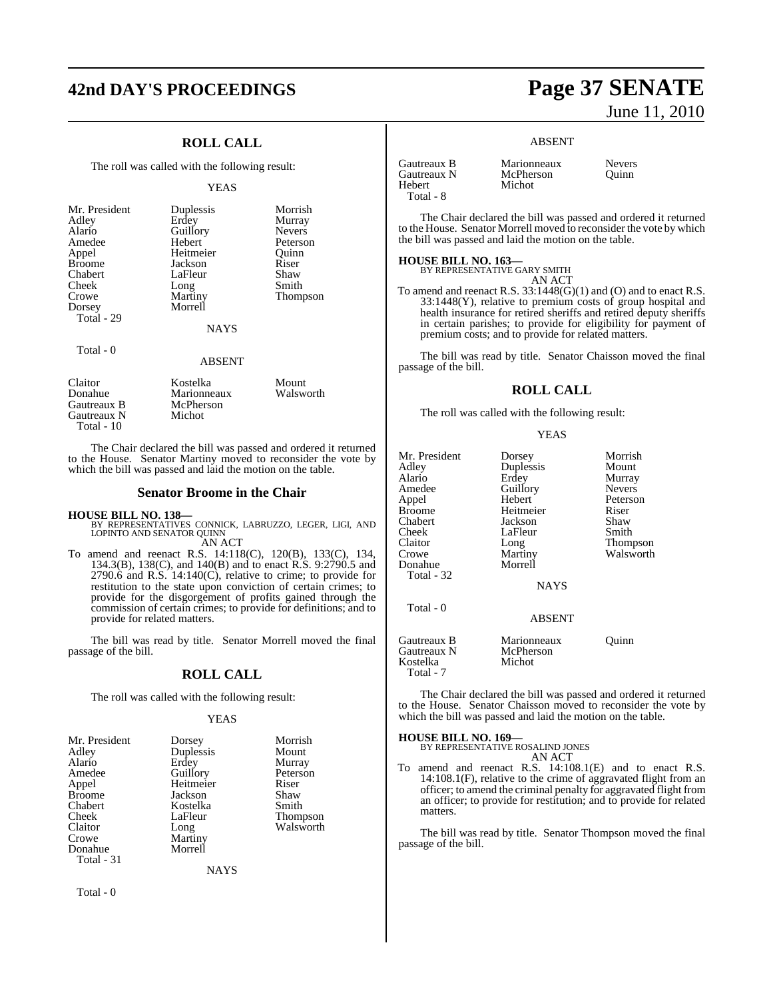# **42nd DAY'S PROCEEDINGS Page 37 SENATE**

## **ROLL CALL**

The roll was called with the following result:

#### YEAS

| Mr. President | Duplessis   | Morrish       |
|---------------|-------------|---------------|
| Adley         | Erdey       | Murray        |
| Alario        | Guillory    | <b>Nevers</b> |
| Amedee        | Hebert      | Peterson      |
| Appel         | Heitmeier   | Ouinn         |
| <b>Broome</b> | Jackson     | Riser         |
| Chabert       | LaFleur     | Shaw          |
| Cheek         | Long        | Smith         |
| Crowe         | Martiny     | Thompson      |
| Dorsey        | Morrell     |               |
| Total - 29    |             |               |
|               | <b>NAYS</b> |               |

## Total - 0

#### ABSENT

| Claitor     | Kostelka    | Mount     |  |
|-------------|-------------|-----------|--|
| Donahue     | Marionneaux | Walsworth |  |
| Gautreaux B | McPherson   |           |  |
| Gautreaux N | Michot      |           |  |
| Total - 10  |             |           |  |

The Chair declared the bill was passed and ordered it returned to the House. Senator Martiny moved to reconsider the vote by which the bill was passed and laid the motion on the table.

#### **Senator Broome in the Chair**

#### **HOUSE BILL NO. 138—**

BY REPRESENTATIVES CONNICK, LABRUZZO, LEGER, LIGI, AND LOPINTO AND SENATOR QUINN AN ACT

To amend and reenact R.S. 14:118(C), 120(B), 133(C), 134, 134.3(B), 138(C), and 140(B) and to enact R.S. 9:2790.5 and 2790.6 and R.S. 14:140(C), relative to crime; to provide for restitution to the state upon conviction of certain crimes; to provide for the disgorgement of profits gained through the commission of certain crimes; to provide for definitions; and to provide for related matters.

The bill was read by title. Senator Morrell moved the final passage of the bill.

### **ROLL CALL**

The roll was called with the following result:

#### YEAS

| Mr. President | Dorsey    | Morrish         |
|---------------|-----------|-----------------|
| Adley         | Duplessis | Mount           |
| Alario        | Erdey     | Murray          |
| Amedee        | Guillory  | Peterson        |
| Appel         | Heitmeier | Riser           |
| <b>Broome</b> | Jackson   | Shaw            |
| Chabert       | Kostelka  | Smith           |
| Cheek         | LaFleur   | <b>Thompson</b> |
| Claitor       | Long      | Walsworth       |
| Crowe         | Martiny   |                 |
| Donahue       | Morrell   |                 |
| Total - 31    |           |                 |

**NAYS** 

Total - 0

# June 11, 2010

#### ABSENT

| Gautreaux B | Marionneau |
|-------------|------------|
| Gautreaux N | McPherson  |
| Hebert      | Michot     |
| Total - 8   |            |

Marionneaux Nevers<br>
McPherson Ouinn

The Chair declared the bill was passed and ordered it returned to the House. Senator Morrell moved to reconsider the vote by which the bill was passed and laid the motion on the table.

## **HOUSE BILL NO. 163—** BY REPRESENTATIVE GARY SMITH

AN ACT

To amend and reenact R.S. 33:1448(G)(1) and (O) and to enact R.S. 33:1448(Y), relative to premium costs of group hospital and health insurance for retired sheriffs and retired deputy sheriffs in certain parishes; to provide for eligibility for payment of premium costs; and to provide for related matters.

The bill was read by title. Senator Chaisson moved the final passage of the bill.

#### **ROLL CALL**

The roll was called with the following result:

#### YEAS

| Mr. President                                       | Dorsey                             | Morrish       |
|-----------------------------------------------------|------------------------------------|---------------|
| Adley                                               | Duplessis                          | Mount         |
| Alario                                              | Erdey                              | Murray        |
| Amedee                                              | Guillory                           | <b>Nevers</b> |
| Appel                                               | Hebert                             | Peterson      |
| <b>Broome</b>                                       | Heitmeier                          | Riser         |
| Chabert                                             | Jackson                            | Shaw          |
| Cheek                                               | LaFleur                            | Smith         |
| Claitor                                             | Long                               | Thompson      |
| Crowe                                               | Martiny                            | Walsworth     |
| Donahue<br>Total - 32                               | Morrell<br><b>NAYS</b>             |               |
| Total - 0                                           | <b>ABSENT</b>                      |               |
| Gautreaux B<br>Gautreaux N<br>Kostelka<br>Total - 7 | Marionneaux<br>McPherson<br>Michot | Ouinn         |

The Chair declared the bill was passed and ordered it returned to the House. Senator Chaisson moved to reconsider the vote by which the bill was passed and laid the motion on the table.

#### **HOUSE BILL NO. 169—**

BY REPRESENTATIVE ROSALIND JONES AN ACT

To amend and reenact R.S. 14:108.1(E) and to enact R.S. 14:108.1(F), relative to the crime of aggravated flight from an officer; to amend the criminal penalty for aggravated flight from an officer; to provide for restitution; and to provide for related matters.

The bill was read by title. Senator Thompson moved the final passage of the bill.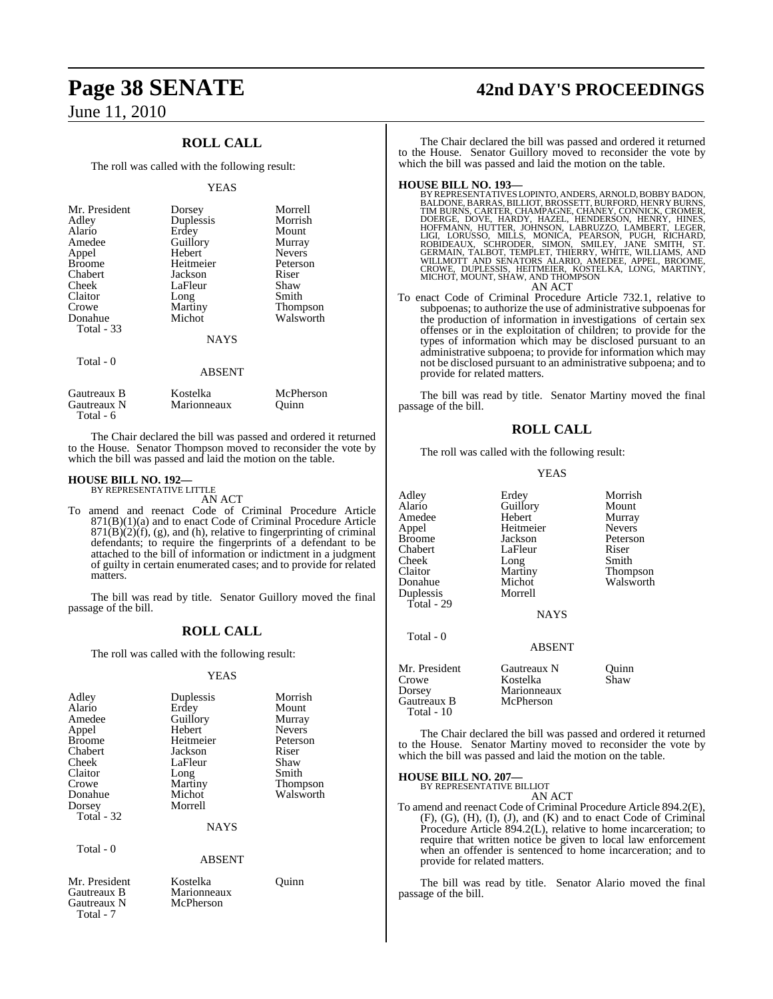## **ROLL CALL**

The roll was called with the following result:

#### **YEAS**

| Mr. President<br>Adley<br>Alario<br>Amedee<br>Appel<br><b>Broome</b><br>Chabert<br>Cheek<br>Claitor<br>Crowe<br>Donahue<br>Total - 33 | Dorsey<br>Duplessis<br>Erdey<br>Guillory<br>Hebert<br>Heitmeier<br>Jackson<br>LaFleur<br>Long<br>Martiny<br>Michot<br><b>NAYS</b> | Morrell<br>Morrish<br>Mount<br>Murray<br><b>Nevers</b><br>Peterson<br>Riser<br>Shaw<br>Smith<br>Thompson<br>Walsworth |
|---------------------------------------------------------------------------------------------------------------------------------------|-----------------------------------------------------------------------------------------------------------------------------------|-----------------------------------------------------------------------------------------------------------------------|
| Total - 0                                                                                                                             | <b>ABSENT</b>                                                                                                                     |                                                                                                                       |

| Gautreaux B | Kostelka    | McPherson |
|-------------|-------------|-----------|
| Gautreaux N | Marionneaux | Ouinn     |
| Total - 6   |             |           |

The Chair declared the bill was passed and ordered it returned to the House. Senator Thompson moved to reconsider the vote by which the bill was passed and laid the motion on the table.

#### **HOUSE BILL NO. 192—**

BY REPRESENTATIVE LITTLE AN ACT

To amend and reenact Code of Criminal Procedure Article 871(B)(1)(a) and to enact Code of Criminal Procedure Article  $871(B)(2)(f)$ , (g), and (h), relative to fingerprinting of criminal defendants; to require the fingerprints of a defendant to be attached to the bill of information or indictment in a judgment of guilty in certain enumerated cases; and to provide for related matters.

The bill was read by title. Senator Guillory moved the final passage of the bill.

#### **ROLL CALL**

The roll was called with the following result:

#### YEAS

| Adley         | Duplessis   | Morrish         |
|---------------|-------------|-----------------|
| Alario        | Erdey       | Mount           |
| Amedee        | Guillory    | Murray          |
| Appel         | Hebert      | <b>Nevers</b>   |
| <b>Broome</b> | Heitmeier   | Peterson        |
| Chabert       | Jackson     | Riser           |
| Cheek         | LaFleur     | Shaw            |
| Claitor       | Long        | Smith           |
| Crowe         | Martiny     | <b>Thompson</b> |
| Donahue       | Michot      | Walsworth       |
| Dorsey        | Morrell     |                 |
| Total - 32    |             |                 |
|               | <b>NAYS</b> |                 |
| Total - 0     |             |                 |
|               | ABSENT      |                 |

Mr. President Kostelka Quinn<br>
Gautreaux B Marionneaux Gautreaux N

Total - 7

Marionneaux<br>McPherson

# **Page 38 SENATE 42nd DAY'S PROCEEDINGS**

The Chair declared the bill was passed and ordered it returned to the House. Senator Guillory moved to reconsider the vote by which the bill was passed and laid the motion on the table.

#### **HOUSE BILL NO. 193—**

- BY REPRESENTATIVES LOPINTO, ANDERS, ARNOLD, BOBBY BADON, BALDONE, BARRAS, BILLIOT, BROSSETT, BURFORD, HENRY BURNS, CARTER, CHAMPAGNE, CHANEY, CONNICK, CROMER, DOERGE, DOVE, HARDY, HAZEL, HENRY ANDEN HOFFMANN, HOFFMANN, HOF AN ACT
- To enact Code of Criminal Procedure Article 732.1, relative to subpoenas; to authorize the use of administrative subpoenas for the production of information in investigations of certain sex offenses or in the exploitation of children; to provide for the types of information which may be disclosed pursuant to an administrative subpoena; to provide for information which may not be disclosed pursuant to an administrative subpoena; and to provide for related matters.

The bill was read by title. Senator Martiny moved the final passage of the bill.

#### **ROLL CALL**

The roll was called with the following result:

#### YEAS

| Adley                          | Erdey                                    | Morrish               |
|--------------------------------|------------------------------------------|-----------------------|
| Alario                         | Guillory                                 | Mount                 |
| Amedee                         | Hebert                                   | Murray                |
| Appel                          | Heitmeier                                | <b>Nevers</b>         |
| Broome                         | Jackson                                  | Peterson              |
| Chabert                        | LaFleur                                  | Riser                 |
| Cheek                          | Long                                     | Smith                 |
| Claitor                        | Martiny                                  | Thompson              |
| Donahue                        | Michot                                   | Walsworth             |
| Duplessis                      | Morrell                                  |                       |
| Total - 29                     |                                          |                       |
|                                | <b>NAYS</b>                              |                       |
| Total - 0                      |                                          |                       |
|                                | <b>ABSENT</b>                            |                       |
| Mr. President<br>$\sim$ $\sim$ | Gautreaux N<br>$\mathbf{V}$ $\mathbf{V}$ | uınn<br>$\sim$ $\sim$ |

| ічн. і гемасці | <b>Oauticau</b> a in | <b>OUIIII</b> |
|----------------|----------------------|---------------|
| Crowe          | Kostelka             | Shaw          |
| Dorsey         | Marionneaux          |               |
| Gautreaux B    | McPherson            |               |
| Total - $10$   |                      |               |
|                |                      |               |

The Chair declared the bill was passed and ordered it returned to the House. Senator Martiny moved to reconsider the vote by which the bill was passed and laid the motion on the table.

**HOUSE BILL NO. 207—** BY REPRESENTATIVE BILLIOT

AN ACT

To amend and reenact Code of Criminal Procedure Article 894.2(E), (F), (G), (H), (I), (J), and (K) and to enact Code of Criminal Procedure Article 894.2(L), relative to home incarceration; to require that written notice be given to local law enforcement when an offender is sentenced to home incarceration; and to provide for related matters.

The bill was read by title. Senator Alario moved the final passage of the bill.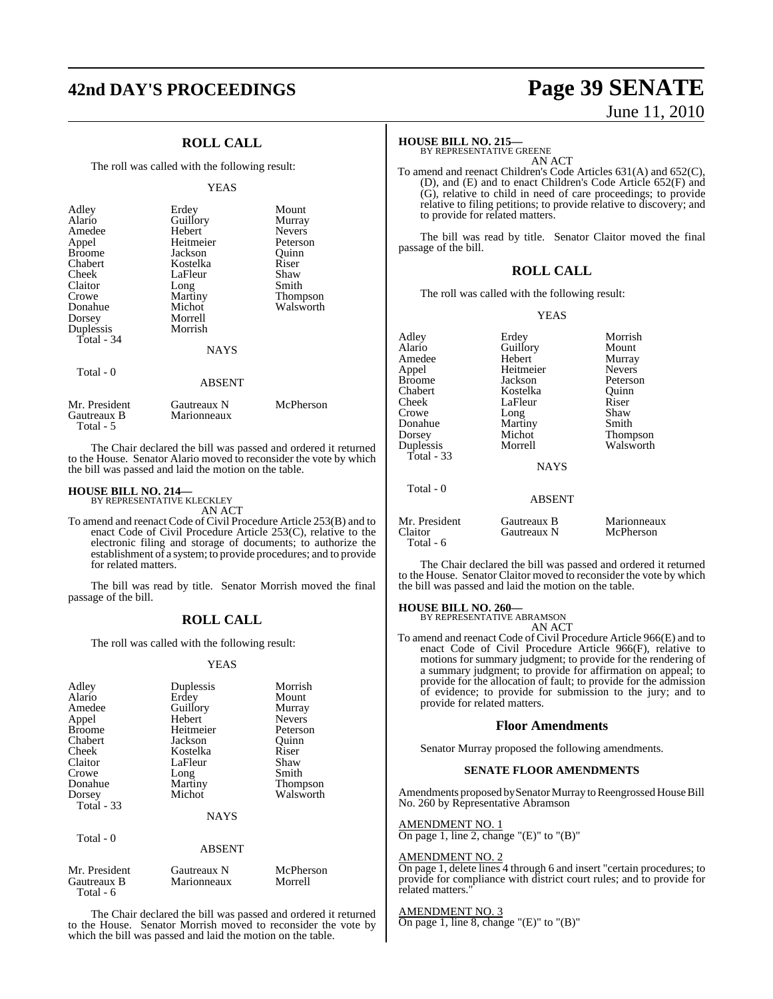# **42nd DAY'S PROCEEDINGS Page 39 SENATE**

## **ROLL CALL**

The roll was called with the following result:

#### **YEAS**

| Adley<br>Alario<br>Amedee<br>Appel<br><b>Broome</b><br>Chabert<br>Cheek<br>Claitor<br>Crowe<br>Donahue<br>Dorsey<br>Duplessis<br>Total - $34$ | Erdey<br>Guillory<br>Hebert<br>Heitmeier<br>Jackson<br>Kostelka<br>LaFleur<br>Long<br>Martiny<br>Michot<br>Morrell<br>Morrish<br><b>NAYS</b> | Mount<br>Murray<br><b>Nevers</b><br>Peterson<br>Ouinn<br>Riser<br>Shaw<br>Smith<br><b>Thompson</b><br>Walsworth |
|-----------------------------------------------------------------------------------------------------------------------------------------------|----------------------------------------------------------------------------------------------------------------------------------------------|-----------------------------------------------------------------------------------------------------------------|
| Total - 0                                                                                                                                     | <b>ABSENT</b>                                                                                                                                |                                                                                                                 |

The Chair declared the bill was passed and ordered it returned to the House. Senator Alario moved to reconsider the vote by which the bill was passed and laid the motion on the table.

## **HOUSE BILL NO. 214—** BY REPRESENTATIVE KLECKLEY

Gautreaux B Total - 5

AN ACT

Mr. President Gautreaux N McPherson<br>Gautreaux B Marionneaux

To amend and reenact Code of Civil Procedure Article 253(B) and to enact Code of Civil Procedure Article 253(C), relative to the electronic filing and storage of documents; to authorize the establishment of a system; to provide procedures; and to provide for related matters.

The bill was read by title. Senator Morrish moved the final passage of the bill.

#### **ROLL CALL**

The roll was called with the following result:

#### YEAS

| Adley<br>Alario<br>Amedee<br>Appel<br><b>Broome</b><br>Chabert<br>Cheek<br>Claitor<br>Crowe<br>Donahue<br>Dorsey<br><b>Total - 33</b> | Duplessis<br>Erdev<br>Guillory<br>Hebert<br>Heitmeier<br>Jackson<br>Kostelka<br>LaFleur<br>Long<br>Martiny<br>Michot<br><b>NAYS</b> | Morrish<br>Mount<br>Murray<br><b>Nevers</b><br>Peterson<br>Ouinn<br>Riser<br>Shaw<br>Smith<br><b>Thompson</b><br>Walsworth |
|---------------------------------------------------------------------------------------------------------------------------------------|-------------------------------------------------------------------------------------------------------------------------------------|----------------------------------------------------------------------------------------------------------------------------|
| Total $-0$                                                                                                                            | <b>ABSENT</b>                                                                                                                       |                                                                                                                            |

| Mr. President | Gautreaux N | McPherson |
|---------------|-------------|-----------|
| Gautreaux B   | Marionneaux | Morrell   |
| Total - 6     |             |           |

The Chair declared the bill was passed and ordered it returned to the House. Senator Morrish moved to reconsider the vote by which the bill was passed and laid the motion on the table.

# June 11, 2010

#### **HOUSE BILL NO. 215—**

BY REPRESENTATIVE GREENE AN ACT

To amend and reenact Children's Code Articles 631(A) and 652(C), (D), and (E) and to enact Children's Code Article 652(F) and (G), relative to child in need of care proceedings; to provide relative to filing petitions; to provide relative to discovery; and to provide for related matters.

The bill was read by title. Senator Claitor moved the final passage of the bill.

#### **ROLL CALL**

The roll was called with the following result:

YEAS

| Adlev         | Erdey         | Morrish       |
|---------------|---------------|---------------|
| Alario        | Guillory      | Mount         |
| Amedee        | Hebert        | Murray        |
| Appel         | Heitmeier     | <b>Nevers</b> |
| Broome        | Jackson       | Peterson      |
| Chabert       | Kostelka      | Ouinn         |
| Cheek         | LaFleur       | Riser         |
| Crowe         | Long          | Shaw          |
| Donahue       | Martiny       | Smith         |
| Dorsey        | Michot        | Thompson      |
| Duplessis     | Morrell       | Walsworth     |
| Total - 33    |               |               |
|               | <b>NAYS</b>   |               |
|               |               |               |
|               |               |               |
| Total - 0     |               |               |
|               | <b>ABSENT</b> |               |
|               |               |               |
| Mr. President | Gautreaux B   | Marionneaux   |
| Claitor       | Gautreaux N   | McPherson     |
| Total - 6     |               |               |

The Chair declared the bill was passed and ordered it returned to the House. Senator Claitor moved to reconsider the vote by which the bill was passed and laid the motion on the table.

## **HOUSE BILL NO. 260—** BY REPRESENTATIVE ABRAMSON

AN ACT

To amend and reenact Code of Civil Procedure Article 966(E) and to enact Code of Civil Procedure Article 966(F), relative to motions for summary judgment; to provide for the rendering of a summary judgment; to provide for affirmation on appeal; to provide for the allocation of fault; to provide for the admission of evidence; to provide for submission to the jury; and to provide for related matters.

#### **Floor Amendments**

Senator Murray proposed the following amendments.

#### **SENATE FLOOR AMENDMENTS**

Amendments proposed by Senator Murray to Reengrossed House Bill No. 260 by Representative Abramson

#### AMENDMENT NO. 1

On page 1, line 2, change " $(E)$ " to " $(B)$ "

#### AMENDMENT NO. 2

On page 1, delete lines 4 through 6 and insert "certain procedures; to provide for compliance with district court rules; and to provide for related matters."

#### AMENDMENT NO. 3

On page 1, line 8, change " $(E)$ " to " $(B)$ "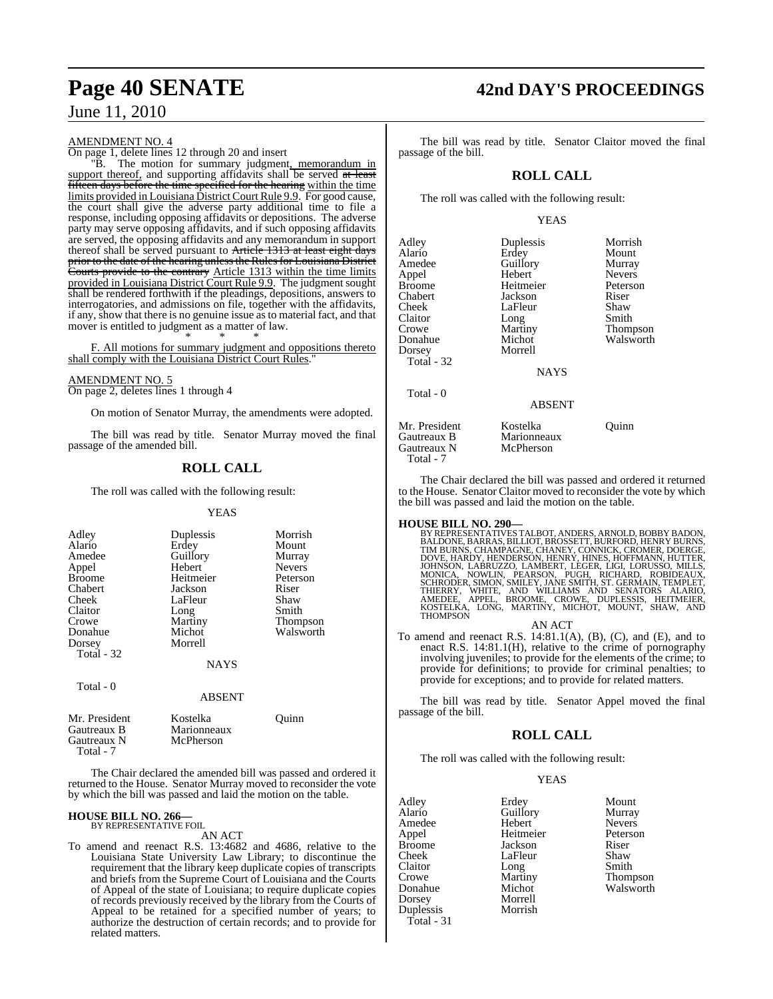#### AMENDMENT NO. 4

On page 1, delete lines 12 through 20 and insert

"B. The motion for summary judgment, memorandum in support thereof, and supporting affidavits shall be served at least fifteen days before the time specified for the hearing within the time limits provided in Louisiana District Court Rule 9.9. For good cause, the court shall give the adverse party additional time to file a response, including opposing affidavits or depositions. The adverse party may serve opposing affidavits, and if such opposing affidavits are served, the opposing affidavits and any memorandum in support thereof shall be served pursuant to Article 1313 at least eight days prior to the date of the hearing unless the Rules for Louisiana District Courts provide to the contrary Article 1313 within the time limits provided in Louisiana District Court Rule 9.9. The judgment sought shall be rendered forthwith if the pleadings, depositions, answers to interrogatories, and admissions on file, together with the affidavits, if any, show that there is no genuine issue as to material fact, and that mover is entitled to judgment as a matter of law. \* \* \*

F. All motions for summary judgment and oppositions thereto shall comply with the Louisiana District Court Rules.

## AMENDMENT NO. 5

On page 2, deletes lines 1 through 4

On motion of Senator Murray, the amendments were adopted.

The bill was read by title. Senator Murray moved the final passage of the amended bill.

## **ROLL CALL**

The roll was called with the following result:

#### YEAS

| Adley<br>Alario<br>Amedee<br>Appel<br><b>Broome</b><br>Chabert<br>Cheek<br>Claitor<br>Crowe<br>Donahue<br>Dorsey | Duplessis<br>Erdey<br>Guillory<br>Hebert<br>Heitmeier<br>Jackson<br>LaFleur<br>Long<br>Martiny<br>Michot<br>Morrell | Morrish<br>Mount<br>Murray<br><b>Nevers</b><br>Peterson<br>Riser<br>Shaw<br>Smith<br><b>Thompson</b><br>Walsworth |
|------------------------------------------------------------------------------------------------------------------|---------------------------------------------------------------------------------------------------------------------|-------------------------------------------------------------------------------------------------------------------|
| Total - 32                                                                                                       | NAYS                                                                                                                |                                                                                                                   |
| Total - 0                                                                                                        | <b>ABSENT</b>                                                                                                       |                                                                                                                   |
| Mr. President                                                                                                    | Kostelka                                                                                                            | Ouinn)                                                                                                            |

Gautreaux N Total - 7 The Chair declared the amended bill was passed and ordered it returned to the House. Senator Murray moved to reconsider the vote

by which the bill was passed and laid the motion on the table.

#### **HOUSE BILL NO. 266—** BY REPRESENTATIVE FOIL

Gautreaux B<br>
Gautreaux N<br>
McPherson

#### AN ACT

To amend and reenact R.S. 13:4682 and 4686, relative to the Louisiana State University Law Library; to discontinue the requirement that the library keep duplicate copies of transcripts and briefs from the Supreme Court of Louisiana and the Courts of Appeal of the state of Louisiana; to require duplicate copies of records previously received by the library from the Courts of Appeal to be retained for a specified number of years; to authorize the destruction of certain records; and to provide for related matters.

## **Page 40 SENATE 42nd DAY'S PROCEEDINGS**

The bill was read by title. Senator Claitor moved the final passage of the bill.

### **ROLL CALL**

The roll was called with the following result:

#### YEAS

| Adley<br>Alario<br>Amedee<br>Appel<br>Broome<br>Chabert<br>Cheek<br>Claitor<br>Crowe<br>Donahue<br>Dorsey<br>Total - 32 | Duplessis<br>Erdey<br>Guillory<br>Hebert<br>Heitmeier<br>Jackson<br>LaFleur<br>Long<br>Martiny<br>Michot<br>Morrell<br><b>NAYS</b> | Morrish<br>Mount<br>Murray<br><b>Nevers</b><br>Peterson<br>Riser<br>Shaw<br>Smith<br>Thompson<br>Walsworth |
|-------------------------------------------------------------------------------------------------------------------------|------------------------------------------------------------------------------------------------------------------------------------|------------------------------------------------------------------------------------------------------------|
| Total - 0                                                                                                               | <b>ABSENT</b>                                                                                                                      |                                                                                                            |
| Mr. President<br>Gautreaux B<br>Gautreaux N<br>Total - 7                                                                | Kostelka<br>Marionneaux<br>McPherson                                                                                               | Ouinn                                                                                                      |

The Chair declared the bill was passed and ordered it returned to the House. Senator Claitor moved to reconsider the vote by which the bill was passed and laid the motion on the table.

**HOUSE BILL NO. 290—** BY REPRESENTATIVES TALBOT, ANDERS, ARNOLD, BOBBY BADON, BALDONE, BARRAS, BILLIOT, BROSSETT, BURFORD, HENRY BURNS, INDUNNS, CHAMPAGNE, CHANEY, CONNICK, CROMER, DOERGE,<br>TIM BURNS, CHAMPAGNE, CHANEY, CONNICK, CROMER, DOERGE,<br>JOHNSON, LABRUZZO, LAMBERT, LEGER, LIGI, LORUSSO, MILLS,

AN ACT

To amend and reenact R.S. 14:81.1(A), (B), (C), and (E), and to enact R.S. 14:81.1(H), relative to the crime of pornography involving juveniles; to provide for the elements of the crime; to provide for definitions; to provide for criminal penalties; to provide for exceptions; and to provide for related matters.

The bill was read by title. Senator Appel moved the final passage of the bill.

#### **ROLL CALL**

The roll was called with the following result:

#### YEAS

| Adley<br>Alario | Erdey<br>Guillory | Mount<br>Murray |
|-----------------|-------------------|-----------------|
| Amedee          | Hebert            | <b>Nevers</b>   |
| Appel           | Heitmeier         | Peterson        |
| <b>Broome</b>   | Jackson           | Riser           |
| Cheek           | LaFleur           | Shaw            |
| Claitor         | Long              | Smith           |
| Crowe           | Martiny           | Thompson        |
| Donahue         | Michot            | Walsworth       |
| Dorsey          | Morrell           |                 |
| Duplessis       | Morrish           |                 |
| Total - 31      |                   |                 |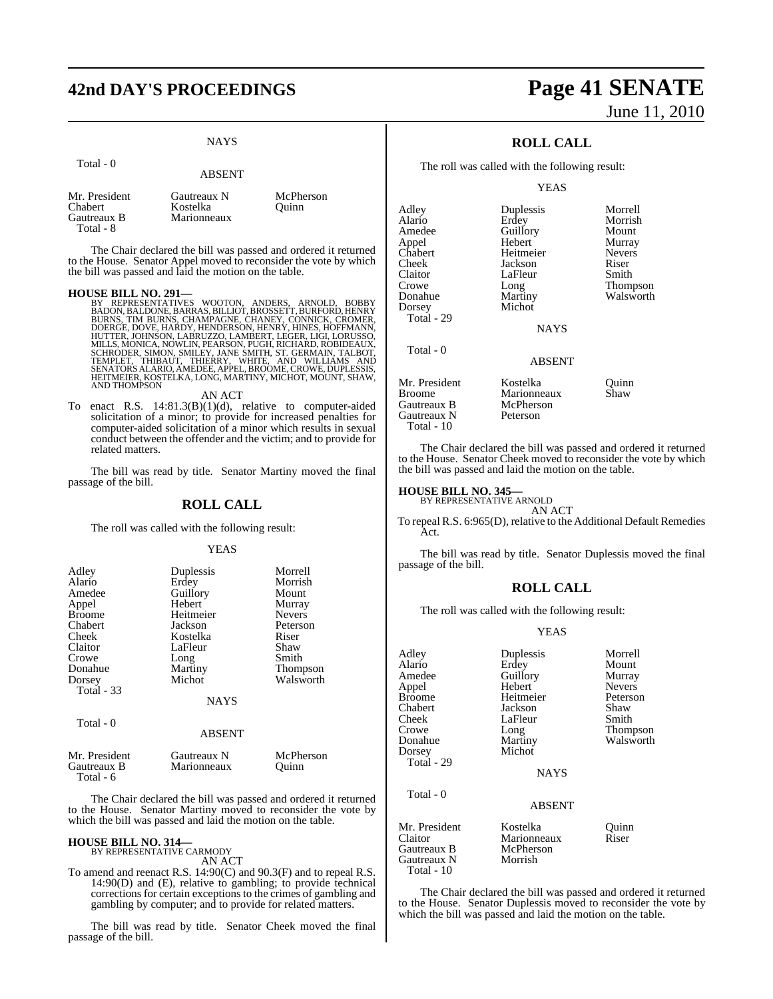## **42nd DAY'S PROCEEDINGS Page 41 SENATE**

## NAYS

|                                                      | <b>ABSENT</b>                          |                    |
|------------------------------------------------------|----------------------------------------|--------------------|
| Mr. President<br>Chabert<br>Gautreaux B<br>Total - 8 | Gautreaux N<br>Kostelka<br>Marionneaux | McPherson<br>Ouinn |

The Chair declared the bill was passed and ordered it returned to the House. Senator Appel moved to reconsider the vote by which the bill was passed and laid the motion on the table.

Total - 0

**HOUSE BILL NO. 291—**<br>BY REPRESENTATIVES WOOTON, ANDERS, ARNOLD, BOBBY<br>BADON, BALDONE, BARRAS, BILLIOT, BROSSETT, BURFORD, HENRY<br>BURNS, TIM BURNS, CHAMPAGNE, CHANEY, CONNICK, CROMER,<br>DOERGE, DOVE, HARDY, HENDERSON, HENRY,

#### AN ACT

To enact R.S. 14:81.3(B)(1)(d), relative to computer-aided solicitation of a minor; to provide for increased penalties for computer-aided solicitation of a minor which results in sexual conduct between the offender and the victim; and to provide for related matters.

The bill was read by title. Senator Martiny moved the final passage of the bill.

#### **ROLL CALL**

The roll was called with the following result:

#### **YEAS**

| Adley             | Duplessis   | Morrell       |
|-------------------|-------------|---------------|
| Alario            | Erdey       | Morrish       |
| Amedee            | Guillory    | Mount         |
| Appel             | Hebert      | Murray        |
| <b>Broome</b>     | Heitmeier   | <b>Nevers</b> |
| Chabert           | Jackson     | Peterson      |
| Cheek             | Kostelka    | Riser         |
| Claitor           | LaFleur     | Shaw          |
| Crowe             | Long        | Smith         |
| Donahue           | Martiny     | Thompson      |
| Dorsey            | Michot      | Walsworth     |
| <b>Total</b> - 33 |             |               |
|                   | <b>NAYS</b> |               |
|                   |             |               |

Total - 0

#### ABSENT

| Mr. President<br>Gautreaux B<br>Total - 6 | Gautreaux N<br>Marionneaux | McPherson<br>Ouinn |  |
|-------------------------------------------|----------------------------|--------------------|--|
|                                           |                            |                    |  |

The Chair declared the bill was passed and ordered it returned to the House. Senator Martiny moved to reconsider the vote by which the bill was passed and laid the motion on the table.

#### **HOUSE BILL NO. 314—**

BY REPRESENTATIVE CARMODY AN ACT

To amend and reenact R.S. 14:90(C) and 90.3(F) and to repeal R.S. 14:90(D) and (E), relative to gambling; to provide technical corrections for certain exceptions to the crimes of gambling and gambling by computer; and to provide for related matters.

The bill was read by title. Senator Cheek moved the final passage of the bill.

# June 11, 2010

## **ROLL CALL**

The roll was called with the following result:

#### **YEAS**

| Adley<br>Alario<br>Amedee<br>Appel<br>Chabert<br>Cheek<br>Claitor<br>Crowe<br>Donahue | Duplessis<br>Erdey<br>Guillory<br>Hebert<br>Heitmeier<br>Jackson<br>LaFleur<br>Long<br>Martiny | Morrell<br>Morrish<br>Mount<br>Murray<br><b>Nevers</b><br>Riser<br>Smith<br>Thompson<br>Walsworth |
|---------------------------------------------------------------------------------------|------------------------------------------------------------------------------------------------|---------------------------------------------------------------------------------------------------|
| Dorsey<br>Total - 29                                                                  | Michot<br><b>NAYS</b>                                                                          |                                                                                                   |
| Total - 0                                                                             | <b>ABSENT</b>                                                                                  |                                                                                                   |
| Mr. President<br><b>Broome</b><br>Gautreaux B<br>Gautreaux N                          | Kostelka<br>Marionneaux<br>McPherson<br>Peterson                                               | Ouinn<br>Shaw                                                                                     |

The Chair declared the bill was passed and ordered it returned to the House. Senator Cheek moved to reconsider the vote by which the bill was passed and laid the motion on the table.

## **HOUSE BILL NO. 345—** BY REPRESENTATIVE ARNOLD

Total - 10

Gautreaux N Total - 10

AN ACT

To repeal R.S. 6:965(D), relative to the Additional Default Remedies Act.

The bill was read by title. Senator Duplessis moved the final passage of the bill.

#### **ROLL CALL**

The roll was called with the following result:

#### YEAS

| Adley         | Duplessis     | Morrell       |
|---------------|---------------|---------------|
| Alario        | Erdey         | Mount         |
| Amedee        | Guillory      | Murray        |
| Appel         | Hebert        | <b>Nevers</b> |
| <b>Broome</b> | Heitmeier     | Peterson      |
| Chabert       | Jackson       | Shaw          |
| Cheek         | LaFleur       | Smith         |
| Crowe         | Long          | Thompson      |
| Donahue       | Martiny       | Walsworth     |
| Dorsey        | Michot        |               |
| Total - 29    |               |               |
|               | <b>NAYS</b>   |               |
| Total - 0     |               |               |
|               | <b>ABSENT</b> |               |
| Mr. President | Kostelka      | Quinn         |
| Claitor       | Marionneaux   | Riser         |
| Gautreaux B   | McPherson     |               |
| Gautreaux N   | Morrish       |               |

The Chair declared the bill was passed and ordered it returned to the House. Senator Duplessis moved to reconsider the vote by which the bill was passed and laid the motion on the table.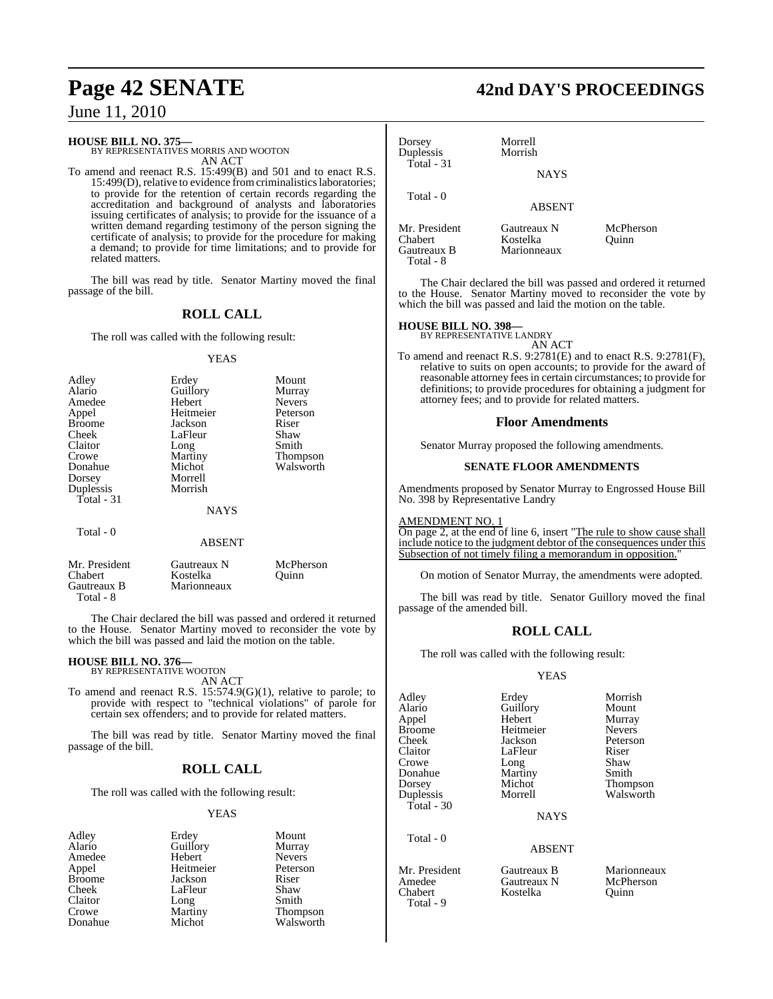#### **HOUSE BILL NO. 375—**

BY REPRESENTATIVES MORRIS AND WOOTON AN ACT

To amend and reenact R.S. 15:499(B) and 501 and to enact R.S. 15:499(D), relative to evidence from criminalistics laboratories; to provide for the retention of certain records regarding the accreditation and background of analysts and laboratories issuing certificates of analysis; to provide for the issuance of a written demand regarding testimony of the person signing the certificate of analysis; to provide for the procedure for making a demand; to provide for time limitations; and to provide for related matters.

The bill was read by title. Senator Martiny moved the final passage of the bill.

#### **ROLL CALL**

The roll was called with the following result:

#### YEAS

| Adley         | Erdey         | Mount         |
|---------------|---------------|---------------|
| Alario        | Guillory      | Murray        |
| Amedee        | Hebert        | <b>Nevers</b> |
| Appel         | Heitmeier     | Peterson      |
| <b>Broome</b> | Jackson       | Riser         |
| Cheek         | LaFleur       | Shaw          |
| Claitor       | Long          | Smith         |
| Crowe         | Martiny       | Thompson      |
| Donahue       | Michot        | Walsworth     |
| Dorsey        | Morrell       |               |
| Duplessis     | Morrish       |               |
| Total $-31$   |               |               |
|               | <b>NAYS</b>   |               |
| Total - 0     |               |               |
|               | <b>ABSENT</b> |               |

| Mr. President | Gautreaux N | McPherson |
|---------------|-------------|-----------|
| Chabert       | Kostelka    | Ouinn     |
| Gautreaux B   | Marionneaux |           |
| Total - 8     |             |           |

The Chair declared the bill was passed and ordered it returned to the House. Senator Martiny moved to reconsider the vote by which the bill was passed and laid the motion on the table.

## **HOUSE BILL NO. 376—** BY REPRESENTATIVE WOOTON

AN ACT

To amend and reenact R.S. 15:574.9(G)(1), relative to parole; to provide with respect to "technical violations" of parole for certain sex offenders; and to provide for related matters.

The bill was read by title. Senator Martiny moved the final passage of the bill.

## **ROLL CALL**

The roll was called with the following result:

#### YEAS

| Adley   | Erdey     | Mount         |
|---------|-----------|---------------|
| Alario  | Guillory  | Murray        |
| Amedee  | Hebert    | <b>Nevers</b> |
| Appel   | Heitmeier | Peterso       |
| Broome  | Jackson   | Riser         |
| Cheek   | LaFleur   | Shaw          |
| Claitor | Long      | Smith         |
| Crowe   | Martiny   | <b>Thomp:</b> |
| Donahue | Michot    | Walswo        |

Hebert Nevers<br>
Heitmeier Peterson Heitmeier Peters<br>
Jackson Riser LaFleur Shaw<br>Long Smith Martiny Thompson<br>Michot Walsworth Walsworth

## **Page 42 SENATE 42nd DAY'S PROCEEDINGS**

| Dorsey<br>Duplessis<br>Total - 31                    | Morrell<br>Morrish<br><b>NAYS</b>      |                    |  |
|------------------------------------------------------|----------------------------------------|--------------------|--|
| Total - 0                                            | <b>ABSENT</b>                          |                    |  |
| Mr. President<br>Chabert<br>Gautreaux B<br>Total - 8 | Gautreaux N<br>Kostelka<br>Marionneaux | McPherson<br>Ouinn |  |

The Chair declared the bill was passed and ordered it returned to the House. Senator Martiny moved to reconsider the vote by which the bill was passed and laid the motion on the table.

## **HOUSE BILL NO. 398—** BY REPRESENTATIVE LANDRY

AN ACT To amend and reenact R.S. 9:2781(E) and to enact R.S. 9:2781(F), relative to suits on open accounts; to provide for the award of reasonable attorney feesin certain circumstances; to provide for definitions; to provide procedures for obtaining a judgment for attorney fees; and to provide for related matters.

#### **Floor Amendments**

Senator Murray proposed the following amendments.

#### **SENATE FLOOR AMENDMENTS**

Amendments proposed by Senator Murray to Engrossed House Bill No. 398 by Representative Landry

#### AMENDMENT NO. 1

On page 2, at the end of line 6, insert "The rule to show cause shall include notice to the judgment debtor of the consequences under this Subsection of not timely filing a memorandum in opposition.

On motion of Senator Murray, the amendments were adopted.

The bill was read by title. Senator Guillory moved the final passage of the amended bill.

#### **ROLL CALL**

The roll was called with the following result:

#### YEAS

Adley Erdey Morrish<br>Alario Guillory Mount Alario Guillory<br>
Appel Hebert Appel Hebert Murray Broome Heitmeier<br>Cheek Iackson Cheek Jackson Peterson Crowe Long Shaw<br>Donahue Martiny Smith **Donahue** Martiny<br> **Dorsey** Michot Dorsey Michot Thompson Total - 30

Total - 0

LaFleur Riser<br>
Long Shaw

Walsworth

**NAYS** 

#### ABSENT

Mr. President Gautreaux B Marionneaux<br>Amedee Gautreaux N McPherson Amedee Gautreaux N McPherson Kostelka

- 
- Total 9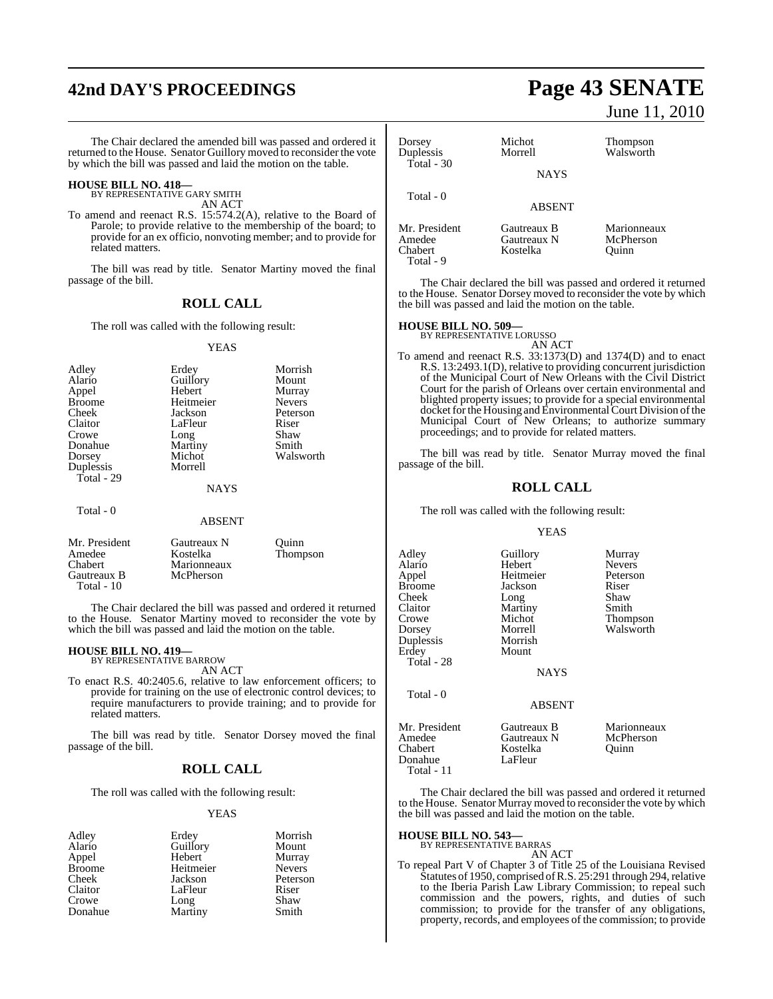# **42nd DAY'S PROCEEDINGS Page 43 SENATE**

The Chair declared the amended bill was passed and ordered it returned to the House. Senator Guillory moved to reconsider the vote by which the bill was passed and laid the motion on the table.

#### **HOUSE BILL NO. 418—** BY REPRESENTATIVE GARY SMITH

AN ACT

To amend and reenact R.S. 15:574.2(A), relative to the Board of Parole; to provide relative to the membership of the board; to provide for an ex officio, nonvoting member; and to provide for related matters.

The bill was read by title. Senator Martiny moved the final passage of the bill.

### **ROLL CALL**

The roll was called with the following result:

#### **YEAS**

| Heitmeier<br>Jackson<br>LaFleur<br>Long<br>Martiny<br>Michot<br>Morrell | <b>Nevers</b><br>Peterson<br>Riser<br>Shaw<br>Smith<br>Walsworth |
|-------------------------------------------------------------------------|------------------------------------------------------------------|
| <b>NAYS</b>                                                             |                                                                  |
|                                                                         |                                                                  |

#### **ABSENT**

| Mr. President | Gautreaux N | Ouinn    |
|---------------|-------------|----------|
| Amedee        | Kostelka    | Thompson |
| Chabert       | Marionneaux |          |
| Gautreaux B   | McPherson   |          |
| Total $-10$   |             |          |

The Chair declared the bill was passed and ordered it returned to the House. Senator Martiny moved to reconsider the vote by which the bill was passed and laid the motion on the table.

#### **HOUSE BILL NO. 419—** BY REPRESENTATIVE BARROW

AN ACT

To enact R.S. 40:2405.6, relative to law enforcement officers; to provide for training on the use of electronic control devices; to require manufacturers to provide training; and to provide for related matters.

The bill was read by title. Senator Dorsey moved the final passage of the bill.

#### **ROLL CALL**

The roll was called with the following result:

#### YEAS

| Adley         | Erdey     | Morrish       |
|---------------|-----------|---------------|
| Alario        | Guillory  | Mount         |
| Appel         | Hebert    | Murray        |
| <b>Broome</b> | Heitmeier | <b>Nevers</b> |
| Cheek         | Jackson   | Peterson      |
| Claitor       | LaFleur   | Riser         |
| Crowe         | Long      | Shaw          |
| Donahue       | Martiny   | Smith         |

June 11, 2010

| Dorsey                  | Michot        | <b>Thompson</b> |
|-------------------------|---------------|-----------------|
| Duplessis<br>Total - 30 | Morrell       | Walsworth       |
|                         | <b>NAYS</b>   |                 |
| Total - 0               | <b>ABSENT</b> |                 |
| Mr. President           | Gautreaux B   | Marionneaux     |
| Amedee                  | Gautreaux N   | McPherson       |
| Chabert                 | Kostelka      | )uinn           |

The Chair declared the bill was passed and ordered it returned to the House. Senator Dorsey moved to reconsider the vote by which the bill was passed and laid the motion on the table.

## **HOUSE BILL NO. 509—** BY REPRESENTATIVE LORUSSO

Total - 9

AN ACT

To amend and reenact R.S. 33:1373(D) and 1374(D) and to enact R.S. 13:2493.1(D), relative to providing concurrent jurisdiction of the Municipal Court of New Orleans with the Civil District Court for the parish of Orleans over certain environmental and blighted property issues; to provide for a special environmental docket for the Housing and Environmental Court Division of the Municipal Court of New Orleans; to authorize summary proceedings; and to provide for related matters.

The bill was read by title. Senator Murray moved the final passage of the bill.

#### **ROLL CALL**

The roll was called with the following result:

#### YEAS

| Adley<br>Alario<br>Appel<br><b>Broome</b><br>Cheek<br>Claitor<br>Crowe<br>Dorsey<br>Duplessis<br>Erdey<br>Total - 28 | Guillory<br>Hebert<br>Heitmeier<br>Jackson<br>Long<br>Martiny<br>Michot<br>Morrell<br>Morrish<br>Mount<br><b>NAYS</b> | Murray<br><b>Nevers</b><br>Peterson<br>Riser<br>Shaw<br>Smith<br>Thompson<br>Walsworth |
|----------------------------------------------------------------------------------------------------------------------|-----------------------------------------------------------------------------------------------------------------------|----------------------------------------------------------------------------------------|
| Total - 0                                                                                                            | <b>ABSENT</b>                                                                                                         |                                                                                        |
| Mr. President<br>Amedee<br>Chabert<br>Donahue<br>Total - 11                                                          | Gautreaux B<br>Gautreaux N<br>Kostelka<br>LaFleur                                                                     | Marionneaux<br>McPherson<br>Ouinn                                                      |

The Chair declared the bill was passed and ordered it returned to the House. Senator Murray moved to reconsider the vote by which the bill was passed and laid the motion on the table.

#### **HOUSE BILL NO. 543—**

BY REPRESENTATIVE BARRAS

AN ACT

To repeal Part V of Chapter 3 of Title 25 of the Louisiana Revised Statutes of 1950, comprised of R.S. 25:291 through 294, relative to the Iberia Parish Law Library Commission; to repeal such commission and the powers, rights, and duties of such commission; to provide for the transfer of any obligations, property, records, and employees of the commission; to provide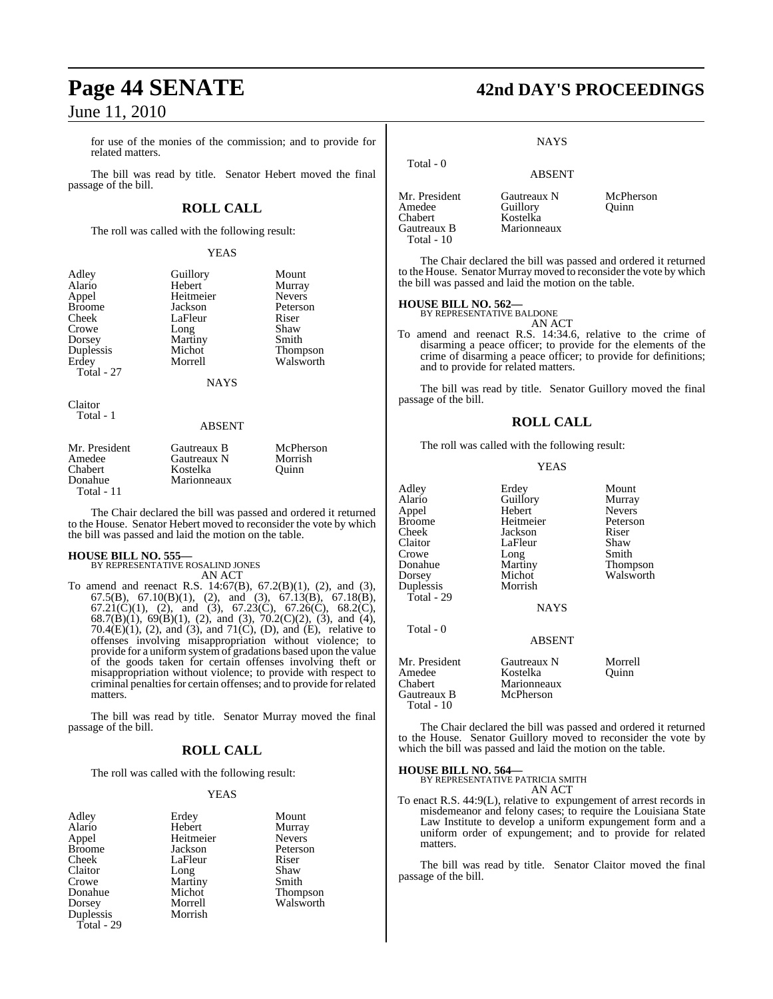for use of the monies of the commission; and to provide for related matters.

The bill was read by title. Senator Hebert moved the final passage of the bill.

## **ROLL CALL**

The roll was called with the following result:

#### YEAS

| Adley         | Guillory    | Mount         |
|---------------|-------------|---------------|
| Alario        | Hebert      | Murray        |
| Appel         | Heitmeier   | <b>Nevers</b> |
|               | Jackson     |               |
| <b>Broome</b> |             | Peterson      |
| Cheek         | LaFleur     | Riser         |
| Crowe         | Long        | Shaw          |
| Dorsey        | Martiny     | Smith         |
| Duplessis     | Michot      | Thompson      |
| Erdey         | Morrell     | Walsworth     |
|               |             |               |
| Total - 27    |             |               |
|               | <b>NAYS</b> |               |
|               |             |               |
| Claitor       |             |               |
| Total - 1     |             |               |
|               | ABSENT      |               |
| Mr. President | Gautreaux B | McPherson     |
|               |             |               |
| Amedee        | Gautreaux N | Morrish       |
| Chabert       | Kostelka    | Quinn         |
| Donahue       | Marionneaux |               |
| Total - 11    |             |               |

The Chair declared the bill was passed and ordered it returned to the House. Senator Hebert moved to reconsider the vote by which the bill was passed and laid the motion on the table.

#### **HOUSE BILL NO. 555—**

BY REPRESENTATIVE ROSALIND JONES AN ACT

To amend and reenact R.S. 14:67(B), 67.2(B)(1), (2), and (3), 67.5(B), 67.10(B)(1), (2), and (3), 67.13(B), 67.18(B), 67.21(C)(1), (2), and (3), 67.23(C), 67.26(C), 68.2(C), 68.7(B)(1), 69(B)(1), (2), and (3), 70.2(C)(2), (3), and (4), 70.4 $(E)(1)$ , (2), and (3), and 71 $(C)$ , (D), and  $(E)$ , relative to offenses involving misappropriation without violence; to provide for a uniform system of gradations based upon the value of the goods taken for certain offenses involving theft or misappropriation without violence; to provide with respect to criminal penalties for certain offenses; and to provide for related matters.

The bill was read by title. Senator Murray moved the final passage of the bill.

### **ROLL CALL**

The roll was called with the following result:

#### YEAS

| Adley         | Erdey     | Mount           |
|---------------|-----------|-----------------|
| Alario        | Hebert    | Murray          |
| Appel         | Heitmeier | <b>Nevers</b>   |
| <b>Broome</b> | Jackson   | Peterson        |
| Cheek         | LaFleur   | Riser           |
| Claitor       | Long      | Shaw            |
| Crowe         | Martiny   | Smith           |
| Donahue       | Michot    | <b>Thompson</b> |
| Dorsey        | Morrell   | Walsworth       |
| Duplessis     | Morrish   |                 |
| Total - 29    |           |                 |

# **Page 44 SENATE 42nd DAY'S PROCEEDINGS**

#### **NAYS**

## ABSENT Mr. President Gautreaux N McPherson<br>Amedee Guillory Ouinn Amedee Guillory<br>Chabert Kostelka Kostelka<br>Marionneaux

The Chair declared the bill was passed and ordered it returned to the House. Senator Murray moved to reconsider the vote by which the bill was passed and laid the motion on the table.

#### **HOUSE BILL NO. 562—**

Total - 0

Gautreaux B Total - 10

BY REPRESENTATIVE BALDONE

AN ACT To amend and reenact R.S. 14:34.6, relative to the crime of disarming a peace officer; to provide for the elements of the crime of disarming a peace officer; to provide for definitions; and to provide for related matters.

The bill was read by title. Senator Guillory moved the final passage of the bill.

#### **ROLL CALL**

The roll was called with the following result:

#### YEAS

| Adley<br>Alario<br>Appel<br><b>Broome</b><br>Cheek<br>Claitor<br>Crowe<br>Donahue<br>Dorsey<br>Duplessis<br>Total - 29 | Erdey<br>Guillory<br>Hebert<br>Heitmeier<br>Jackson<br>LaFleur<br>Long<br>Martiny<br>Michot<br>Morrish<br><b>NAYS</b> | Mount<br>Murray<br><b>Nevers</b><br>Peterson<br>Riser<br>Shaw<br>Smith<br>Thompson<br>Walsworth |
|------------------------------------------------------------------------------------------------------------------------|-----------------------------------------------------------------------------------------------------------------------|-------------------------------------------------------------------------------------------------|
| Total - 0                                                                                                              | <b>ABSENT</b>                                                                                                         |                                                                                                 |
| Mr. President<br>Amedee<br>Chabert<br>Gautreaux B<br>Total - 10                                                        | Gautreaux N<br>Kostelka<br>Marionneaux<br>McPherson                                                                   | Morrell<br>Ouinn                                                                                |

The Chair declared the bill was passed and ordered it returned to the House. Senator Guillory moved to reconsider the vote by which the bill was passed and laid the motion on the table.

## **HOUSE BILL NO. 564—** BY REPRESENTATIVE PATRICIA SMITH

AN ACT

To enact R.S. 44:9(L), relative to expungement of arrest records in misdemeanor and felony cases; to require the Louisiana State Law Institute to develop a uniform expungement form and a uniform order of expungement; and to provide for related matters.

The bill was read by title. Senator Claitor moved the final passage of the bill.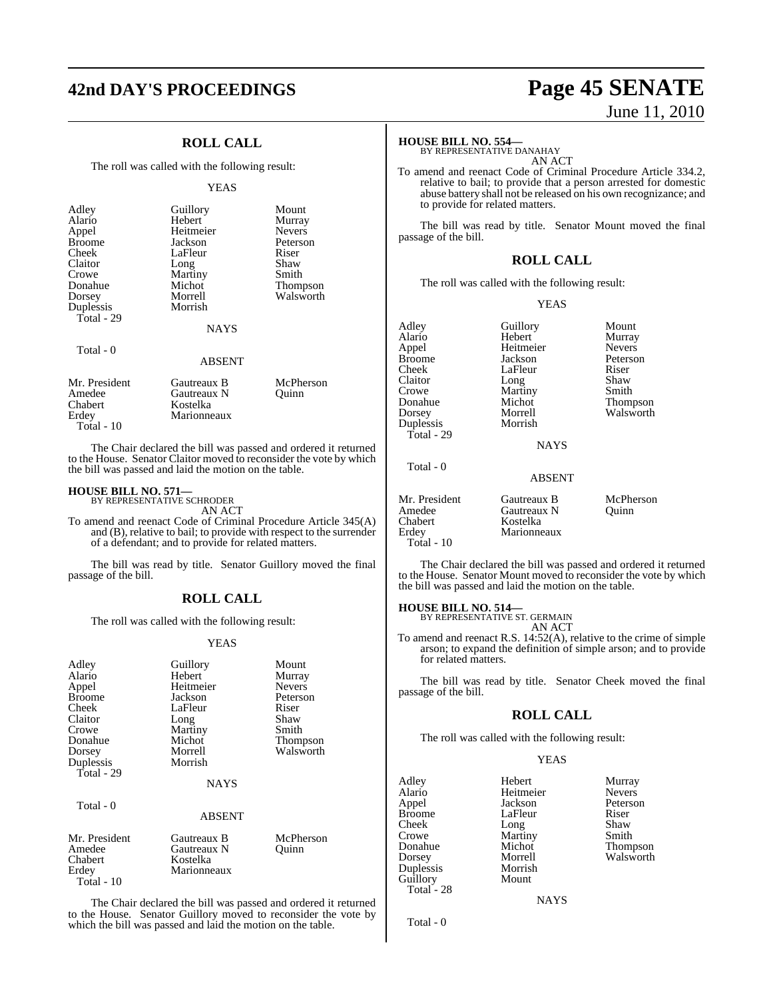# **42nd DAY'S PROCEEDINGS Page 45 SENATE**

## **ROLL CALL**

The roll was called with the following result:

#### **YEAS**

| Adley<br>Alario<br>Appel<br><b>Broome</b><br>Cheek<br>Claitor<br>Crowe<br>Donahue<br>Dorsey | Guillory<br>Hebert<br>Heitmeier<br>Jackson<br>LaFleur<br>Long<br>Martiny<br>Michot<br>Morrell | Mount<br>Murray<br><b>Nevers</b><br>Peterson<br>Riser<br>Shaw<br>Smith<br><b>Thompson</b><br>Walsworth |
|---------------------------------------------------------------------------------------------|-----------------------------------------------------------------------------------------------|--------------------------------------------------------------------------------------------------------|
| Duplessis<br>Total - 29                                                                     | Morrish                                                                                       |                                                                                                        |
|                                                                                             | <b>NAYS</b>                                                                                   |                                                                                                        |
| Total $-0$                                                                                  | <b>ABSENT</b>                                                                                 |                                                                                                        |

| Mr. President<br>Amedee<br>Chabert | Gautreaux B<br>Gautreaux N<br>Kostelka | McPherson<br>Ouinn |
|------------------------------------|----------------------------------------|--------------------|
| Erdey                              | Marionneaux                            |                    |
| Total - $10$                       |                                        |                    |

The Chair declared the bill was passed and ordered it returned to the House. Senator Claitor moved to reconsider the vote by which the bill was passed and laid the motion on the table.

## **HOUSE BILL NO. 571—** BY REPRESENTATIVE SCHRODER

AN ACT

To amend and reenact Code of Criminal Procedure Article 345(A) and (B), relative to bail; to provide with respect to the surrender of a defendant; and to provide for related matters.

The bill was read by title. Senator Guillory moved the final passage of the bill.

#### **ROLL CALL**

The roll was called with the following result:

#### YEAS

| Adley<br>Alario<br>Appel<br><b>Broome</b><br>Cheek<br>Claitor<br>Crowe<br>Donahue<br>Dorsey<br>Duplessis<br>Total - 29 | Guillory<br>Hebert<br>Heitmeier<br>Jackson<br>LaFleur<br>Long<br>Martiny<br>Michot<br>Morrell<br>Morrish<br><b>NAYS</b> | Mount<br>Murray<br><b>Nevers</b><br>Peterson<br>Riser<br>Shaw<br>Smith<br>Thompson<br>Walsworth |
|------------------------------------------------------------------------------------------------------------------------|-------------------------------------------------------------------------------------------------------------------------|-------------------------------------------------------------------------------------------------|
| Total - 0                                                                                                              | <b>ABSENT</b>                                                                                                           |                                                                                                 |
| Mr. President<br>Amedee<br>Chabert<br>Erdey<br>Total - $10$                                                            | Gautreaux B<br>Gautreaux N<br>Kostelka<br>Marionneaux                                                                   | McPherson<br>Ouinn                                                                              |

The Chair declared the bill was passed and ordered it returned to the House. Senator Guillory moved to reconsider the vote by which the bill was passed and laid the motion on the table.

# June 11, 2010

## **HOUSE BILL NO. 554—** BY REPRESENTATIVE DANAHAY

AN ACT

To amend and reenact Code of Criminal Procedure Article 334.2, relative to bail; to provide that a person arrested for domestic abuse battery shall not be released on his own recognizance; and to provide for related matters.

The bill was read by title. Senator Mount moved the final passage of the bill.

#### **ROLL CALL**

The roll was called with the following result:

YEAS

| Adley         | Guillory      | Mount         |
|---------------|---------------|---------------|
| Alario        | Hebert        | Murray        |
| Appel         | Heitmeier     | <b>Nevers</b> |
| Broome        | Jackson       | Peterson      |
| Cheek         | LaFleur       | Riser         |
| Claitor       | Long          | Shaw          |
| Crowe         | Martiny       | Smith         |
| Donahue       | Michot        | Thompson      |
| Dorsey        | Morrell       | Walsworth     |
| Duplessis     | Morrish       |               |
| Total - 29    |               |               |
|               | <b>NAYS</b>   |               |
| Total - 0     |               |               |
|               | <b>ABSENT</b> |               |
| Mr. President | Gautreaux B   | McPherson     |
| Amedee        | Gautreaux N   | Ouinn         |
| Chabert       | Kostelka      |               |
| Erdey         | Marionneaux   |               |
| Total - 10    |               |               |
|               |               |               |

The Chair declared the bill was passed and ordered it returned to the House. Senator Mount moved to reconsider the vote by which the bill was passed and laid the motion on the table.

**HOUSE BILL NO. 514—** BY REPRESENTATIVE ST. GERMAIN

AN ACT

To amend and reenact R.S. 14:52(A), relative to the crime of simple arson; to expand the definition of simple arson; and to provide for related matters.

The bill was read by title. Senator Cheek moved the final passage of the bill.

#### **ROLL CALL**

The roll was called with the following result:

#### YEAS

Adley Hebert Murray<br>Alario Heitmeier Nevers Alario Heitmeier<br>Appel Jackson Broome LaFleur Riser<br>
Cheek Long Shaw Cheek Long Shaw<br>Crowe Martiny Smith Crowe Martiny<br>Donahue Michot Donahue Michot Thompson Duplessis Morris<br>
Guillory Mount Guillory Total - 28

Jackson Peterson<br>LaFleur Riser Morrell Walsworth<br>Morrish

NAYS

Total - 0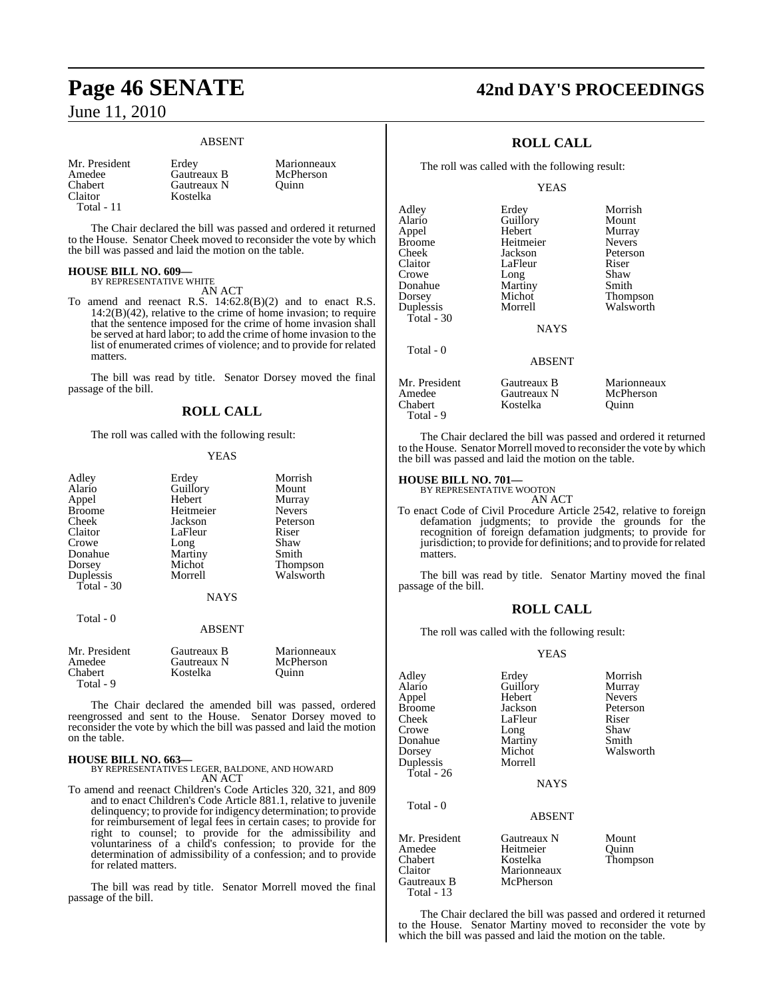## **Page 46 SENATE 42nd DAY'S PROCEEDINGS** June 11, 2010

#### ABSENT

| Mr. President  | Erdev       | Marionneaux |
|----------------|-------------|-------------|
| Amedee         | Gautreaux B | McPherson   |
| <b>Chabert</b> | Gautreaux N | Ouinn       |
| Claitor        | Kostelka    |             |
| Total - 11     |             |             |

The Chair declared the bill was passed and ordered it returned to the House. Senator Cheek moved to reconsider the vote by which the bill was passed and laid the motion on the table.

#### **HOUSE BILL NO. 609—** BY REPRESENTATIVE WHITE

AN ACT

To amend and reenact R.S. 14:62.8(B)(2) and to enact R.S.  $14:2(B)(42)$ , relative to the crime of home invasion; to require that the sentence imposed for the crime of home invasion shall be served at hard labor; to add the crime of home invasion to the list of enumerated crimes of violence; and to provide for related matters.

The bill was read by title. Senator Dorsey moved the final passage of the bill.

#### **ROLL CALL**

The roll was called with the following result:

#### YEAS

| Adley      | Erdey          | Morrish       |
|------------|----------------|---------------|
| Alario     | Guillory       | Mount         |
| Appel      | Hebert         | Murray        |
| Broome     | Heitmeier      | <b>Nevers</b> |
| Cheek      | Jackson        | Peterson      |
| Claitor    | LaFleur        | Riser         |
| Crowe      | Long           | Shaw          |
| Donahue    | Martiny        | Smith         |
| Dorsey     | Michot         | Thompson      |
| Duplessis  | Morrell        | Walsworth     |
| Total - 30 |                |               |
|            | <b>ATA TTM</b> |               |

## NAYS

Total - 0

#### ABSENT

| Mr. President<br>Amedee | Gautreaux B<br>Gautreaux N | Marionneaux<br>McPherson |
|-------------------------|----------------------------|--------------------------|
| Chabert                 | Kostelka                   | Ouinn                    |
| Total - 9               |                            |                          |

The Chair declared the amended bill was passed, ordered reengrossed and sent to the House. Senator Dorsey moved to reconsider the vote by which the bill was passed and laid the motion on the table.

#### **HOUSE BILL NO. 663—**

BY REPRESENTATIVES LEGER, BALDONE, AND HOWARD AN ACT

To amend and reenact Children's Code Articles 320, 321, and 809 and to enact Children's Code Article 881.1, relative to juvenile delinquency; to provide for indigency determination; to provide for reimbursement of legal fees in certain cases; to provide for right to counsel; to provide for the admissibility and voluntariness of a child's confession; to provide for the determination of admissibility of a confession; and to provide for related matters.

The bill was read by title. Senator Morrell moved the final passage of the bill.

## **ROLL CALL**

The roll was called with the following result:

#### **YEAS**

LaFleur Riser<br>Long Shaw

Walsworth

Adley Erdey Morrish<br>Alario Guillory Mount Alario Guillory<br>Appel Hebert Appel Hebert Murray Broome Heitmeier<br>Cheek Jackson Cheek Jackson Peterson Crowe Long Shaw<br>Donahue Martiny Smith Donahue Martiny<br>Dorsey Michot Dorsey Michot Thompson<br>Duplessis Morrell Walsworth Total - 30 Total - 0

NAYS

#### ABSENT Mr. President Gautreaux B Marionneaux<br>Amedee Gautreaux N McPherson Amedee Gautreaux N McPherson<br>Chabert Kostelka Ouinn Kostelka Total - 9

The Chair declared the bill was passed and ordered it returned to the House. Senator Morrell moved to reconsider the vote by which the bill was passed and laid the motion on the table.

#### **HOUSE BILL NO. 701—**

Total - 13

BY REPRESENTATIVE WOOTON AN ACT

To enact Code of Civil Procedure Article 2542, relative to foreign defamation judgments; to provide the grounds for the recognition of foreign defamation judgments; to provide for jurisdiction; to provide for definitions; and to provide forrelated matters.

The bill was read by title. Senator Martiny moved the final passage of the bill.

#### **ROLL CALL**

The roll was called with the following result:

#### YEAS

| Adley<br>Alario<br>Appel<br><b>Broome</b><br>Cheek<br>Crowe<br>Donahue<br>Dorsey<br>Duplessis | Erdey<br>Guillory<br>Hebert<br>Jackson<br>LaFleur<br>Long<br>Martiny<br>Michot<br>Morrell | Morrish<br>Murray<br><b>Nevers</b><br>Peterson<br>Riser<br>Shaw<br>Smith<br>Walsworth |
|-----------------------------------------------------------------------------------------------|-------------------------------------------------------------------------------------------|---------------------------------------------------------------------------------------|
| Total - 26                                                                                    | <b>NAYS</b>                                                                               |                                                                                       |
| Total - 0                                                                                     | <b>ABSENT</b>                                                                             |                                                                                       |
| Mr. President<br>Amedee<br>Chabert<br>Claitor<br>Gautreaux B                                  | Gautreaux N<br>Heitmeier<br>Kostelka<br>Marionneaux<br>McPherson                          | Mount<br>Quinn<br>Thompson                                                            |

The Chair declared the bill was passed and ordered it returned to the House. Senator Martiny moved to reconsider the vote by which the bill was passed and laid the motion on the table.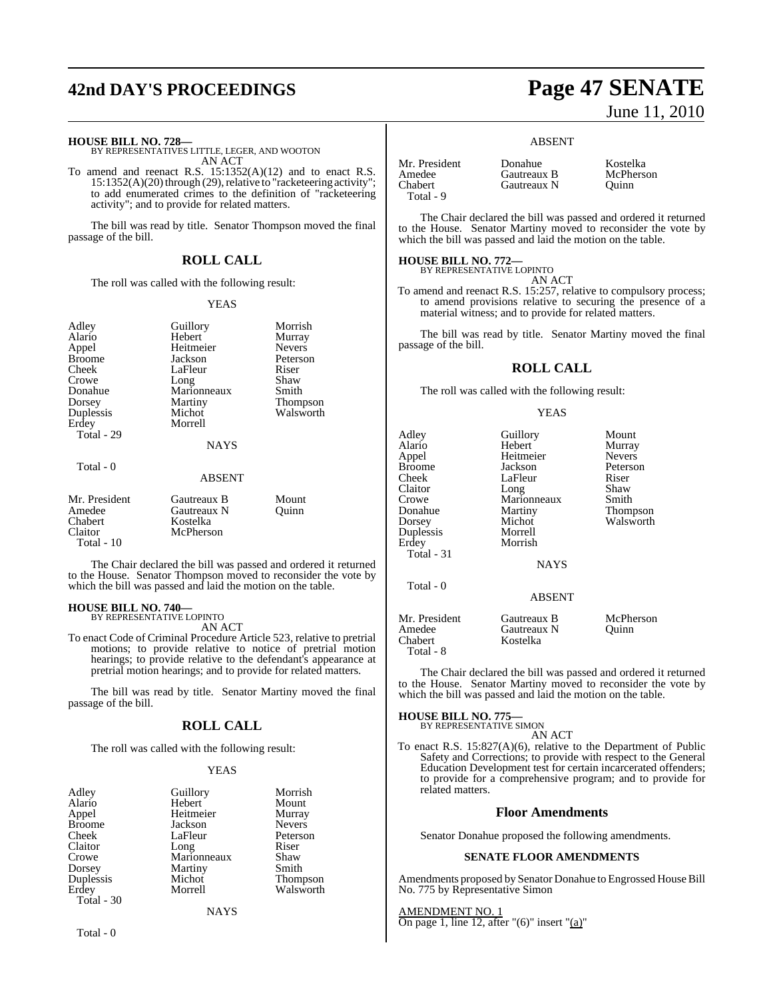# **42nd DAY'S PROCEEDINGS Page 47 SENATE**

**HOUSE BILL NO. 728—** BY REPRESENTATIVES LITTLE, LEGER, AND WOOTON AN ACT

To amend and reenact R.S.  $15:1352(A)(12)$  and to enact R.S.  $15:1352(A)(20)$  through (29), relative to "racketeering activity"; to add enumerated crimes to the definition of "racketeering activity"; and to provide for related matters.

The bill was read by title. Senator Thompson moved the final passage of the bill.

#### **ROLL CALL**

The roll was called with the following result:

#### YEAS

| Adley<br>Alario<br>Appel<br><b>Broome</b><br>Cheek<br>Crowe<br>Donahue<br>Dorsey<br>Duplessis<br>Erdey<br>Total - 29 | Guillory<br>Hebert<br>Heitmeier<br>Jackson<br>LaFleur<br>Long<br>Marionneaux<br>Martiny<br>Michot<br>Morrell<br><b>NAYS</b> | Morrish<br>Murray<br><b>Nevers</b><br>Peterson<br>Riser<br>Shaw<br>Smith<br><b>Thompson</b><br>Walsworth |
|----------------------------------------------------------------------------------------------------------------------|-----------------------------------------------------------------------------------------------------------------------------|----------------------------------------------------------------------------------------------------------|
| Total - 0                                                                                                            | <b>ABSENT</b>                                                                                                               |                                                                                                          |
| Mr. President<br>Amedee<br>Chabert<br>Claitor<br>Total - 10                                                          | Gautreaux B<br>Gautreaux N<br>Kostelka<br>McPherson                                                                         | Mount<br>Ouinn                                                                                           |

The Chair declared the bill was passed and ordered it returned to the House. Senator Thompson moved to reconsider the vote by which the bill was passed and laid the motion on the table.

## **HOUSE BILL NO. 740—** BY REPRESENTATIVE LOPINTO

AN ACT

To enact Code of Criminal Procedure Article 523, relative to pretrial motions; to provide relative to notice of pretrial motion hearings; to provide relative to the defendant's appearance at pretrial motion hearings; and to provide for related matters.

The bill was read by title. Senator Martiny moved the final passage of the bill.

#### **ROLL CALL**

The roll was called with the following result:

#### YEAS

| Adley         | Guillory    | Morrish       |
|---------------|-------------|---------------|
| Alario        | Hebert      | Mount         |
| Appel         | Heitmeier   | Murray        |
| <b>Broome</b> | Jackson     | <b>Nevers</b> |
| Cheek         | LaFleur     | Peterson      |
| Claitor       | Long        | Riser         |
| Crowe         | Marionneaux | Shaw          |
| Dorsey        | Martiny     | Smith         |
| Duplessis     | Michot      | Thompson      |
| Erdey         | Morrell     | Walsworth     |
| Total - 30    |             |               |

**NAYS** 

# June 11, 2010

#### ABSENT

Gautreaux N

| Mr. President |  |
|---------------|--|
| Amedee        |  |
| Chabert       |  |
| Total - 9     |  |

Donahue Kostelka<br>Gautreaux B McPherson **Gautreaux B** McPhe<br> **Gautreaux N** Quinn

The Chair declared the bill was passed and ordered it returned to the House. Senator Martiny moved to reconsider the vote by which the bill was passed and laid the motion on the table.

## **HOUSE BILL NO. 772—** BY REPRESENTATIVE LOPINTO

AN ACT

To amend and reenact R.S. 15:257, relative to compulsory process; to amend provisions relative to securing the presence of a material witness; and to provide for related matters.

The bill was read by title. Senator Martiny moved the final passage of the bill.

#### **ROLL CALL**

The roll was called with the following result:

#### YEAS

| Adley<br>Alario<br>Appel<br>Broome<br>Cheek<br>Claitor<br>Crowe<br>Donahue<br>Dorsey<br>Duplessis<br>Erdey<br>Total - 31 | Guillory<br>Hebert<br>Heitmeier<br>Jackson<br>LaFleur<br>Long<br>Marionneaux<br>Martiny<br>Michot<br>Morrell<br>Morrish<br><b>NAYS</b> | Mount<br>Murray<br><b>Nevers</b><br>Peterson<br>Riser<br>Shaw<br>Smith<br>Thompson<br>Walsworth |
|--------------------------------------------------------------------------------------------------------------------------|----------------------------------------------------------------------------------------------------------------------------------------|-------------------------------------------------------------------------------------------------|
| Total - 0                                                                                                                | <b>ABSENT</b>                                                                                                                          |                                                                                                 |
| Mr. President<br>Amedee<br>Chabert<br>Total - 8                                                                          | Gautreaux B<br>Gautreaux N<br>Kostelka                                                                                                 | McPherson<br>Ouinn                                                                              |

The Chair declared the bill was passed and ordered it returned to the House. Senator Martiny moved to reconsider the vote by which the bill was passed and laid the motion on the table.

**HOUSE BILL NO. 775—**

BY REPRESENTATIVE SIMON

AN ACT To enact R.S. 15:827(A)(6), relative to the Department of Public Safety and Corrections; to provide with respect to the General Education Development test for certain incarcerated offenders; to provide for a comprehensive program; and to provide for related matters.

#### **Floor Amendments**

Senator Donahue proposed the following amendments.

#### **SENATE FLOOR AMENDMENTS**

Amendments proposed by Senator Donahue to Engrossed House Bill No. 775 by Representative Simon

AMENDMENT NO. 1 On page 1, line 12, after " $(6)$ " insert " $(a)$ "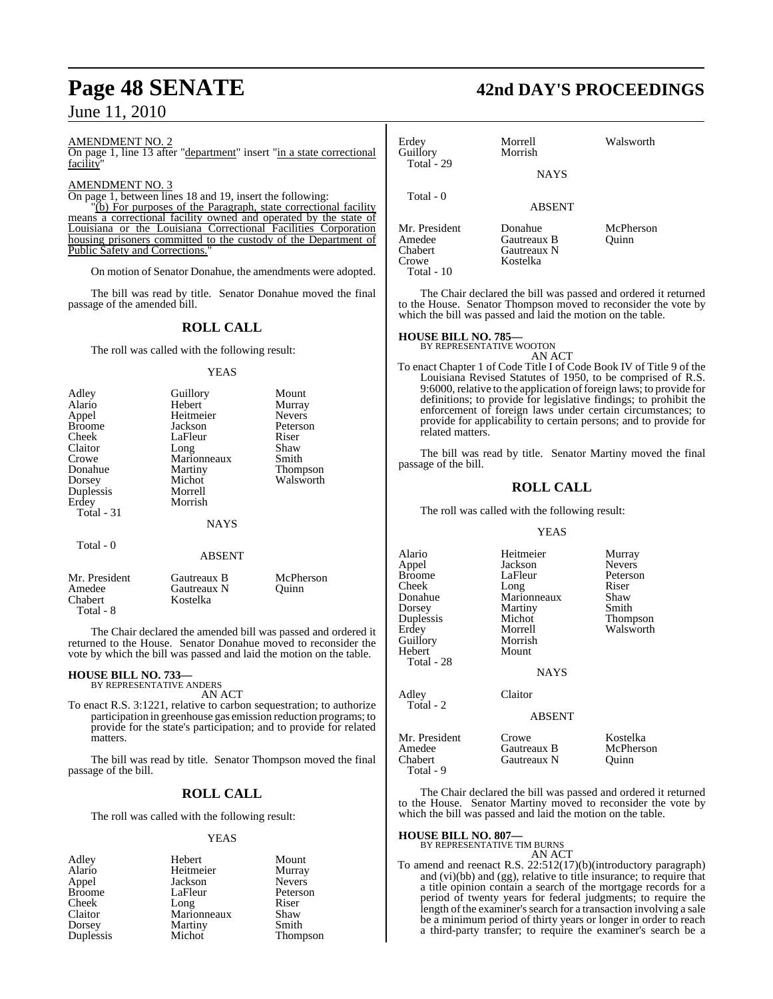#### AMENDMENT NO. 2

On page 1, line 13 after "department" insert "in a state correctional facility"

#### AMENDMENT NO. 3

On page 1, between lines 18 and 19, insert the following:

"(b) For purposes of the Paragraph, state correctional facility means a correctional facility owned and operated by the state of Louisiana or the Louisiana Correctional Facilities Corporation housing prisoners committed to the custody of the Department of Public Safety and Corrections."

On motion of Senator Donahue, the amendments were adopted.

The bill was read by title. Senator Donahue moved the final passage of the amended bill.

## **ROLL CALL**

The roll was called with the following result:

#### YEAS

| Adley<br>Alario<br>Appel<br><b>Broome</b><br>Cheek<br>Claitor<br>Crowe | Guillory<br>Hebert<br>Heitmeier<br>Jackson<br>LaFleur<br>Long<br>Marionneaux | Mount<br>Murray<br><b>Nevers</b><br>Peterson<br>Riser<br>Shaw<br>Smith |
|------------------------------------------------------------------------|------------------------------------------------------------------------------|------------------------------------------------------------------------|
| Donahue                                                                | Martiny<br>Michot                                                            | <b>Thompson</b><br>Walsworth                                           |
| Dorsey<br>Duplessis<br>Erdey<br>Total - 31                             | Morrell<br>Morrish                                                           |                                                                        |
|                                                                        | <b>NAYS</b>                                                                  |                                                                        |
| Total - 0                                                              | <b>ABSENT</b>                                                                |                                                                        |
| Mr. President                                                          | Gautreaux B                                                                  | McPherson                                                              |

Amedee Gautreaux N Quinn<br>
Chabert Kostelka Kostelka Total - 8

The Chair declared the amended bill was passed and ordered it returned to the House. Senator Donahue moved to reconsider the vote by which the bill was passed and laid the motion on the table.

#### **HOUSE BILL NO. 733—**

BY REPRESENTATIVE ANDERS AN ACT

To enact R.S. 3:1221, relative to carbon sequestration; to authorize participation in greenhouse gas emission reduction programs; to provide for the state's participation; and to provide for related matters.

The bill was read by title. Senator Thompson moved the final passage of the bill.

#### **ROLL CALL**

The roll was called with the following result:

#### YEAS

Adley Hebert Mount Alario Heitmeier Murray<br>
Appel Jackson Nevers Appel Jackson<br>Broome LaFleur Broome LaFleur Peterson<br>Cheek Long Riser Cheek Long Riser<br>Claitor Marionneaux Shaw Marionneaux Shaw<br>Martiny Smith Dorsey Martiny<br>
Duplessis Michot Thompson

## **Page 48 SENATE 42nd DAY'S PROCEEDINGS**

| Erdey<br>Guillory<br>Total - 29                            | Morrell<br>Morrish<br><b>NAYS</b>                 | Walsworth          |
|------------------------------------------------------------|---------------------------------------------------|--------------------|
| Total - 0                                                  | ABSENT                                            |                    |
| Mr. President<br>Amedee<br>Chabert<br>Crowe<br>Total $-10$ | Donahue<br>Gautreaux B<br>Gautreaux N<br>Kostelka | McPherson<br>Ouinn |

The Chair declared the bill was passed and ordered it returned to the House. Senator Thompson moved to reconsider the vote by which the bill was passed and laid the motion on the table.

#### **HOUSE BILL NO. 785—**

BY REPRESENTATIVE WOOTON

- AN ACT
- To enact Chapter 1 of Code Title I of Code Book IV of Title 9 of the Louisiana Revised Statutes of 1950, to be comprised of R.S. 9:6000, relative to the application of foreign laws; to provide for definitions; to provide for legislative findings; to prohibit the enforcement of foreign laws under certain circumstances; to provide for applicability to certain persons; and to provide for related matters.

The bill was read by title. Senator Martiny moved the final passage of the bill.

#### **ROLL CALL**

The roll was called with the following result:

#### YEAS

| Alario<br>Appel<br>Broome<br>Cheek<br>Donahue<br>Dorsey<br>Duplessis<br>Erdey<br>Guillory<br>Hebert | Heitmeier<br>Jackson<br>LaFleur<br>Long<br>Marionneaux<br>Martiny<br>Michot<br>Morrell<br>Morrish<br>Mount | Murray<br><b>Nevers</b><br>Peterson<br>Riser<br>Shaw<br>Smith<br>Thompson<br>Walsworth |
|-----------------------------------------------------------------------------------------------------|------------------------------------------------------------------------------------------------------------|----------------------------------------------------------------------------------------|
| Total - 28<br>Adley<br>Total - 2                                                                    | <b>NAYS</b><br>Claitor                                                                                     |                                                                                        |
|                                                                                                     | <b>ABSENT</b>                                                                                              |                                                                                        |
| Mr. President<br>Amedee<br>Chabert<br>Total - 9                                                     | Crowe<br>Gautreaux B<br>Gautreaux N                                                                        | Kostelka<br>McPherson<br>Ouinn                                                         |

The Chair declared the bill was passed and ordered it returned to the House. Senator Martiny moved to reconsider the vote by which the bill was passed and laid the motion on the table.

#### **HOUSE BILL NO. 807—**

BY REPRESENTATIVE TIM BURNS

#### AN ACT

To amend and reenact R.S. 22:512(17)(b)(introductory paragraph) and (vi)(bb) and (gg), relative to title insurance; to require that a title opinion contain a search of the mortgage records for a period of twenty years for federal judgments; to require the length of the examiner's search for a transaction involving a sale be a minimum period of thirty years or longer in order to reach a third-party transfer; to require the examiner's search be a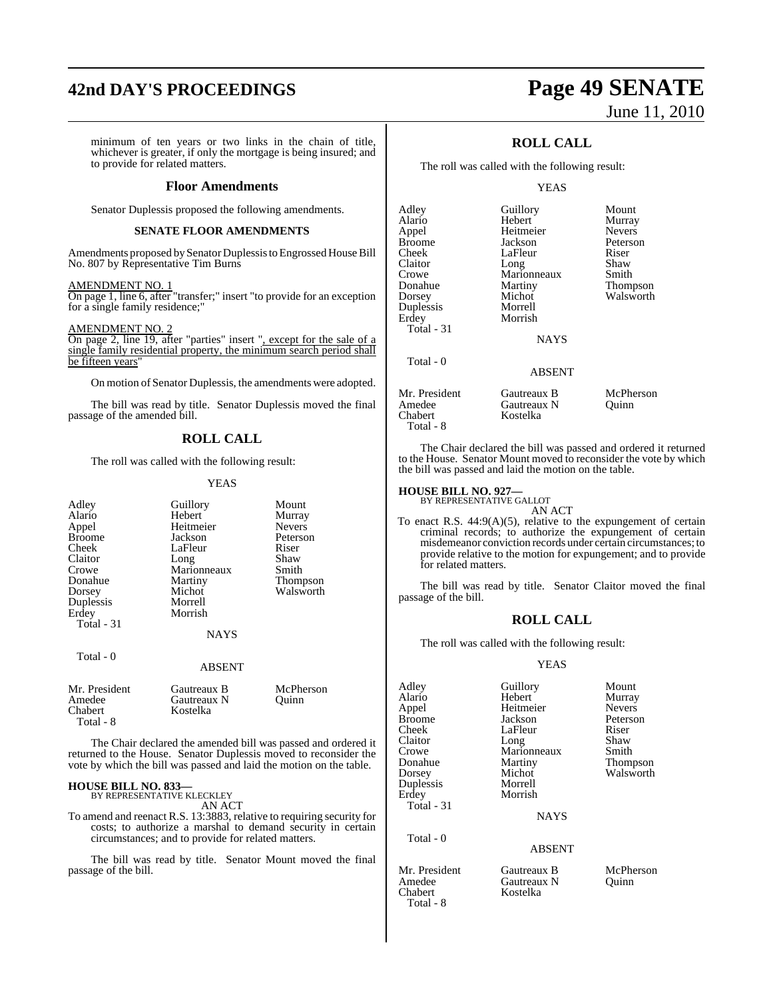# **42nd DAY'S PROCEEDINGS Page 49 SENATE**

minimum of ten years or two links in the chain of title, whichever is greater, if only the mortgage is being insured; and to provide for related matters.

#### **Floor Amendments**

Senator Duplessis proposed the following amendments.

#### **SENATE FLOOR AMENDMENTS**

Amendments proposed bySenator Duplessis to Engrossed House Bill No. 807 by Representative Tim Burns

#### AMENDMENT NO. 1

On page 1, line 6, after "transfer;" insert "to provide for an exception for a single family residence;"

AMENDMENT NO. 2

On page 2, line 19, after "parties" insert ", except for the sale of a single family residential property, the minimum search period shall be fifteen years"

On motion of Senator Duplessis, the amendments were adopted.

The bill was read by title. Senator Duplessis moved the final passage of the amended bill.

#### **ROLL CALL**

The roll was called with the following result:

#### YEAS

| Adley<br>Alario<br>Appel<br><b>Broome</b><br>Cheek<br>Claitor<br>Crowe<br>Donahue<br>Dorsey<br>Duplessis<br>Erdey<br>Total $-31$ | Guillory<br>Hebert<br>Heitmeier<br>Jackson<br>LaFleur<br>Long<br>Marionneaux<br>Martiny<br>Michot<br>Morrell<br>Morrish<br><b>NAYS</b> | Mount<br>Murray<br><b>Nevers</b><br>Peterson<br>Riser<br>Shaw<br>Smith<br>Thompson<br>Walsworth |
|----------------------------------------------------------------------------------------------------------------------------------|----------------------------------------------------------------------------------------------------------------------------------------|-------------------------------------------------------------------------------------------------|
| Total - 0                                                                                                                        | <b>ABSENT</b>                                                                                                                          |                                                                                                 |
| Mr. President<br>Amedee<br>Chabert<br>Total - 8                                                                                  | Gautreaux B<br>Gautreaux N<br>Kostelka                                                                                                 | McPherson<br>Quinn                                                                              |

The Chair declared the amended bill was passed and ordered it returned to the House. Senator Duplessis moved to reconsider the vote by which the bill was passed and laid the motion on the table.

## **HOUSE BILL NO. 833—** BY REPRESENTATIVE KLECKLEY

AN ACT

To amend and reenact R.S. 13:3883, relative to requiring security for costs; to authorize a marshal to demand security in certain circumstances; and to provide for related matters.

The bill was read by title. Senator Mount moved the final passage of the bill.

# June 11, 2010

## **ROLL CALL**

The roll was called with the following result:

#### YEAS

| Adley<br>Alario<br>Appel<br>Broome<br>Cheek<br>Claitor<br>Crowe<br>Donahue<br>Dorsey<br>Duplessis<br>Erdey<br>Total - 31 | Guillory<br>Hebert<br>Heitmeier<br>Jackson<br>LaFleur<br>Long<br>Marionneaux<br>Martiny<br>Michot<br>Morrell<br>Morrish<br><b>NAYS</b> | Mount<br>Murray<br><b>Nevers</b><br>Peterson<br>Riser<br>Shaw<br>Smith<br>Thompson<br>Walsworth |
|--------------------------------------------------------------------------------------------------------------------------|----------------------------------------------------------------------------------------------------------------------------------------|-------------------------------------------------------------------------------------------------|
| Total - 0                                                                                                                | <b>ABSENT</b>                                                                                                                          |                                                                                                 |
| Mr. President<br>Amedee                                                                                                  | Gautreaux B<br>Gautreaux N                                                                                                             | McPherson<br>Ouinn                                                                              |

The Chair declared the bill was passed and ordered it returned to the House. Senator Mount moved to reconsider the vote by which the bill was passed and laid the motion on the table.

## **HOUSE BILL NO. 927—** BY REPRESENTATIVE GALLOT

Chabert Kostelka

Total - 8

AN ACT To enact R.S. 44:9(A)(5), relative to the expungement of certain criminal records; to authorize the expungement of certain misdemeanor conviction records under certain circumstances; to provide relative to the motion for expungement; and to provide for related matters.

The bill was read by title. Senator Claitor moved the final passage of the bill.

#### **ROLL CALL**

The roll was called with the following result:

#### YEAS

| Adley         | Guillory      | Mount         |
|---------------|---------------|---------------|
| Alario        | Hebert        | Murray        |
| Appel         | Heitmeier     | <b>Nevers</b> |
| Broome        | Jackson       | Peterson      |
| Cheek         | LaFleur       | Riser         |
| Claitor       | Long          | Shaw          |
| Crowe         | Marionneaux   | Smith         |
| Donahue       | Martiny       | Thompson      |
| Dorsey        | Michot        | Walsworth     |
| Duplessis     | Morrell       |               |
| Erdey         | Morrish       |               |
| Total - 31    |               |               |
|               | <b>NAYS</b>   |               |
| Total - 0     |               |               |
|               | <b>ABSENT</b> |               |
| Mr. President | Gautreaux B   | McPherson     |
|               |               |               |

Amedee Gautreaux N Quinn<br>
Chabert Kostelka Kostelka Total - 8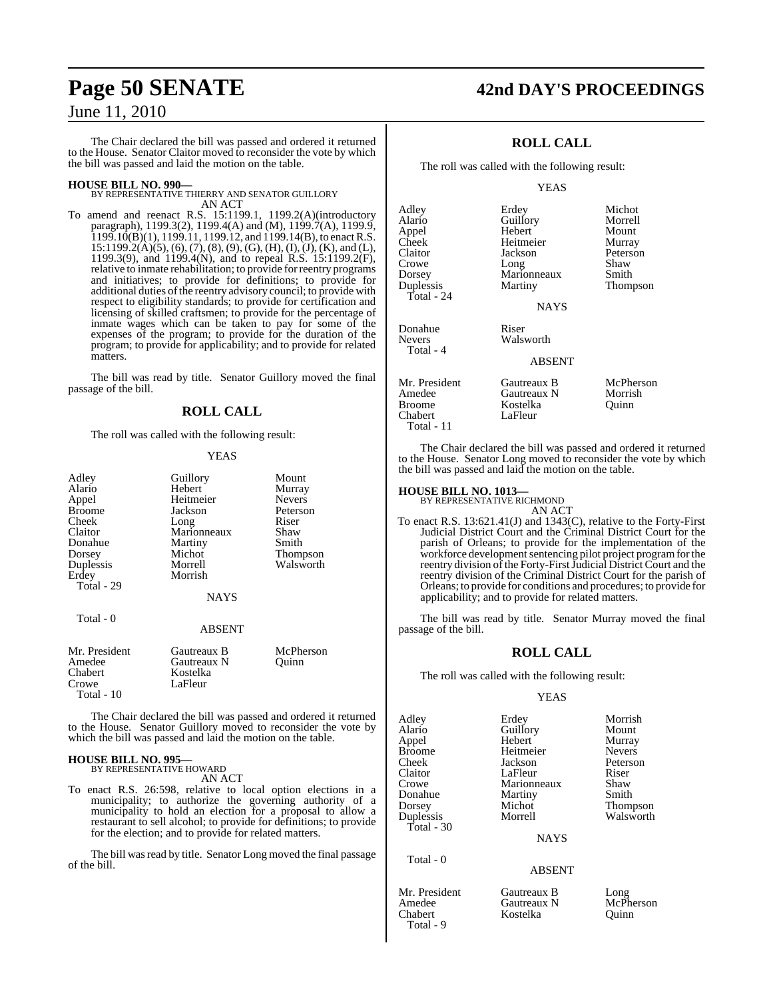The Chair declared the bill was passed and ordered it returned to the House. Senator Claitor moved to reconsider the vote by which the bill was passed and laid the motion on the table.

**HOUSE BILL NO. 990—** BY REPRESENTATIVE THIERRY AND SENATOR GUILLORY AN ACT

To amend and reenact R.S. 15:1199.1, 1199.2(A)(introductory paragraph), 1199.3(2), 1199.4(A) and (M), 1199.7(A), 1199.9,  $1199.10(B)(1)$ ,  $1199.11$ ,  $1199.12$ , and  $1199.14(B)$ , to enact R.S.  $15:1199.2(\mathring{A})(5)$ , (6), (7), (8), (9), (G), (H), (I), (J), (K), and (L), 1199.3(9), and 1199.4(N), and to repeal R.S. 15:1199.2(F), relative to inmate rehabilitation; to provide forreentry programs and initiatives; to provide for definitions; to provide for additional duties ofthe reentry advisory council; to provide with respect to eligibility standards; to provide for certification and licensing of skilled craftsmen; to provide for the percentage of inmate wages which can be taken to pay for some of the expenses of the program; to provide for the duration of the program; to provide for applicability; and to provide for related matters.

The bill was read by title. Senator Guillory moved the final passage of the bill.

#### **ROLL CALL**

The roll was called with the following result:

#### YEAS

| Adley         | Guillory      | Mount         |
|---------------|---------------|---------------|
| Alario        | Hebert        | Murray        |
| Appel         | Heitmeier     | <b>Nevers</b> |
| Broome        | Jackson       | Peterson      |
| Cheek         | Long          | Riser         |
| Claitor       | Marionneaux   | Shaw          |
| Donahue       | Martiny       | Smith         |
| Dorsey        | Michot        | Thompson      |
| Duplessis     | Morrell       | Walsworth     |
| Erdev         | Morrish       |               |
| Total - 29    |               |               |
|               |               |               |
|               | <b>NAYS</b>   |               |
|               |               |               |
| Total - 0     |               |               |
|               | <b>ABSENT</b> |               |
|               |               |               |
| Mr. President | Gautreaux B   | McPherson     |

| Mr. President | Gautreaux B | <b>NicPherson</b> |
|---------------|-------------|-------------------|
| Amedee        | Gautreaux N | Ouinn             |
| Chabert       | Kostelka    |                   |
| Crowe         | LaFleur     |                   |
| Total $-10$   |             |                   |

The Chair declared the bill was passed and ordered it returned to the House. Senator Guillory moved to reconsider the vote by which the bill was passed and laid the motion on the table.

#### **HOUSE BILL NO. 995—** BY REPRESENTATIVE HOWARD

AN ACT

To enact R.S. 26:598, relative to local option elections in a municipality; to authorize the governing authority of a municipality to hold an election for a proposal to allow a restaurant to sell alcohol; to provide for definitions; to provide for the election; and to provide for related matters.

The bill was read by title. Senator Long moved the final passage of the bill.

## **Page 50 SENATE 42nd DAY'S PROCEEDINGS**

### **ROLL CALL**

The roll was called with the following result:

#### **YEAS**

| Adley<br>Alario<br>Appel<br>Cheek<br>Claitor<br>Crowe             | Erdey<br>Guillory<br>Hebert<br>Heitmeier<br>Jackson<br>Long | Michot<br>Morrell<br>Mount<br>Murray<br>Peterson<br>Shaw |
|-------------------------------------------------------------------|-------------------------------------------------------------|----------------------------------------------------------|
| Dorsey<br>Duplessis<br>Total - 24                                 | Marionneaux<br>Martiny<br><b>NAYS</b>                       | Smith<br>Thompson                                        |
| Donahue<br>Nevers<br>Total - 4                                    | Riser<br>Walsworth<br><b>ABSENT</b>                         |                                                          |
| Mr. President<br>Amedee<br><b>Broome</b><br>Chabert<br>Total - 11 | Gautreaux B<br>Gautreaux N<br>Kostelka<br>LaFleur           | McPherson<br>Morrish<br>Ouinn                            |

The Chair declared the bill was passed and ordered it returned to the House. Senator Long moved to reconsider the vote by which the bill was passed and laid the motion on the table.

#### **HOUSE BILL NO. 1013—**

BY REPRESENTATIVE RICHMOND AN ACT

To enact R.S. 13:621.41(J) and 1343(C), relative to the Forty-First Judicial District Court and the Criminal District Court for the parish of Orleans; to provide for the implementation of the workforce development sentencing pilot project program for the reentry division of the Forty-First Judicial District Court and the reentry division of the Criminal District Court for the parish of Orleans; to provide for conditions and procedures; to provide for applicability; and to provide for related matters.

The bill was read by title. Senator Murray moved the final passage of the bill.

#### **ROLL CALL**

The roll was called with the following result:

#### YEAS

| Adley      | Erdey       | Morrish         |
|------------|-------------|-----------------|
| Alario     | Guillory    | Mount           |
| Appel      | Hebert      | Murray          |
| Broome     | Heitmeier   | <b>Nevers</b>   |
| Cheek      | Jackson     | Peterson        |
| Claitor    | LaFleur     | Riser           |
| Crowe      | Marionneaux | Shaw            |
| Donahue    | Martiny     | Smith           |
| Dorsey     | Michot      | <b>Thompson</b> |
| Duplessis  | Morrell     | Walsworth       |
| Total - 30 |             |                 |
|            | <b>NAYS</b> |                 |
| Total - 0  |             |                 |

Kostelka

#### ABSENT

Mr. President Gautreaux B Long<br>Amedee Gautreaux N McP Amedee Gautreaux N McPherson<br>Chabert Kostelka Quinn Total - 9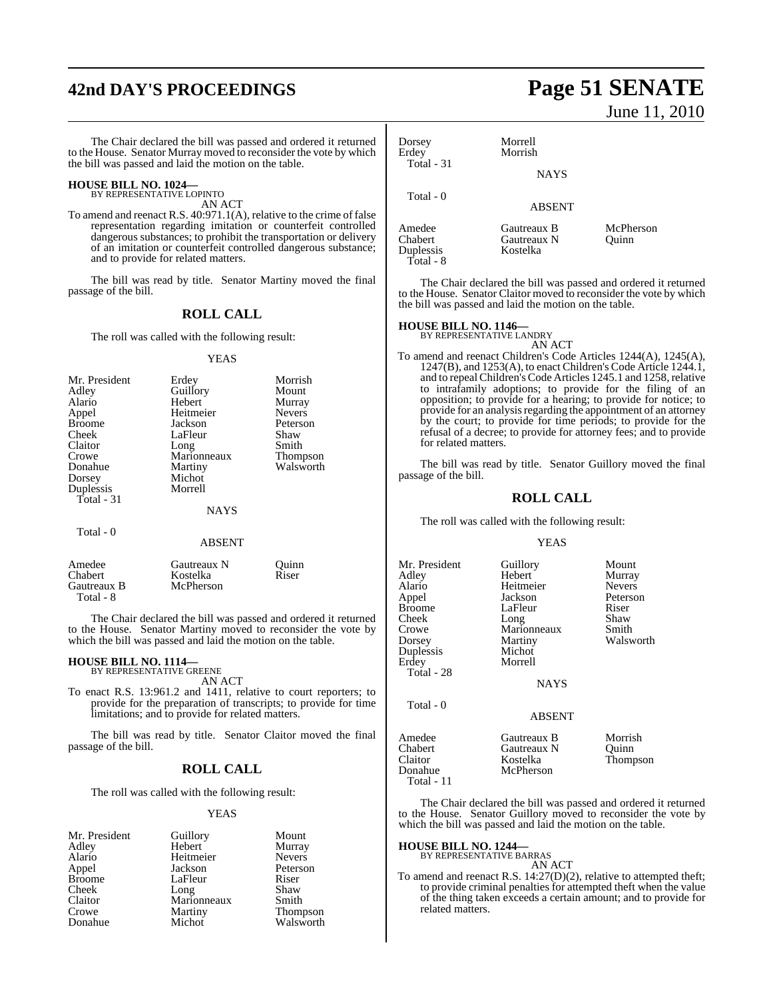# **42nd DAY'S PROCEEDINGS Page 51 SENATE**

The Chair declared the bill was passed and ordered it returned to the House. Senator Murray moved to reconsider the vote by which the bill was passed and laid the motion on the table.

#### **HOUSE BILL NO. 1024—** BY REPRESENTATIVE LOPINTO

AN ACT

To amend and reenact R.S. 40:971.1(A), relative to the crime of false representation regarding imitation or counterfeit controlled dangerous substances; to prohibit the transportation or delivery of an imitation or counterfeit controlled dangerous substance; and to provide for related matters.

The bill was read by title. Senator Martiny moved the final passage of the bill.

#### **ROLL CALL**

The roll was called with the following result:

#### YEAS

| Mr. President | Erdey         | Morrish         |
|---------------|---------------|-----------------|
| Adley         | Guillory      | Mount           |
| Alario        | Hebert        | Murray          |
| Appel         | Heitmeier     | <b>Nevers</b>   |
| <b>Broome</b> | Jackson       | Peterson        |
| Cheek         | LaFleur       | Shaw            |
| Claitor       | Long          | Smith           |
| Crowe         | Marionneaux   | <b>Thompson</b> |
| Donahue       | Martiny       | Walsworth       |
| Dorsey        | Michot        |                 |
| Duplessis     | Morrell       |                 |
| Total - 31    |               |                 |
|               | <b>NAYS</b>   |                 |
| Total - 0     |               |                 |
|               | <b>ABSENT</b> |                 |

| Amedee      | Gautreaux N | Ouinn |  |
|-------------|-------------|-------|--|
| Chabert     | Kostelka    | Riser |  |
| Gautreaux B | McPherson   |       |  |
| Total - 8   |             |       |  |

The Chair declared the bill was passed and ordered it returned to the House. Senator Martiny moved to reconsider the vote by which the bill was passed and laid the motion on the table.

## **HOUSE BILL NO. 1114—** BY REPRESENTATIVE GREENE

AN ACT

To enact R.S. 13:961.2 and 1411, relative to court reporters; to provide for the preparation of transcripts; to provide for time limitations; and to provide for related matters.

The bill was read by title. Senator Claitor moved the final passage of the bill.

#### **ROLL CALL**

The roll was called with the following result:

#### YEAS

| Mr. President | Guillory    | Mount           |
|---------------|-------------|-----------------|
| Adley         | Hebert      | Murray          |
| Alario        | Heitmeier   | <b>Nevers</b>   |
| Appel         | Jackson     | Peterson        |
| <b>Broome</b> | LaFleur     | Riser           |
| Cheek         | Long        | Shaw            |
| Claitor       | Marionneaux | Smith           |
| Crowe         | Martiny     | <b>Thompson</b> |
| Donahue       | Michot      | Walsworth       |

# June 11, 2010

| Dorsey<br>Erdey<br><b>Total - 31</b>        | Morrell<br>Morrish<br><b>NAYS</b>      |                    |
|---------------------------------------------|----------------------------------------|--------------------|
| Total - 0                                   | <b>ABSENT</b>                          |                    |
| Amedee<br>Chabert<br>Duplessis<br>Total - 8 | Gautreaux B<br>Gautreaux N<br>Kostelka | McPherson<br>Ouinn |

The Chair declared the bill was passed and ordered it returned to the House. Senator Claitor moved to reconsider the vote by which the bill was passed and laid the motion on the table.

## **HOUSE BILL NO. 1146—** BY REPRESENTATIVE LANDRY

AN ACT

To amend and reenact Children's Code Articles 1244(A), 1245(A), 1247(B), and 1253(A), to enact Children's Code Article 1244.1, and to repeal Children's Code Articles 1245.1 and 1258, relative to intrafamily adoptions; to provide for the filing of an opposition; to provide for a hearing; to provide for notice; to provide for an analysis regarding the appointment of an attorney by the court; to provide for time periods; to provide for the refusal of a decree; to provide for attorney fees; and to provide for related matters.

The bill was read by title. Senator Guillory moved the final passage of the bill.

#### **ROLL CALL**

The roll was called with the following result:

#### YEAS

| Mr. President<br>Adley<br>Alario<br>Appel<br><b>Broome</b><br>Cheek<br>Crowe<br>Dorsey<br>Duplessis<br>Erdey<br>Total - 28 | Guillory<br>Hebert<br>Heitmeier<br>Jackson<br>LaFleur<br>Long<br>Marionneaux<br>Martiny<br>Michot<br>Morrell<br><b>NAYS</b> | Mount<br>Murray<br><b>Nevers</b><br>Peterson<br>Riser<br>Shaw<br>Smith<br>Walsworth |
|----------------------------------------------------------------------------------------------------------------------------|-----------------------------------------------------------------------------------------------------------------------------|-------------------------------------------------------------------------------------|
| Total - 0                                                                                                                  | <b>ABSENT</b>                                                                                                               |                                                                                     |
| Amedee<br>Chabert<br>Claitor<br>Donahue                                                                                    | Gautreaux B<br>Gautreaux N<br>Kostelka<br>McPherson                                                                         | Morrish<br>Quinn<br>Thompson                                                        |

The Chair declared the bill was passed and ordered it returned to the House. Senator Guillory moved to reconsider the vote by which the bill was passed and laid the motion on the table.

## **HOUSE BILL NO. 1244—** BY REPRESENTATIVE BARRAS

Total - 11

AN ACT

To amend and reenact R.S. 14:27(D)(2), relative to attempted theft; to provide criminal penalties for attempted theft when the value of the thing taken exceeds a certain amount; and to provide for related matters.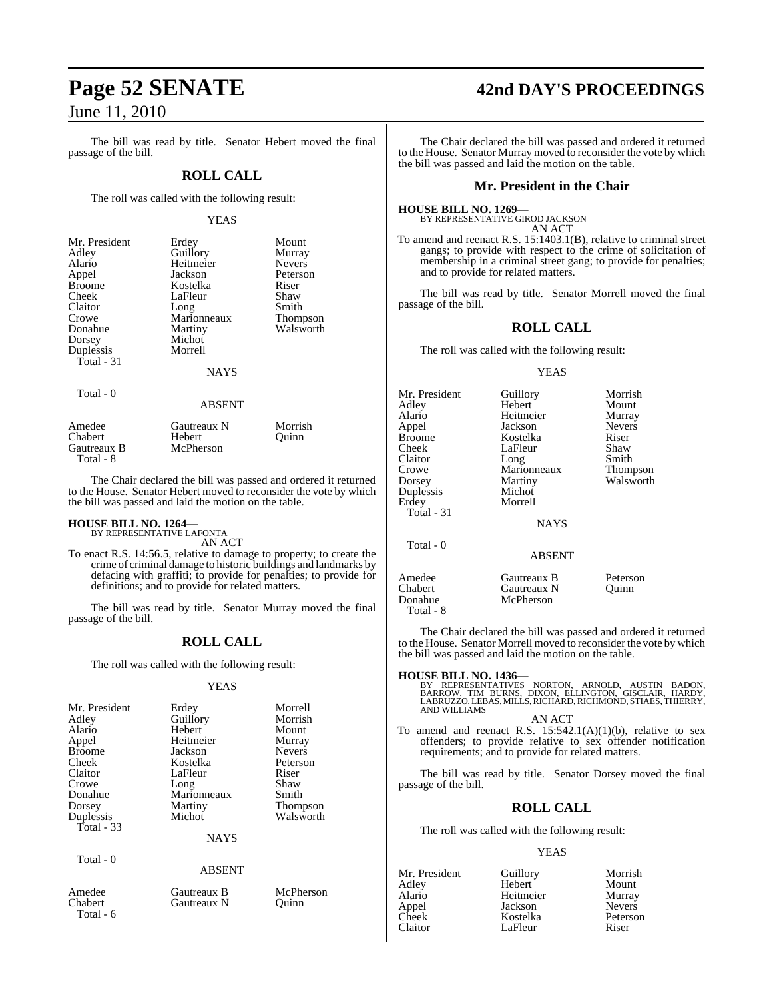The bill was read by title. Senator Hebert moved the final passage of the bill.

#### **ROLL CALL**

The roll was called with the following result:

#### YEAS

| Mr. President | Erdey       | Mount           |
|---------------|-------------|-----------------|
| Adlev         | Guillory    | Murray          |
| Alario        | Heitmeier   | <b>Nevers</b>   |
| Appel         | Jackson     | Peterson        |
| Broome        | Kostelka    | Riser           |
| Cheek         | LaFleur     | Shaw            |
| Claitor       | Long        | Smith           |
| Crowe         | Marionneaux | <b>Thompson</b> |
| Donahue       | Martiny     | Walsworth       |
| Dorsey        | Michot      |                 |
| Duplessis     | Morrell     |                 |
| Total - 31    |             |                 |
|               | <b>NAYS</b> |                 |
| Total - 0     |             |                 |
|               | ABSENT      |                 |

| Amedee      | Gautreaux N | Morrish |
|-------------|-------------|---------|
| Chabert     | Hebert      | Ouinn   |
| Gautreaux B | McPherson   |         |
| Total - 8   |             |         |

The Chair declared the bill was passed and ordered it returned to the House. Senator Hebert moved to reconsider the vote by which the bill was passed and laid the motion on the table.

#### **HOUSE BILL NO. 1264—** BY REPRESENTATIVE LAFONTA

Total - 6

AN ACT

To enact R.S. 14:56.5, relative to damage to property; to create the crime of criminal damage to historic buildings and landmarks by defacing with graffiti; to provide for penalties; to provide for definitions; and to provide for related matters.

The bill was read by title. Senator Murray moved the final passage of the bill.

#### **ROLL CALL**

The roll was called with the following result:

#### YEAS

| Mr. President | Erdey         | Morrell       |
|---------------|---------------|---------------|
|               | Guillory      | Morrish       |
| Adley         |               |               |
| Alario        | Hebert        | Mount         |
| Appel         | Heitmeier     | Murray        |
| <b>Broome</b> | Jackson       | <b>Nevers</b> |
| Cheek         | Kostelka      | Peterson      |
| Claitor       | LaFleur       | Riser         |
| Crowe         | Long          | Shaw          |
| Donahue       | Marionneaux   | Smith         |
| Dorsey        | Martiny       | Thompson      |
| Duplessis     | Michot        | Walsworth     |
| Total $-33$   |               |               |
|               | <b>NAYS</b>   |               |
| Total - 0     |               |               |
|               | <b>ABSENT</b> |               |
| Amedee        | Gautreaux B   | McPherson     |
| Chabert       | Gautreaux N   | Ouinn         |

The Chair declared the bill was passed and ordered it returned to the House. Senator Murray moved to reconsider the vote by which

#### **Mr. President in the Chair**

#### **HOUSE BILL NO. 1269—** BY REPRESENTATIVE GIROD JACKSON

the bill was passed and laid the motion on the table.

AN ACT

To amend and reenact R.S. 15:1403.1(B), relative to criminal street gangs; to provide with respect to the crime of solicitation of membership in a criminal street gang; to provide for penalties; and to provide for related matters.

The bill was read by title. Senator Morrell moved the final passage of the bill.

## **ROLL CALL**

The roll was called with the following result:

#### YEAS

| Mr. President<br>Adlev<br>Alario<br>Appel<br>Broome<br>Cheek<br>Claitor<br>Crowe<br>Dorsey<br>Duplessis<br>Erdey<br>Total - 31 | Guillory<br>Hebert<br>Heitmeier<br>Jackson<br>Kostelka<br>LaFleur<br>Long<br>Marionneaux<br>Martiny<br>Michot<br>Morrell | Morrish<br>Mount<br>Murray<br><b>Nevers</b><br>Riser<br>Shaw<br>Smith<br>Thompson<br>Walsworth |
|--------------------------------------------------------------------------------------------------------------------------------|--------------------------------------------------------------------------------------------------------------------------|------------------------------------------------------------------------------------------------|
|                                                                                                                                | <b>NAYS</b>                                                                                                              |                                                                                                |
| Total - 0                                                                                                                      | ABSENT                                                                                                                   |                                                                                                |
| Amedee<br>Chabert<br>Donahue<br>Total - 8                                                                                      | Gautreaux B<br>Gautreaux N<br>McPherson                                                                                  | Peterson<br>Ouinn                                                                              |

The Chair declared the bill was passed and ordered it returned to the House. Senator Morrell moved to reconsider the vote by which the bill was passed and laid the motion on the table.

#### **HOUSE BILL NO. 1436—**

BY REPRESENTATIVES NORTON, ARNOLD, AUSTIN BADON,<br>BARROW, TIM BURNS, DIXON, ELLINGTON, GISCLAIR, HARDY,<br>LABRUZZO,LEBAS,MILLS,RICHARD,RICHMOND,STIAES,THIERRY, AND WILLIAMS AN ACT

To amend and reenact R.S.  $15:542.1(A)(1)(b)$ , relative to sex offenders; to provide relative to sex offender notification requirements; and to provide for related matters.

The bill was read by title. Senator Dorsey moved the final passage of the bill.

## **ROLL CALL**

The roll was called with the following result:

#### YEAS

| Mr. President | Guillory  | Morrish       |
|---------------|-----------|---------------|
| Adley         | Hebert    | Mount         |
| Alario        | Heitmeier | Murray        |
| Appel         | Jackson   | <b>Nevers</b> |
| Cheek         | Kostelka  | Peterson      |
| Claitor       | LaFleur   | Riser         |

# **Page 52 SENATE 42nd DAY'S PROCEEDINGS**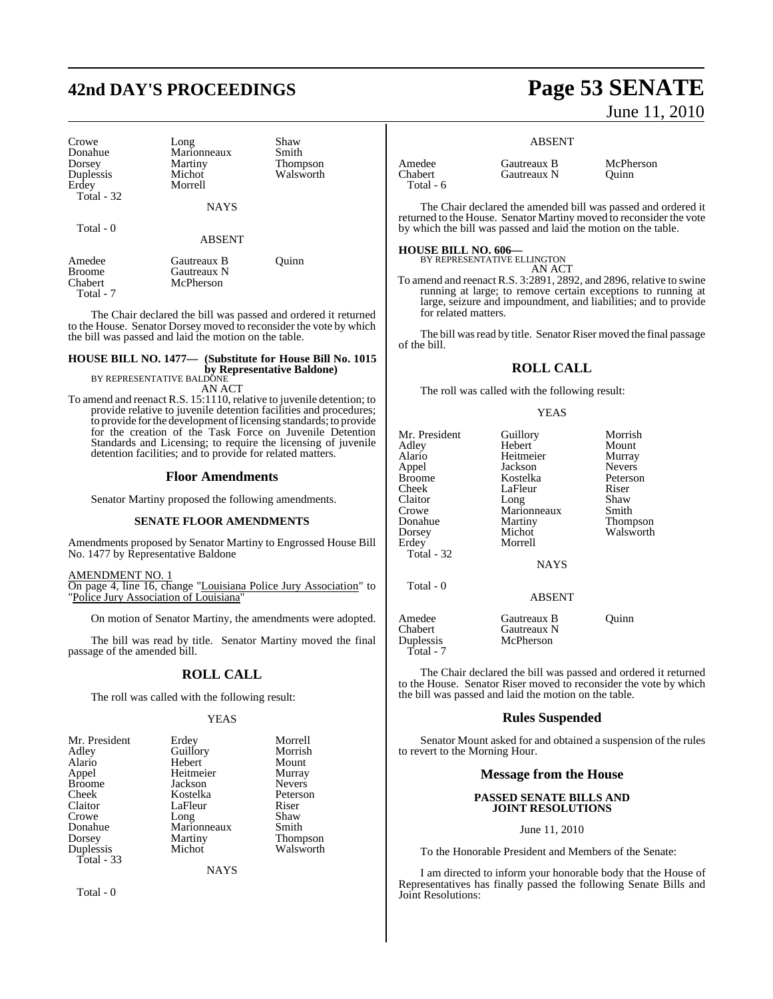# **42nd DAY'S PROCEEDINGS Page 53 SENATE**

| Crowe<br>Donahue<br>Dorsey<br>Duplessis<br>Erdey<br>Total $-32$ | Long<br>Marionneaux<br>Martiny<br>Michot<br>Morrell<br><b>NAYS</b> | Shaw<br>Smith<br><b>Thompson</b><br>Walsworth |
|-----------------------------------------------------------------|--------------------------------------------------------------------|-----------------------------------------------|
|                                                                 |                                                                    |                                               |
| Total - 0                                                       | <b>ABSENT</b>                                                      |                                               |
| Amedee<br><b>Broome</b><br>Chabert<br>Total - 7                 | Gautreaux B<br>Gautreaux N<br>McPherson                            | Ouinn                                         |

The Chair declared the bill was passed and ordered it returned to the House. Senator Dorsey moved to reconsider the vote by which the bill was passed and laid the motion on the table.

## **HOUSE BILL NO. 1477— (Substitute for House Bill No. 1015 by Representative Baldone)** BY REPRESENTATIVE BALDONE

AN ACT

To amend and reenact R.S. 15:1110, relative to juvenile detention; to provide relative to juvenile detention facilities and procedures; to provide forthe development oflicensing standards; to provide for the creation of the Task Force on Juvenile Detention Standards and Licensing; to require the licensing of juvenile detention facilities; and to provide for related matters.

#### **Floor Amendments**

Senator Martiny proposed the following amendments.

#### **SENATE FLOOR AMENDMENTS**

Amendments proposed by Senator Martiny to Engrossed House Bill No. 1477 by Representative Baldone

#### AMENDMENT NO. 1 On page 4, line 16, change "Louisiana Police Jury Association" to "Police Jury Association of Louisiana"

On motion of Senator Martiny, the amendments were adopted.

The bill was read by title. Senator Martiny moved the final passage of the amended bill.

## **ROLL CALL**

The roll was called with the following result:

#### YEAS

| Mr. President | Erdey       | Morrell       |
|---------------|-------------|---------------|
| Adley         | Guillory    | Morrish       |
| Alario        | Hebert      | Mount         |
| Appel         | Heitmeier   | Murray        |
| <b>Broome</b> | Jackson     | <b>Nevers</b> |
| Cheek         | Kostelka    | Peterson      |
| Claitor       | LaFleur     | Riser         |
| Crowe         | Long        | Shaw          |
| Donahue       | Marionneaux | Smith         |
| Dorsey        | Martiny     | Thompson      |
| Duplessis     | Michot      | Walsworth     |
| Total - 33    |             |               |
|               |             |               |

**NAYS** 

Total - 0

# June 11, 2010

#### ABSENT

| Amedee    | Gautreaux B | McPherson |
|-----------|-------------|-----------|
| Chabert   | Gautreaux N | Ouinn     |
| Total - 6 |             |           |

The Chair declared the amended bill was passed and ordered it returned to the House. Senator Martiny moved to reconsider the vote by which the bill was passed and laid the motion on the table.

#### **HOUSE BILL NO. 606—**

BY REPRESENTATIVE ELLINGTON AN ACT

To amend and reenact R.S. 3:2891, 2892, and 2896, relative to swine running at large; to remove certain exceptions to running at large, seizure and impoundment, and liabilities; and to provide for related matters.

The bill was read by title. Senator Riser moved the final passage of the bill.

#### **ROLL CALL**

The roll was called with the following result:

#### YEAS

| Mr. President<br>Adley<br>Alario<br>Appel<br>Broome<br>Cheek<br>Claitor<br>Crowe<br>Donahue<br>Dorsey<br>Erdey<br>Total - 32 | Guillory<br>Hebert<br>Heitmeier<br>Jackson<br>Kostelka<br>LaFleur<br>Long<br>Marionneaux<br>Martiny<br>Michot<br>Morrell<br><b>NAYS</b> | Morrish<br>Mount<br>Murray<br><b>Nevers</b><br>Peterson<br>Riser<br>Shaw<br>Smith<br>Thompson<br>Walsworth |
|------------------------------------------------------------------------------------------------------------------------------|-----------------------------------------------------------------------------------------------------------------------------------------|------------------------------------------------------------------------------------------------------------|
| Total - 0                                                                                                                    | <b>ABSENT</b>                                                                                                                           |                                                                                                            |
| Amedee<br>Chabert<br>Duplessis<br>Total - 7                                                                                  | Gautreaux B<br>Gautreaux N<br>McPherson                                                                                                 | Ouinn                                                                                                      |

The Chair declared the bill was passed and ordered it returned to the House. Senator Riser moved to reconsider the vote by which the bill was passed and laid the motion on the table.

#### **Rules Suspended**

Senator Mount asked for and obtained a suspension of the rules to revert to the Morning Hour.

#### **Message from the House**

#### **PASSED SENATE BILLS AND JOINT RESOLUTIONS**

#### June 11, 2010

To the Honorable President and Members of the Senate:

I am directed to inform your honorable body that the House of Representatives has finally passed the following Senate Bills and Joint Resolutions: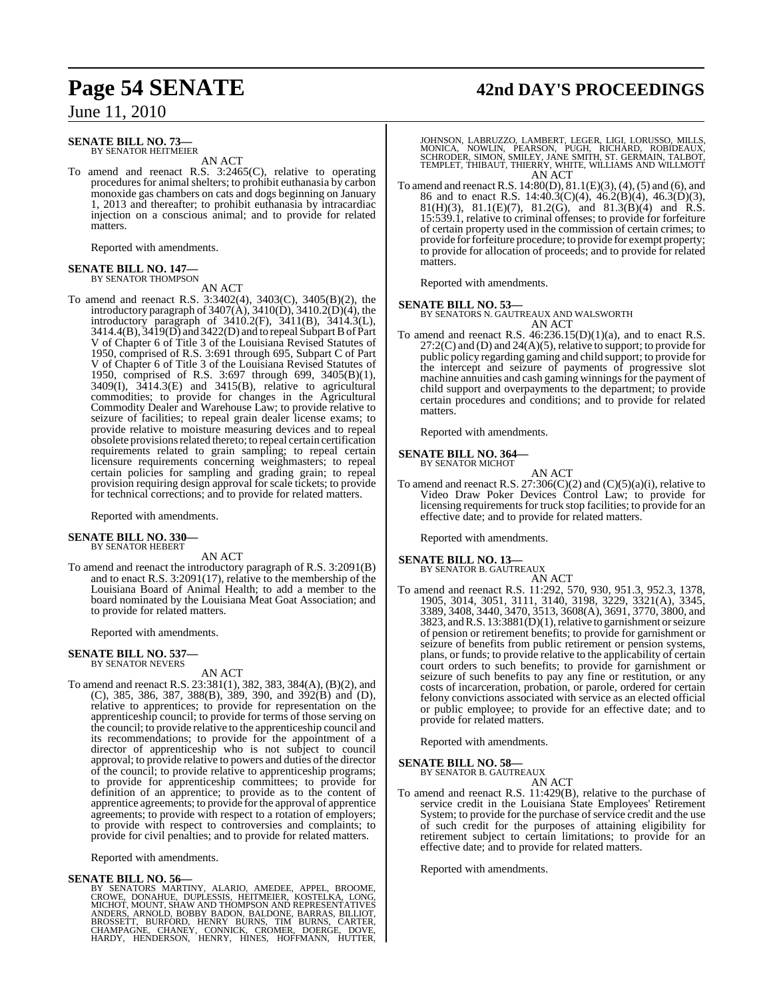#### **SENATE BILL NO. 73—** BY SENATOR HEITMEIER

AN ACT

To amend and reenact R.S. 3:2465(C), relative to operating procedures for animalshelters; to prohibit euthanasia by carbon monoxide gas chambers on cats and dogs beginning on January 1, 2013 and thereafter; to prohibit euthanasia by intracardiac injection on a conscious animal; and to provide for related matters.

Reported with amendments.

#### **SENATE BILL NO. 147—** BY SENATOR THOMPSON

AN ACT

To amend and reenact R.S. 3:3402(4), 3403(C), 3405(B)(2), the introductory paragraph of  $3407(A)$ ,  $3410(D)$ ,  $3410.2(D)(4)$ , the introductory paragraph of 3410.2(F), 3411(B), 3414.3(L), 3414.4(B),  $3419(D)$  and  $3422(D)$  and to repeal Subpart B of Part V of Chapter 6 of Title 3 of the Louisiana Revised Statutes of 1950, comprised of R.S. 3:691 through 695, Subpart C of Part V of Chapter 6 of Title 3 of the Louisiana Revised Statutes of 1950, comprised of R.S. 3:697 through 699, 3405(B)(1), 3409(I), 3414.3(E) and 3415(B), relative to agricultural commodities; to provide for changes in the Agricultural Commodity Dealer and Warehouse Law; to provide relative to seizure of facilities; to repeal grain dealer license exams; to provide relative to moisture measuring devices and to repeal obsolete provisions related thereto; to repeal certain certification requirements related to grain sampling; to repeal certain licensure requirements concerning weighmasters; to repeal certain policies for sampling and grading grain; to repeal provision requiring design approval for scale tickets; to provide for technical corrections; and to provide for related matters.

Reported with amendments.

# **SENATE BILL NO. 330—** BY SENATOR HEBERT

AN ACT To amend and reenact the introductory paragraph of R.S. 3:2091(B) and to enact R.S. 3:2091(17), relative to the membership of the Louisiana Board of Animal Health; to add a member to the board nominated by the Louisiana Meat Goat Association; and to provide for related matters.

Reported with amendments.

## **SENATE BILL NO. 537—** BY SENATOR NEVERS

AN ACT

To amend and reenact R.S. 23:381(1), 382, 383, 384(A), (B)(2), and (C), 385, 386, 387, 388(B), 389, 390, and 392(B) and (D), relative to apprentices; to provide for representation on the apprenticeship council; to provide for terms of those serving on the council; to provide relative to the apprenticeship council and its recommendations; to provide for the appointment of a director of apprenticeship who is not subject to council approval; to provide relative to powers and duties of the director of the council; to provide relative to apprenticeship programs; to provide for apprenticeship committees; to provide for definition of an apprentice; to provide as to the content of apprentice agreements; to provide for the approval of apprentice agreements; to provide with respect to a rotation of employers; to provide with respect to controversies and complaints; to provide for civil penalties; and to provide for related matters.

Reported with amendments.

#### **SENATE BILL NO. 56—**

BY SENATORS MARTINY, ALARIO, AMEDEE, APPEL, BROOME,<br>CROWE, DONAHUE, DUPLESSIS, HEITMEIER, KOSTELKA, LONG,<br>MICHOT, MOUNT, SHAW AND THOMPSON AND REPRESENTATIVES<br>ANDERS, ARNOLD, BOBBY BADON, BALDONE, BARRAS, BILLIOT,<br>BROSSETT

## **Page 54 SENATE 42nd DAY'S PROCEEDINGS**

JOHNSON, LABRUZZO, LAMBERT, LEGER, LIGI, LORUSSO, MILLS,<br>MONICA, NOWLIN, PEARSON, PUGH, RICHARD, ROBIDEAUX,<br>SCHRODER, SIMON, SMILEY, JANE SMITH, ST. GERMAIN, TALBOT,<br>TEMPLET, THIBAUT, THIERRY, WHITE, WILLIAMS AND WILL AN ACT

To amend and reenactR.S. 14:80(D), 81.1(E)(3), (4), (5) and (6), and 86 and to enact R.S. 14:40.3(C)(4), 46.2(B)(4), 46.3(D)(3), 81(H)(3), 81.1(E)(7), 81.2(G), and 81.3(B)(4) and R.S. 15:539.1, relative to criminal offenses; to provide for forfeiture of certain property used in the commission of certain crimes; to provide forforfeiture procedure; to provide for exempt property; to provide for allocation of proceeds; and to provide for related matters.

Reported with amendments.

**SENATE BILL NO. 53—** BY SENATORS N. GAUTREAUX AND WALSWORTH AN ACT

To amend and reenact R.S.  $46:236.15(D)(1)(a)$ , and to enact R.S.  $27:2(C)$  and (D) and  $24(A)(5)$ , relative to support; to provide for public policy regarding gaming and child support; to provide for the intercept and seizure of payments of progressive slot machine annuities and cash gaming winnings for the payment of child support and overpayments to the department; to provide certain procedures and conditions; and to provide for related matters.

Reported with amendments.

#### **SENATE BILL NO. 364—** BY SENATOR MICHOT

AN ACT To amend and reenact R.S.  $27:306(C)(2)$  and  $(C)(5)(a)(i)$ , relative to Video Draw Poker Devices Control Law; to provide for licensing requirements for truck stop facilities; to provide for an effective date; and to provide for related matters.

Reported with amendments.

#### **SENATE BILL NO. 13—** BY SENATOR B. GAUTREAUX

AN ACT

To amend and reenact R.S. 11:292, 570, 930, 951.3, 952.3, 1378, 1905, 3014, 3051, 3111, 3140, 3198, 3229, 3321(A), 3345, 3389, 3408, 3440, 3470, 3513, 3608(A), 3691, 3770, 3800, and 3823, and R.S. 13:3881(D)(1), relative to garnishment or seizure of pension or retirement benefits; to provide for garnishment or seizure of benefits from public retirement or pension systems, plans, or funds; to provide relative to the applicability of certain court orders to such benefits; to provide for garnishment or seizure of such benefits to pay any fine or restitution, or any costs of incarceration, probation, or parole, ordered for certain felony convictions associated with service as an elected official or public employee; to provide for an effective date; and to provide for related matters.

Reported with amendments.

#### **SENATE BILL NO. 58—**

BY SENATOR B. GAUTREAUX AN ACT

To amend and reenact R.S. 11:429(B), relative to the purchase of service credit in the Louisiana State Employees' Retirement System; to provide for the purchase of service credit and the use of such credit for the purposes of attaining eligibility for retirement subject to certain limitations; to provide for an effective date; and to provide for related matters.

Reported with amendments.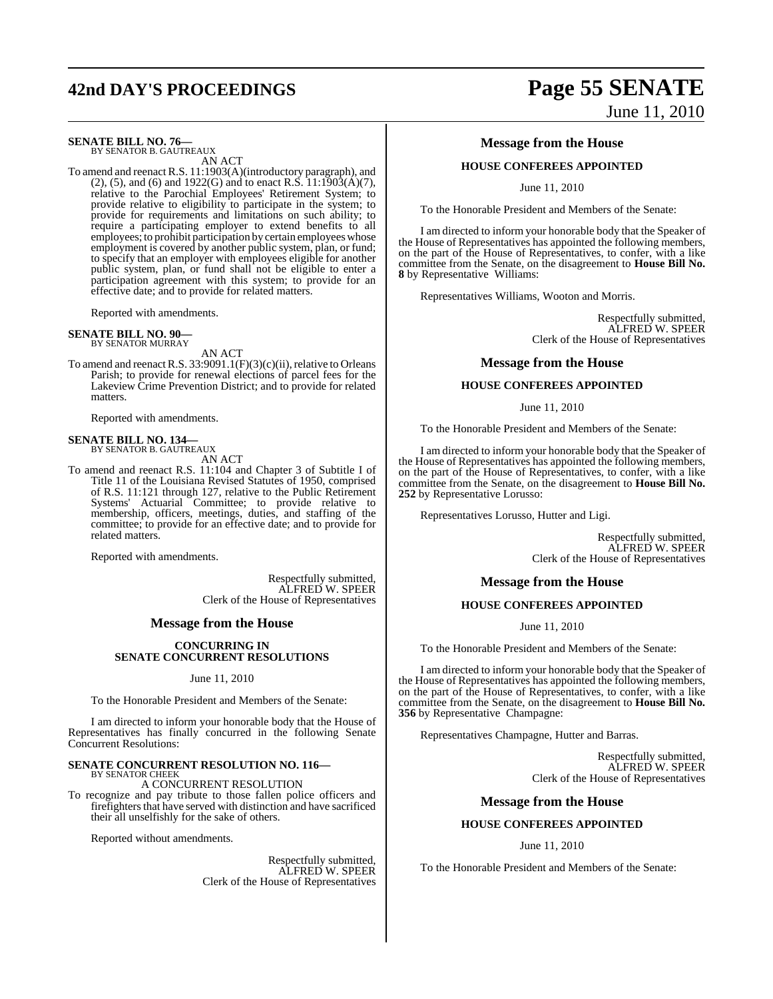# **42nd DAY'S PROCEEDINGS Page 55 SENATE**

## **SENATE BILL NO. 76—** BY SENATOR B. GAUTREAUX

AN ACT

To amend and reenact R.S. 11:1903(A)(introductory paragraph), and (2), (5), and (6) and 1922(G) and to enact R.S. 11:1903(A)(7), relative to the Parochial Employees' Retirement System; to provide relative to eligibility to participate in the system; to provide for requirements and limitations on such ability; to require a participating employer to extend benefits to all employees; to prohibit participation by certain employees whose employment is covered by another public system, plan, or fund; to specify that an employer with employees eligible for another public system, plan, or fund shall not be eligible to enter a participation agreement with this system; to provide for an effective date; and to provide for related matters.

Reported with amendments.

## **SENATE BILL NO. 90—** BY SENATOR MURRAY

AN ACT

To amend and reenact R.S. 33:9091.1(F)(3)(c)(ii), relative to Orleans Parish; to provide for renewal elections of parcel fees for the Lakeview Crime Prevention District; and to provide for related matters.

Reported with amendments.

## **SENATE BILL NO. 134—** BY SENATOR B. GAUTREAUX

AN ACT

To amend and reenact R.S. 11:104 and Chapter 3 of Subtitle I of Title 11 of the Louisiana Revised Statutes of 1950, comprised of R.S. 11:121 through 127, relative to the Public Retirement Systems' Actuarial Committee; to provide relative to membership, officers, meetings, duties, and staffing of the committee; to provide for an effective date; and to provide for related matters.

Reported with amendments.

Respectfully submitted, ALFRED W. SPEER Clerk of the House of Representatives

#### **Message from the House**

#### **CONCURRING IN SENATE CONCURRENT RESOLUTIONS**

#### June 11, 2010

To the Honorable President and Members of the Senate:

I am directed to inform your honorable body that the House of Representatives has finally concurred in the following Senate Concurrent Resolutions:

#### **SENATE CONCURRENT RESOLUTION NO. 116—** BY SENATOR CHEEK

A CONCURRENT RESOLUTION

To recognize and pay tribute to those fallen police officers and firefighters that have served with distinction and have sacrificed their all unselfishly for the sake of others.

Reported without amendments.

Respectfully submitted, ALFRED W. SPEER Clerk of the House of Representatives

# June 11, 2010

#### **Message from the House**

#### **HOUSE CONFEREES APPOINTED**

June 11, 2010

To the Honorable President and Members of the Senate:

I am directed to inform your honorable body that the Speaker of the House of Representatives has appointed the following members, on the part of the House of Representatives, to confer, with a like committee from the Senate, on the disagreement to **House Bill No. 8** by Representative Williams:

Representatives Williams, Wooton and Morris.

Respectfully submitted, ALFRED W. SPEER Clerk of the House of Representatives

#### **Message from the House**

#### **HOUSE CONFEREES APPOINTED**

#### June 11, 2010

To the Honorable President and Members of the Senate:

I am directed to inform your honorable body that the Speaker of the House of Representatives has appointed the following members, on the part of the House of Representatives, to confer, with a like committee from the Senate, on the disagreement to **House Bill No. 252** by Representative Lorusso:

Representatives Lorusso, Hutter and Ligi.

Respectfully submitted, ALFRED W. SPEER Clerk of the House of Representatives

#### **Message from the House**

#### **HOUSE CONFEREES APPOINTED**

June 11, 2010

To the Honorable President and Members of the Senate:

I am directed to inform your honorable body that the Speaker of the House of Representatives has appointed the following members, on the part of the House of Representatives, to confer, with a like committee from the Senate, on the disagreement to **House Bill No. 356** by Representative Champagne:

Representatives Champagne, Hutter and Barras.

Respectfully submitted, ALFRED W. SPEER Clerk of the House of Representatives

#### **Message from the House**

#### **HOUSE CONFEREES APPOINTED**

June 11, 2010

To the Honorable President and Members of the Senate: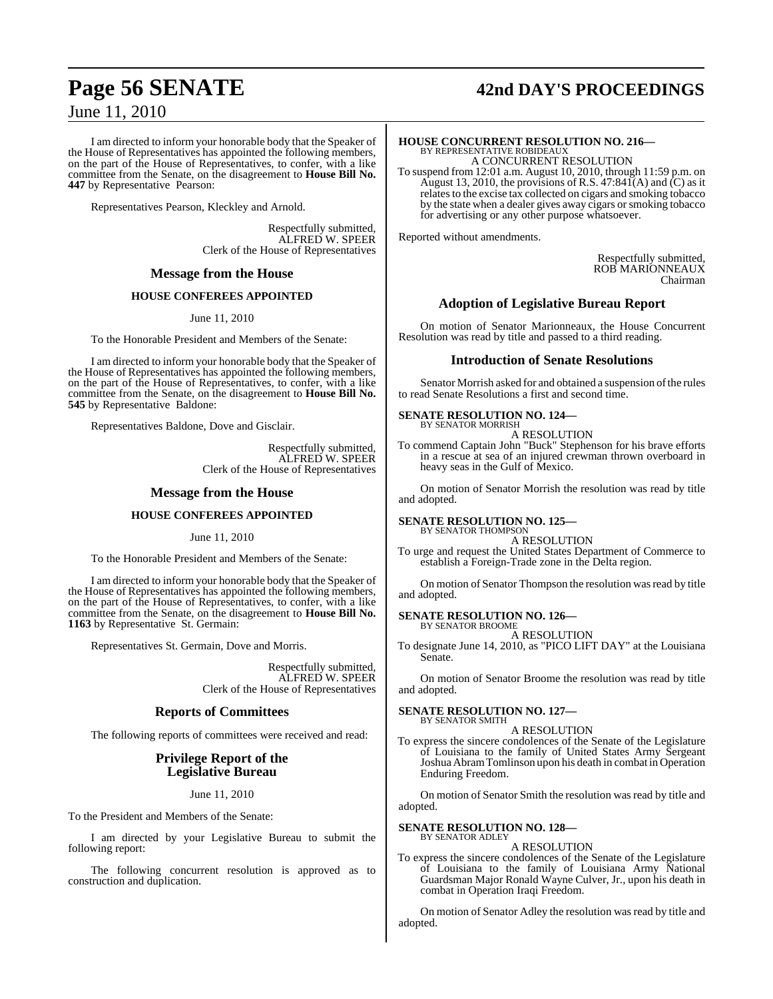# **Page 56 SENATE 42nd DAY'S PROCEEDINGS**

June 11, 2010

I am directed to inform your honorable body that the Speaker of the House of Representatives has appointed the following members, on the part of the House of Representatives, to confer, with a like committee from the Senate, on the disagreement to **House Bill No. 447** by Representative Pearson:

Representatives Pearson, Kleckley and Arnold.

Respectfully submitted, ALFRED W. SPEER Clerk of the House of Representatives

#### **Message from the House**

#### **HOUSE CONFEREES APPOINTED**

June 11, 2010

To the Honorable President and Members of the Senate:

I am directed to inform your honorable body that the Speaker of the House of Representatives has appointed the following members, on the part of the House of Representatives, to confer, with a like committee from the Senate, on the disagreement to **House Bill No. 545** by Representative Baldone:

Representatives Baldone, Dove and Gisclair.

Respectfully submitted, ALFRED W. SPEER Clerk of the House of Representatives

#### **Message from the House**

#### **HOUSE CONFEREES APPOINTED**

June 11, 2010

To the Honorable President and Members of the Senate:

I am directed to inform your honorable body that the Speaker of the House of Representatives has appointed the following members, on the part of the House of Representatives, to confer, with a like committee from the Senate, on the disagreement to **House Bill No. 1163** by Representative St. Germain:

Representatives St. Germain, Dove and Morris.

Respectfully submitted, ALFRED W. SPEER Clerk of the House of Representatives

#### **Reports of Committees**

The following reports of committees were received and read:

## **Privilege Report of the Legislative Bureau**

June 11, 2010

To the President and Members of the Senate:

I am directed by your Legislative Bureau to submit the following report:

The following concurrent resolution is approved as to construction and duplication.

## **HOUSE CONCURRENT RESOLUTION NO. 216—** BY REPRESENTATIVE ROBIDEAUX A CONCURRENT RESOLUTION

To suspend from 12:01 a.m. August 10, 2010, through 11:59 p.m. on August 13, 2010, the provisions of R.S.  $47:84\tilde{I}(A)$  and  $\tilde{C}$ ) as it relates to the excise tax collected on cigars and smoking tobacco by the state when a dealer gives away cigars or smoking tobacco for advertising or any other purpose whatsoever.

Reported without amendments.

Respectfully submitted, ROB MARIONNEAUX Chairman

#### **Adoption of Legislative Bureau Report**

On motion of Senator Marionneaux, the House Concurrent Resolution was read by title and passed to a third reading.

#### **Introduction of Senate Resolutions**

Senator Morrish asked for and obtained a suspension of the rules to read Senate Resolutions a first and second time.

#### **SENATE RESOLUTION NO. 124—** BY SENATOR MORRISH

A RESOLUTION

To commend Captain John "Buck" Stephenson for his brave efforts in a rescue at sea of an injured crewman thrown overboard in heavy seas in the Gulf of Mexico.

On motion of Senator Morrish the resolution was read by title and adopted.

#### **SENATE RESOLUTION NO. 125—** BY SENATOR THOMPSON

A RESOLUTION

To urge and request the United States Department of Commerce to establish a Foreign-Trade zone in the Delta region.

On motion of Senator Thompson the resolution was read by title and adopted.

#### **SENATE RESOLUTION NO. 126—**

BY SENATOR BROOME A RESOLUTION

To designate June 14, 2010, as "PICO LIFT DAY" at the Louisiana Senate.

On motion of Senator Broome the resolution was read by title and adopted.

#### **SENATE RESOLUTION NO. 127—** BY SENATOR SMITH

A RESOLUTION

To express the sincere condolences of the Senate of the Legislature of Louisiana to the family of United States Army Sergeant JoshuaAbramTomlinson upon his death in combat in Operation Enduring Freedom.

On motion of Senator Smith the resolution was read by title and adopted.

#### **SENATE RESOLUTION NO. 128—** BY SENATOR ADLEY

#### A RESOLUTION

To express the sincere condolences of the Senate of the Legislature of Louisiana to the family of Louisiana Army National Guardsman Major Ronald Wayne Culver, Jr., upon his death in combat in Operation Iraqi Freedom.

On motion of Senator Adley the resolution was read by title and adopted.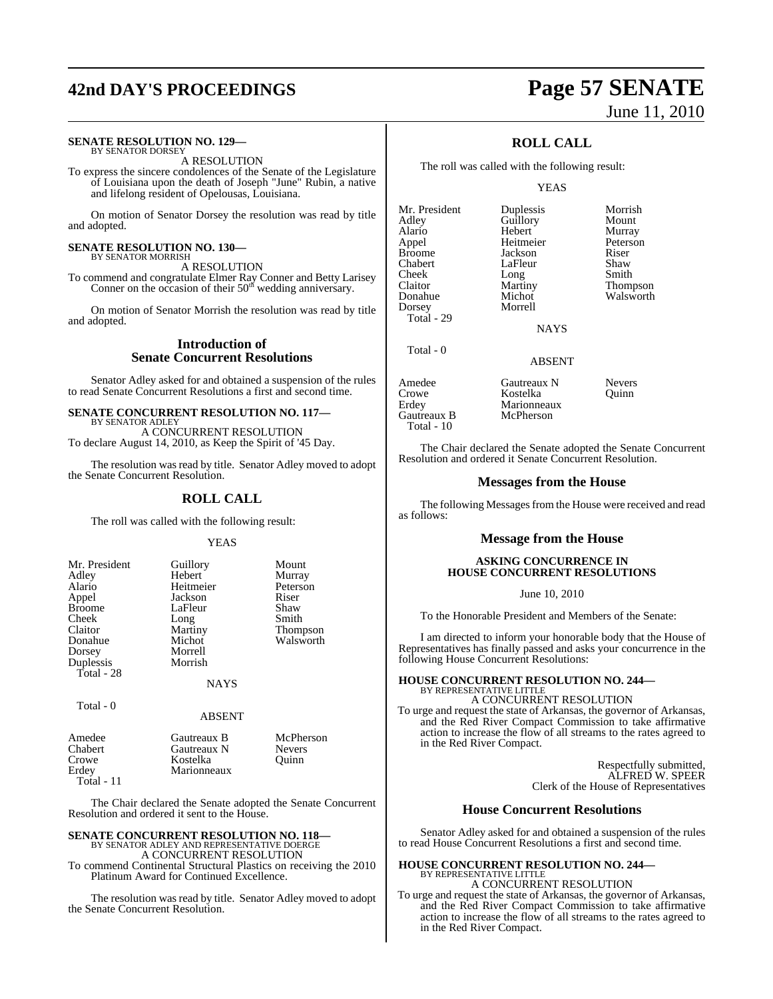# **42nd DAY'S PROCEEDINGS Page 57 SENATE**

#### **SENATE RESOLUTION NO. 129—** BY SENATOR DORSEY

A RESOLUTION

To express the sincere condolences of the Senate of the Legislature of Louisiana upon the death of Joseph "June" Rubin, a native and lifelong resident of Opelousas, Louisiana.

On motion of Senator Dorsey the resolution was read by title and adopted.

#### **SENATE RESOLUTION NO. 130—** BY SENATOR MORRISH

A RESOLUTION

To commend and congratulate Elmer Ray Conner and Betty Larisey<br>Conner on the occasion of their 50<sup>th</sup> wedding anniversary.

On motion of Senator Morrish the resolution was read by title and adopted.

#### **Introduction of Senate Concurrent Resolutions**

Senator Adley asked for and obtained a suspension of the rules to read Senate Concurrent Resolutions a first and second time.

#### **SENATE CONCURRENT RESOLUTION NO. 117—** BY SENATOR ADLEY

A CONCURRENT RESOLUTION To declare August 14, 2010, as Keep the Spirit of '45 Day.

The resolution was read by title. Senator Adley moved to adopt the Senate Concurrent Resolution.

#### **ROLL CALL**

The roll was called with the following result:

YEAS

| Mr. President | Guillory    | Mount     |
|---------------|-------------|-----------|
| Adley         | Hebert      | Murray    |
| Alario        | Heitmeier   | Peterson  |
| Appel         | Jackson     | Riser     |
| <b>Broome</b> | LaFleur     | Shaw      |
| Cheek         | Long        | Smith     |
| Claitor       | Martiny     | Thompson  |
| Donahue       | Michot      | Walsworth |
| Dorsey        | Morrell     |           |
| Duplessis     | Morrish     |           |
| $Total - 28$  |             |           |
|               | <b>NAYS</b> |           |
|               |             |           |

Total - 0

#### ABSENT

| Amedee     | Gautreaux B | McPherson     |
|------------|-------------|---------------|
| Chabert    | Gautreaux N | <b>Nevers</b> |
| Crowe      | Kostelka    | Ouinn         |
| Erdey      | Marionneaux |               |
| Total - 11 |             |               |

The Chair declared the Senate adopted the Senate Concurrent Resolution and ordered it sent to the House.

#### **SENATE CONCURRENT RESOLUTION NO. 118—** BY SENATOR ADLEY AND REPRESENTATIVE DOERGE

A CONCURRENT RESOLUTION To commend Continental Structural Plastics on receiving the 2010

Platinum Award for Continued Excellence.

The resolution was read by title. Senator Adley moved to adopt the Senate Concurrent Resolution.

# June 11, 2010

## **ROLL CALL**

The roll was called with the following result:

#### **YEAS**

Mr. President Duplessis Morrish<br>Adley Guillory Mount Adley Guillory Mount<br>Alario Hebert Murray Alario Hebert Murray Appel Heitmeier Peterson Broome Jackson Riser<br>
Chabert LaFleur Shaw Chabert LaFleur<br>Cheek Long Cheek Long Smith<br>Claitor Martiny Thom Claitor Martiny Thompson<br>
Donahue Michot Walsworth Dorsey Total - 29

Total - 0

Michot Walsworth<br>Morrell

**NAYS** 

## ABSENT

| Amedee<br>Crowe<br>Erdey<br>Gautreaux B | Gautreaux N<br>Kostelka<br>Marionneaux<br>McPherson | <b>Nevers</b><br>Ouinn |
|-----------------------------------------|-----------------------------------------------------|------------------------|
| Total - $10$                            |                                                     |                        |

The Chair declared the Senate adopted the Senate Concurrent Resolution and ordered it Senate Concurrent Resolution.

#### **Messages from the House**

The following Messages from the House were received and read as follows:

#### **Message from the House**

#### **ASKING CONCURRENCE IN HOUSE CONCURRENT RESOLUTIONS**

June 10, 2010

To the Honorable President and Members of the Senate:

I am directed to inform your honorable body that the House of Representatives has finally passed and asks your concurrence in the following House Concurrent Resolutions:

## **HOUSE CONCURRENT RESOLUTION NO. 244—** BY REPRESENTATIVE LITTLE A CONCURRENT RESOLUTION

To urge and request the state of Arkansas, the governor of Arkansas, and the Red River Compact Commission to take affirmative action to increase the flow of all streams to the rates agreed to in the Red River Compact.

> Respectfully submitted, ALFRED W. SPEER Clerk of the House of Representatives

#### **House Concurrent Resolutions**

Senator Adley asked for and obtained a suspension of the rules to read House Concurrent Resolutions a first and second time.

#### **HOUSE CONCURRENT RESOLUTION NO. 244—** BY REPRESENTATIVE LITTLE

A CONCURRENT RESOLUTION To urge and request the state of Arkansas, the governor of Arkansas, and the Red River Compact Commission to take affirmative action to increase the flow of all streams to the rates agreed to in the Red River Compact.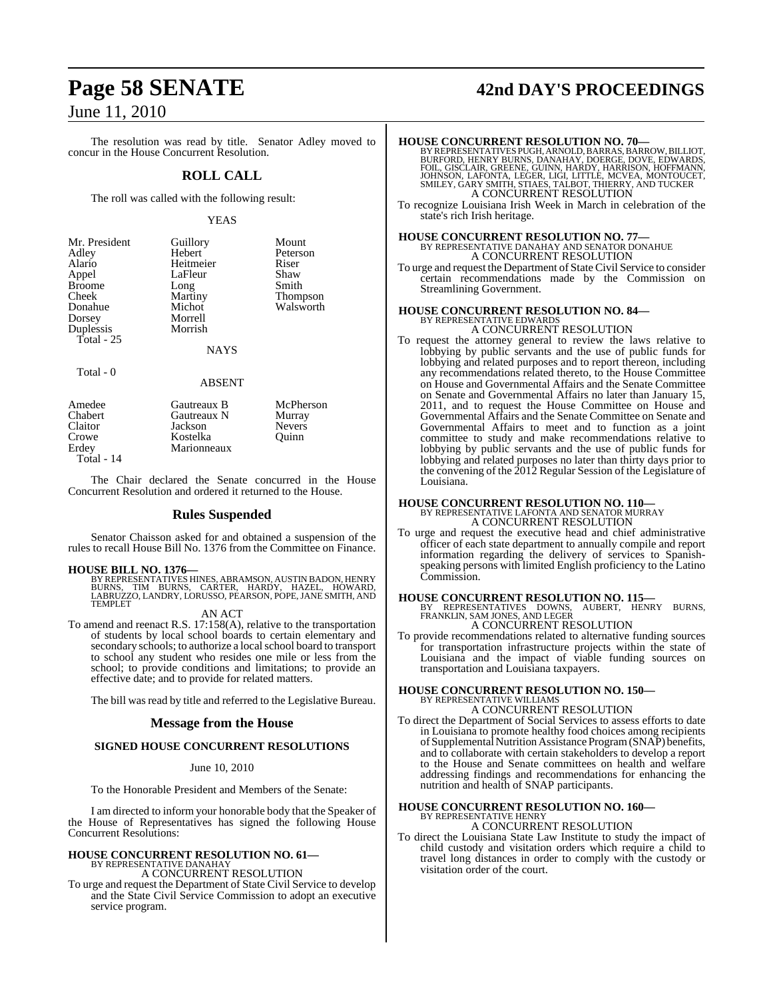The resolution was read by title. Senator Adley moved to concur in the House Concurrent Resolution.

#### **ROLL CALL**

The roll was called with the following result:

#### YEAS

| Mr. President | Guillory      | Mount     |
|---------------|---------------|-----------|
| Adley         | Hebert        | Peterson  |
| Alario        | Heitmeier     | Riser     |
| Appel         | LaFleur       | Shaw      |
| Broome        | Long          | Smith     |
| Cheek         | Martiny       | Thompson  |
| Donahue       | Michot        | Walsworth |
| Dorsey        | Morrell       |           |
| Duplessis     | Morrish       |           |
| Total - 25    |               |           |
|               | <b>NAYS</b>   |           |
| Total - 0     |               |           |
|               | <b>ABSENT</b> |           |

| Amedee         | Gautreaux B | McPherson     |
|----------------|-------------|---------------|
| <b>Chabert</b> | Gautreaux N | Murray        |
| Claitor        | Jackson     | <b>Nevers</b> |
| Crowe          | Kostelka    | Ouinn         |
| Erdey          | Marionneaux |               |
| Total - 14     |             |               |

The Chair declared the Senate concurred in the House Concurrent Resolution and ordered it returned to the House.

#### **Rules Suspended**

Senator Chaisson asked for and obtained a suspension of the rules to recall House Bill No. 1376 from the Committee on Finance.

#### **HOUSE BILL NO. 1376—**

BY REPRESENTATIVES HINES, ABRAMSON, AUSTIN BADON, HENRY<br>BURNS, TIM BURNS, CARTER, HARDY, HAZEL, HOWARD,<br>LABRUZZO, LANDRY, LORUSSO, PEARSON, POPE, JANE SMITH, AND TEMPLET

AN ACT

To amend and reenact R.S. 17:158(A), relative to the transportation of students by local school boards to certain elementary and secondary schools; to authorize a local school board to transport to school any student who resides one mile or less from the school; to provide conditions and limitations; to provide an effective date; and to provide for related matters.

The bill was read by title and referred to the Legislative Bureau.

#### **Message from the House**

#### **SIGNED HOUSE CONCURRENT RESOLUTIONS**

#### June 10, 2010

To the Honorable President and Members of the Senate:

I am directed to inform your honorable body that the Speaker of the House of Representatives has signed the following House Concurrent Resolutions:

#### **HOUSE CONCURRENT RESOLUTION NO. 61—** BY REPRESENTATIVE DANAHAY

A CONCURRENT RESOLUTION

To urge and request the Department of State Civil Service to develop and the State Civil Service Commission to adopt an executive service program.

# **Page 58 SENATE 42nd DAY'S PROCEEDINGS**

**HOUSE CONCURRENT RESOLUTION NO. 70—**<br>BY REPRESENTATIVES PUGH, ARNOLD, BARRAS, BARROR, BURFORD, HENRY BURNS, DANAHAY, DOERGE, DOVE, EDWARDS,<br>FOIL, GISCLAIR, GREENE, GUINN, HARDY, HARRISON, HOFFMANN,<br>JOHNSON, LAFONTA, LEGER

To recognize Louisiana Irish Week in March in celebration of the state's rich Irish heritage.

## **HOUSE CONCURRENT RESOLUTION NO. 77—** BY REPRESENTATIVE DANAHAY AND SENATOR DONAHUE A CONCURRENT RESOLUTION

To urge and request the Department of State Civil Service to consider certain recommendations made by the Commission on Streamlining Government.

# **HOUSE CONCURRENT RESOLUTION NO. 84—** BY REPRESENTATIVE EDWARDS

A CONCURRENT RESOLUTION

To request the attorney general to review the laws relative to lobbying by public servants and the use of public funds for lobbying and related purposes and to report thereon, including any recommendations related thereto, to the House Committee on House and Governmental Affairs and the Senate Committee on Senate and Governmental Affairs no later than January 15, 2011, and to request the House Committee on House and Governmental Affairs and the Senate Committee on Senate and Governmental Affairs to meet and to function as a joint committee to study and make recommendations relative to lobbying by public servants and the use of public funds for lobbying and related purposes no later than thirty days prior to the convening of the 2012 Regular Session of the Legislature of Louisiana.

## **HOUSE CONCURRENT RESOLUTION NO. 110—** BY REPRESENTATIVE LAFONTA AND SENATOR MURRAY A CONCURRENT RESOLUTION

To urge and request the executive head and chief administrative officer of each state department to annually compile and report information regarding the delivery of services to Spanishspeaking persons with limited English proficiency to the Latino Commission.

**HOUSE CONCURRENT RESOLUTION NO. 115—** BY REPRESENTATIVES DOWNS, AUBERT, HENRY BURNS, FRANKLIN, SAM JONES, AND LEGER A CONCURRENT RESOLUTION

To provide recommendations related to alternative funding sources for transportation infrastructure projects within the state of Louisiana and the impact of viable funding sources on transportation and Louisiana taxpayers.

## **HOUSE CONCURRENT RESOLUTION NO. 150—** BY REPRESENTATIVE WILLIAMS

A CONCURRENT RESOLUTION

To direct the Department of Social Services to assess efforts to date in Louisiana to promote healthy food choices among recipients ofSupplemental Nutrition Assistance Program (SNAP) benefits, and to collaborate with certain stakeholders to develop a report to the House and Senate committees on health and welfare addressing findings and recommendations for enhancing the nutrition and health of SNAP participants.

#### **HOUSE CONCURRENT RESOLUTION NO. 160—** BY REPRESENTATIVE HENRY A CONCURRENT RESOLUTION

To direct the Louisiana State Law Institute to study the impact of child custody and visitation orders which require a child to travel long distances in order to comply with the custody or visitation order of the court.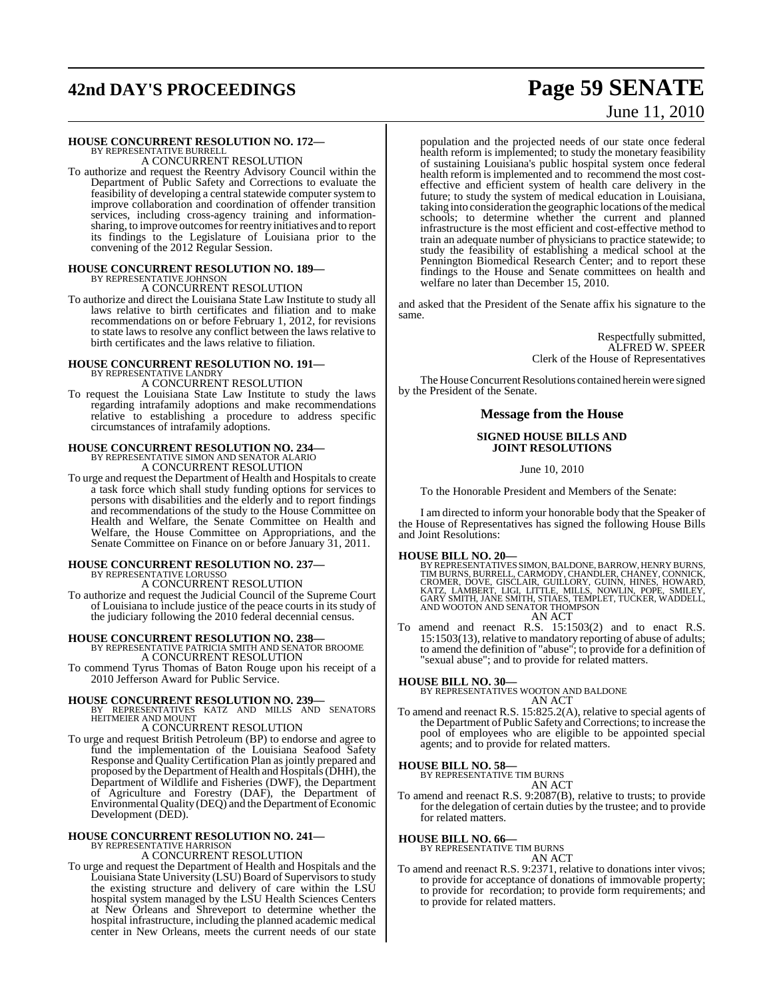# **42nd DAY'S PROCEEDINGS Page 59 SENATE**

# **HOUSE CONCURRENT RESOLUTION NO. 172—** BY REPRESENTATIVE BURRELL A CONCURRENT RESOLUTION

To authorize and request the Reentry Advisory Council within the Department of Public Safety and Corrections to evaluate the feasibility of developing a central statewide computer system to improve collaboration and coordination of offender transition services, including cross-agency training and informationsharing, to improve outcomes for reentry initiatives and to report its findings to the Legislature of Louisiana prior to the convening of the 2012 Regular Session.

#### **HOUSE CONCURRENT RESOLUTION NO. 189—** BY REPRESENTATIVE JOHNSON

A CONCURRENT RESOLUTION

To authorize and direct the Louisiana State Law Institute to study all laws relative to birth certificates and filiation and to make recommendations on or before February 1, 2012, for revisions to state laws to resolve any conflict between the laws relative to birth certificates and the laws relative to filiation.

# **HOUSE CONCURRENT RESOLUTION NO. 191—** BY REPRESENTATIVE LANDRY

A CONCURRENT RESOLUTION

To request the Louisiana State Law Institute to study the laws regarding intrafamily adoptions and make recommendations relative to establishing a procedure to address specific circumstances of intrafamily adoptions.

#### **HOUSE CONCURRENT RESOLUTION NO. 234—**

BY REPRESENTATIVE SIMON AND SENATOR ALARIO A CONCURRENT RESOLUTION

To urge and request the Department of Health and Hospitals to create a task force which shall study funding options for services to persons with disabilities and the elderly and to report findings and recommendations of the study to the House Committee on Health and Welfare, the Senate Committee on Health and Welfare, the House Committee on Appropriations, and the Senate Committee on Finance on or before January 31, 2011.

#### **HOUSE CONCURRENT RESOLUTION NO. 237—** BY REPRESENTATIVE LORUSSO

A CONCURRENT RESOLUTION To authorize and request the Judicial Council of the Supreme Court of Louisiana to include justice of the peace courts in its study of the judiciary following the 2010 federal decennial census.

## **HOUSE CONCURRENT RESOLUTION NO. 238—** BY REPRESENTATIVE PATRICIA SMITH AND SENATOR BROOME

A CONCURRENT RESOLUTION

To commend Tyrus Thomas of Baton Rouge upon his receipt of a 2010 Jefferson Award for Public Service.

**HOUSE CONCURRENT RESOLUTION NO. 239—** BY REPRESENTATIVES KATZ AND MILLS AND SENATORS HEITMEIER AND MOUNT

A CONCURRENT RESOLUTION

To urge and request British Petroleum (BP) to endorse and agree to fund the implementation of the Louisiana Seafood Safety Response and Quality Certification Plan as jointly prepared and proposed by the Department of Health and Hospitals (DHH), the Department of Wildlife and Fisheries (DWF), the Department of Agriculture and Forestry (DAF), the Department of Environmental Quality (DEQ) and the Department of Economic Development (DED).

# **HOUSE CONCURRENT RESOLUTION NO. 241—** BY REPRESENTATIVE HARRISON A CONCURRENT RESOLUTION

To urge and request the Department of Health and Hospitals and the Louisiana State University (LSU) Board of Supervisorsto study the existing structure and delivery of care within the LSU hospital system managed by the LSU Health Sciences Centers at New Orleans and Shreveport to determine whether the hospital infrastructure, including the planned academic medical center in New Orleans, meets the current needs of our state

# June 11, 2010

population and the projected needs of our state once federal health reform is implemented; to study the monetary feasibility of sustaining Louisiana's public hospital system once federal health reform is implemented and to recommend the most costeffective and efficient system of health care delivery in the future; to study the system of medical education in Louisiana, taking into consideration the geographic locations of the medical schools; to determine whether the current and planned infrastructure is the most efficient and cost-effective method to train an adequate number of physicians to practice statewide; to study the feasibility of establishing a medical school at the Pennington Biomedical Research Center; and to report these findings to the House and Senate committees on health and welfare no later than December 15, 2010.

and asked that the President of the Senate affix his signature to the same.

> Respectfully submitted, ALFRED W. SPEER Clerk of the House of Representatives

The House Concurrent Resolutions contained herein were signed by the President of the Senate.

#### **Message from the House**

#### **SIGNED HOUSE BILLS AND JOINT RESOLUTIONS**

June 10, 2010

To the Honorable President and Members of the Senate:

I am directed to inform your honorable body that the Speaker of the House of Representatives has signed the following House Bills and Joint Resolutions:

#### **HOUSE BILL NO. 20—**

BY REPRESENTATIVES SIMON, BALDONE, BARROW, HENRY BURNS,<br>TIM BURNS, BURRELL, CARMODY, CHANDLER, CHANEY, CONNICK,<br>CROMER, DOVE, GISCLAIR, GUILLORY, GUINN, HINES, HOWARD,<br>KATZ, LAMBERT, LIGI, LITTLE, MILLS, NOWLIN, POPE, SMIL AN ACT

To amend and reenact R.S. 15:1503(2) and to enact R.S. 15:1503(13), relative to mandatory reporting of abuse of adults; to amend the definition of "abuse"; to provide for a definition of "sexual abuse"; and to provide for related matters.

**HOUSE BILL NO. 30—** BY REPRESENTATIVES WOOTON AND BALDONE AN ACT

To amend and reenact R.S. 15:825.2(A), relative to special agents of the Department of Public Safety and Corrections; to increase the pool of employees who are eligible to be appointed special agents; and to provide for related matters.

## **HOUSE BILL NO. 58—** BY REPRESENTATIVE TIM BURNS

AN ACT

To amend and reenact R.S. 9:2087(B), relative to trusts; to provide for the delegation of certain duties by the trustee; and to provide for related matters.

#### **HOUSE BILL NO. 66—**

BY REPRESENTATIVE TIM BURNS

AN ACT

To amend and reenact R.S. 9:2371, relative to donations inter vivos; to provide for acceptance of donations of immovable property; to provide for recordation; to provide form requirements; and to provide for related matters.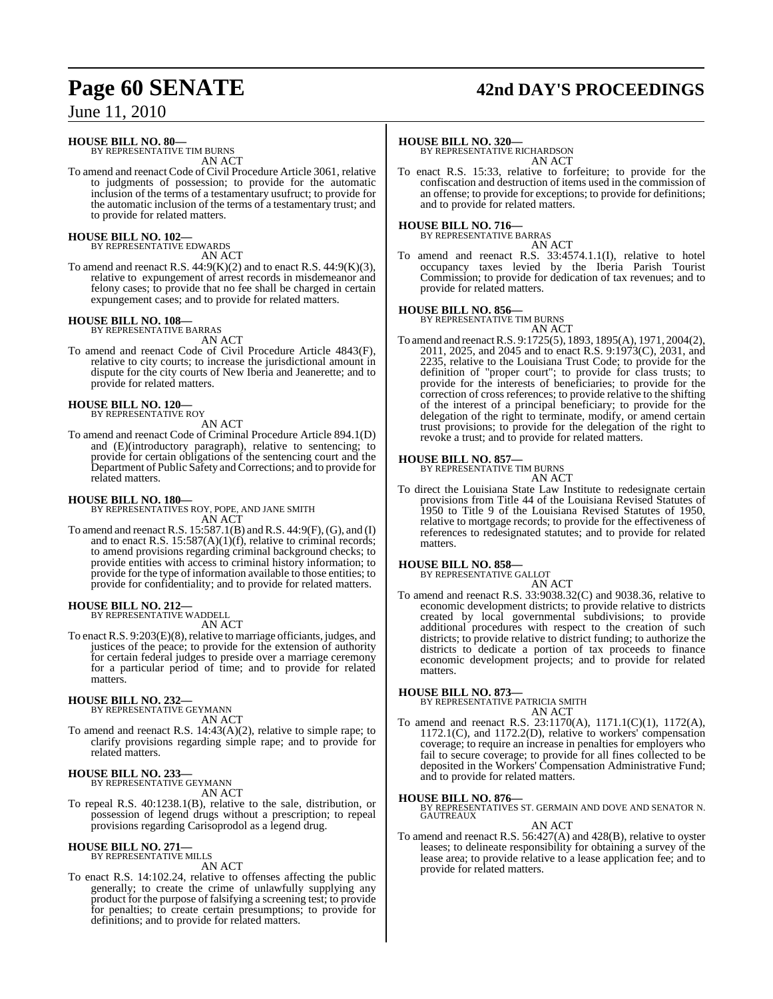# **Page 60 SENATE 42nd DAY'S PROCEEDINGS**

June 11, 2010

## **HOUSE BILL NO. 80—**

BY REPRESENTATIVE TIM BURNS AN ACT

To amend and reenact Code of Civil Procedure Article 3061, relative to judgments of possession; to provide for the automatic inclusion of the terms of a testamentary usufruct; to provide for the automatic inclusion of the terms of a testamentary trust; and to provide for related matters.

#### **HOUSE BILL NO. 102—** BY REPRESENTATIVE EDWARDS

AN ACT

To amend and reenact R.S. 44:9(K)(2) and to enact R.S. 44:9(K)(3), relative to expungement of arrest records in misdemeanor and felony cases; to provide that no fee shall be charged in certain expungement cases; and to provide for related matters.

## **HOUSE BILL NO. 108—** BY REPRESENTATIVE BARRAS

AN ACT

To amend and reenact Code of Civil Procedure Article 4843(F), relative to city courts; to increase the jurisdictional amount in dispute for the city courts of New Iberia and Jeanerette; and to provide for related matters.

## **HOUSE BILL NO. 120—** BY REPRESENTATIVE ROY

AN ACT

To amend and reenact Code of Criminal Procedure Article 894.1(D) and (E)(introductory paragraph), relative to sentencing; to provide for certain obligations of the sentencing court and the Department of Public Safety and Corrections; and to provide for related matters.

**HOUSE BILL NO. 180—** BY REPRESENTATIVES ROY, POPE, AND JANE SMITH AN ACT

To amend and reenact R.S. 15:587.1(B) and R.S. 44:9(F), (G), and (I) and to enact R.S. 15:587(A)(1)(f), relative to criminal records; to amend provisions regarding criminal background checks; to provide entities with access to criminal history information; to provide for the type of information available to those entities; to provide for confidentiality; and to provide for related matters.

## **HOUSE BILL NO. 212—** BY REPRESENTATIVE WADDELL

AN ACT

To enact R.S.  $9:203(E)(8)$ , relative to marriage officiants, judges, and justices of the peace; to provide for the extension of authority for certain federal judges to preside over a marriage ceremony for a particular period of time; and to provide for related matters.

## **HOUSE BILL NO. 232—** BY REPRESENTATIVE GEYMANN

AN ACT

To amend and reenact R.S. 14:43(A)(2), relative to simple rape; to clarify provisions regarding simple rape; and to provide for related matters.

#### **HOUSE BILL NO. 233—**

BY REPRESENTATIVE GEYMANN AN ACT

To repeal R.S. 40:1238.1(B), relative to the sale, distribution, or possession of legend drugs without a prescription; to repeal provisions regarding Carisoprodol as a legend drug.

## **HOUSE BILL NO. 271—** BY REPRESENTATIVE MILLS

AN ACT

To enact R.S. 14:102.24, relative to offenses affecting the public generally; to create the crime of unlawfully supplying any product for the purpose of falsifying a screening test; to provide for penalties; to create certain presumptions; to provide for definitions; and to provide for related matters.

#### **HOUSE BILL NO. 320—**

BY REPRESENTATIVE RICHARDSON AN ACT

To enact R.S. 15:33, relative to forfeiture; to provide for the confiscation and destruction of items used in the commission of an offense; to provide for exceptions; to provide for definitions; and to provide for related matters.

#### **HOUSE BILL NO. 716—**

BY REPRESENTATIVE BARRAS AN ACT

To amend and reenact R.S. 33:4574.1.1(I), relative to hotel occupancy taxes levied by the Iberia Parish Tourist Commission; to provide for dedication of tax revenues; and to provide for related matters.

#### **HOUSE BILL NO. 856—**

BY REPRESENTATIVE TIM BURNS

AN ACT To amend and reenactR.S. 9:1725(5), 1893, 1895(A), 1971, 2004(2), 2011, 2025, and 2045 and to enact R.S. 9:1973(C), 2031, and 2235, relative to the Louisiana Trust Code; to provide for the definition of "proper court"; to provide for class trusts; to provide for the interests of beneficiaries; to provide for the correction of cross references; to provide relative to the shifting of the interest of a principal beneficiary; to provide for the delegation of the right to terminate, modify, or amend certain trust provisions; to provide for the delegation of the right to revoke a trust; and to provide for related matters.

**HOUSE BILL NO. 857—** BY REPRESENTATIVE TIM BURNS

AN ACT

To direct the Louisiana State Law Institute to redesignate certain provisions from Title 44 of the Louisiana Revised Statutes of 1950 to Title 9 of the Louisiana Revised Statutes of 1950, relative to mortgage records; to provide for the effectiveness of references to redesignated statutes; and to provide for related matters.

#### **HOUSE BILL NO. 858—**

BY REPRESENTATIVE GALLOT

AN ACT To amend and reenact R.S. 33:9038.32(C) and 9038.36, relative to economic development districts; to provide relative to districts created by local governmental subdivisions; to provide additional procedures with respect to the creation of such districts; to provide relative to district funding; to authorize the districts to dedicate a portion of tax proceeds to finance economic development projects; and to provide for related matters.

#### **HOUSE BILL NO. 873—**

BY REPRESENTATIVE PATRICIA SMITH AN ACT

To amend and reenact R.S. 23:1170(A), 1171.1(C)(1), 1172(A), 1172.1(C), and 1172.2(D), relative to workers' compensation coverage; to require an increase in penalties for employers who fail to secure coverage; to provide for all fines collected to be deposited in the Workers' Compensation Administrative Fund; and to provide for related matters.

#### **HOUSE BILL NO. 876—**

BY REPRESENTATIVES ST. GERMAIN AND DOVE AND SENATOR N. GAUTREAUX AN ACT

To amend and reenact R.S. 56:427(A) and 428(B), relative to oyster leases; to delineate responsibility for obtaining a survey of the lease area; to provide relative to a lease application fee; and to provide for related matters.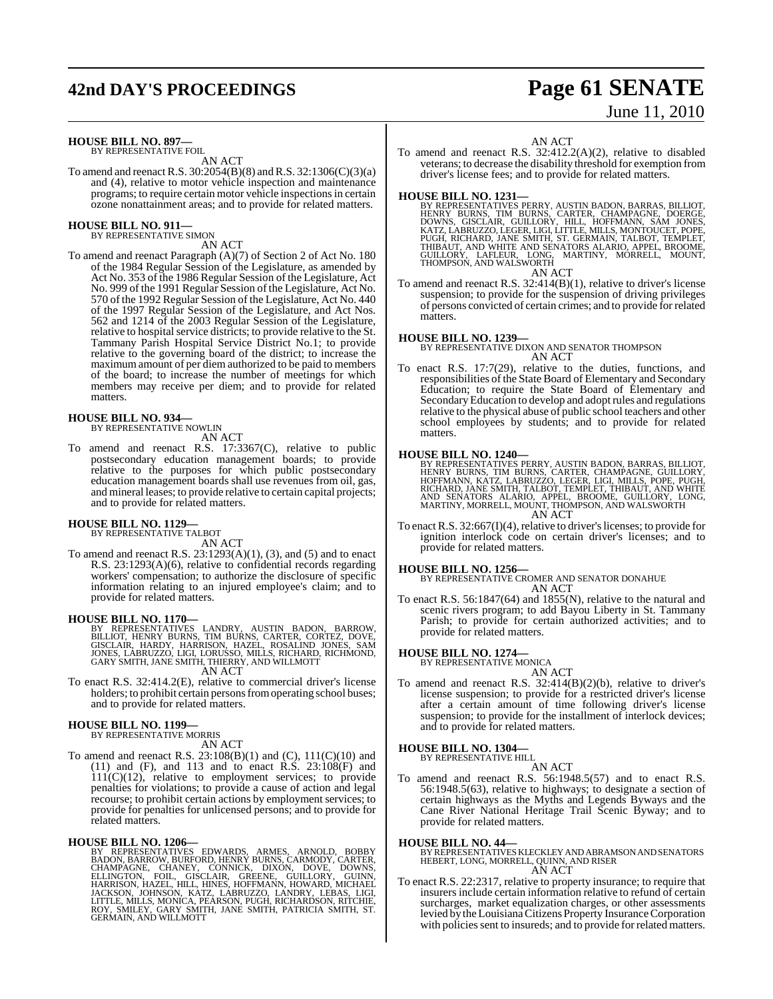## **42nd DAY'S PROCEEDINGS Page 61 SENATE**

#### **HOUSE BILL NO. 897—**

BY REPRESENTATIVE FOIL AN ACT

To amend and reenact R.S. 30:2054(B)(8) andR.S. 32:1306(C)(3)(a) and (4), relative to motor vehicle inspection and maintenance programs; to require certain motor vehicle inspectionsin certain ozone nonattainment areas; and to provide for related matters.

#### **HOUSE BILL NO. 911—**

BY REPRESENTATIVE SIMON AN ACT

To amend and reenact Paragraph (A)(7) of Section 2 of Act No. 180 of the 1984 Regular Session of the Legislature, as amended by Act No. 353 of the 1986 Regular Session of the Legislature, Act No. 999 of the 1991 Regular Session of the Legislature, Act No. 570 of the 1992 Regular Session of the Legislature, Act No. 440 of the 1997 Regular Session of the Legislature, and Act Nos. 562 and 1214 of the 2003 Regular Session of the Legislature, relative to hospital service districts; to provide relative to the St. Tammany Parish Hospital Service District No.1; to provide relative to the governing board of the district; to increase the maximum amount of per diem authorized to be paid to members of the board; to increase the number of meetings for which members may receive per diem; and to provide for related matters.

## **HOUSE BILL NO. 934—** BY REPRESENTATIVE NOWLIN

AN ACT

To amend and reenact R.S. 17:3367(C), relative to public postsecondary education management boards; to provide relative to the purposes for which public postsecondary education management boards shall use revenues from oil, gas, and mineral leases; to provide relative to certain capital projects; and to provide for related matters.

## **HOUSE BILL NO. 1129—** BY REPRESENTATIVE TALBOT

AN ACT

To amend and reenact R.S.  $23:1293(A)(1)$ , (3), and (5) and to enact R.S. 23:1293(A)(6), relative to confidential records regarding workers' compensation; to authorize the disclosure of specific information relating to an injured employee's claim; and to provide for related matters.

**HOUSE BILL NO. 1170—**<br>BILLIOT, HENRY BURNS, CARTER, CORTEZ, DOVE, BILLIOT, HENRY BURNS, TIM BURNS, CARTER, CORTEZ, DOVE,<br>GISCLAIR, HARDY, HARRISON, HAZEL, ROSALIND JONES, SAM<br>JONES, LABRUZZO, LIGI, LORUSSO, MILLS, RICHAD,

AN ACT

To enact R.S. 32:414.2(E), relative to commercial driver's license holders; to prohibit certain persons from operating school buses; and to provide for related matters.

## **HOUSE BILL NO. 1199—** BY REPRESENTATIVE MORRIS

AN ACT

To amend and reenact R.S. 23:108(B)(1) and (C), 111(C)(10) and (11) and (F), and 113 and to enact R.S. 23:108(F) and 111(C)(12), relative to employment services; to provide penalties for violations; to provide a cause of action and legal recourse; to prohibit certain actions by employment services; to provide for penalties for unlicensed persons; and to provide for related matters.

**HOUSE BILL NO. 1206**—<br>BY REPRESENTATIVES EDWARDS, ARMES, ARNOLD, BOBBY<br>BADON, BARROW, BURFORD, HENRY BURNS, CARMODY, CARTER,<br>CHAMPAGNE, CHANEY, CONNICK, DIXON, DOVE, DOWNS,<br>ELLINGTON, FOIL, GISCLAIR, GREENE, GUILLORY, GUI

# June 11, 2010

AN ACT

To amend and reenact R.S. 32:412.2(A)(2), relative to disabled veterans; to decrease the disability threshold for exemption from driver's license fees; and to provide for related matters.

**HOUSE BILL NO. 1231—**<br>BY REPRESENTATIVES PERRY, AUSTIN BADON, BARRAS, BILLIOT,<br>HENRY BURNS, TIM BURNS, CARTER, CHAMPAGNE, DOERGE,<br>DOWNS, GISCLAIR, GUILLORY, HILL, HOFFMANN, SAM JONES,<br>KATZ, LABRUZZO, LEGER, LIGI, LITTLE, AN ACT

To amend and reenact R.S. 32:414(B)(1), relative to driver's license suspension; to provide for the suspension of driving privileges of persons convicted of certain crimes; and to provide for related matters.

**HOUSE BILL NO. 1239—** BY REPRESENTATIVE DIXON AND SENATOR THOMPSON AN ACT

To enact R.S. 17:7(29), relative to the duties, functions, and responsibilities of the State Board of Elementary and Secondary Education; to require the State Board of Elementary and Secondary Education to develop and adopt rules and regulations relative to the physical abuse of public school teachers and other school employees by students; and to provide for related matters.

**HOUSE BILL NO. 1240—**<br>BY REPRESENTATIVES PERRY, AUSTIN BADON, BARRAS, BILLIOT,<br>HENRY BURNS, TIM BURNS, CARTER, CHAMPAGNE, GUILLORY,<br>HOFFMANN, KATZ, LABRUZZO, LEGER, LIGI, MILLS, POPE, PUGH,<br>RICHARD, JANE SMITH, TALBOT, TE AN ACT

To enact R.S.  $32:667(I)(4)$ , relative to driver's licenses; to provide for ignition interlock code on certain driver's licenses; and to provide for related matters.

**HOUSE BILL NO. 1256—** BY REPRESENTATIVE CROMER AND SENATOR DONAHUE AN ACT

To enact R.S. 56:1847(64) and 1855(N), relative to the natural and scenic rivers program; to add Bayou Liberty in St. Tammany Parish; to provide for certain authorized activities; and to provide for related matters.

## **HOUSE BILL NO. 1274—** BY REPRESENTATIVE MONICA

- AN ACT
- To amend and reenact R.S.  $32:414(B)(2)(b)$ , relative to driver's license suspension; to provide for a restricted driver's license after a certain amount of time following driver's license suspension; to provide for the installment of interlock devices; and to provide for related matters.

## **HOUSE BILL NO. 1304—** BY REPRESENTATIVE HILL

AN ACT

- 
- To amend and reenact R.S. 56:1948.5(57) and to enact R.S. 56:1948.5(63), relative to highways; to designate a section of certain highways as the Myths and Legends Byways and the Cane River National Heritage Trail Scenic Byway; and to provide for related matters.

#### **HOUSE BILL NO. 44—**

BY REPRESENTATIVES KLECKLEY AND ABRAMSON AND SENATORS HEBERT, LONG, MORRELL, QUINN, AND RISER AN ACT

To enact R.S. 22:2317, relative to property insurance; to require that insurers include certain information relative to refund of certain surcharges, market equalization charges, or other assessments levied by the Louisiana Citizens Property Insurance Corporation with policies sent to insureds; and to provide for related matters.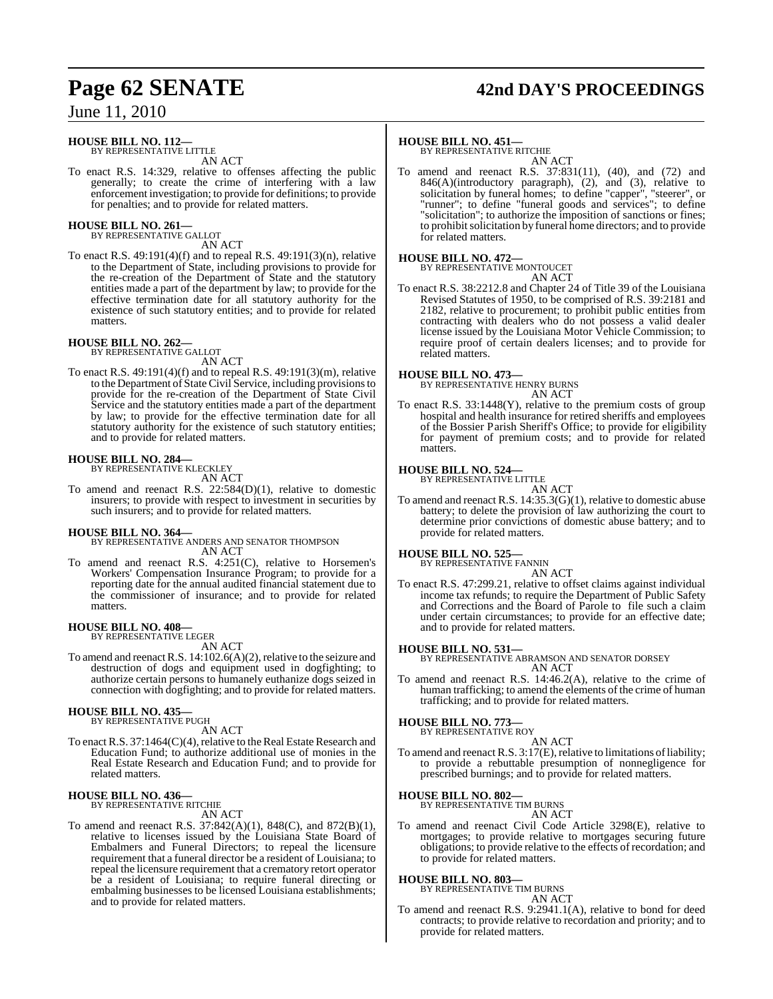# **Page 62 SENATE 42nd DAY'S PROCEEDINGS**

## June 11, 2010

#### **HOUSE BILL NO. 112—** BY REPRESENTATIVE LITTLE

AN ACT

To enact R.S. 14:329, relative to offenses affecting the public generally; to create the crime of interfering with a law enforcement investigation; to provide for definitions; to provide for penalties; and to provide for related matters.

## **HOUSE BILL NO. 261—**

BY REPRESENTATIVE GALLOT AN ACT

To enact R.S. 49:191(4)(f) and to repeal R.S. 49:191(3)(n), relative to the Department of State, including provisions to provide for the re-creation of the Department of State and the statutory entities made a part of the department by law; to provide for the effective termination date for all statutory authority for the existence of such statutory entities; and to provide for related matters.

#### **HOUSE BILL NO. 262—** BY REPRESENTATIVE GALLOT

AN ACT

To enact R.S. 49:191(4)(f) and to repeal R.S. 49:191(3)(m), relative to the Department of State Civil Service, including provisions to provide for the re-creation of the Department of State Civil Service and the statutory entities made a part of the department by law; to provide for the effective termination date for all statutory authority for the existence of such statutory entities; and to provide for related matters.

## **HOUSE BILL NO. 284—** BY REPRESENTATIVE KLECKLEY

AN ACT

To amend and reenact R.S. 22:584(D)(1), relative to domestic insurers; to provide with respect to investment in securities by such insurers; and to provide for related matters.

#### **HOUSE BILL NO. 364—**

BY REPRESENTATIVE ANDERS AND SENATOR THOMPSON AN ACT

To amend and reenact R.S. 4:251(C), relative to Horsemen's Workers' Compensation Insurance Program; to provide for a reporting date for the annual audited financial statement due to the commissioner of insurance; and to provide for related matters.

## **HOUSE BILL NO. 408—** BY REPRESENTATIVE LEGER

AN ACT

To amend and reenact R.S. 14:102.6(A)(2), relative to the seizure and destruction of dogs and equipment used in dogfighting; to authorize certain persons to humanely euthanize dogs seized in connection with dogfighting; and to provide for related matters.

#### **HOUSE BILL NO. 435—** BY REPRESENTATIVE PUGH

AN ACT

To enact R.S. 37:1464(C)(4), relative to the Real Estate Research and Education Fund; to authorize additional use of monies in the Real Estate Research and Education Fund; and to provide for related matters.

#### **HOUSE BILL NO. 436—** BY REPRESENTATIVE RITCHIE

AN ACT

To amend and reenact R.S. 37:842(A)(1), 848(C), and 872(B)(1), relative to licenses issued by the Louisiana State Board of Embalmers and Funeral Directors; to repeal the licensure requirement that a funeral director be a resident of Louisiana; to repeal the licensure requirement that a crematory retort operator be a resident of Louisiana; to require funeral directing or embalming businesses to be licensed Louisiana establishments; and to provide for related matters.

#### **HOUSE BILL NO. 451—**

BY REPRESENTATIVE RITCHIE AN ACT

To amend and reenact R.S. 37:831(11), (40), and (72) and 846(A)(introductory paragraph), (2), and (3), relative to solicitation by funeral homes; to define "capper", "steerer", or "runner"; to define "funeral goods and services"; to define "solicitation"; to authorize the imposition of sanctions or fines; to prohibitsolicitation by funeral home directors; and to provide for related matters.

## **HOUSE BILL NO. 472—** BY REPRESENTATIVE MONTOUCET

AN ACT

To enact R.S. 38:2212.8 and Chapter 24 of Title 39 of the Louisiana Revised Statutes of 1950, to be comprised of R.S. 39:2181 and 2182, relative to procurement; to prohibit public entities from contracting with dealers who do not possess a valid dealer license issued by the Louisiana Motor Vehicle Commission; to require proof of certain dealers licenses; and to provide for related matters.

#### **HOUSE BILL NO. 473—**

BY REPRESENTATIVE HENRY BURNS AN ACT

To enact R.S. 33:1448(Y), relative to the premium costs of group hospital and health insurance for retired sheriffs and employees of the Bossier Parish Sheriff's Office; to provide for eligibility for payment of premium costs; and to provide for related matters.

#### **HOUSE BILL NO. 524—**

BY REPRESENTATIVE LITTLE AN ACT

To amend and reenact R.S. 14:35.3(G)(1), relative to domestic abuse battery; to delete the provision of law authorizing the court to determine prior convictions of domestic abuse battery; and to provide for related matters.

## **HOUSE BILL NO. 525—** BY REPRESENTATIVE FANNIN

AN ACT

To enact R.S. 47:299.21, relative to offset claims against individual income tax refunds; to require the Department of Public Safety and Corrections and the Board of Parole to file such a claim under certain circumstances; to provide for an effective date; and to provide for related matters.

#### **HOUSE BILL NO. 531—**

BY REPRESENTATIVE ABRAMSON AND SENATOR DORSEY AN ACT

To amend and reenact R.S. 14:46.2(A), relative to the crime of human trafficking; to amend the elements of the crime of human trafficking; and to provide for related matters.

## **HOUSE BILL NO. 773**

BY REPRESENTATIVE ROY AN ACT

To amend and reenact R.S.  $3:17(E)$ , relative to limitations of liability; to provide a rebuttable presumption of nonnegligence for prescribed burnings; and to provide for related matters.

**HOUSE BILL NO. 802—**

BY REPRESENTATIVE TIM BURNS

## AN ACT

To amend and reenact Civil Code Article 3298(E), relative to mortgages; to provide relative to mortgages securing future obligations; to provide relative to the effects of recordation; and to provide for related matters.

#### **HOUSE BILL NO. 803—**

BY REPRESENTATIVE TIM BURNS

## AN ACT

To amend and reenact R.S. 9:2941.1(A), relative to bond for deed contracts; to provide relative to recordation and priority; and to provide for related matters.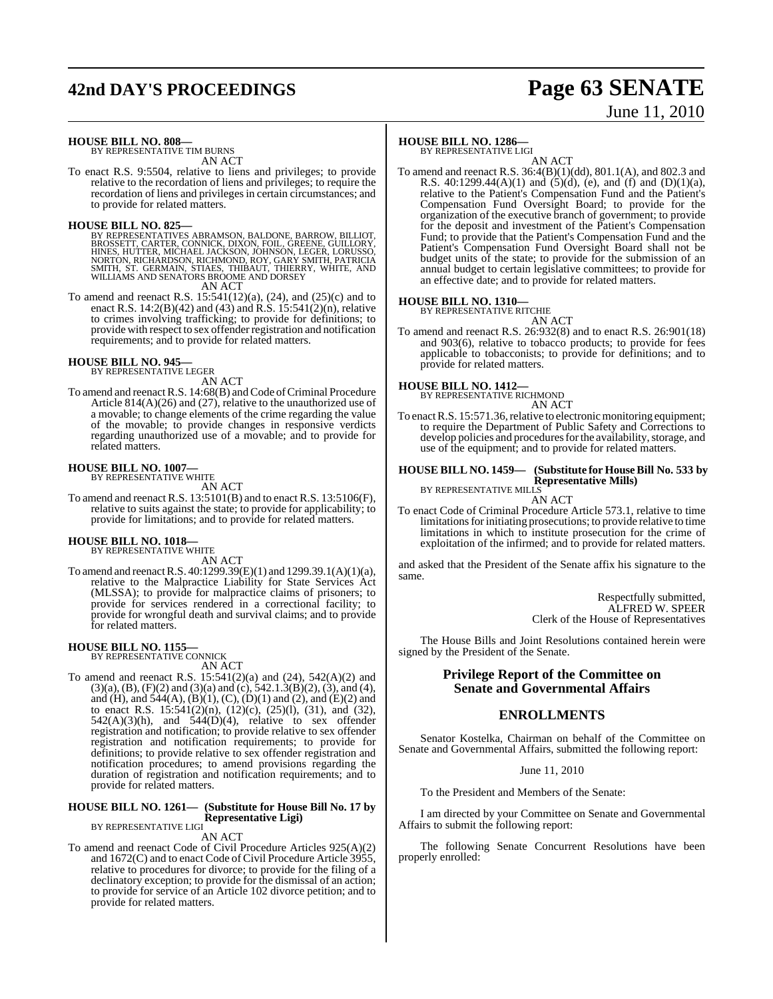# **42nd DAY'S PROCEEDINGS Page 63 SENATE**

# June 11, 2010

**HOUSE BILL NO. 808—** BY REPRESENTATIVE TIM BURNS

AN ACT

To enact R.S. 9:5504, relative to liens and privileges; to provide relative to the recordation of liens and privileges; to require the recordation of liens and privileges in certain circumstances; and to provide for related matters.

#### **HOUSE BILL NO. 825—**

BY REPRESENTATIVES ABRAMSON, BALDONE, BARROW, BILLIOT,<br>BROSSETT, CARTER, CONNICK, DIXON, FOIL, GREENE, GUILLORY,<br>HINES, HUTTER, MICHAEL JACKSON, JOHNSON, LEGER, LORUSSO,<br>NORTON, RICHARDSON, RICHMOND, ROY, GARY SMITH, PATRI

AN ACT

To amend and reenact R.S. 15:541(12)(a), (24), and (25)(c) and to enact R.S. 14:2(B)(42) and (43) and R.S. 15:541(2)(n), relative to crimes involving trafficking; to provide for definitions; to provide with respect to sex offender registration and notification requirements; and to provide for related matters.

#### **HOUSE BILL NO. 945—**

BY REPRESENTATIVE LEGER AN ACT

To amend and reenact R.S. 14:68(B) and Code of Criminal Procedure Article 814(A)(26) and (27), relative to the unauthorized use of a movable; to change elements of the crime regarding the value of the movable; to provide changes in responsive verdicts regarding unauthorized use of a movable; and to provide for related matters.

## **HOUSE BILL NO. 1007—** BY REPRESENTATIVE WHITE

AN ACT

To amend and reenact R.S. 13:5101(B) and to enact R.S. 13:5106(F), relative to suits against the state; to provide for applicability; to provide for limitations; and to provide for related matters.

# **HOUSE BILL NO. 1018—** BY REPRESENTATIVE WHITE

AN ACT

To amend and reenactR.S. 40:1299.39(E)(1) and 1299.39.1(A)(1)(a), relative to the Malpractice Liability for State Services Act (MLSSA); to provide for malpractice claims of prisoners; to provide for services rendered in a correctional facility; to provide for wrongful death and survival claims; and to provide for related matters.

**HOUSE BILL NO. 1155—** BY REPRESENTATIVE CONNICK

AN ACT To amend and reenact R.S. 15:541(2)(a) and (24), 542(A)(2) and  $(3)(a)$ ,  $(B)$ ,  $(F)(2)$  and  $(3)(a)$  and  $(c)$ ,  $542.1.3(B)(2)$ ,  $(3)$ , and  $(4)$ , and (H), and  $544(A)$ , (B)(1), (C), (D)(1) and (2), and (E)(2) and to enact R.S. 15:541(2)(n), (12)(c), (25)(l), (31), and (32),  $542(A)(3)(h)$ , and  $544(D)(4)$ , relative to sex offender registration and notification; to provide relative to sex offender registration and notification requirements; to provide for definitions; to provide relative to sex offender registration and notification procedures; to amend provisions regarding the duration of registration and notification requirements; and to provide for related matters.

#### **HOUSE BILL NO. 1261— (Substitute for House Bill No. 17 by Representative Ligi)** BY REPRESENTATIVE LIGI

AN ACT

To amend and reenact Code of Civil Procedure Articles 925(A)(2) and 1672(C) and to enact Code of Civil Procedure Article 3955, relative to procedures for divorce; to provide for the filing of a declinatory exception; to provide for the dismissal of an action; to provide for service of an Article 102 divorce petition; and to provide for related matters.

#### **HOUSE BILL NO. 1286—**

BY REPRESENTATIVE LIGI

AN ACT To amend and reenact R.S. 36:4(B)(1)(dd), 801.1(A), and 802.3 and R.S. 40:1299.44(A)(1) and  $(5)(d)$ , (e), and  $(f)$  and  $(D)(1)(a)$ , relative to the Patient's Compensation Fund and the Patient's Compensation Fund Oversight Board; to provide for the organization of the executive branch of government; to provide for the deposit and investment of the Patient's Compensation Fund; to provide that the Patient's Compensation Fund and the Patient's Compensation Fund Oversight Board shall not be budget units of the state; to provide for the submission of an annual budget to certain legislative committees; to provide for an effective date; and to provide for related matters.

## **HOUSE BILL NO. 1310—** BY REPRESENTATIVE RITCHIE

AN ACT To amend and reenact R.S. 26:932(8) and to enact R.S. 26:901(18) and 903(6), relative to tobacco products; to provide for fees applicable to tobacconists; to provide for definitions; and to provide for related matters.

#### **HOUSE BILL NO. 1412—**

BY REPRESENTATIVE RICHMOND AN ACT

To enact R.S. 15:571.36, relative to electronic monitoring equipment; to require the Department of Public Safety and Corrections to develop policies and procedures for the availability, storage, and use of the equipment; and to provide for related matters.

#### **HOUSE BILL NO. 1459— (Substitute for HouseBill No. 533 by Representative Mills)**

BY REPRESENTATIVE MILLS

AN ACT To enact Code of Criminal Procedure Article 573.1, relative to time limitations for initiating prosecutions; to provide relative to time limitations in which to institute prosecution for the crime of exploitation of the infirmed; and to provide for related matters.

and asked that the President of the Senate affix his signature to the same.

> Respectfully submitted, ALFRED W. SPEER Clerk of the House of Representatives

The House Bills and Joint Resolutions contained herein were signed by the President of the Senate.

#### **Privilege Report of the Committee on Senate and Governmental Affairs**

#### **ENROLLMENTS**

Senator Kostelka, Chairman on behalf of the Committee on Senate and Governmental Affairs, submitted the following report:

June 11, 2010

To the President and Members of the Senate:

I am directed by your Committee on Senate and Governmental Affairs to submit the following report:

The following Senate Concurrent Resolutions have been properly enrolled: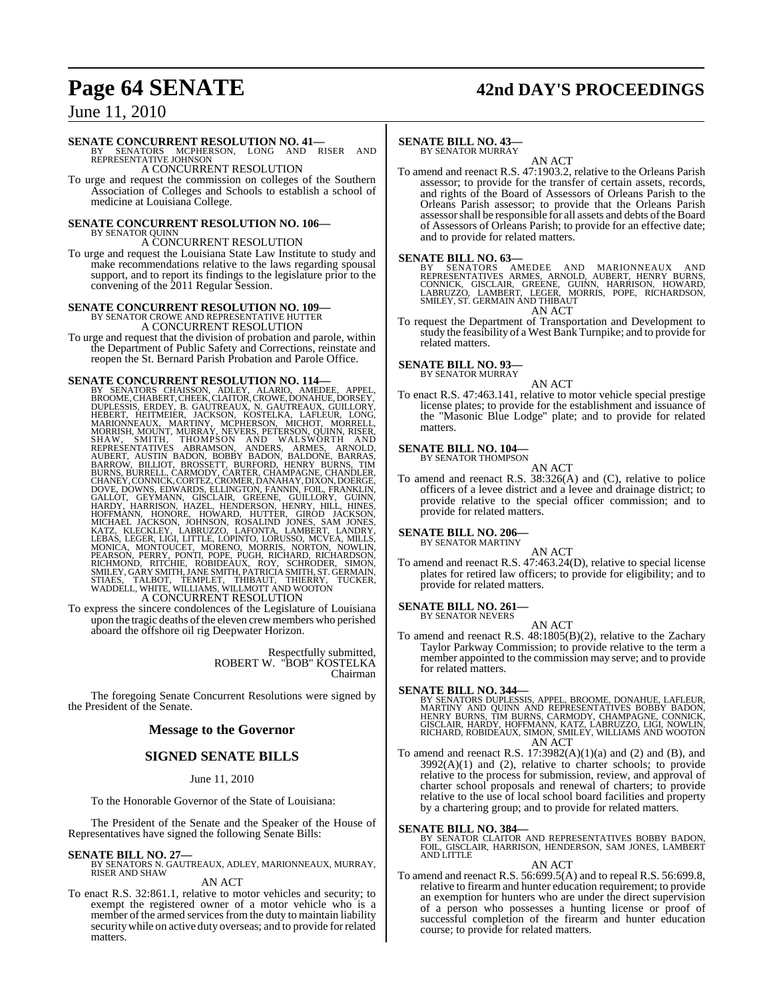# **Page 64 SENATE 42nd DAY'S PROCEEDINGS**

## June 11, 2010

#### **SENATE CONCURRENT RESOLUTION NO. 41—**

BY SENATORS MCPHERSON, LONG AND RISER AND REPRESENTATIVE JOHNSON A CONCURRENT RESOLUTION

To urge and request the commission on colleges of the Southern Association of Colleges and Schools to establish a school of medicine at Louisiana College.

#### **SENATE CONCURRENT RESOLUTION NO. 106—** BY SENATOR QUINI

A CONCURRENT RESOLUTION

To urge and request the Louisiana State Law Institute to study and make recommendations relative to the laws regarding spousal support, and to report its findings to the legislature prior to the convening of the 2011 Regular Session.

## **SENATE CONCURRENT RESOLUTION NO. 109—** BY SENATOR CROWE AND REPRESENTATIVE HUTTER A CONCURRENT RESOLUTION

To urge and request that the division of probation and parole, within the Department of Public Safety and Corrections, reinstate and reopen the St. Bernard Parish Probation and Parole Office.

**SENATE CONCURRENT RESOLUTION NO. 114—**<br>BY SENATORS CHAISSON, ADLEY, ALARIO, AMEDEE, APPEL, BROOME,CHABERT,CHERK,CLAITOR,CROWE,DONAHUE,DORSEY, DUPLESSIS, ERDEY, B. GAUTREAUX, NGAUTREAUX, GUILLORY, HEBERT, HETIMEIER, JACKSO

A CONCURRENT RESOLUTION<br>To express the sincere condolences of the Legislature of Louisiana upon the tragic deaths of the eleven crew members who perished aboard the offshore oil rig Deepwater Horizon.

> Respectfully submitted, ROBERT W. "BOB" KOSTELKA Chairman

The foregoing Senate Concurrent Resolutions were signed by the President of the Senate.

## **Message to the Governor**

#### **SIGNED SENATE BILLS**

#### June 11, 2010

To the Honorable Governor of the State of Louisiana:

The President of the Senate and the Speaker of the House of Representatives have signed the following Senate Bills:

#### **SENATE BILL NO. 27—**

BY SENATORS N. GAUTREAUX, ADLEY, MARIONNEAUX, MURRAY, RISER AND SHAW

#### AN ACT

To enact R.S. 32:861.1, relative to motor vehicles and security; to exempt the registered owner of a motor vehicle who is a member of the armed services from the duty to maintain liability securitywhile on active duty overseas; and to provide forrelated matters.

#### **SENATE BILL NO. 43—**

BY SENATOR MURRAY

AN ACT To amend and reenact R.S. 47:1903.2, relative to the Orleans Parish assessor; to provide for the transfer of certain assets, records, and rights of the Board of Assessors of Orleans Parish to the Orleans Parish assessor; to provide that the Orleans Parish assessor shall be responsible for all assets and debts of the Board of Assessors of Orleans Parish; to provide for an effective date; and to provide for related matters.

**SENATE BILL NO. 63.**<br>BY SENATORS AMEDEE AND MARIONNEAUX AND<br>REPRESENTATIVES ARMES, ARNOLD, AUBERT, HENRY BURNS,<br>CONNICK, GISCLAIR, GREENE, GUINN, HARRISON, HOWARD,<br>LABRUZZO, LAMBERT, LEGER, MORRIS, POPE, RICHARDSON,<br>SMILE AN ACT

To request the Department of Transportation and Development to

study the feasibility of a West Bank Turnpike; and to provide for related matters.

## **SENATE BILL NO. 93—** BY SENATOR MURRAY

AN ACT

To enact R.S. 47:463.141, relative to motor vehicle special prestige license plates; to provide for the establishment and issuance of the "Masonic Blue Lodge" plate; and to provide for related matters.

#### **SENATE BILL NO. 104—** BY SENATOR THOMPSON

AN ACT

To amend and reenact R.S. 38:326(A) and (C), relative to police officers of a levee district and a levee and drainage district; to provide relative to the special officer commission; and to provide for related matters.

#### **SENATE BILL NO. 206—** BY SENATOR MARTINY

AN ACT

To amend and reenact R.S. 47:463.24(D), relative to special license plates for retired law officers; to provide for eligibility; and to provide for related matters.

#### **SENATE BILL NO. 261—**

BY SENATOR NEVERS AN ACT

To amend and reenact R.S. 48:1805(B)(2), relative to the Zachary Taylor Parkway Commission; to provide relative to the term a member appointed to the commission may serve; and to provide for related matters.

#### **SENATE BILL NO. 344—**

BY SENATORS DUPLESSIS, APPEL, BROOME, DONAHUE, LAFLEUR,<br>MARTINY AND QUINN AND REPRESENTATIVES BOBBY BADON,<br>HENRY BURNS, TIM BURNS, CARMODY, CHAMPAGNE, CONNICK,<br>GISCLAIR, HARDY, HOFFMANN, KATZ, LABRUZZO, LIGI, NOWLIN,<br>RICHA AN ACT

To amend and reenact R.S.  $17:3982(A)(1)(a)$  and  $(2)$  and  $(B)$ , and  $3992(A)(1)$  and  $(2)$ , relative to charter schools; to provide relative to the process for submission, review, and approval of charter school proposals and renewal of charters; to provide relative to the use of local school board facilities and property by a chartering group; and to provide for related matters.

**SENATE BILL NO. 384—**<br>BY SENATOR CLAITOR AND REPRESENTATIVES BOBBY BADON,<br>FOIL, GISCLAIR, HARRISON, HENDERSON, SAM JONES, LAMBERT<br>AND LITTLE

#### AN ACT

To amend and reenact R.S. 56:699.5(A) and to repeal R.S. 56:699.8, relative to firearm and hunter education requirement; to provide an exemption for hunters who are under the direct supervision of a person who possesses a hunting license or proof of successful completion of the firearm and hunter education course; to provide for related matters.